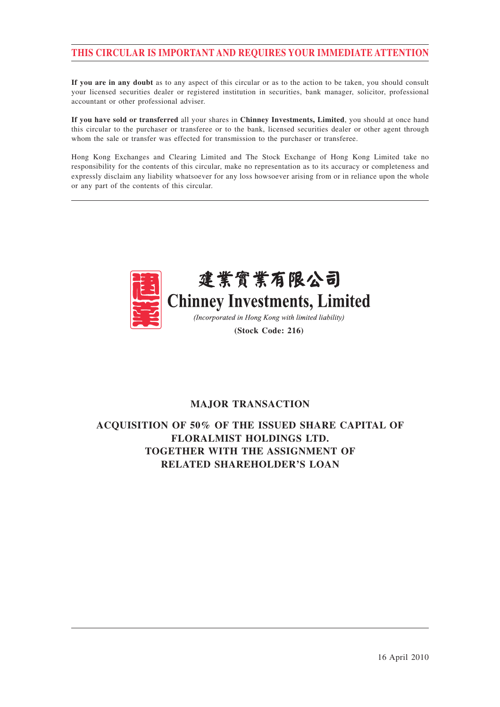## **THIS CIRCULAR IS IMPORTANT AND REQUIRES YOUR IMMEDIATE ATTENTION**

**If you are in any doubt** as to any aspect of this circular or as to the action to be taken, you should consult your licensed securities dealer or registered institution in securities, bank manager, solicitor, professional accountant or other professional adviser.

**If you have sold or transferred** all your shares in **Chinney Investments, Limited**, you should at once hand this circular to the purchaser or transferee or to the bank, licensed securities dealer or other agent through whom the sale or transfer was effected for transmission to the purchaser or transferee.

Hong Kong Exchanges and Clearing Limited and The Stock Exchange of Hong Kong Limited take no responsibility for the contents of this circular, make no representation as to its accuracy or completeness and expressly disclaim any liability whatsoever for any loss howsoever arising from or in reliance upon the whole or any part of the contents of this circular.



## **MAJOR TRANSACTION**

# **ACQUISITION OF 50% OF THE ISSUED SHARE CAPITAL OF FLORALMIST HOLDINGS LTD. TOGETHER WITH THE ASSIGNMENT OF RELATED SHAREHOLDER'S LOAN**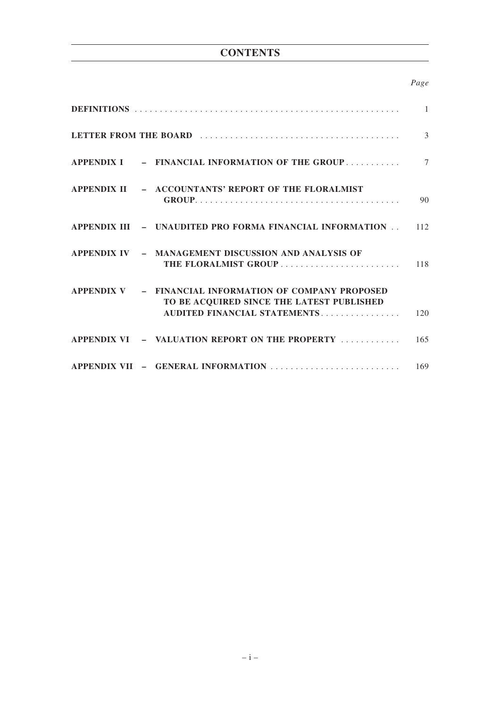# **CONTENTS**

# *Page*

|  |                                                                                                                                     | $\mathbf{1}$  |
|--|-------------------------------------------------------------------------------------------------------------------------------------|---------------|
|  |                                                                                                                                     | $\mathcal{E}$ |
|  | APPENDIX I - FINANCIAL INFORMATION OF THE GROUP                                                                                     | $\tau$        |
|  | APPENDIX II - ACCOUNTANTS' REPORT OF THE FLORALMIST                                                                                 | 90            |
|  | APPENDIX III - UNAUDITED PRO FORMA FINANCIAL INFORMATION                                                                            | 112           |
|  | APPENDIX IV - MANAGEMENT DISCUSSION AND ANALYSIS OF<br>THE FLORALMIST GROUP                                                         | 118           |
|  | APPENDIX V - FINANCIAL INFORMATION OF COMPANY PROPOSED<br>TO BE ACQUIRED SINCE THE LATEST PUBLISHED<br>AUDITED FINANCIAL STATEMENTS | 120           |
|  | APPENDIX VI - VALUATION REPORT ON THE PROPERTY                                                                                      | 165           |
|  | APPENDIX VII - GENERAL INFORMATION                                                                                                  | 169           |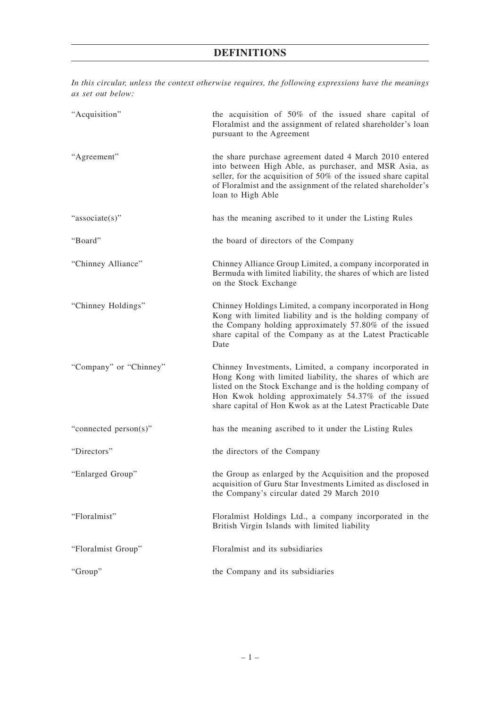# **DEFINITIONS**

*In this circular, unless the context otherwise requires, the following expressions have the meanings as set out below:*

| "Acquisition"          | the acquisition of 50% of the issued share capital of<br>Floralmist and the assignment of related shareholder's loan<br>pursuant to the Agreement                                                                                                                                                        |
|------------------------|----------------------------------------------------------------------------------------------------------------------------------------------------------------------------------------------------------------------------------------------------------------------------------------------------------|
| "Agreement"            | the share purchase agreement dated 4 March 2010 entered<br>into between High Able, as purchaser, and MSR Asia, as<br>seller, for the acquisition of 50% of the issued share capital<br>of Floralmist and the assignment of the related shareholder's<br>loan to High Able                                |
| "associate(s)"         | has the meaning ascribed to it under the Listing Rules                                                                                                                                                                                                                                                   |
| "Board"                | the board of directors of the Company                                                                                                                                                                                                                                                                    |
| "Chinney Alliance"     | Chinney Alliance Group Limited, a company incorporated in<br>Bermuda with limited liability, the shares of which are listed<br>on the Stock Exchange                                                                                                                                                     |
| "Chinney Holdings"     | Chinney Holdings Limited, a company incorporated in Hong<br>Kong with limited liability and is the holding company of<br>the Company holding approximately 57.80% of the issued<br>share capital of the Company as at the Latest Practicable<br>Date                                                     |
| "Company" or "Chinney" | Chinney Investments, Limited, a company incorporated in<br>Hong Kong with limited liability, the shares of which are<br>listed on the Stock Exchange and is the holding company of<br>Hon Kwok holding approximately 54.37% of the issued<br>share capital of Hon Kwok as at the Latest Practicable Date |
| "connected person(s)"  | has the meaning ascribed to it under the Listing Rules                                                                                                                                                                                                                                                   |
| "Directors"            | the directors of the Company                                                                                                                                                                                                                                                                             |
| "Enlarged Group"       | the Group as enlarged by the Acquisition and the proposed<br>acquisition of Guru Star Investments Limited as disclosed in<br>the Company's circular dated 29 March 2010                                                                                                                                  |
| "Floralmist"           | Floralmist Holdings Ltd., a company incorporated in the<br>British Virgin Islands with limited liability                                                                                                                                                                                                 |
| "Floralmist Group"     | Floralmist and its subsidiaries                                                                                                                                                                                                                                                                          |
| "Group"                | the Company and its subsidiaries                                                                                                                                                                                                                                                                         |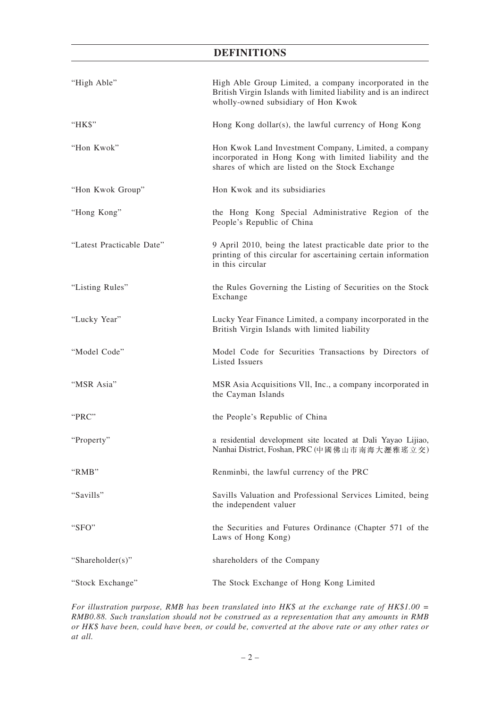## **DEFINITIONS**

| "High Able"               | High Able Group Limited, a company incorporated in the<br>British Virgin Islands with limited liability and is an indirect<br>wholly-owned subsidiary of Hon Kwok    |
|---------------------------|----------------------------------------------------------------------------------------------------------------------------------------------------------------------|
| "HK\$"                    | Hong Kong dollar(s), the lawful currency of Hong Kong                                                                                                                |
| "Hon Kwok"                | Hon Kwok Land Investment Company, Limited, a company<br>incorporated in Hong Kong with limited liability and the<br>shares of which are listed on the Stock Exchange |
| "Hon Kwok Group"          | Hon Kwok and its subsidiaries                                                                                                                                        |
| "Hong Kong"               | the Hong Kong Special Administrative Region of the<br>People's Republic of China                                                                                     |
| "Latest Practicable Date" | 9 April 2010, being the latest practicable date prior to the<br>printing of this circular for ascertaining certain information<br>in this circular                   |
| "Listing Rules"           | the Rules Governing the Listing of Securities on the Stock<br>Exchange                                                                                               |
| "Lucky Year"              | Lucky Year Finance Limited, a company incorporated in the<br>British Virgin Islands with limited liability                                                           |
| "Model Code"              | Model Code for Securities Transactions by Directors of<br>Listed Issuers                                                                                             |
| "MSR Asia"                | MSR Asia Acquisitions VII, Inc., a company incorporated in<br>the Cayman Islands                                                                                     |
| "PRC"                     | the People's Republic of China                                                                                                                                       |
| "Property"                | a residential development site located at Dali Yayao Lijiao,<br>Nanhai District, Foshan, PRC (中國佛山市南海大瀝雅瑤立交)                                                         |
| "RMB"                     | Renminbi, the lawful currency of the PRC                                                                                                                             |
| "Savills"                 | Savills Valuation and Professional Services Limited, being<br>the independent valuer                                                                                 |
| "SFO"                     | the Securities and Futures Ordinance (Chapter 571 of the<br>Laws of Hong Kong)                                                                                       |
| "Shareholder(s)"          | shareholders of the Company                                                                                                                                          |
| "Stock Exchange"          | The Stock Exchange of Hong Kong Limited                                                                                                                              |

*For illustration purpose, RMB has been translated into HK\$ at the exchange rate of HK\$1.00 = RMB0.88. Such translation should not be construed as a representation that any amounts in RMB or HK\$ have been, could have been, or could be, converted at the above rate or any other rates or at all.*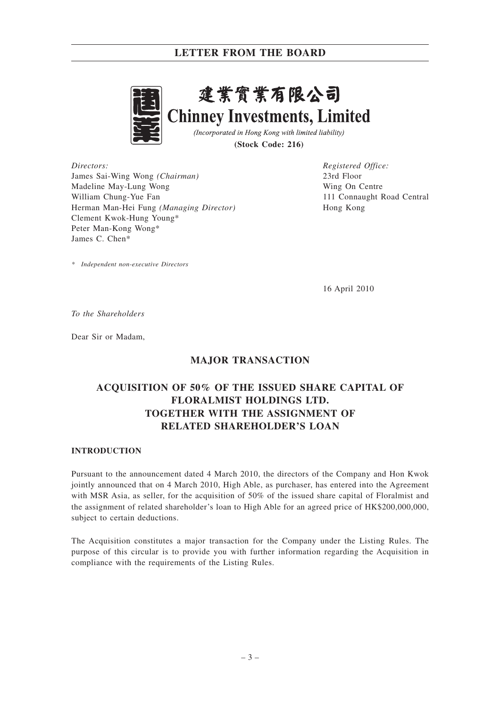

建業實業有限公司 **Chinney Investments, Limited** 

(Incorporated in Hong Kong with limited liability) **(Stock Code: 216)**

*Directors:* James Sai-Wing Wong *(Chairman)* Madeline May-Lung Wong William Chung-Yue Fan Herman Man-Hei Fung *(Managing Director)* Clement Kwok-Hung Young\* Peter Man-Kong Wong\* James C. Chen\*

*Registered Office:* 23rd Floor Wing On Centre 111 Connaught Road Central Hong Kong

*\* Independent non-executive Directors*

16 April 2010

*To the Shareholders*

Dear Sir or Madam,

# **MAJOR TRANSACTION**

# **ACQUISITION OF 50% OF THE ISSUED SHARE CAPITAL OF FLORALMIST HOLDINGS LTD. TOGETHER WITH THE ASSIGNMENT OF RELATED SHAREHOLDER'S LOAN**

### **INTRODUCTION**

Pursuant to the announcement dated 4 March 2010, the directors of the Company and Hon Kwok jointly announced that on 4 March 2010, High Able, as purchaser, has entered into the Agreement with MSR Asia, as seller, for the acquisition of 50% of the issued share capital of Floralmist and the assignment of related shareholder's loan to High Able for an agreed price of HK\$200,000,000, subject to certain deductions.

The Acquisition constitutes a major transaction for the Company under the Listing Rules. The purpose of this circular is to provide you with further information regarding the Acquisition in compliance with the requirements of the Listing Rules.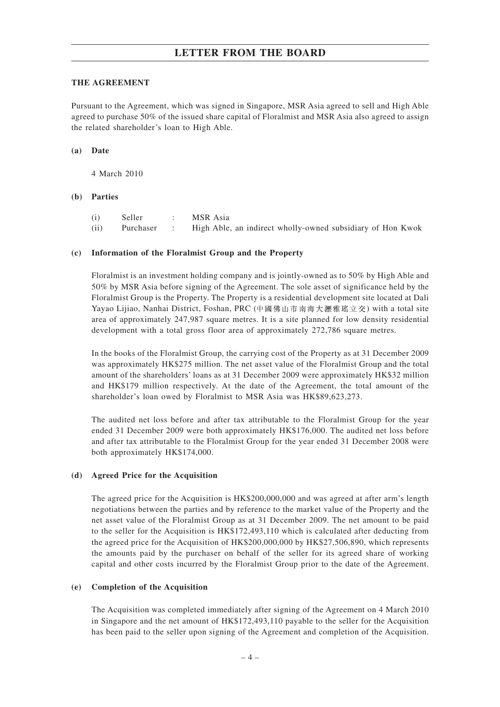## **LETTER FROM THE BOARD**

### **THE AGREEMENT**

Pursuant to the Agreement, which was signed in Singapore, MSR Asia agreed to sell and High Able agreed to purchase 50% of the issued share capital of Floralmist and MSR Asia also agreed to assign the related shareholder's loan to High Able.

### **(a) Date**

4 March 2010

### **(b) Parties**

| (i)  | Seller<br><b>Service State State</b> | MSR Asia                                                               |
|------|--------------------------------------|------------------------------------------------------------------------|
| (ii) |                                      | Purchaser : High Able, an indirect wholly-owned subsidiary of Hon Kwok |

### **(c) Information of the Floralmist Group and the Property**

Floralmist is an investment holding company and is jointly-owned as to 50% by High Able and 50% by MSR Asia before signing of the Agreement. The sole asset of significance held by the Floralmist Group is the Property. The Property is a residential development site located at Dali Yayao Lijiao, Nanhai District, Foshan, PRC (中國佛山市南海大瀝雅瑤立交) with a total site area of approximately 247,987 square metres. It is a site planned for low density residential development with a total gross floor area of approximately 272,786 square metres.

In the books of the Floralmist Group, the carrying cost of the Property as at 31 December 2009 was approximately HK\$275 million. The net asset value of the Floralmist Group and the total amount of the shareholders' loans as at 31 December 2009 were approximately HK\$32 million and HK\$179 million respectively. At the date of the Agreement, the total amount of the shareholder's loan owed by Floralmist to MSR Asia was HK\$89,623,273.

The audited net loss before and after tax attributable to the Floralmist Group for the year ended 31 December 2009 were both approximately HK\$176,000. The audited net loss before and after tax attributable to the Floralmist Group for the year ended 31 December 2008 were both approximately HK\$174,000.

### **(d) Agreed Price for the Acquisition**

The agreed price for the Acquisition is HK\$200,000,000 and was agreed at after arm's length negotiations between the parties and by reference to the market value of the Property and the net asset value of the Floralmist Group as at 31 December 2009. The net amount to be paid to the seller for the Acquisition is HK\$172,493,110 which is calculated after deducting from the agreed price for the Acquisition of HK\$200,000,000 by HK\$27,506,890, which represents the amounts paid by the purchaser on behalf of the seller for its agreed share of working capital and other costs incurred by the Floralmist Group prior to the date of the Agreement.

### **(e) Completion of the Acquisition**

The Acquisition was completed immediately after signing of the Agreement on 4 March 2010 in Singapore and the net amount of HK\$172,493,110 payable to the seller for the Acquisition has been paid to the seller upon signing of the Agreement and completion of the Acquisition.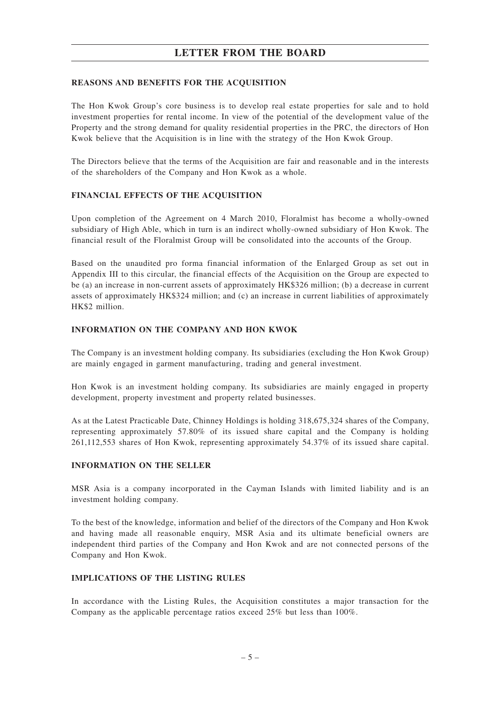# **LETTER FROM THE BOARD**

### **REASONS AND BENEFITS FOR THE ACQUISITION**

The Hon Kwok Group's core business is to develop real estate properties for sale and to hold investment properties for rental income. In view of the potential of the development value of the Property and the strong demand for quality residential properties in the PRC, the directors of Hon Kwok believe that the Acquisition is in line with the strategy of the Hon Kwok Group.

The Directors believe that the terms of the Acquisition are fair and reasonable and in the interests of the shareholders of the Company and Hon Kwok as a whole.

### **FINANCIAL EFFECTS OF THE ACQUISITION**

Upon completion of the Agreement on 4 March 2010, Floralmist has become a wholly-owned subsidiary of High Able, which in turn is an indirect wholly-owned subsidiary of Hon Kwok. The financial result of the Floralmist Group will be consolidated into the accounts of the Group.

Based on the unaudited pro forma financial information of the Enlarged Group as set out in Appendix III to this circular, the financial effects of the Acquisition on the Group are expected to be (a) an increase in non-current assets of approximately HK\$326 million; (b) a decrease in current assets of approximately HK\$324 million; and (c) an increase in current liabilities of approximately HK\$2 million.

### **INFORMATION ON THE COMPANY AND HON KWOK**

The Company is an investment holding company. Its subsidiaries (excluding the Hon Kwok Group) are mainly engaged in garment manufacturing, trading and general investment.

Hon Kwok is an investment holding company. Its subsidiaries are mainly engaged in property development, property investment and property related businesses.

As at the Latest Practicable Date, Chinney Holdings is holding 318,675,324 shares of the Company, representing approximately 57.80% of its issued share capital and the Company is holding 261,112,553 shares of Hon Kwok, representing approximately 54.37% of its issued share capital.

### **INFORMATION ON THE SELLER**

MSR Asia is a company incorporated in the Cayman Islands with limited liability and is an investment holding company.

To the best of the knowledge, information and belief of the directors of the Company and Hon Kwok and having made all reasonable enquiry, MSR Asia and its ultimate beneficial owners are independent third parties of the Company and Hon Kwok and are not connected persons of the Company and Hon Kwok.

### **IMPLICATIONS OF THE LISTING RULES**

In accordance with the Listing Rules, the Acquisition constitutes a major transaction for the Company as the applicable percentage ratios exceed 25% but less than 100%.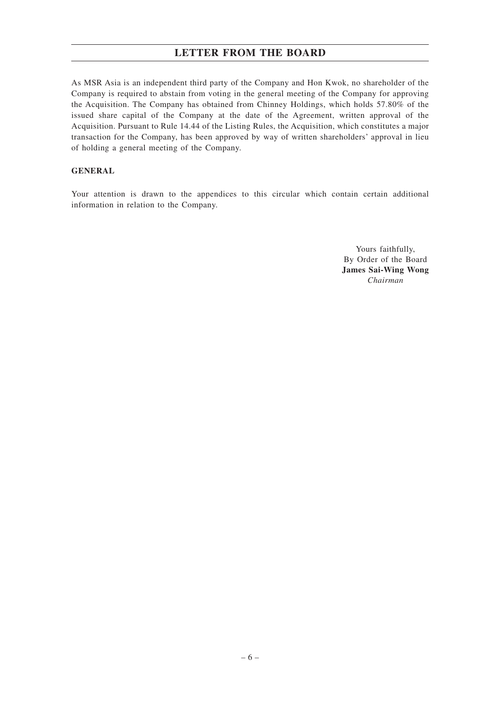# **LETTER FROM THE BOARD**

As MSR Asia is an independent third party of the Company and Hon Kwok, no shareholder of the Company is required to abstain from voting in the general meeting of the Company for approving the Acquisition. The Company has obtained from Chinney Holdings, which holds 57.80% of the issued share capital of the Company at the date of the Agreement, written approval of the Acquisition. Pursuant to Rule 14.44 of the Listing Rules, the Acquisition, which constitutes a major transaction for the Company, has been approved by way of written shareholders' approval in lieu of holding a general meeting of the Company.

### **GENERAL**

Your attention is drawn to the appendices to this circular which contain certain additional information in relation to the Company.

> Yours faithfully, By Order of the Board **James Sai-Wing Wong** *Chairman*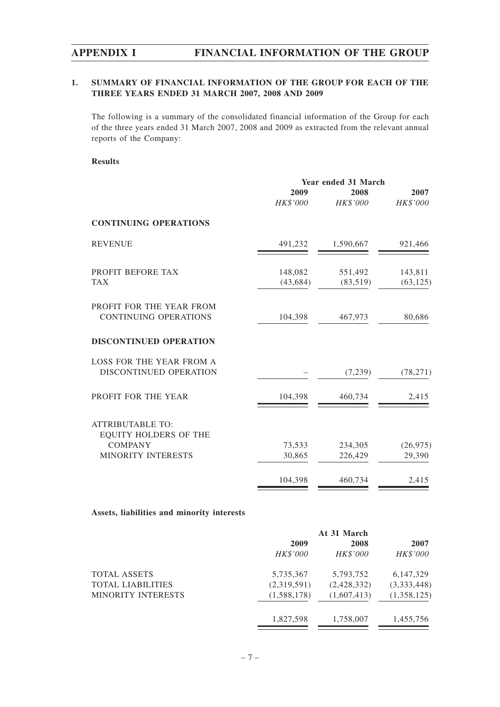### **1. SUMMARY OF FINANCIAL INFORMATION OF THE GROUP FOR EACH OF THE THREE YEARS ENDED 31 MARCH 2007, 2008 AND 2009**

The following is a summary of the consolidated financial information of the Group for each of the three years ended 31 March 2007, 2008 and 2009 as extracted from the relevant annual reports of the Company:

### **Results**

| Year ended 31 March |           |           |  |
|---------------------|-----------|-----------|--|
| 2009                | 2008      | 2007      |  |
| HK\$'000            | HK\$'000  | HK\$'000  |  |
|                     |           |           |  |
| 491,232             | 1,590,667 | 921,466   |  |
| 148,082             | 551,492   | 143,811   |  |
| (43, 684)           | (83,519)  | (63, 125) |  |
|                     |           |           |  |
| 104,398             | 467,973   | 80,686    |  |
|                     |           |           |  |
|                     |           |           |  |
|                     | (7,239)   | (78, 271) |  |
| 104,398             | 460,734   | 2,415     |  |
|                     |           |           |  |
|                     |           |           |  |
| 73,533              | 234,305   | (26, 975) |  |
| 30,865              | 226,429   | 29,390    |  |
| 104,398             | 460,734   | 2,415     |  |
|                     |           |           |  |

### **Assets, liabilities and minority interests**

| At 31 March |             |             |  |  |
|-------------|-------------|-------------|--|--|
| 2009        | 2008        | 2007        |  |  |
| HK\$'000    | HK\$'000    | HK\$'000    |  |  |
| 5,735,367   | 5,793,752   | 6, 147, 329 |  |  |
| (2,319,591) | (2,428,332) | (3,333,448) |  |  |
| (1,588,178) | (1,607,413) | (1,358,125) |  |  |
| 1,827,598   | 1,758,007   | 1,455,756   |  |  |
|             |             |             |  |  |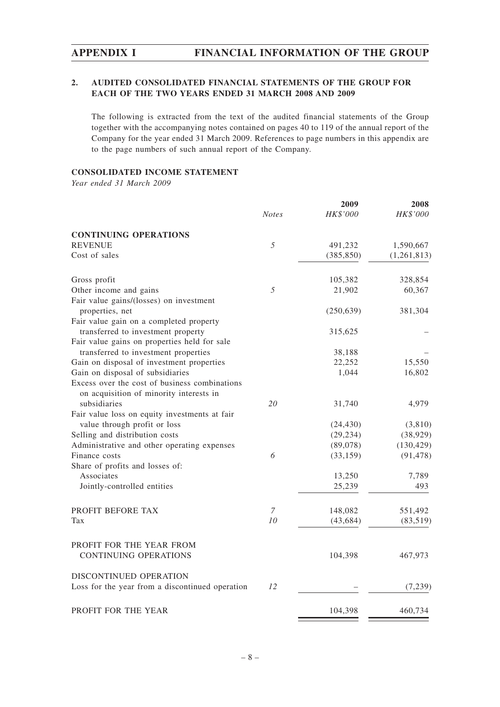### **2. AUDITED CONSOLIDATED FINANCIAL STATEMENTS OF THE GROUP FOR EACH OF THE TWO YEARS ENDED 31 MARCH 2008 AND 2009**

The following is extracted from the text of the audited financial statements of the Group together with the accompanying notes contained on pages 40 to 119 of the annual report of the Company for the year ended 31 March 2009. References to page numbers in this appendix are to the page numbers of such annual report of the Company.

### **CONSOLIDATED INCOME STATEMENT**

*Year ended 31 March 2009*

|                                                                                          | <b>Notes</b>     | 2009<br>HK\$'000 | 2008<br>HK\$'000 |
|------------------------------------------------------------------------------------------|------------------|------------------|------------------|
| <b>CONTINUING OPERATIONS</b>                                                             |                  |                  |                  |
| <b>REVENUE</b>                                                                           | 5                | 491,232          | 1,590,667        |
| Cost of sales                                                                            |                  | (385, 850)       | (1,261,813)      |
|                                                                                          |                  |                  |                  |
| Gross profit                                                                             |                  | 105,382          | 328,854          |
| Other income and gains                                                                   | 5                | 21,902           | 60,367           |
| Fair value gains/(losses) on investment                                                  |                  |                  |                  |
| properties, net                                                                          |                  | (250, 639)       | 381,304          |
| Fair value gain on a completed property                                                  |                  |                  |                  |
| transferred to investment property                                                       |                  | 315,625          |                  |
| Fair value gains on properties held for sale                                             |                  |                  |                  |
| transferred to investment properties                                                     |                  | 38,188           |                  |
| Gain on disposal of investment properties                                                |                  | 22,252           | 15,550           |
| Gain on disposal of subsidiaries                                                         |                  | 1,044            | 16,802           |
| Excess over the cost of business combinations<br>on acquisition of minority interests in |                  |                  |                  |
| subsidiaries                                                                             | 20               | 31,740           | 4,979            |
| Fair value loss on equity investments at fair                                            |                  |                  |                  |
| value through profit or loss                                                             |                  | (24, 430)        | (3,810)          |
| Selling and distribution costs                                                           |                  | (29, 234)        | (38, 929)        |
| Administrative and other operating expenses                                              |                  | (89,078)         | (130, 429)       |
| Finance costs                                                                            | 6                | (33, 159)        | (91, 478)        |
| Share of profits and losses of:                                                          |                  |                  |                  |
| Associates                                                                               |                  | 13,250           | 7,789            |
| Jointly-controlled entities                                                              |                  | 25,239           | 493              |
|                                                                                          |                  |                  |                  |
| PROFIT BEFORE TAX                                                                        | $\boldsymbol{7}$ | 148,082          | 551,492          |
| Tax                                                                                      | 10               | (43, 684)        | (83, 519)        |
|                                                                                          |                  |                  |                  |
| PROFIT FOR THE YEAR FROM                                                                 |                  |                  |                  |
| <b>CONTINUING OPERATIONS</b>                                                             |                  | 104,398          | 467,973          |
| DISCONTINUED OPERATION                                                                   |                  |                  |                  |
| Loss for the year from a discontinued operation                                          | 12               |                  | (7,239)          |
|                                                                                          |                  |                  |                  |
| PROFIT FOR THE YEAR                                                                      |                  | 104,398          | 460,734          |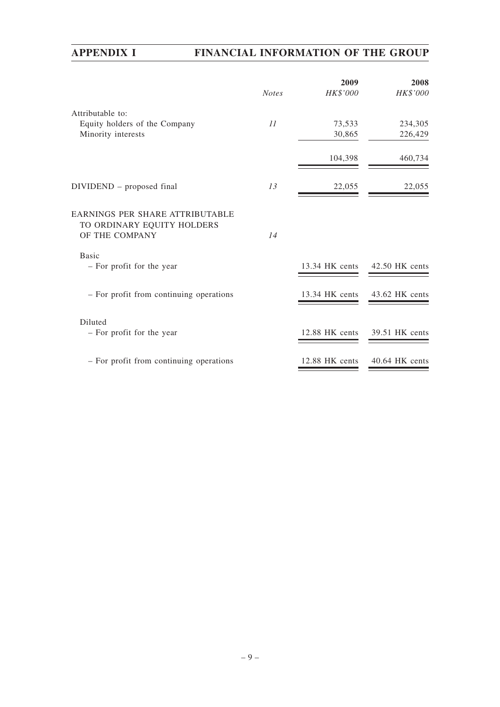|                                                                                        | <b>Notes</b> | 2009<br>HK\$'000 | 2008<br>HK\$'000 |
|----------------------------------------------------------------------------------------|--------------|------------------|------------------|
| Attributable to:<br>Equity holders of the Company                                      | 11           | 73,533           | 234,305          |
| Minority interests                                                                     |              | 30,865           | 226,429          |
|                                                                                        |              | 104,398          | 460,734          |
| DIVIDEND – proposed final                                                              | 13           | 22,055           | 22,055           |
| <b>EARNINGS PER SHARE ATTRIBUTABLE</b><br>TO ORDINARY EQUITY HOLDERS<br>OF THE COMPANY | 14           |                  |                  |
| <b>Basic</b><br>- For profit for the year                                              |              | 13.34 HK cents   | 42.50 HK cents   |
| - For profit from continuing operations                                                |              | 13.34 HK cents   | 43.62 HK cents   |
| Diluted<br>- For profit for the year                                                   |              | 12.88 HK cents   | 39.51 HK cents   |
| - For profit from continuing operations                                                |              | 12.88 HK cents   | 40.64 HK cents   |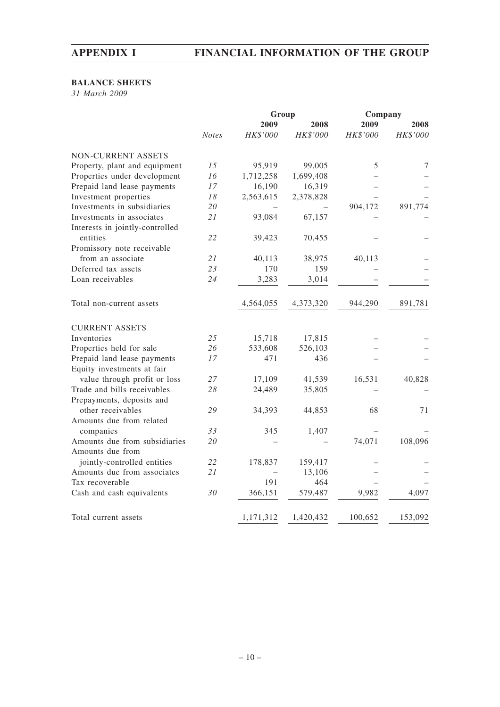### **BALANCE SHEETS**

*31 March 2009*

|                                 |              | Group     |           |          | Company  |  |  |
|---------------------------------|--------------|-----------|-----------|----------|----------|--|--|
|                                 |              | 2009      | 2008      | 2009     | 2008     |  |  |
|                                 | <b>Notes</b> | HK\$'000  | HK\$'000  | HK\$'000 | HK\$'000 |  |  |
| <b>NON-CURRENT ASSETS</b>       |              |           |           |          |          |  |  |
| Property, plant and equipment   | 15           | 95,919    | 99,005    | 5        | 7        |  |  |
| Properties under development    | 16           | 1,712,258 | 1,699,408 |          |          |  |  |
| Prepaid land lease payments     | 17           | 16,190    | 16,319    |          |          |  |  |
| Investment properties           | 18           | 2,563,615 | 2,378,828 |          |          |  |  |
| Investments in subsidiaries     | 20           |           |           | 904,172  | 891,774  |  |  |
| Investments in associates       | 21           | 93,084    | 67,157    |          |          |  |  |
| Interests in jointly-controlled |              |           |           |          |          |  |  |
| entities                        | 22           | 39,423    | 70,455    |          |          |  |  |
| Promissory note receivable      |              |           |           |          |          |  |  |
| from an associate               | 21           | 40,113    | 38,975    | 40,113   |          |  |  |
| Deferred tax assets             | 23           | 170       | 159       |          |          |  |  |
| Loan receivables                | 24           | 3,283     | 3,014     |          |          |  |  |
| Total non-current assets        |              | 4,564,055 | 4,373,320 | 944,290  | 891,781  |  |  |
| <b>CURRENT ASSETS</b>           |              |           |           |          |          |  |  |
| Inventories                     | 25           | 15,718    | 17,815    |          |          |  |  |
| Properties held for sale        | 26           | 533,608   | 526,103   |          |          |  |  |
| Prepaid land lease payments     | 17           | 471       | 436       |          |          |  |  |
| Equity investments at fair      |              |           |           |          |          |  |  |
| value through profit or loss    | 27           | 17,109    | 41,539    | 16,531   | 40,828   |  |  |
| Trade and bills receivables     | 28           | 24,489    | 35,805    |          |          |  |  |
| Prepayments, deposits and       |              |           |           |          |          |  |  |
| other receivables               | 29           | 34,393    | 44,853    | 68       | 71       |  |  |
| Amounts due from related        |              |           |           |          |          |  |  |
| companies                       | 33           | 345       | 1,407     |          |          |  |  |
| Amounts due from subsidiaries   | 20           |           |           | 74,071   | 108,096  |  |  |
| Amounts due from                |              |           |           |          |          |  |  |
| jointly-controlled entities     | 22           | 178,837   | 159,417   |          |          |  |  |
| Amounts due from associates     | 21           |           | 13,106    |          |          |  |  |
| Tax recoverable                 |              | 191       | 464       |          |          |  |  |
| Cash and cash equivalents       | 30           | 366,151   | 579,487   | 9,982    | 4,097    |  |  |
|                                 |              |           |           |          |          |  |  |
| Total current assets            |              | 1,171,312 | 1,420,432 | 100,652  | 153,092  |  |  |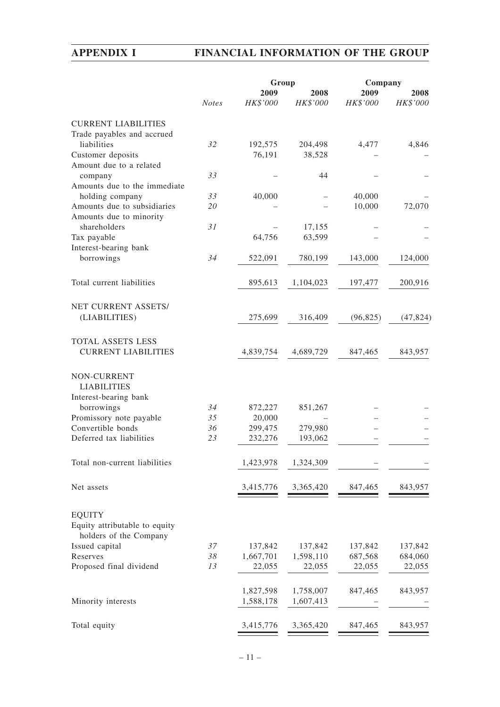|                                                |              |                  | Group            |                  | Company          |  |
|------------------------------------------------|--------------|------------------|------------------|------------------|------------------|--|
|                                                | <b>Notes</b> | 2009<br>HK\$'000 | 2008<br>HK\$'000 | 2009<br>HK\$'000 | 2008<br>HK\$'000 |  |
| <b>CURRENT LIABILITIES</b>                     |              |                  |                  |                  |                  |  |
| Trade payables and accrued                     |              |                  |                  |                  |                  |  |
| liabilities                                    | 32           | 192,575          | 204,498          | 4,477            | 4,846            |  |
| Customer deposits                              |              | 76,191           | 38,528           |                  |                  |  |
| Amount due to a related                        |              |                  |                  |                  |                  |  |
| company                                        | 33           |                  | 44               |                  |                  |  |
| Amounts due to the immediate                   |              |                  |                  |                  |                  |  |
|                                                | 33           |                  |                  | 40,000           |                  |  |
| holding company<br>Amounts due to subsidiaries | 20           | 40,000           |                  | 10,000           |                  |  |
|                                                |              |                  |                  |                  | 72,070           |  |
| Amounts due to minority                        |              |                  |                  |                  |                  |  |
| shareholders                                   | 31           |                  | 17,155           |                  |                  |  |
| Tax payable                                    |              | 64,756           | 63,599           |                  |                  |  |
| Interest-bearing bank                          |              |                  |                  |                  |                  |  |
| borrowings                                     | 34           | 522,091          | 780,199          | 143,000          | 124,000          |  |
| Total current liabilities                      |              | 895,613          | 1,104,023        | 197,477          | 200,916          |  |
| NET CURRENT ASSETS/                            |              |                  |                  |                  |                  |  |
| (LIABILITIES)                                  |              | 275,699          | 316,409          | (96, 825)        | (47, 824)        |  |
| TOTAL ASSETS LESS                              |              |                  |                  |                  |                  |  |
| <b>CURRENT LIABILITIES</b>                     |              | 4,839,754        | 4,689,729        | 847,465          | 843,957          |  |
| NON-CURRENT                                    |              |                  |                  |                  |                  |  |
| <b>LIABILITIES</b>                             |              |                  |                  |                  |                  |  |
| Interest-bearing bank                          |              |                  |                  |                  |                  |  |
| borrowings                                     | 34           | 872,227          | 851,267          |                  |                  |  |
| Promissory note payable                        | 35           | 20,000           |                  |                  |                  |  |
| Convertible bonds                              | 36           | 299,475          | 279,980          |                  |                  |  |
| Deferred tax liabilities                       | 23           | 232,276          | 193,062          |                  |                  |  |
| Total non-current liabilities                  |              | 1,423,978        | 1,324,309        |                  |                  |  |
|                                                |              |                  |                  |                  |                  |  |
| Net assets                                     |              | 3,415,776        | 3,365,420        | 847,465          | 843,957          |  |
|                                                |              |                  |                  |                  |                  |  |
| <b>EQUITY</b><br>Equity attributable to equity |              |                  |                  |                  |                  |  |
| holders of the Company                         |              |                  |                  |                  |                  |  |
| Issued capital                                 | 37           | 137,842          | 137,842          | 137,842          | 137,842          |  |
| Reserves                                       | 38           | 1,667,701        | 1,598,110        | 687,568          | 684,060          |  |
| Proposed final dividend                        | 13           | 22,055           | 22,055           | 22,055           | 22,055           |  |
|                                                |              | 1,827,598        | 1,758,007        | 847,465          | 843,957          |  |
| Minority interests                             |              | 1,588,178        | 1,607,413        |                  |                  |  |
| Total equity                                   |              | 3,415,776        | 3,365,420        | 847,465          | 843,957          |  |
|                                                |              |                  |                  |                  |                  |  |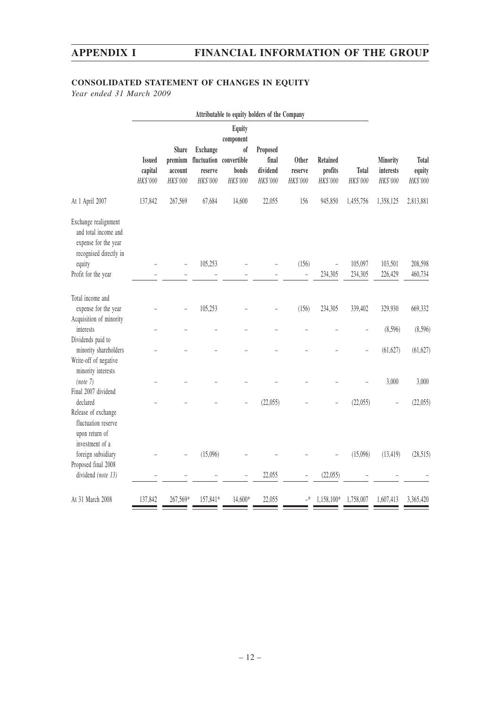## **CONSOLIDATED STATEMENT OF CHANGES IN EQUITY**

*Year ended 31 March 2009*

|                                                                                                                                 | Attributable to equity holders of the Company |                                                |                                        |                                                                                      |                                           |                                       |                                 |                    |                                   |                             |
|---------------------------------------------------------------------------------------------------------------------------------|-----------------------------------------------|------------------------------------------------|----------------------------------------|--------------------------------------------------------------------------------------|-------------------------------------------|---------------------------------------|---------------------------------|--------------------|-----------------------------------|-----------------------------|
|                                                                                                                                 | <b>Issued</b><br>capital<br>HK\$'000          | <b>Share</b><br>premium<br>account<br>HK\$'000 | <b>Exchange</b><br>reserve<br>HK\$'000 | Equity<br>component<br><sub>of</sub><br>fluctuation convertible<br>bonds<br>HK\$'000 | Proposed<br>final<br>dividend<br>HK\$'000 | <b>Other</b><br>reserve<br>$HK\$ '000 | Retained<br>profits<br>HK\$'000 | Total<br>HK\$'000  | Minority<br>interests<br>HK\$'000 | Total<br>equity<br>HK\$'000 |
| At 1 April 2007                                                                                                                 | 137,842                                       | 267,569                                        | 67,684                                 | 14,600                                                                               | 22,055                                    | 156                                   | 945,850                         | 1,455,756          | 1,358,125                         | 2,813,881                   |
| Exchange realignment<br>and total income and<br>expense for the year<br>recognised directly in<br>equity<br>Profit for the year |                                               | $\overline{a}$                                 | 105,253                                |                                                                                      |                                           | (156)<br>$\overline{\phantom{0}}$     | 234,305                         | 105,097<br>234,305 | 103,501<br>226,429                | 208,598<br>460,734          |
| Total income and<br>expense for the year<br>Acquisition of minority                                                             |                                               |                                                | 105,253                                |                                                                                      |                                           | (156)                                 | 234,305                         | 339,402            | 329,930                           | 669,332                     |
| interests<br>Dividends paid to                                                                                                  |                                               |                                                |                                        |                                                                                      |                                           |                                       |                                 |                    | (8,596)                           | (8,596)                     |
| minority shareholders<br>Write-off of negative<br>minority interests                                                            |                                               |                                                |                                        |                                                                                      |                                           |                                       |                                 |                    | (61, 627)                         | (61, 627)                   |
| (note 7)<br>Final 2007 dividend<br>declared<br>Release of exchange<br>fluctuation reserve<br>upon return of                     |                                               |                                                |                                        |                                                                                      | (22,055)                                  |                                       |                                 | (22,055)           | 3,000                             | 3,000<br>(22,055)           |
| investment of a<br>foreign subsidiary<br>Proposed final 2008<br>dividend (note 13)                                              |                                               |                                                | (15,096)                               |                                                                                      | 22,055                                    |                                       | (22,055)                        | (15,096)           | (13, 419)                         | (28, 515)                   |
| At 31 March 2008                                                                                                                | 137,842                                       | 267,569*                                       | 157,841*                               | 14,600*                                                                              | 22,055                                    | –*                                    | 1,158,100*                      | 1,758,007          | 1,607,413                         | 3,365,420                   |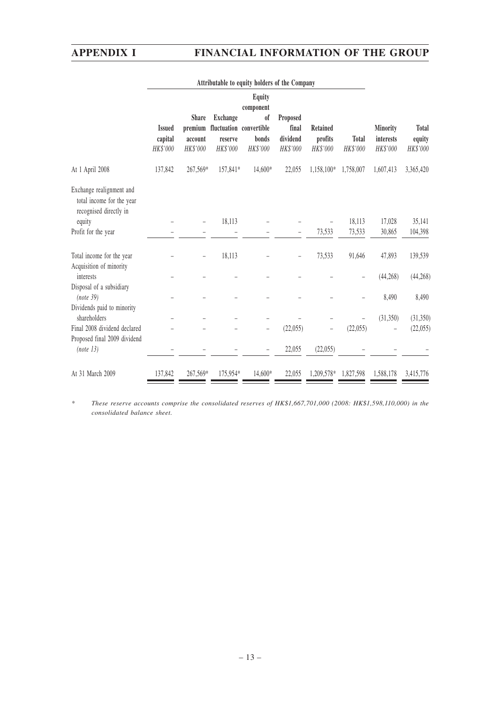|                                                                                                                  | Attributable to equity holders of the Company |                                                |                                                            |                                                                  |                                           |                                        |                   |                                   |                             |  |
|------------------------------------------------------------------------------------------------------------------|-----------------------------------------------|------------------------------------------------|------------------------------------------------------------|------------------------------------------------------------------|-------------------------------------------|----------------------------------------|-------------------|-----------------------------------|-----------------------------|--|
|                                                                                                                  | <b>Issued</b><br>capital<br>HK\$'000          | <b>Share</b><br>premium<br>account<br>HK\$'000 | Exchange<br>fluctuation convertible<br>reserve<br>HK\$'000 | <b>Equity</b><br>component<br><sub>of</sub><br>bonds<br>HK\$'000 | Proposed<br>final<br>dividend<br>HK\$'000 | <b>Retained</b><br>profits<br>HK\$'000 | Total<br>HK\$'000 | Minority<br>interests<br>HK\$'000 | Total<br>equity<br>HK\$'000 |  |
| At 1 April 2008                                                                                                  | 137,842                                       | 267,569*                                       | 157,841*                                                   | 14,600*                                                          | 22,055                                    | 1,158,100*                             | 1,758,007         | 1,607,413                         | 3,365,420                   |  |
| Exchange realignment and<br>total income for the year<br>recognised directly in<br>equity<br>Profit for the year |                                               |                                                | 18,113                                                     |                                                                  |                                           | 73,533                                 | 18,113<br>73,533  | 17,028<br>30,865                  | 35,141<br>104,398           |  |
| Total income for the year<br>Acquisition of minority<br>interests                                                |                                               |                                                | 18,113                                                     |                                                                  |                                           | 73,533                                 | 91,646            | 47,893<br>(44, 268)               | 139,539<br>(44,268)         |  |
| Disposal of a subsidiary<br>(note 39)<br>Dividends paid to minority                                              |                                               |                                                |                                                            |                                                                  |                                           |                                        |                   | 8,490                             | 8,490                       |  |
| shareholders                                                                                                     |                                               |                                                |                                                            |                                                                  |                                           |                                        |                   | (31, 350)                         | (31, 350)                   |  |
| Final 2008 dividend declared<br>Proposed final 2009 dividend<br>(note 13)                                        |                                               |                                                |                                                            | $\overline{\phantom{0}}$                                         | (22,055)<br>22,055                        | $\qquad \qquad -$<br>(22,055)          | (22,055)          |                                   | (22,055)                    |  |
| At 31 March 2009                                                                                                 | 137,842                                       | 267,569*                                       | 175,954*                                                   | 14,600*                                                          | 22,055                                    | 1,209,578*                             | 1,827,598         | 1,588,178                         | 3,415,776                   |  |

*\* These reserve accounts comprise the consolidated reserves of HK\$1,667,701,000 (2008: HK\$1,598,110,000) in the consolidated balance sheet.*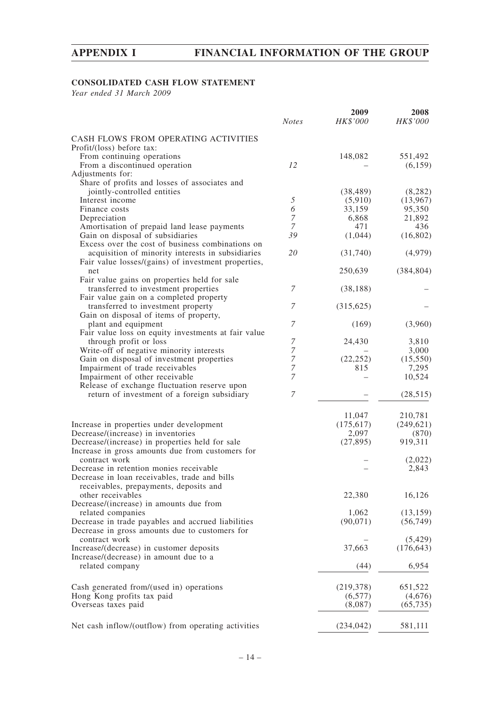### **CONSOLIDATED CASH FLOW STATEMENT**

*Year ended 31 March 2009*

|                                                                                | <b>Notes</b>          | 2009<br>HK\$'000 | 2008<br>HK\$'000 |
|--------------------------------------------------------------------------------|-----------------------|------------------|------------------|
| CASH FLOWS FROM OPERATING ACTIVITIES<br>Profit/(loss) before tax:              |                       |                  |                  |
| From continuing operations                                                     |                       | 148,082          | 551,492          |
| From a discontinued operation                                                  | 12                    |                  | (6,159)          |
| Adjustments for:                                                               |                       |                  |                  |
| Share of profits and losses of associates and                                  |                       |                  |                  |
| jointly-controlled entities                                                    |                       | (38, 489)        | (8, 282)         |
| Interest income                                                                | 5                     | (5,910)          | (13,967)         |
| Finance costs                                                                  | 6                     | 33,159           | 95,350           |
| Depreciation                                                                   | $\boldsymbol{7}$      | 6,868            | 21,892           |
| Amortisation of prepaid land lease payments                                    | 7                     | 471              | 436              |
| Gain on disposal of subsidiaries                                               | 39                    | (1,044)          | (16, 802)        |
| Excess over the cost of business combinations on                               |                       |                  |                  |
| acquisition of minority interests in subsidiaries                              | 20                    | (31,740)         | (4,979)          |
| Fair value losses/(gains) of investment properties,                            |                       |                  |                  |
| net                                                                            |                       | 250,639          | (384, 804)       |
| Fair value gains on properties held for sale                                   |                       |                  |                  |
| transferred to investment properties                                           | 7                     | (38, 188)        |                  |
| Fair value gain on a completed property                                        |                       |                  |                  |
| transferred to investment property                                             | 7                     | (315, 625)       |                  |
| Gain on disposal of items of property,                                         |                       |                  |                  |
| plant and equipment                                                            | 7                     | (169)            | (3,960)          |
| Fair value loss on equity investments at fair value                            |                       |                  |                  |
| through profit or loss                                                         | 7                     | 24,430           | 3,810            |
| Write-off of negative minority interests                                       | $\overline{7}$        |                  | 3,000            |
| Gain on disposal of investment properties                                      | $\boldsymbol{7}$<br>7 | (22, 252)        | (15,550)         |
| Impairment of trade receivables                                                | 7                     | 815              | 7,295<br>10,524  |
| Impairment of other receivable<br>Release of exchange fluctuation reserve upon |                       |                  |                  |
| return of investment of a foreign subsidiary                                   | 7                     |                  | (28, 515)        |
|                                                                                |                       |                  |                  |
|                                                                                |                       |                  |                  |
|                                                                                |                       | 11,047           | 210,781          |
| Increase in properties under development                                       |                       | (175, 617)       | (249, 621)       |
| Decrease/(increase) in inventories                                             |                       | 2,097            | (870)            |
| Decrease/(increase) in properties held for sale                                |                       | (27, 895)        | 919,311          |
| Increase in gross amounts due from customers for<br>contract work              |                       |                  | (2,022)          |
| Decrease in retention monies receivable                                        |                       |                  | 2,843            |
| Decrease in loan receivables, trade and bills                                  |                       |                  |                  |
| receivables, prepayments, deposits and                                         |                       |                  |                  |
| other receivables                                                              |                       | 22,380           | 16,126           |
| Decrease/(increase) in amounts due from                                        |                       |                  |                  |
| related companies                                                              |                       | 1,062            | (13, 159)        |
| Decrease in trade payables and accrued liabilities                             |                       | (90,071)         | (56,749)         |
| Decrease in gross amounts due to customers for                                 |                       |                  |                  |
| contract work                                                                  |                       |                  | (5,429)          |
| Increase/(decrease) in customer deposits                                       |                       | 37,663           | (176, 643)       |
| Increase/(decrease) in amount due to a                                         |                       |                  |                  |
| related company                                                                |                       | (44)             | 6,954            |
|                                                                                |                       |                  |                  |
| Cash generated from/(used in) operations                                       |                       | (219, 378)       | 651,522          |
| Hong Kong profits tax paid                                                     |                       | (6,577)          | (4,676)          |
| Overseas taxes paid                                                            |                       | (8,087)          | (65, 735)        |
|                                                                                |                       |                  |                  |
| Net cash inflow/(outflow) from operating activities                            |                       | (234, 042)       | 581,111          |
|                                                                                |                       |                  |                  |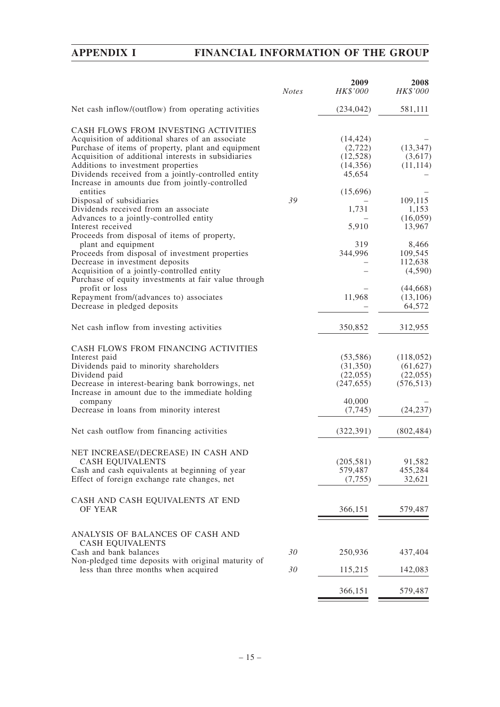|                                                                                                        | <b>Notes</b> | 2009<br>HK\$'000 | 2008<br>HK\$'000 |
|--------------------------------------------------------------------------------------------------------|--------------|------------------|------------------|
| Net cash inflow/(outflow) from operating activities                                                    |              | (234, 042)       | 581,111          |
| CASH FLOWS FROM INVESTING ACTIVITIES                                                                   |              |                  |                  |
| Acquisition of additional shares of an associate                                                       |              | (14, 424)        |                  |
| Purchase of items of property, plant and equipment                                                     |              | (2,722)          | (13, 347)        |
| Acquisition of additional interests in subsidiaries                                                    |              | (12,528)         | (3,617)          |
| Additions to investment properties                                                                     |              | (14,356)         | (11, 114)        |
|                                                                                                        |              |                  |                  |
| Dividends received from a jointly-controlled entity<br>Increase in amounts due from jointly-controlled |              | 45,654           |                  |
| entities                                                                                               |              | (15,696)         |                  |
| Disposal of subsidiaries                                                                               | 39           |                  | 109,115          |
| Dividends received from an associate                                                                   |              | 1,731            | 1,153            |
| Advances to a jointly-controlled entity                                                                |              |                  | (16,059)         |
| Interest received                                                                                      |              | 5,910            | 13,967           |
| Proceeds from disposal of items of property,                                                           |              |                  |                  |
|                                                                                                        |              |                  |                  |
| plant and equipment                                                                                    |              | 319              | 8,466            |
| Proceeds from disposal of investment properties                                                        |              | 344,996          | 109,545          |
| Decrease in investment deposits                                                                        |              |                  | 112,638          |
| Acquisition of a jointly-controlled entity                                                             |              |                  | (4, 590)         |
| Purchase of equity investments at fair value through                                                   |              |                  |                  |
| profit or loss                                                                                         |              |                  | (44, 668)        |
| Repayment from/(advances to) associates                                                                |              | 11,968           | (13, 106)        |
| Decrease in pledged deposits                                                                           |              |                  | 64,572           |
|                                                                                                        |              |                  |                  |
| Net cash inflow from investing activities                                                              |              | 350,852          | 312,955          |
| CASH FLOWS FROM FINANCING ACTIVITIES                                                                   |              |                  |                  |
| Interest paid                                                                                          |              | (53, 586)        | (118, 052)       |
| Dividends paid to minority shareholders                                                                |              | (31,350)         | (61, 627)        |
| Dividend paid                                                                                          |              | (22,055)         | (22,055)         |
| Decrease in interest-bearing bank borrowings, net                                                      |              | (247, 655)       | (576, 513)       |
| Increase in amount due to the immediate holding                                                        |              |                  |                  |
| company                                                                                                |              | 40,000           |                  |
| Decrease in loans from minority interest                                                               |              | (7, 745)         | (24, 237)        |
|                                                                                                        |              |                  |                  |
| Net cash outflow from financing activities                                                             |              | (322, 391)       | (802, 484)       |
| NET INCREASE/(DECREASE) IN CASH AND                                                                    |              |                  |                  |
| <b>CASH EQUIVALENTS</b>                                                                                |              | (205, 581)       | 91,582           |
| Cash and cash equivalents at beginning of year                                                         |              | 579,487          | 455,284          |
| Effect of foreign exchange rate changes, net                                                           |              |                  | 32,621           |
|                                                                                                        |              | (7,755)          |                  |
| CASH AND CASH EQUIVALENTS AT END                                                                       |              |                  |                  |
| OF YEAR                                                                                                |              | 366,151          | 579,487          |
|                                                                                                        |              |                  |                  |
| ANALYSIS OF BALANCES OF CASH AND                                                                       |              |                  |                  |
| <b>CASH EQUIVALENTS</b>                                                                                |              |                  |                  |
| Cash and bank balances                                                                                 | 30           | 250,936          | 437,404          |
| Non-pledged time deposits with original maturity of                                                    |              |                  |                  |
| less than three months when acquired                                                                   | 30           | 115,215          | 142,083          |
|                                                                                                        |              |                  |                  |
|                                                                                                        |              | 366,151          | 579,487          |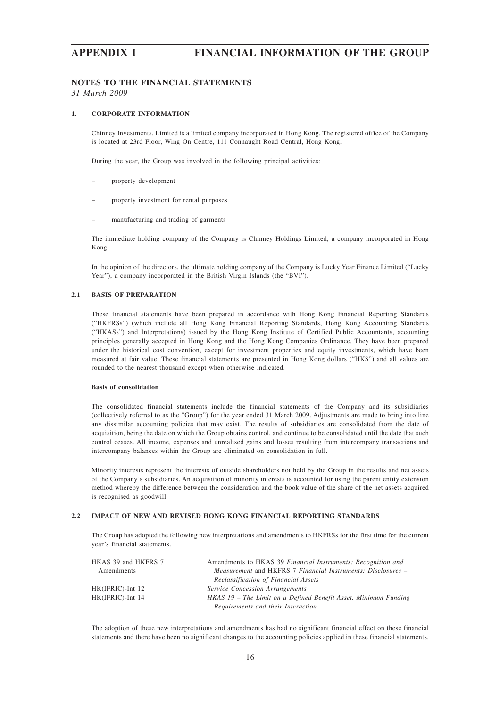### **NOTES TO THE FINANCIAL STATEMENTS**

*31 March 2009*

### **1. CORPORATE INFORMATION**

Chinney Investments, Limited is a limited company incorporated in Hong Kong. The registered office of the Company is located at 23rd Floor, Wing On Centre, 111 Connaught Road Central, Hong Kong.

During the year, the Group was involved in the following principal activities:

- property development
- property investment for rental purposes
- manufacturing and trading of garments

The immediate holding company of the Company is Chinney Holdings Limited, a company incorporated in Hong Kong.

In the opinion of the directors, the ultimate holding company of the Company is Lucky Year Finance Limited ("Lucky Year"), a company incorporated in the British Virgin Islands (the "BVI").

### **2.1 BASIS OF PREPARATION**

These financial statements have been prepared in accordance with Hong Kong Financial Reporting Standards ("HKFRSs") (which include all Hong Kong Financial Reporting Standards, Hong Kong Accounting Standards ("HKASs") and Interpretations) issued by the Hong Kong Institute of Certified Public Accountants, accounting principles generally accepted in Hong Kong and the Hong Kong Companies Ordinance. They have been prepared under the historical cost convention, except for investment properties and equity investments, which have been measured at fair value. These financial statements are presented in Hong Kong dollars ("HK\$") and all values are rounded to the nearest thousand except when otherwise indicated.

### **Basis of consolidation**

The consolidated financial statements include the financial statements of the Company and its subsidiaries (collectively referred to as the "Group") for the year ended 31 March 2009. Adjustments are made to bring into line any dissimilar accounting policies that may exist. The results of subsidiaries are consolidated from the date of acquisition, being the date on which the Group obtains control, and continue to be consolidated until the date that such control ceases. All income, expenses and unrealised gains and losses resulting from intercompany transactions and intercompany balances within the Group are eliminated on consolidation in full.

Minority interests represent the interests of outside shareholders not held by the Group in the results and net assets of the Company's subsidiaries. An acquisition of minority interests is accounted for using the parent entity extension method whereby the difference between the consideration and the book value of the share of the net assets acquired is recognised as goodwill.

### **2.2 IMPACT OF NEW AND REVISED HONG KONG FINANCIAL REPORTING STANDARDS**

The Group has adopted the following new interpretations and amendments to HKFRSs for the first time for the current year's financial statements.

| HKAS 39 and HKFRS 7 | Amendments to HKAS 39 Financial Instruments: Recognition and        |
|---------------------|---------------------------------------------------------------------|
| Amendments          | <i>Measurement</i> and HKFRS 7 Financial Instruments: Disclosures – |
|                     | Reclassification of Financial Assets                                |
| HK(IFRIC)-Int 12    | Service Concession Arrangements                                     |
| HK(IFRIC)-Int 14    | HKAS 19 – The Limit on a Defined Benefit Asset, Minimum Funding     |
|                     | Requirements and their Interaction                                  |

The adoption of these new interpretations and amendments has had no significant financial effect on these financial statements and there have been no significant changes to the accounting policies applied in these financial statements.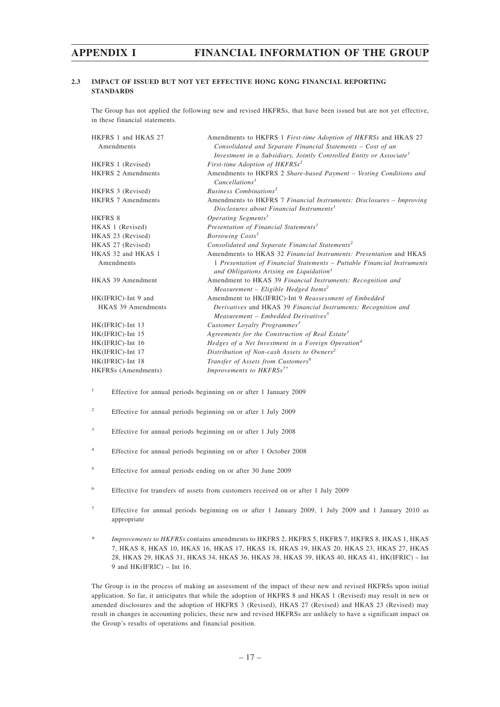### **2.3 IMPACT OF ISSUED BUT NOT YET EFFECTIVE HONG KONG FINANCIAL REPORTING STANDARDS**

The Group has not applied the following new and revised HKFRSs, that have been issued but are not yet effective, in these financial statements.

| HKFRS 1 and HKAS 27       | Amendments to HKFRS 1 First-time Adoption of HKFRSs and HKAS 27                                                                |
|---------------------------|--------------------------------------------------------------------------------------------------------------------------------|
| Amendments                | Consolidated and Separate Financial Statements - Cost of an                                                                    |
|                           | Investment in a Subsidiary, Jointly Controlled Entity or Associate <sup>1</sup>                                                |
| HKFRS 1 (Revised)         | First-time Adoption of HKFRSs <sup>2</sup>                                                                                     |
| <b>HKFRS 2 Amendments</b> | Amendments to HKFRS 2 Share-based Payment - Vesting Conditions and<br>Cancellations <sup>1</sup>                               |
| HKFRS 3 (Revised)         | Business Combinations <sup>2</sup>                                                                                             |
| <b>HKFRS 7 Amendments</b> | Amendments to HKFRS 7 Financial Instruments: Disclosures - Improving<br>Disclosures about Financial Instruments <sup>1</sup>   |
| HKFRS 8                   | Operating Segments <sup>1</sup>                                                                                                |
| HKAS 1 (Revised)          | Presentation of Financial Statements <sup>1</sup>                                                                              |
| HKAS 23 (Revised)         | Borrowing Costs <sup>1</sup>                                                                                                   |
| HKAS 27 (Revised)         | Consolidated and Separate Financial Statements <sup>2</sup>                                                                    |
| HKAS 32 and HKAS 1        | Amendments to HKAS 32 Financial Instruments: Presentation and HKAS                                                             |
| Amendments                | 1 Presentation of Financial Statements - Puttable Financial Instruments<br>and Obligations Arising on Liquidation <sup>1</sup> |
| HKAS 39 Amendment         | Amendment to HKAS 39 Financial Instruments: Recognition and<br>Measurement – Eligible Hedged Items <sup>2</sup>                |
| HK(IFRIC)-Int 9 and       | Amendment to HK(IFRIC)-Int 9 Reassessment of Embedded                                                                          |
| <b>HKAS 39 Amendments</b> | Derivatives and HKAS 39 Financial Instruments: Recognition and<br>$Measurement - Embedded$ Derivatives <sup>5</sup>            |
| HK(IFRIC)-Int 13          | Customer Loyalty Programmes <sup>3</sup>                                                                                       |
| HK(IFRIC)-Int 15          | Agreements for the Construction of Real Estate <sup>1</sup>                                                                    |
| HK(IFRIC)-Int 16          | Hedges of a Net Investment in a Foreign Operation <sup>4</sup>                                                                 |
| HK(IFRIC)-Int 17          | Distribution of Non-cash Assets to Owners <sup>2</sup>                                                                         |
| HK(IFRIC)-Int 18          | Transfer of Assets from Customers <sup>6</sup>                                                                                 |
| HKFRSs (Amendments)       | Improvements to HKFRSs <sup>7*</sup>                                                                                           |

- <sup>1</sup> Effective for annual periods beginning on or after 1 January 2009
- <sup>2</sup> Effective for annual periods beginning on or after 1 July 2009
- <sup>3</sup> Effective for annual periods beginning on or after 1 July 2008
- <sup>4</sup> Effective for annual periods beginning on or after 1 October 2008
- <sup>5</sup> Effective for annual periods ending on or after 30 June 2009
- <sup>6</sup> Effective for transfers of assets from customers received on or after 1 July 2009
- <sup>7</sup> Effective for annual periods beginning on or after 1 January 2009, 1 July 2009 and 1 January 2010 as appropriate
- \* *Improvements to HKFRSs* contains amendments to HKFRS 2, HKFRS 5, HKFRS 7, HKFRS 8, HKAS 1, HKAS 7, HKAS 8, HKAS 10, HKAS 16, HKAS 17, HKAS 18, HKAS 19, HKAS 20, HKAS 23, HKAS 27, HKAS 28, HKAS 29, HKAS 31, HKAS 34, HKAS 36, HKAS 38, HKAS 39, HKAS 40, HKAS 41, HK(IFRIC) – Int 9 and HK(IFRIC) – Int 16.

The Group is in the process of making an assessment of the impact of these new and revised HKFRSs upon initial application. So far, it anticipates that while the adoption of HKFRS 8 and HKAS 1 (Revised) may result in new or amended disclosures and the adoption of HKFRS 3 (Revised), HKAS 27 (Revised) and HKAS 23 (Revised) may result in changes in accounting policies, these new and revised HKFRSs are unlikely to have a significant impact on the Group's results of operations and financial position.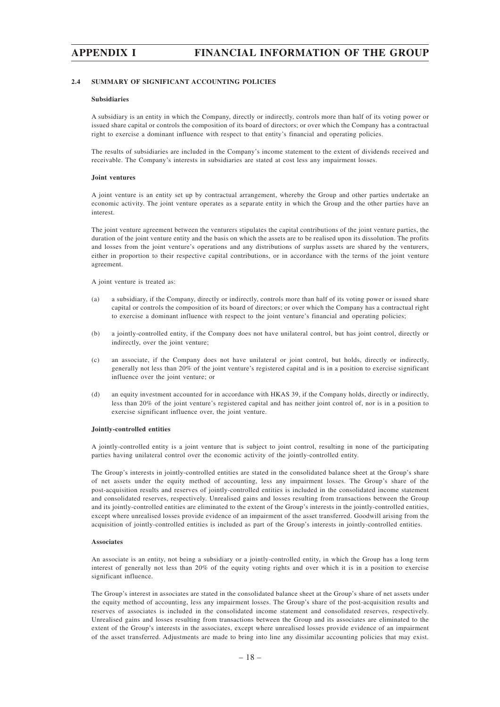### **2.4 SUMMARY OF SIGNIFICANT ACCOUNTING POLICIES**

### **Subsidiaries**

A subsidiary is an entity in which the Company, directly or indirectly, controls more than half of its voting power or issued share capital or controls the composition of its board of directors; or over which the Company has a contractual right to exercise a dominant influence with respect to that entity's financial and operating policies.

The results of subsidiaries are included in the Company's income statement to the extent of dividends received and receivable. The Company's interests in subsidiaries are stated at cost less any impairment losses.

#### **Joint ventures**

A joint venture is an entity set up by contractual arrangement, whereby the Group and other parties undertake an economic activity. The joint venture operates as a separate entity in which the Group and the other parties have an interest.

The joint venture agreement between the venturers stipulates the capital contributions of the joint venture parties, the duration of the joint venture entity and the basis on which the assets are to be realised upon its dissolution. The profits and losses from the joint venture's operations and any distributions of surplus assets are shared by the venturers, either in proportion to their respective capital contributions, or in accordance with the terms of the joint venture agreement.

A joint venture is treated as:

- (a) a subsidiary, if the Company, directly or indirectly, controls more than half of its voting power or issued share capital or controls the composition of its board of directors; or over which the Company has a contractual right to exercise a dominant influence with respect to the joint venture's financial and operating policies;
- (b) a jointly-controlled entity, if the Company does not have unilateral control, but has joint control, directly or indirectly, over the joint venture;
- (c) an associate, if the Company does not have unilateral or joint control, but holds, directly or indirectly, generally not less than 20% of the joint venture's registered capital and is in a position to exercise significant influence over the joint venture; or
- (d) an equity investment accounted for in accordance with HKAS 39, if the Company holds, directly or indirectly, less than 20% of the joint venture's registered capital and has neither joint control of, nor is in a position to exercise significant influence over, the joint venture.

#### **Jointly-controlled entities**

A jointly-controlled entity is a joint venture that is subject to joint control, resulting in none of the participating parties having unilateral control over the economic activity of the jointly-controlled entity.

The Group's interests in jointly-controlled entities are stated in the consolidated balance sheet at the Group's share of net assets under the equity method of accounting, less any impairment losses. The Group's share of the post-acquisition results and reserves of jointly-controlled entities is included in the consolidated income statement and consolidated reserves, respectively. Unrealised gains and losses resulting from transactions between the Group and its jointly-controlled entities are eliminated to the extent of the Group's interests in the jointly-controlled entities, except where unrealised losses provide evidence of an impairment of the asset transferred. Goodwill arising from the acquisition of jointly-controlled entities is included as part of the Group's interests in jointly-controlled entities.

#### **Associates**

An associate is an entity, not being a subsidiary or a jointly-controlled entity, in which the Group has a long term interest of generally not less than 20% of the equity voting rights and over which it is in a position to exercise significant influence.

The Group's interest in associates are stated in the consolidated balance sheet at the Group's share of net assets under the equity method of accounting, less any impairment losses. The Group's share of the post-acquisition results and reserves of associates is included in the consolidated income statement and consolidated reserves, respectively. Unrealised gains and losses resulting from transactions between the Group and its associates are eliminated to the extent of the Group's interests in the associates, except where unrealised losses provide evidence of an impairment of the asset transferred. Adjustments are made to bring into line any dissimilar accounting policies that may exist.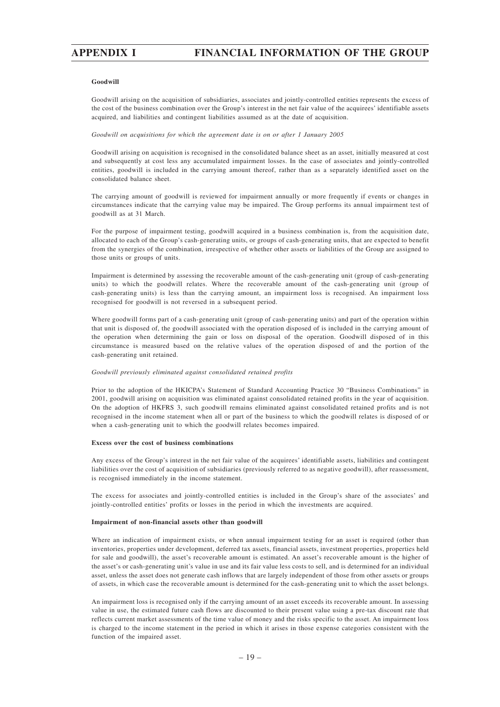### **Goodwill**

Goodwill arising on the acquisition of subsidiaries, associates and jointly-controlled entities represents the excess of the cost of the business combination over the Group's interest in the net fair value of the acquirees' identifiable assets acquired, and liabilities and contingent liabilities assumed as at the date of acquisition.

#### *Goodwill on acquisitions for which the agreement date is on or after 1 January 2005*

Goodwill arising on acquisition is recognised in the consolidated balance sheet as an asset, initially measured at cost and subsequently at cost less any accumulated impairment losses. In the case of associates and jointly-controlled entities, goodwill is included in the carrying amount thereof, rather than as a separately identified asset on the consolidated balance sheet.

The carrying amount of goodwill is reviewed for impairment annually or more frequently if events or changes in circumstances indicate that the carrying value may be impaired. The Group performs its annual impairment test of goodwill as at 31 March.

For the purpose of impairment testing, goodwill acquired in a business combination is, from the acquisition date, allocated to each of the Group's cash-generating units, or groups of cash-generating units, that are expected to benefit from the synergies of the combination, irrespective of whether other assets or liabilities of the Group are assigned to those units or groups of units.

Impairment is determined by assessing the recoverable amount of the cash-generating unit (group of cash-generating units) to which the goodwill relates. Where the recoverable amount of the cash-generating unit (group of cash-generating units) is less than the carrying amount, an impairment loss is recognised. An impairment loss recognised for goodwill is not reversed in a subsequent period.

Where goodwill forms part of a cash-generating unit (group of cash-generating units) and part of the operation within that unit is disposed of, the goodwill associated with the operation disposed of is included in the carrying amount of the operation when determining the gain or loss on disposal of the operation. Goodwill disposed of in this circumstance is measured based on the relative values of the operation disposed of and the portion of the cash-generating unit retained.

#### *Goodwill previously eliminated against consolidated retained profits*

Prior to the adoption of the HKICPA's Statement of Standard Accounting Practice 30 "Business Combinations" in 2001, goodwill arising on acquisition was eliminated against consolidated retained profits in the year of acquisition. On the adoption of HKFRS 3, such goodwill remains eliminated against consolidated retained profits and is not recognised in the income statement when all or part of the business to which the goodwill relates is disposed of or when a cash-generating unit to which the goodwill relates becomes impaired.

#### **Excess over the cost of business combinations**

Any excess of the Group's interest in the net fair value of the acquirees' identifiable assets, liabilities and contingent liabilities over the cost of acquisition of subsidiaries (previously referred to as negative goodwill), after reassessment, is recognised immediately in the income statement.

The excess for associates and jointly-controlled entities is included in the Group's share of the associates' and jointly-controlled entities' profits or losses in the period in which the investments are acquired.

#### **Impairment of non-financial assets other than goodwill**

Where an indication of impairment exists, or when annual impairment testing for an asset is required (other than inventories, properties under development, deferred tax assets, financial assets, investment properties, properties held for sale and goodwill), the asset's recoverable amount is estimated. An asset's recoverable amount is the higher of the asset's or cash-generating unit's value in use and its fair value less costs to sell, and is determined for an individual asset, unless the asset does not generate cash inflows that are largely independent of those from other assets or groups of assets, in which case the recoverable amount is determined for the cash-generating unit to which the asset belongs.

An impairment loss is recognised only if the carrying amount of an asset exceeds its recoverable amount. In assessing value in use, the estimated future cash flows are discounted to their present value using a pre-tax discount rate that reflects current market assessments of the time value of money and the risks specific to the asset. An impairment loss is charged to the income statement in the period in which it arises in those expense categories consistent with the function of the impaired asset.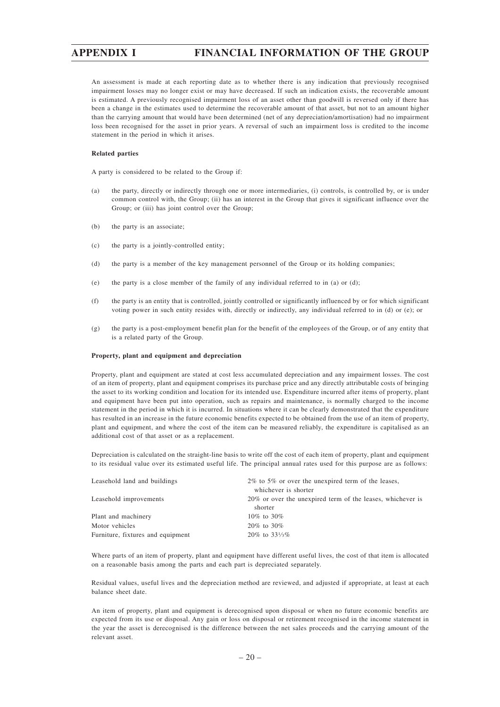An assessment is made at each reporting date as to whether there is any indication that previously recognised impairment losses may no longer exist or may have decreased. If such an indication exists, the recoverable amount is estimated. A previously recognised impairment loss of an asset other than goodwill is reversed only if there has been a change in the estimates used to determine the recoverable amount of that asset, but not to an amount higher than the carrying amount that would have been determined (net of any depreciation/amortisation) had no impairment loss been recognised for the asset in prior years. A reversal of such an impairment loss is credited to the income statement in the period in which it arises.

### **Related parties**

A party is considered to be related to the Group if:

- (a) the party, directly or indirectly through one or more intermediaries, (i) controls, is controlled by, or is under common control with, the Group; (ii) has an interest in the Group that gives it significant influence over the Group; or (iii) has joint control over the Group;
- (b) the party is an associate;
- (c) the party is a jointly-controlled entity;
- (d) the party is a member of the key management personnel of the Group or its holding companies;
- (e) the party is a close member of the family of any individual referred to in (a) or (d);
- (f) the party is an entity that is controlled, jointly controlled or significantly influenced by or for which significant voting power in such entity resides with, directly or indirectly, any individual referred to in (d) or (e); or
- (g) the party is a post-employment benefit plan for the benefit of the employees of the Group, or of any entity that is a related party of the Group.

#### **Property, plant and equipment and depreciation**

Property, plant and equipment are stated at cost less accumulated depreciation and any impairment losses. The cost of an item of property, plant and equipment comprises its purchase price and any directly attributable costs of bringing the asset to its working condition and location for its intended use. Expenditure incurred after items of property, plant and equipment have been put into operation, such as repairs and maintenance, is normally charged to the income statement in the period in which it is incurred. In situations where it can be clearly demonstrated that the expenditure has resulted in an increase in the future economic benefits expected to be obtained from the use of an item of property, plant and equipment, and where the cost of the item can be measured reliably, the expenditure is capitalised as an additional cost of that asset or as a replacement.

Depreciation is calculated on the straight-line basis to write off the cost of each item of property, plant and equipment to its residual value over its estimated useful life. The principal annual rates used for this purpose are as follows:

| Leasehold land and buildings      | 2% to 5% or over the unexpired term of the leases,         |
|-----------------------------------|------------------------------------------------------------|
|                                   | whichever is shorter                                       |
| Leasehold improvements            | 20% or over the unexpired term of the leases, whichever is |
|                                   | shorter                                                    |
| Plant and machinery               | 10\% to 30\%                                               |
| Motor vehicles                    | 20\% to 30\%                                               |
| Furniture, fixtures and equipment | 20\% to $33\frac{1}{3}\%$                                  |
|                                   |                                                            |

Where parts of an item of property, plant and equipment have different useful lives, the cost of that item is allocated on a reasonable basis among the parts and each part is depreciated separately.

Residual values, useful lives and the depreciation method are reviewed, and adjusted if appropriate, at least at each balance sheet date.

An item of property, plant and equipment is derecognised upon disposal or when no future economic benefits are expected from its use or disposal. Any gain or loss on disposal or retirement recognised in the income statement in the year the asset is derecognised is the difference between the net sales proceeds and the carrying amount of the relevant asset.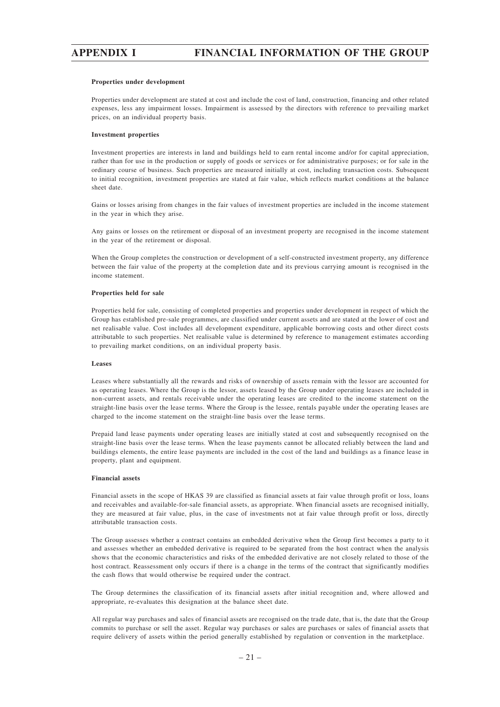#### **Properties under development**

Properties under development are stated at cost and include the cost of land, construction, financing and other related expenses, less any impairment losses. Impairment is assessed by the directors with reference to prevailing market prices, on an individual property basis.

#### **Investment properties**

Investment properties are interests in land and buildings held to earn rental income and/or for capital appreciation, rather than for use in the production or supply of goods or services or for administrative purposes; or for sale in the ordinary course of business. Such properties are measured initially at cost, including transaction costs. Subsequent to initial recognition, investment properties are stated at fair value, which reflects market conditions at the balance sheet date.

Gains or losses arising from changes in the fair values of investment properties are included in the income statement in the year in which they arise.

Any gains or losses on the retirement or disposal of an investment property are recognised in the income statement in the year of the retirement or disposal.

When the Group completes the construction or development of a self-constructed investment property, any difference between the fair value of the property at the completion date and its previous carrying amount is recognised in the income statement.

### **Properties held for sale**

Properties held for sale, consisting of completed properties and properties under development in respect of which the Group has established pre-sale programmes, are classified under current assets and are stated at the lower of cost and net realisable value. Cost includes all development expenditure, applicable borrowing costs and other direct costs attributable to such properties. Net realisable value is determined by reference to management estimates according to prevailing market conditions, on an individual property basis.

#### **Leases**

Leases where substantially all the rewards and risks of ownership of assets remain with the lessor are accounted for as operating leases. Where the Group is the lessor, assets leased by the Group under operating leases are included in non-current assets, and rentals receivable under the operating leases are credited to the income statement on the straight-line basis over the lease terms. Where the Group is the lessee, rentals payable under the operating leases are charged to the income statement on the straight-line basis over the lease terms.

Prepaid land lease payments under operating leases are initially stated at cost and subsequently recognised on the straight-line basis over the lease terms. When the lease payments cannot be allocated reliably between the land and buildings elements, the entire lease payments are included in the cost of the land and buildings as a finance lease in property, plant and equipment.

#### **Financial assets**

Financial assets in the scope of HKAS 39 are classified as financial assets at fair value through profit or loss, loans and receivables and available-for-sale financial assets, as appropriate. When financial assets are recognised initially, they are measured at fair value, plus, in the case of investments not at fair value through profit or loss, directly attributable transaction costs.

The Group assesses whether a contract contains an embedded derivative when the Group first becomes a party to it and assesses whether an embedded derivative is required to be separated from the host contract when the analysis shows that the economic characteristics and risks of the embedded derivative are not closely related to those of the host contract. Reassessment only occurs if there is a change in the terms of the contract that significantly modifies the cash flows that would otherwise be required under the contract.

The Group determines the classification of its financial assets after initial recognition and, where allowed and appropriate, re-evaluates this designation at the balance sheet date.

All regular way purchases and sales of financial assets are recognised on the trade date, that is, the date that the Group commits to purchase or sell the asset. Regular way purchases or sales are purchases or sales of financial assets that require delivery of assets within the period generally established by regulation or convention in the marketplace.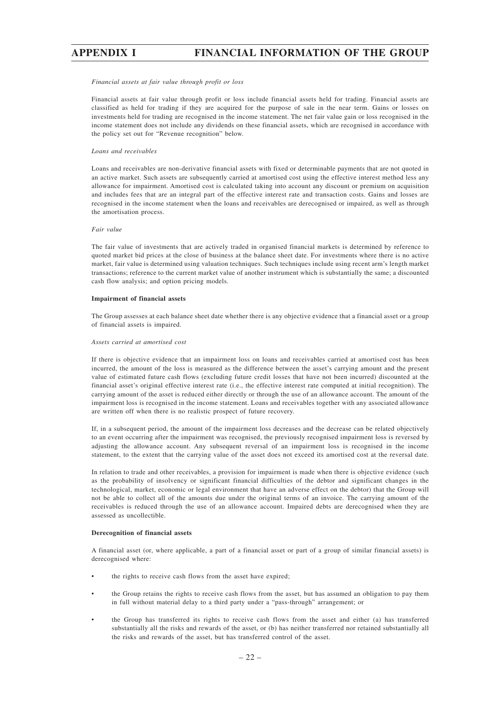#### *Financial assets at fair value through profit or loss*

Financial assets at fair value through profit or loss include financial assets held for trading. Financial assets are classified as held for trading if they are acquired for the purpose of sale in the near term. Gains or losses on investments held for trading are recognised in the income statement. The net fair value gain or loss recognised in the income statement does not include any dividends on these financial assets, which are recognised in accordance with the policy set out for "Revenue recognition" below.

#### *Loans and receivables*

Loans and receivables are non-derivative financial assets with fixed or determinable payments that are not quoted in an active market. Such assets are subsequently carried at amortised cost using the effective interest method less any allowance for impairment. Amortised cost is calculated taking into account any discount or premium on acquisition and includes fees that are an integral part of the effective interest rate and transaction costs. Gains and losses are recognised in the income statement when the loans and receivables are derecognised or impaired, as well as through the amortisation process.

#### *Fair value*

The fair value of investments that are actively traded in organised financial markets is determined by reference to quoted market bid prices at the close of business at the balance sheet date. For investments where there is no active market, fair value is determined using valuation techniques. Such techniques include using recent arm's length market transactions; reference to the current market value of another instrument which is substantially the same; a discounted cash flow analysis; and option pricing models.

#### **Impairment of financial assets**

The Group assesses at each balance sheet date whether there is any objective evidence that a financial asset or a group of financial assets is impaired.

#### *Assets carried at amortised cost*

If there is objective evidence that an impairment loss on loans and receivables carried at amortised cost has been incurred, the amount of the loss is measured as the difference between the asset's carrying amount and the present value of estimated future cash flows (excluding future credit losses that have not been incurred) discounted at the financial asset's original effective interest rate (i.e., the effective interest rate computed at initial recognition). The carrying amount of the asset is reduced either directly or through the use of an allowance account. The amount of the impairment loss is recognised in the income statement. Loans and receivables together with any associated allowance are written off when there is no realistic prospect of future recovery.

If, in a subsequent period, the amount of the impairment loss decreases and the decrease can be related objectively to an event occurring after the impairment was recognised, the previously recognised impairment loss is reversed by adjusting the allowance account. Any subsequent reversal of an impairment loss is recognised in the income statement, to the extent that the carrying value of the asset does not exceed its amortised cost at the reversal date.

In relation to trade and other receivables, a provision for impairment is made when there is objective evidence (such as the probability of insolvency or significant financial difficulties of the debtor and significant changes in the technological, market, economic or legal environment that have an adverse effect on the debtor) that the Group will not be able to collect all of the amounts due under the original terms of an invoice. The carrying amount of the receivables is reduced through the use of an allowance account. Impaired debts are derecognised when they are assessed as uncollectible.

#### **Derecognition of financial assets**

A financial asset (or, where applicable, a part of a financial asset or part of a group of similar financial assets) is derecognised where:

- the rights to receive cash flows from the asset have expired;
- the Group retains the rights to receive cash flows from the asset, but has assumed an obligation to pay them in full without material delay to a third party under a "pass-through" arrangement; or
- the Group has transferred its rights to receive cash flows from the asset and either (a) has transferred substantially all the risks and rewards of the asset, or (b) has neither transferred nor retained substantially all the risks and rewards of the asset, but has transferred control of the asset.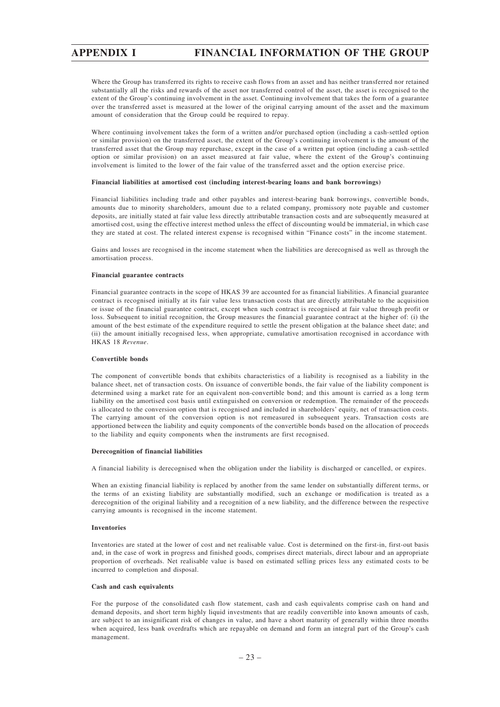Where the Group has transferred its rights to receive cash flows from an asset and has neither transferred nor retained substantially all the risks and rewards of the asset nor transferred control of the asset, the asset is recognised to the extent of the Group's continuing involvement in the asset. Continuing involvement that takes the form of a guarantee over the transferred asset is measured at the lower of the original carrying amount of the asset and the maximum amount of consideration that the Group could be required to repay.

Where continuing involvement takes the form of a written and/or purchased option (including a cash-settled option or similar provision) on the transferred asset, the extent of the Group's continuing involvement is the amount of the transferred asset that the Group may repurchase, except in the case of a written put option (including a cash-settled option or similar provision) on an asset measured at fair value, where the extent of the Group's continuing involvement is limited to the lower of the fair value of the transferred asset and the option exercise price.

#### **Financial liabilities at amortised cost (including interest-bearing loans and bank borrowings)**

Financial liabilities including trade and other payables and interest-bearing bank borrowings, convertible bonds, amounts due to minority shareholders, amount due to a related company, promissory note payable and customer deposits, are initially stated at fair value less directly attributable transaction costs and are subsequently measured at amortised cost, using the effective interest method unless the effect of discounting would be immaterial, in which case they are stated at cost. The related interest expense is recognised within "Finance costs" in the income statement.

Gains and losses are recognised in the income statement when the liabilities are derecognised as well as through the amortisation process.

#### **Financial guarantee contracts**

Financial guarantee contracts in the scope of HKAS 39 are accounted for as financial liabilities. A financial guarantee contract is recognised initially at its fair value less transaction costs that are directly attributable to the acquisition or issue of the financial guarantee contract, except when such contract is recognised at fair value through profit or loss. Subsequent to initial recognition, the Group measures the financial guarantee contract at the higher of: (i) the amount of the best estimate of the expenditure required to settle the present obligation at the balance sheet date; and (ii) the amount initially recognised less, when appropriate, cumulative amortisation recognised in accordance with HKAS 18 *Revenue*.

#### **Convertible bonds**

The component of convertible bonds that exhibits characteristics of a liability is recognised as a liability in the balance sheet, net of transaction costs. On issuance of convertible bonds, the fair value of the liability component is determined using a market rate for an equivalent non-convertible bond; and this amount is carried as a long term liability on the amortised cost basis until extinguished on conversion or redemption. The remainder of the proceeds is allocated to the conversion option that is recognised and included in shareholders' equity, net of transaction costs. The carrying amount of the conversion option is not remeasured in subsequent years. Transaction costs are apportioned between the liability and equity components of the convertible bonds based on the allocation of proceeds to the liability and equity components when the instruments are first recognised.

#### **Derecognition of financial liabilities**

A financial liability is derecognised when the obligation under the liability is discharged or cancelled, or expires.

When an existing financial liability is replaced by another from the same lender on substantially different terms, or the terms of an existing liability are substantially modified, such an exchange or modification is treated as a derecognition of the original liability and a recognition of a new liability, and the difference between the respective carrying amounts is recognised in the income statement.

#### **Inventories**

Inventories are stated at the lower of cost and net realisable value. Cost is determined on the first-in, first-out basis and, in the case of work in progress and finished goods, comprises direct materials, direct labour and an appropriate proportion of overheads. Net realisable value is based on estimated selling prices less any estimated costs to be incurred to completion and disposal.

### **Cash and cash equivalents**

For the purpose of the consolidated cash flow statement, cash and cash equivalents comprise cash on hand and demand deposits, and short term highly liquid investments that are readily convertible into known amounts of cash, are subject to an insignificant risk of changes in value, and have a short maturity of generally within three months when acquired, less bank overdrafts which are repayable on demand and form an integral part of the Group's cash management.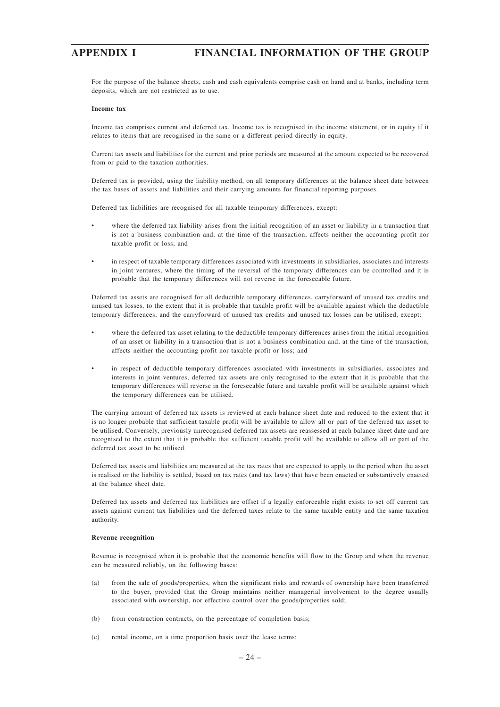For the purpose of the balance sheets, cash and cash equivalents comprise cash on hand and at banks, including term deposits, which are not restricted as to use.

#### **Income tax**

Income tax comprises current and deferred tax. Income tax is recognised in the income statement, or in equity if it relates to items that are recognised in the same or a different period directly in equity.

Current tax assets and liabilities for the current and prior periods are measured at the amount expected to be recovered from or paid to the taxation authorities.

Deferred tax is provided, using the liability method, on all temporary differences at the balance sheet date between the tax bases of assets and liabilities and their carrying amounts for financial reporting purposes.

Deferred tax liabilities are recognised for all taxable temporary differences, except:

- where the deferred tax liability arises from the initial recognition of an asset or liability in a transaction that is not a business combination and, at the time of the transaction, affects neither the accounting profit nor taxable profit or loss; and
- in respect of taxable temporary differences associated with investments in subsidiaries, associates and interests in joint ventures, where the timing of the reversal of the temporary differences can be controlled and it is probable that the temporary differences will not reverse in the foreseeable future.

Deferred tax assets are recognised for all deductible temporary differences, carryforward of unused tax credits and unused tax losses, to the extent that it is probable that taxable profit will be available against which the deductible temporary differences, and the carryforward of unused tax credits and unused tax losses can be utilised, except:

- where the deferred tax asset relating to the deductible temporary differences arises from the initial recognition of an asset or liability in a transaction that is not a business combination and, at the time of the transaction, affects neither the accounting profit nor taxable profit or loss; and
- in respect of deductible temporary differences associated with investments in subsidiaries, associates and interests in joint ventures, deferred tax assets are only recognised to the extent that it is probable that the temporary differences will reverse in the foreseeable future and taxable profit will be available against which the temporary differences can be utilised.

The carrying amount of deferred tax assets is reviewed at each balance sheet date and reduced to the extent that it is no longer probable that sufficient taxable profit will be available to allow all or part of the deferred tax asset to be utilised. Conversely, previously unrecognised deferred tax assets are reassessed at each balance sheet date and are recognised to the extent that it is probable that sufficient taxable profit will be available to allow all or part of the deferred tax asset to be utilised.

Deferred tax assets and liabilities are measured at the tax rates that are expected to apply to the period when the asset is realised or the liability is settled, based on tax rates (and tax laws) that have been enacted or substantively enacted at the balance sheet date.

Deferred tax assets and deferred tax liabilities are offset if a legally enforceable right exists to set off current tax assets against current tax liabilities and the deferred taxes relate to the same taxable entity and the same taxation authority.

#### **Revenue recognition**

Revenue is recognised when it is probable that the economic benefits will flow to the Group and when the revenue can be measured reliably, on the following bases:

- (a) from the sale of goods/properties, when the significant risks and rewards of ownership have been transferred to the buyer, provided that the Group maintains neither managerial involvement to the degree usually associated with ownership, nor effective control over the goods/properties sold;
- (b) from construction contracts, on the percentage of completion basis;
- (c) rental income, on a time proportion basis over the lease terms;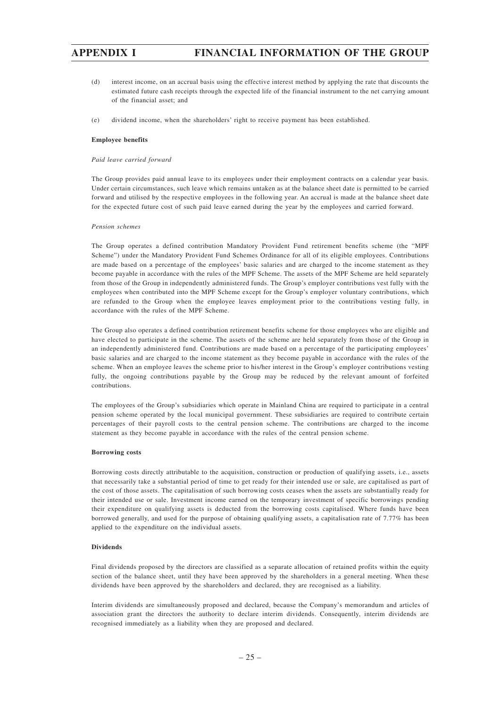- (d) interest income, on an accrual basis using the effective interest method by applying the rate that discounts the estimated future cash receipts through the expected life of the financial instrument to the net carrying amount of the financial asset; and
- (e) dividend income, when the shareholders' right to receive payment has been established.

#### **Employee benefits**

#### *Paid leave carried forward*

The Group provides paid annual leave to its employees under their employment contracts on a calendar year basis. Under certain circumstances, such leave which remains untaken as at the balance sheet date is permitted to be carried forward and utilised by the respective employees in the following year. An accrual is made at the balance sheet date for the expected future cost of such paid leave earned during the year by the employees and carried forward.

#### *Pension schemes*

The Group operates a defined contribution Mandatory Provident Fund retirement benefits scheme (the "MPF Scheme") under the Mandatory Provident Fund Schemes Ordinance for all of its eligible employees. Contributions are made based on a percentage of the employees' basic salaries and are charged to the income statement as they become payable in accordance with the rules of the MPF Scheme. The assets of the MPF Scheme are held separately from those of the Group in independently administered funds. The Group's employer contributions vest fully with the employees when contributed into the MPF Scheme except for the Group's employer voluntary contributions, which are refunded to the Group when the employee leaves employment prior to the contributions vesting fully, in accordance with the rules of the MPF Scheme.

The Group also operates a defined contribution retirement benefits scheme for those employees who are eligible and have elected to participate in the scheme. The assets of the scheme are held separately from those of the Group in an independently administered fund. Contributions are made based on a percentage of the participating employees' basic salaries and are charged to the income statement as they become payable in accordance with the rules of the scheme. When an employee leaves the scheme prior to his/her interest in the Group's employer contributions vesting fully, the ongoing contributions payable by the Group may be reduced by the relevant amount of forfeited contributions.

The employees of the Group's subsidiaries which operate in Mainland China are required to participate in a central pension scheme operated by the local municipal government. These subsidiaries are required to contribute certain percentages of their payroll costs to the central pension scheme. The contributions are charged to the income statement as they become payable in accordance with the rules of the central pension scheme.

#### **Borrowing costs**

Borrowing costs directly attributable to the acquisition, construction or production of qualifying assets, i.e., assets that necessarily take a substantial period of time to get ready for their intended use or sale, are capitalised as part of the cost of those assets. The capitalisation of such borrowing costs ceases when the assets are substantially ready for their intended use or sale. Investment income earned on the temporary investment of specific borrowings pending their expenditure on qualifying assets is deducted from the borrowing costs capitalised. Where funds have been borrowed generally, and used for the purpose of obtaining qualifying assets, a capitalisation rate of 7.77% has been applied to the expenditure on the individual assets.

#### **Dividends**

Final dividends proposed by the directors are classified as a separate allocation of retained profits within the equity section of the balance sheet, until they have been approved by the shareholders in a general meeting. When these dividends have been approved by the shareholders and declared, they are recognised as a liability.

Interim dividends are simultaneously proposed and declared, because the Company's memorandum and articles of association grant the directors the authority to declare interim dividends. Consequently, interim dividends are recognised immediately as a liability when they are proposed and declared.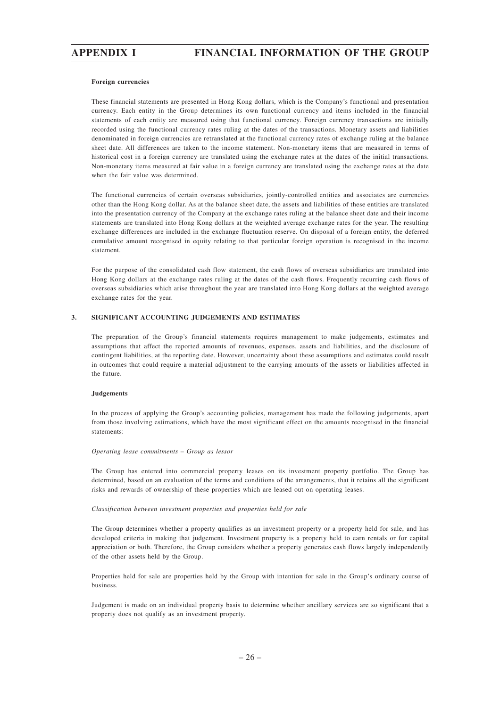#### **Foreign currencies**

These financial statements are presented in Hong Kong dollars, which is the Company's functional and presentation currency. Each entity in the Group determines its own functional currency and items included in the financial statements of each entity are measured using that functional currency. Foreign currency transactions are initially recorded using the functional currency rates ruling at the dates of the transactions. Monetary assets and liabilities denominated in foreign currencies are retranslated at the functional currency rates of exchange ruling at the balance sheet date. All differences are taken to the income statement. Non-monetary items that are measured in terms of historical cost in a foreign currency are translated using the exchange rates at the dates of the initial transactions. Non-monetary items measured at fair value in a foreign currency are translated using the exchange rates at the date when the fair value was determined.

The functional currencies of certain overseas subsidiaries, jointly-controlled entities and associates are currencies other than the Hong Kong dollar. As at the balance sheet date, the assets and liabilities of these entities are translated into the presentation currency of the Company at the exchange rates ruling at the balance sheet date and their income statements are translated into Hong Kong dollars at the weighted average exchange rates for the year. The resulting exchange differences are included in the exchange fluctuation reserve. On disposal of a foreign entity, the deferred cumulative amount recognised in equity relating to that particular foreign operation is recognised in the income statement.

For the purpose of the consolidated cash flow statement, the cash flows of overseas subsidiaries are translated into Hong Kong dollars at the exchange rates ruling at the dates of the cash flows. Frequently recurring cash flows of overseas subsidiaries which arise throughout the year are translated into Hong Kong dollars at the weighted average exchange rates for the year.

### **3. SIGNIFICANT ACCOUNTING JUDGEMENTS AND ESTIMATES**

The preparation of the Group's financial statements requires management to make judgements, estimates and assumptions that affect the reported amounts of revenues, expenses, assets and liabilities, and the disclosure of contingent liabilities, at the reporting date. However, uncertainty about these assumptions and estimates could result in outcomes that could require a material adjustment to the carrying amounts of the assets or liabilities affected in the future.

### **Judgements**

In the process of applying the Group's accounting policies, management has made the following judgements, apart from those involving estimations, which have the most significant effect on the amounts recognised in the financial statements:

#### *Operating lease commitments – Group as lessor*

The Group has entered into commercial property leases on its investment property portfolio. The Group has determined, based on an evaluation of the terms and conditions of the arrangements, that it retains all the significant risks and rewards of ownership of these properties which are leased out on operating leases.

#### *Classification between investment properties and properties held for sale*

The Group determines whether a property qualifies as an investment property or a property held for sale, and has developed criteria in making that judgement. Investment property is a property held to earn rentals or for capital appreciation or both. Therefore, the Group considers whether a property generates cash flows largely independently of the other assets held by the Group.

Properties held for sale are properties held by the Group with intention for sale in the Group's ordinary course of business.

Judgement is made on an individual property basis to determine whether ancillary services are so significant that a property does not qualify as an investment property.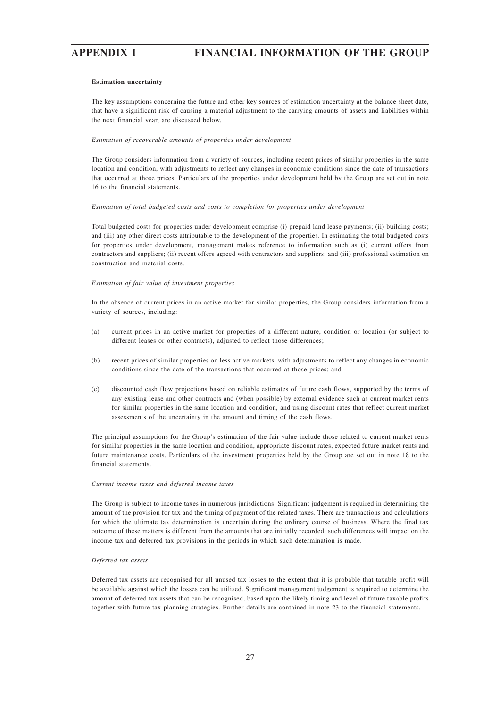#### **Estimation uncertainty**

The key assumptions concerning the future and other key sources of estimation uncertainty at the balance sheet date, that have a significant risk of causing a material adjustment to the carrying amounts of assets and liabilities within the next financial year, are discussed below.

#### *Estimation of recoverable amounts of properties under development*

The Group considers information from a variety of sources, including recent prices of similar properties in the same location and condition, with adjustments to reflect any changes in economic conditions since the date of transactions that occurred at those prices. Particulars of the properties under development held by the Group are set out in note 16 to the financial statements.

#### *Estimation of total budgeted costs and costs to completion for properties under development*

Total budgeted costs for properties under development comprise (i) prepaid land lease payments; (ii) building costs; and (iii) any other direct costs attributable to the development of the properties. In estimating the total budgeted costs for properties under development, management makes reference to information such as (i) current offers from contractors and suppliers; (ii) recent offers agreed with contractors and suppliers; and (iii) professional estimation on construction and material costs.

#### *Estimation of fair value of investment properties*

In the absence of current prices in an active market for similar properties, the Group considers information from a variety of sources, including:

- (a) current prices in an active market for properties of a different nature, condition or location (or subject to different leases or other contracts), adjusted to reflect those differences;
- (b) recent prices of similar properties on less active markets, with adjustments to reflect any changes in economic conditions since the date of the transactions that occurred at those prices; and
- (c) discounted cash flow projections based on reliable estimates of future cash flows, supported by the terms of any existing lease and other contracts and (when possible) by external evidence such as current market rents for similar properties in the same location and condition, and using discount rates that reflect current market assessments of the uncertainty in the amount and timing of the cash flows.

The principal assumptions for the Group's estimation of the fair value include those related to current market rents for similar properties in the same location and condition, appropriate discount rates, expected future market rents and future maintenance costs. Particulars of the investment properties held by the Group are set out in note 18 to the financial statements.

#### *Current income taxes and deferred income taxes*

The Group is subject to income taxes in numerous jurisdictions. Significant judgement is required in determining the amount of the provision for tax and the timing of payment of the related taxes. There are transactions and calculations for which the ultimate tax determination is uncertain during the ordinary course of business. Where the final tax outcome of these matters is different from the amounts that are initially recorded, such differences will impact on the income tax and deferred tax provisions in the periods in which such determination is made.

#### *Deferred tax assets*

Deferred tax assets are recognised for all unused tax losses to the extent that it is probable that taxable profit will be available against which the losses can be utilised. Significant management judgement is required to determine the amount of deferred tax assets that can be recognised, based upon the likely timing and level of future taxable profits together with future tax planning strategies. Further details are contained in note 23 to the financial statements.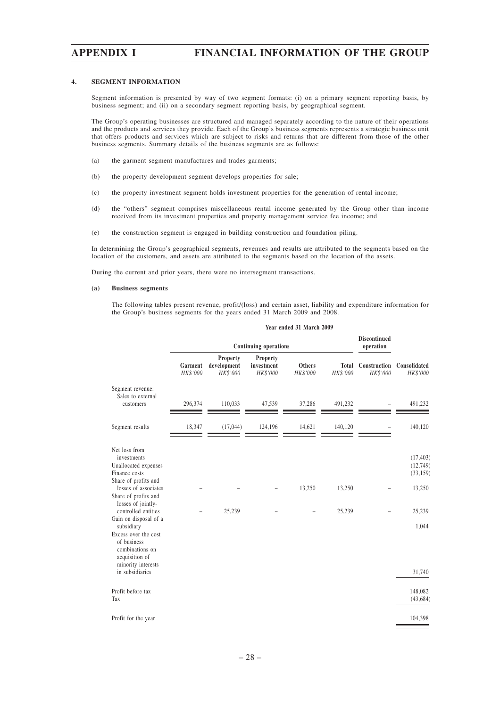#### **4. SEGMENT INFORMATION**

Segment information is presented by way of two segment formats: (i) on a primary segment reporting basis, by business segment; and (ii) on a secondary segment reporting basis, by geographical segment.

The Group's operating businesses are structured and managed separately according to the nature of their operations and the products and services they provide. Each of the Group's business segments represents a strategic business unit that offers products and services which are subject to risks and returns that are different from those of the other business segments. Summary details of the business segments are as follows:

- (a) the garment segment manufactures and trades garments;
- (b) the property development segment develops properties for sale;
- (c) the property investment segment holds investment properties for the generation of rental income;
- (d) the "others" segment comprises miscellaneous rental income generated by the Group other than income received from its investment properties and property management service fee income; and
- (e) the construction segment is engaged in building construction and foundation piling.

In determining the Group's geographical segments, revenues and results are attributed to the segments based on the location of the customers, and assets are attributed to the segments based on the location of the assets.

During the current and prior years, there were no intersegment transactions.

### **(a) Business segments**

The following tables present revenue, profit/(loss) and certain asset, liability and expenditure information for the Group's business segments for the years ended 31 March 2009 and 2008.

|                                                                                                                                        | Year ended 31 March 2009 |                                     |                                    |                           |                          |                          |                                     |  |  |
|----------------------------------------------------------------------------------------------------------------------------------------|--------------------------|-------------------------------------|------------------------------------|---------------------------|--------------------------|--------------------------|-------------------------------------|--|--|
|                                                                                                                                        |                          | <b>Continuing operations</b>        | <b>Discontinued</b><br>operation   |                           |                          |                          |                                     |  |  |
|                                                                                                                                        | Garment<br>HK\$'000      | Property<br>development<br>HK\$'000 | Property<br>investment<br>HK\$'000 | <b>Others</b><br>HK\$'000 | <b>Total</b><br>HK\$'000 | Construction<br>HK\$'000 | Consolidated<br>HK\$'000            |  |  |
| Segment revenue:<br>Sales to external<br>customers                                                                                     | 296,374                  | 110,033                             | 47,539                             | 37,286                    | 491,232                  |                          | 491,232                             |  |  |
| Segment results                                                                                                                        | 18,347                   | (17,044)                            | 124,196                            | 14,621                    | 140,120                  |                          | 140,120                             |  |  |
| Net loss from<br>investments<br>Unallocated expenses<br>Finance costs<br>Share of profits and                                          |                          |                                     |                                    |                           |                          |                          | (17, 403)<br>(12, 749)<br>(33, 159) |  |  |
| losses of associates<br>Share of profits and<br>losses of jointly-                                                                     |                          |                                     |                                    | 13,250                    | 13,250                   |                          | 13,250                              |  |  |
| controlled entities<br>Gain on disposal of a<br>subsidiary<br>Excess over the cost<br>of business<br>combinations on<br>acquisition of |                          | 25,239                              |                                    |                           | 25,239                   |                          | 25,239<br>1,044                     |  |  |
| minority interests<br>in subsidiaries                                                                                                  |                          |                                     |                                    |                           |                          |                          | 31,740                              |  |  |
| Profit before tax<br>Tax                                                                                                               |                          |                                     |                                    |                           |                          |                          | 148,082<br>(43, 684)                |  |  |
| Profit for the year                                                                                                                    |                          |                                     |                                    |                           |                          |                          | 104,398                             |  |  |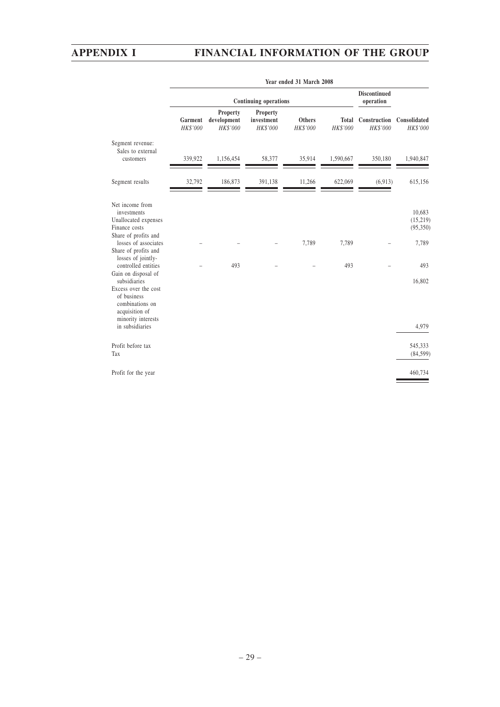|                                                                                                                                        |                     | <b>Continuing operations</b>        | <b>Discontinued</b><br>operation   |                           |                          |                          |                                |
|----------------------------------------------------------------------------------------------------------------------------------------|---------------------|-------------------------------------|------------------------------------|---------------------------|--------------------------|--------------------------|--------------------------------|
|                                                                                                                                        | Garment<br>HK\$'000 | Property<br>development<br>HK\$'000 | Property<br>investment<br>HK\$'000 | <b>Others</b><br>HK\$'000 | <b>Total</b><br>HK\$'000 | Construction<br>HK\$'000 | Consolidated<br>HK\$'000       |
| Segment revenue:<br>Sales to external<br>customers                                                                                     | 339,922             | 1,156,454                           | 58,377                             | 35,914                    | 1,590,667                | 350,180                  | 1,940,847                      |
| Segment results                                                                                                                        | 32,792              | 186,873                             | 391,138                            | 11,266                    | 622,069                  | (6,913)                  | 615,156                        |
| Net income from<br>investments<br>Unallocated expenses<br>Finance costs<br>Share of profits and                                        |                     |                                     |                                    |                           |                          |                          | 10,683<br>(15,219)<br>(95,350) |
| losses of associates<br>Share of profits and<br>losses of jointly-                                                                     |                     |                                     |                                    | 7,789                     | 7,789                    |                          | 7,789                          |
| controlled entities<br>Gain on disposal of<br>subsidiaries<br>Excess over the cost<br>of business<br>combinations on<br>acquisition of |                     | 493                                 |                                    |                           | 493                      |                          | 493<br>16,802                  |
| minority interests<br>in subsidiaries                                                                                                  |                     |                                     |                                    |                           |                          |                          | 4,979                          |
| Profit before tax<br>Tax                                                                                                               |                     |                                     |                                    |                           |                          |                          | 545,333<br>(84, 599)           |
| Profit for the year                                                                                                                    |                     |                                     |                                    |                           |                          |                          | 460,734                        |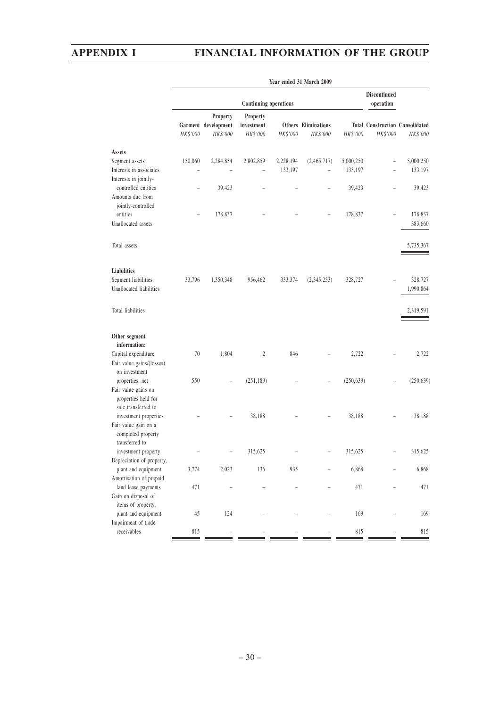|                                                                   | Year ended 31 March 2009 |                                             |                                    |           |                                        |            |                                  |                                                    |
|-------------------------------------------------------------------|--------------------------|---------------------------------------------|------------------------------------|-----------|----------------------------------------|------------|----------------------------------|----------------------------------------------------|
|                                                                   |                          |                                             | <b>Continuing operations</b>       |           |                                        |            | <b>Discontinued</b><br>operation |                                                    |
|                                                                   | HK\$'000                 | Property<br>Garment development<br>HK\$'000 | Property<br>investment<br>HK\$'000 | HK\$'000  | <b>Others</b> Eliminations<br>HK\$'000 | HK\$'000   | HK\$'000                         | <b>Total Construction Consolidated</b><br>HK\$'000 |
| Assets                                                            |                          |                                             |                                    |           |                                        |            |                                  |                                                    |
| Segment assets                                                    | 150,060                  | 2,284,854                                   | 2,802,859                          | 2,228,194 | (2,465,717)                            | 5,000,250  |                                  | 5,000,250                                          |
| Interests in associates                                           |                          |                                             |                                    | 133,197   |                                        | 133,197    | $\overline{a}$                   | 133,197                                            |
| Interests in jointly-                                             |                          |                                             |                                    |           |                                        |            |                                  |                                                    |
| controlled entities                                               | ۰                        | 39,423                                      |                                    |           | $\overline{\phantom{a}}$               | 39,423     | $\overline{a}$                   | 39,423                                             |
| Amounts due from                                                  |                          |                                             |                                    |           |                                        |            |                                  |                                                    |
| jointly-controlled                                                |                          |                                             |                                    |           |                                        |            |                                  |                                                    |
| entities                                                          |                          | 178,837                                     |                                    |           |                                        | 178,837    |                                  | 178,837                                            |
| Unallocated assets                                                |                          |                                             |                                    |           |                                        |            |                                  | 383,660                                            |
| Total assets                                                      |                          |                                             |                                    |           |                                        |            |                                  | 5,735,367                                          |
|                                                                   |                          |                                             |                                    |           |                                        |            |                                  |                                                    |
| Liabilities                                                       |                          |                                             |                                    |           |                                        |            |                                  |                                                    |
| Segment liabilities<br>Unallocated liabilities                    | 33,796                   | 1,350,348                                   | 956,462                            | 333,374   | (2,345,253)                            | 328,727    |                                  | 328,727                                            |
|                                                                   |                          |                                             |                                    |           |                                        |            |                                  | 1,990,864                                          |
| Total liabilities                                                 |                          |                                             |                                    |           |                                        |            |                                  | 2,319,591                                          |
| Other segment<br>information:<br>Capital expenditure              | 70                       | 1,804                                       | 2                                  | 846       |                                        | 2,722      |                                  | 2,722                                              |
| Fair value gains/(losses)<br>on investment                        |                          |                                             |                                    |           |                                        |            |                                  |                                                    |
| properties, net                                                   | 550                      |                                             | (251, 189)                         |           |                                        | (250, 639) |                                  | (250, 639)                                         |
| Fair value gains on<br>properties held for<br>sale transferred to |                          |                                             |                                    |           |                                        |            |                                  |                                                    |
| investment properties                                             |                          |                                             | 38,188                             |           |                                        | 38,188     |                                  | 38,188                                             |
| Fair value gain on a<br>completed property<br>transferred to      |                          |                                             |                                    |           |                                        |            |                                  |                                                    |
| investment property                                               |                          |                                             | 315,625                            |           |                                        | 315,625    |                                  | 315,625                                            |
| Depreciation of property,                                         | 3,774                    |                                             | 136                                | 935       |                                        |            |                                  |                                                    |
| plant and equipment<br>Amortisation of prepaid                    |                          | 2,023                                       |                                    |           |                                        | 6,868      |                                  | 6,868                                              |
|                                                                   |                          |                                             |                                    |           |                                        |            |                                  |                                                    |
| land lease payments<br>Gain on disposal of                        | 471                      |                                             |                                    |           |                                        | 471        |                                  | 471                                                |
| items of property,                                                |                          |                                             |                                    |           |                                        |            |                                  |                                                    |
| plant and equipment                                               | 45                       | 124                                         |                                    |           |                                        | 169        |                                  | 169                                                |
| Impairment of trade                                               |                          |                                             |                                    |           |                                        |            |                                  |                                                    |
| receivables                                                       | 815                      |                                             |                                    |           |                                        | 815        |                                  | 815                                                |
|                                                                   |                          |                                             |                                    |           |                                        |            |                                  |                                                    |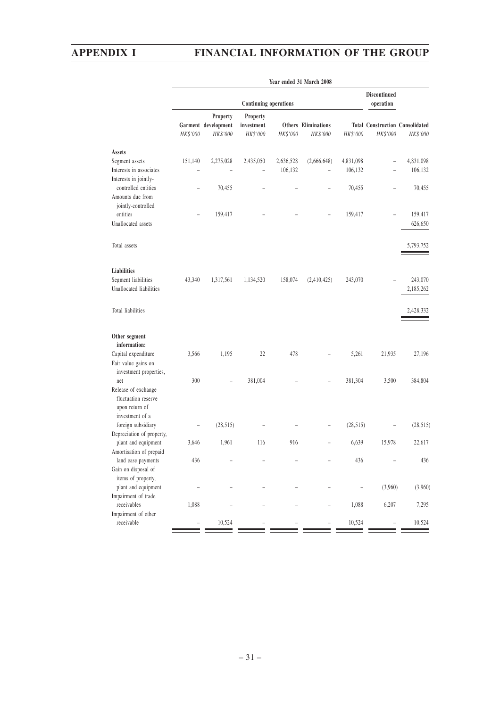|                                                               | Year ended 31 March 2008 |                                             |                                           |           |                                        |           |                                                    |           |
|---------------------------------------------------------------|--------------------------|---------------------------------------------|-------------------------------------------|-----------|----------------------------------------|-----------|----------------------------------------------------|-----------|
|                                                               |                          |                                             | <b>Continuing operations</b>              |           |                                        |           | <b>Discontinued</b><br>operation                   |           |
|                                                               | HK\$'000                 | Property<br>Garment development<br>HK\$'000 | <b>Property</b><br>investment<br>HK\$'000 | HK\$'000  | <b>Others</b> Eliminations<br>HK\$'000 | HK\$'000  | <b>Total Construction Consolidated</b><br>HK\$'000 | HK\$'000  |
| Assets                                                        |                          |                                             |                                           |           |                                        |           |                                                    |           |
| Segment assets                                                | 151,140                  | 2,275,028                                   | 2,435,050                                 | 2,636,528 | (2,666,648)                            | 4,831,098 | $\overline{a}$                                     | 4,831,098 |
| Interests in associates                                       |                          |                                             |                                           | 106,132   | $\overline{a}$                         | 106,132   | $\overline{\phantom{0}}$                           | 106,132   |
| Interests in jointly-                                         |                          |                                             |                                           |           |                                        |           |                                                    |           |
| controlled entities<br>Amounts due from<br>jointly-controlled |                          | 70,455                                      |                                           |           | $\overline{a}$                         | 70,455    | $\overline{a}$                                     | 70,455    |
| entities                                                      |                          | 159,417                                     |                                           |           |                                        | 159,417   |                                                    | 159,417   |
| Unallocated assets                                            |                          |                                             |                                           |           |                                        |           |                                                    | 626,650   |
| Total assets                                                  |                          |                                             |                                           |           |                                        |           |                                                    | 5,793,752 |
| <b>Liabilities</b>                                            |                          |                                             |                                           |           |                                        |           |                                                    |           |
| Segment liabilities                                           | 43,340                   | 1,317,561                                   | 1,134,520                                 | 158,074   | (2,410,425)                            | 243,070   |                                                    | 243,070   |
| Unallocated liabilities                                       |                          |                                             |                                           |           |                                        |           |                                                    | 2,185,262 |
| Total liabilities                                             |                          |                                             |                                           |           |                                        |           |                                                    | 2,428,332 |
| Other segment<br>information:                                 |                          |                                             |                                           |           |                                        |           |                                                    |           |
| Capital expenditure                                           | 3,566                    | 1,195                                       | 22                                        | 478       |                                        | 5,261     | 21,935                                             | 27,196    |
| Fair value gains on                                           |                          |                                             |                                           |           |                                        |           |                                                    |           |
| investment properties,                                        |                          |                                             |                                           |           |                                        |           |                                                    |           |
| net<br>Release of exchange                                    | 300                      |                                             | 381,004                                   |           |                                        | 381,304   | 3,500                                              | 384,804   |
| fluctuation reserve<br>upon return of                         |                          |                                             |                                           |           |                                        |           |                                                    |           |
| investment of a<br>foreign subsidiary                         |                          | (28, 515)                                   |                                           |           |                                        | (28, 515) |                                                    | (28, 515) |
| Depreciation of property,                                     |                          |                                             |                                           |           |                                        |           |                                                    |           |
| plant and equipment                                           | 3,646                    | 1,961                                       | 116                                       | 916       |                                        | 6,639     | 15,978                                             | 22,617    |
| Amortisation of prepaid                                       |                          |                                             |                                           |           |                                        |           |                                                    |           |
| land ease payments                                            | 436                      |                                             |                                           |           |                                        | 436       |                                                    | 436       |
| Gain on disposal of                                           |                          |                                             |                                           |           |                                        |           |                                                    |           |
| items of property,<br>plant and equipment                     |                          |                                             |                                           |           |                                        |           |                                                    | (3,960)   |
| Impairment of trade                                           |                          |                                             |                                           |           |                                        |           | (3,960)                                            |           |
| receivables                                                   | 1,088                    |                                             |                                           |           |                                        | 1,088     | 6,207                                              | 7,295     |
| Impairment of other                                           |                          |                                             |                                           |           |                                        |           |                                                    |           |
| receivable                                                    |                          | 10,524                                      |                                           |           |                                        | 10,524    |                                                    | 10,524    |
|                                                               |                          |                                             |                                           |           |                                        |           |                                                    |           |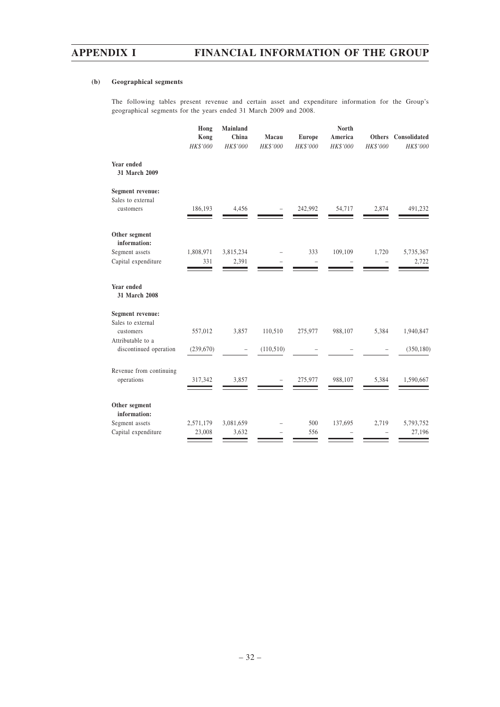### **(b) Geographical segments**

The following tables present revenue and certain asset and expenditure information for the Group's geographical segments for the years ended 31 March 2009 and 2008.

|                                                    | Hong<br>Kong<br>HK\$'000 | Mainland<br>China<br>HK\$'000 | Macau<br>HK\$'000 | <b>Europe</b><br>HK\$'000 | <b>North</b><br>America<br>HK\$'000 | Others<br>HK\$'000 | Consolidated<br>HK\$'000 |
|----------------------------------------------------|--------------------------|-------------------------------|-------------------|---------------------------|-------------------------------------|--------------------|--------------------------|
| Year ended<br>31 March 2009                        |                          |                               |                   |                           |                                     |                    |                          |
| Segment revenue:<br>Sales to external<br>customers | 186,193                  | 4,456                         |                   | 242,992                   | 54,717                              | 2,874              | 491,232                  |
| Other segment<br>information:                      |                          |                               |                   |                           |                                     |                    |                          |
| Segment assets<br>Capital expenditure              | 1,808,971<br>331         | 3,815,234<br>2,391            |                   | 333                       | 109,109                             | 1,720              | 5,735,367<br>2,722       |
| <b>Year ended</b><br>31 March 2008                 |                          |                               |                   |                           |                                     |                    |                          |
| Segment revenue:<br>Sales to external              |                          |                               |                   |                           |                                     |                    |                          |
| customers                                          | 557,012                  | 3,857                         | 110,510           | 275,977                   | 988,107                             | 5,384              | 1,940,847                |
| Attributable to a<br>discontinued operation        | (239, 670)               |                               | (110, 510)        |                           |                                     |                    | (350, 180)               |
| Revenue from continuing<br>operations              | 317,342                  | 3,857                         |                   | 275,977                   | 988,107                             | 5,384              | 1,590,667                |
| Other segment<br>information:                      |                          |                               |                   |                           |                                     |                    |                          |
| Segment assets<br>Capital expenditure              | 2,571,179<br>23,008      | 3,081,659<br>3,632            |                   | 500<br>556                | 137,695                             | 2,719              | 5,793,752<br>27,196      |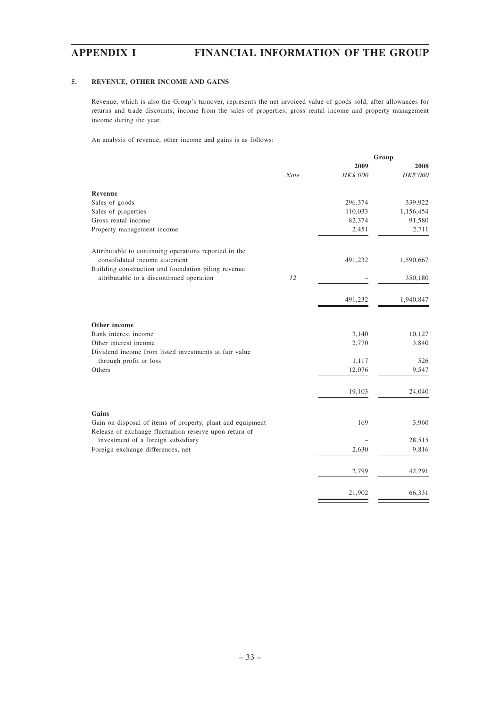### **5. REVENUE, OTHER INCOME AND GAINS**

Revenue, which is also the Group's turnover, represents the net invoiced value of goods sold, after allowances for returns and trade discounts; income from the sales of properties; gross rental income and property management income during the year.

An analysis of revenue, other income and gains is as follows:

|                                                                                                                      |             | Group    |           |
|----------------------------------------------------------------------------------------------------------------------|-------------|----------|-----------|
|                                                                                                                      |             | 2009     | 2008      |
|                                                                                                                      | <b>Note</b> | HK\$'000 | HK\$'000  |
| <b>Revenue</b>                                                                                                       |             |          |           |
| Sales of goods                                                                                                       |             | 296,374  | 339,922   |
| Sales of properties                                                                                                  |             | 110,033  | 1,156,454 |
| Gross rental income                                                                                                  |             | 82,374   | 91,580    |
| Property management income                                                                                           |             | 2,451    | 2,711     |
| Attributable to continuing operations reported in the                                                                |             |          |           |
| consolidated income statement                                                                                        |             | 491,232  | 1,590,667 |
| Building construction and foundation piling revenue<br>attributable to a discontinued operation                      | 12          |          | 350,180   |
|                                                                                                                      |             |          |           |
|                                                                                                                      |             | 491,232  | 1,940,847 |
| Other income                                                                                                         |             |          |           |
| Bank interest income                                                                                                 |             | 3,140    | 10,127    |
| Other interest income                                                                                                |             | 2,770    | 3,840     |
| Dividend income from listed investments at fair value                                                                |             |          |           |
| through profit or loss                                                                                               |             | 1,117    | 526       |
| Others                                                                                                               |             | 12,076   | 9,547     |
|                                                                                                                      |             | 19,103   | 24,040    |
|                                                                                                                      |             |          |           |
| Gains                                                                                                                |             |          |           |
| Gain on disposal of items of property, plant and equipment<br>Release of exchange fluctuation reserve upon return of |             | 169      | 3,960     |
| investment of a foreign subsidiary                                                                                   |             |          | 28,515    |
| Foreign exchange differences, net                                                                                    |             | 2,630    | 9,816     |
|                                                                                                                      |             | 2,799    | 42,291    |
|                                                                                                                      |             | 21,902   | 66,331    |
|                                                                                                                      |             |          |           |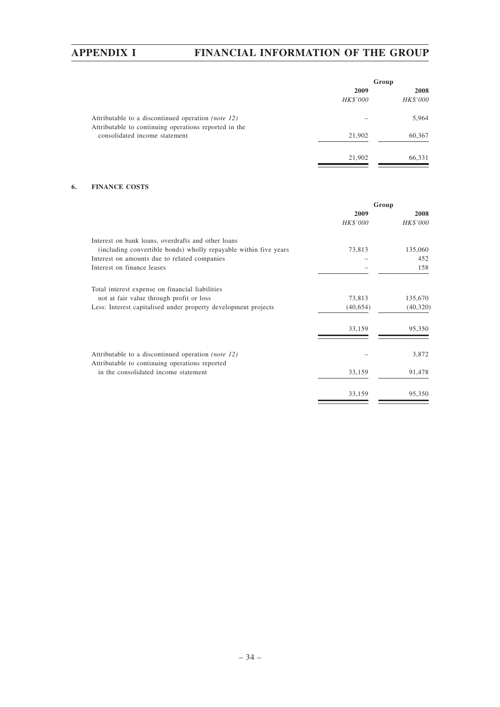|                                                       | Group    |          |  |
|-------------------------------------------------------|----------|----------|--|
|                                                       | 2009     | 2008     |  |
|                                                       | HK\$'000 | HK\$'000 |  |
| Attributable to a discontinued operation (note 12)    |          | 5,964    |  |
| Attributable to continuing operations reported in the |          |          |  |
| consolidated income statement                         | 21,902   | 60,367   |  |
|                                                       | 21,902   | 66,331   |  |

### **6. FINANCE COSTS**

|                                                                  | Group     |           |
|------------------------------------------------------------------|-----------|-----------|
|                                                                  | 2009      | 2008      |
|                                                                  | HK\$'000  | HK\$'000  |
| Interest on bank loans, overdrafts and other loans               |           |           |
| (including convertible bonds) wholly repayable within five years | 73,813    | 135,060   |
| Interest on amounts due to related companies                     |           | 452       |
| Interest on finance leases                                       |           | 158       |
| Total interest expense on financial liabilities                  |           |           |
| not at fair value through profit or loss                         | 73,813    | 135,670   |
| Less: Interest capitalised under property development projects   | (40, 654) | (40, 320) |
|                                                                  | 33,159    | 95,350    |
| Attributable to a discontinued operation <i>(note 12)</i>        |           | 3,872     |
| Attributable to continuing operations reported                   |           |           |
| in the consolidated income statement                             | 33,159    | 91,478    |
|                                                                  | 33,159    | 95,350    |
|                                                                  |           |           |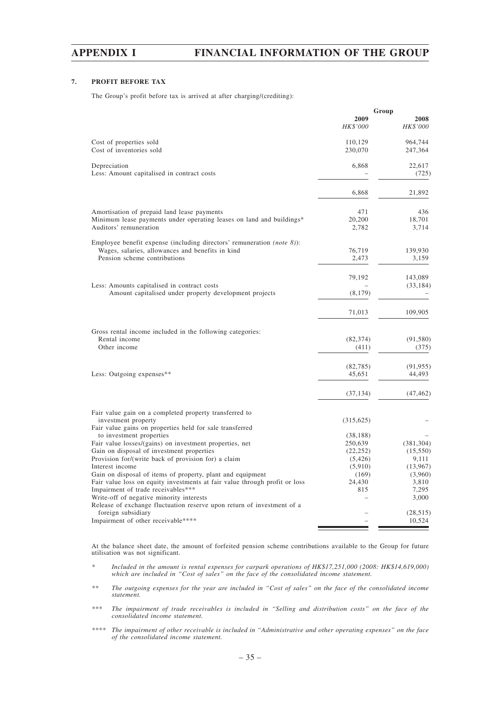### **7. PROFIT BEFORE TAX**

The Group's profit before tax is arrived at after charging/(crediting):

|                                                                                                                                                                    |                        | Group                  |
|--------------------------------------------------------------------------------------------------------------------------------------------------------------------|------------------------|------------------------|
|                                                                                                                                                                    | 2009<br>HK\$'000       | 2008<br>HK\$'000       |
| Cost of properties sold<br>Cost of inventories sold                                                                                                                | 110,129<br>230,070     | 964,744<br>247,364     |
| Depreciation<br>Less: Amount capitalised in contract costs                                                                                                         | 6,868                  | 22,617<br>(725)        |
|                                                                                                                                                                    | 6.868                  | 21.892                 |
| Amortisation of prepaid land lease payments<br>Minimum lease payments under operating leases on land and buildings*<br>Auditors' remuneration                      | 471<br>20,200<br>2,782 | 436<br>18.701<br>3,714 |
| Employee benefit expense (including directors' remuneration <i>(note 8)</i> ):<br>Wages, salaries, allowances and benefits in kind<br>Pension scheme contributions | 76,719<br>2,473        | 139,930<br>3,159       |
| Less: Amounts capitalised in contract costs<br>Amount capitalised under property development projects                                                              | 79,192<br>(8,179)      | 143,089<br>(33, 184)   |
|                                                                                                                                                                    | 71,013                 | 109,905                |
| Gross rental income included in the following categories:<br>Rental income                                                                                         |                        |                        |
| Other income                                                                                                                                                       | (82, 374)<br>(411)     | (91, 580)<br>(375)     |
| Less: Outgoing expenses**                                                                                                                                          | (82, 785)<br>45,651    | (91, 955)<br>44,493    |
|                                                                                                                                                                    | (37, 134)              | (47, 462)              |
| Fair value gain on a completed property transferred to<br>investment property<br>Fair value gains on properties held for sale transferred                          | (315, 625)             |                        |
| to investment properties                                                                                                                                           | (38, 188)              |                        |
| Fair value losses/(gains) on investment properties, net                                                                                                            | 250,639                | (381, 304)             |
| Gain on disposal of investment properties                                                                                                                          | (22, 252)              | (15, 550)              |
| Provision for/(write back of provision for) a claim                                                                                                                | (5, 426)               | 9,111                  |
| Interest income                                                                                                                                                    | (5,910)                | (13,967)               |
| Gain on disposal of items of property, plant and equipment                                                                                                         | (169)                  | (3,960)                |
| Fair value loss on equity investments at fair value through profit or loss                                                                                         | 24,430                 | 3,810                  |
| Impairment of trade receivables***                                                                                                                                 | 815                    | 7,295                  |
| Write-off of negative minority interests<br>Release of exchange fluctuation reserve upon return of investment of a                                                 |                        | 3,000                  |
| foreign subsidiary                                                                                                                                                 |                        | (28, 515)              |
| Impairment of other receivable****                                                                                                                                 |                        | 10,524                 |
|                                                                                                                                                                    |                        |                        |

At the balance sheet date, the amount of forfeited pension scheme contributions available to the Group for future utilisation was not significant.

- *\* Included in the amount is rental expenses for carpark operations of HK\$17,251,000 (2008: HK\$14,619,000) which are included in "Cost of sales" on the face of the consolidated income statement.*
- *\*\* The outgoing expenses for the year are included in "Cost of sales" on the face of the consolidated income statement.*
- *\*\*\* The impairment of trade receivables is included in "Selling and distribution costs" on the face of the consolidated income statement.*
- *\*\*\*\* The impairment of other receivable is included in "Administrative and other operating expenses" on the face of the consolidated income statement.*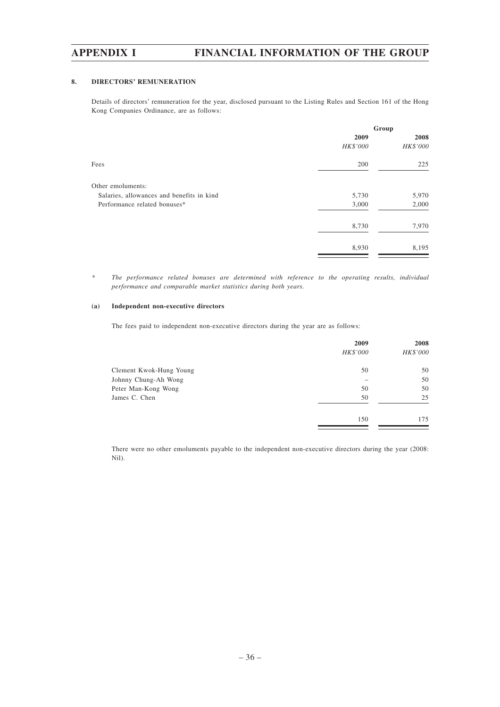### **8. DIRECTORS' REMUNERATION**

Details of directors' remuneration for the year, disclosed pursuant to the Listing Rules and Section 161 of the Hong Kong Companies Ordinance, are as follows:

|                                           | Group    |          |
|-------------------------------------------|----------|----------|
|                                           | 2009     | 2008     |
|                                           | HK\$'000 | HK\$'000 |
| Fees                                      | 200      | 225      |
| Other emoluments:                         |          |          |
| Salaries, allowances and benefits in kind | 5,730    | 5,970    |
| Performance related bonuses*              | 3,000    | 2,000    |
|                                           | 8,730    | 7,970    |
|                                           | 8,930    | 8,195    |
|                                           |          |          |

*\* The performance related bonuses are determined with reference to the operating results, individual performance and comparable market statistics during both years.*

#### **(a) Independent non-executive directors**

The fees paid to independent non-executive directors during the year are as follows:

|                         | 2009     | 2008     |
|-------------------------|----------|----------|
|                         | HK\$'000 | HK\$'000 |
| Clement Kwok-Hung Young | 50       | 50       |
| Johnny Chung-Ah Wong    |          | 50       |
| Peter Man-Kong Wong     | 50       | 50       |
| James C. Chen           | 50       | 25       |
|                         | 150      | 175      |

There were no other emoluments payable to the independent non-executive directors during the year (2008: Nil).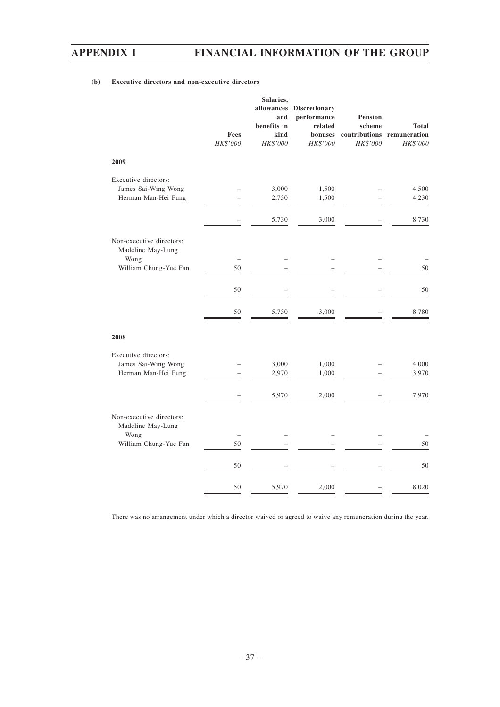### **(b) Executive directors and non-executive directors**

|                                                                    | Fees<br>HK\$'000 | Salaries,<br>and<br>benefits in<br>kind<br>HK\$'000 | allowances Discretionary<br>performance<br>related<br>bonuses<br>HK\$'000 | <b>Pension</b><br>scheme<br>HK\$'000 | Total<br>contributions remuneration<br>HK\$'000 |
|--------------------------------------------------------------------|------------------|-----------------------------------------------------|---------------------------------------------------------------------------|--------------------------------------|-------------------------------------------------|
| 2009                                                               |                  |                                                     |                                                                           |                                      |                                                 |
| Executive directors:<br>James Sai-Wing Wong<br>Herman Man-Hei Fung |                  | 3,000<br>2,730                                      | 1,500<br>1,500                                                            |                                      | 4,500<br>4,230                                  |
|                                                                    |                  | 5,730                                               | 3,000                                                                     |                                      | 8,730                                           |
| Non-executive directors:<br>Madeline May-Lung                      |                  |                                                     |                                                                           |                                      |                                                 |
| Wong<br>William Chung-Yue Fan                                      | 50               |                                                     |                                                                           |                                      | 50                                              |
|                                                                    | 50               |                                                     |                                                                           |                                      | 50                                              |
|                                                                    | 50               | 5,730                                               | 3,000                                                                     |                                      | 8,780                                           |
| 2008                                                               |                  |                                                     |                                                                           |                                      |                                                 |
| Executive directors:<br>James Sai-Wing Wong<br>Herman Man-Hei Fung |                  | 3,000<br>2,970                                      | 1,000<br>1,000                                                            |                                      | 4,000<br>3,970                                  |
|                                                                    |                  | 5,970                                               | 2,000                                                                     |                                      | 7,970                                           |
| Non-executive directors:<br>Madeline May-Lung<br>Wong              |                  |                                                     |                                                                           |                                      |                                                 |
| William Chung-Yue Fan                                              | 50               |                                                     |                                                                           |                                      | 50                                              |
|                                                                    | 50               |                                                     |                                                                           |                                      | 50                                              |
|                                                                    | 50               | 5,970                                               | 2,000                                                                     |                                      | 8,020                                           |

There was no arrangement under which a director waived or agreed to waive any remuneration during the year.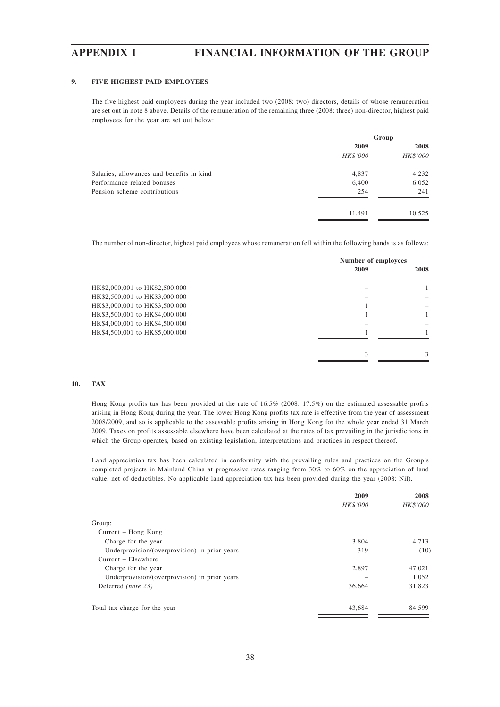### **9. FIVE HIGHEST PAID EMPLOYEES**

The five highest paid employees during the year included two (2008: two) directors, details of whose remuneration are set out in note 8 above. Details of the remuneration of the remaining three (2008: three) non-director, highest paid employees for the year are set out below:

|                                           | Group    |          |
|-------------------------------------------|----------|----------|
|                                           | 2009     | 2008     |
|                                           | HK\$'000 | HK\$'000 |
| Salaries, allowances and benefits in kind | 4,837    | 4,232    |
| Performance related bonuses               | 6,400    | 6,052    |
| Pension scheme contributions              | 254      | 241      |
|                                           | 11,491   | 10,525   |
|                                           |          |          |

The number of non-director, highest paid employees whose remuneration fell within the following bands is as follows:

|                                | Number of employees<br>2009 | 2008 |  |
|--------------------------------|-----------------------------|------|--|
|                                |                             |      |  |
| HK\$2,000,001 to HK\$2,500,000 |                             |      |  |
| HK\$2,500,001 to HK\$3,000,000 |                             |      |  |
| HK\$3,000,001 to HK\$3,500,000 |                             |      |  |
| HK\$3,500,001 to HK\$4,000,000 |                             |      |  |
| HK\$4,000,001 to HK\$4,500,000 |                             |      |  |
| HK\$4,500,001 to HK\$5,000,000 |                             |      |  |
|                                |                             |      |  |
|                                | 3                           | 3    |  |
|                                |                             |      |  |

#### **10. TAX**

Hong Kong profits tax has been provided at the rate of 16.5% (2008: 17.5%) on the estimated assessable profits arising in Hong Kong during the year. The lower Hong Kong profits tax rate is effective from the year of assessment 2008/2009, and so is applicable to the assessable profits arising in Hong Kong for the whole year ended 31 March 2009. Taxes on profits assessable elsewhere have been calculated at the rates of tax prevailing in the jurisdictions in which the Group operates, based on existing legislation, interpretations and practices in respect thereof.

Land appreciation tax has been calculated in conformity with the prevailing rules and practices on the Group's completed projects in Mainland China at progressive rates ranging from 30% to 60% on the appreciation of land value, net of deductibles. No applicable land appreciation tax has been provided during the year (2008: Nil).

|                                               | 2009            | 2008     |
|-----------------------------------------------|-----------------|----------|
|                                               | <b>HK\$'000</b> | HK\$'000 |
| Group:                                        |                 |          |
| Current – Hong Kong                           |                 |          |
| Charge for the year                           | 3,804           | 4,713    |
| Underprovision/(overprovision) in prior years | 319             | (10)     |
| Current – Elsewhere                           |                 |          |
| Charge for the year                           | 2.897           | 47,021   |
| Underprovision/(overprovision) in prior years |                 | 1,052    |
| Deferred (note 23)                            | 36,664          | 31,823   |
| Total tax charge for the year                 | 43,684          | 84.599   |
|                                               |                 |          |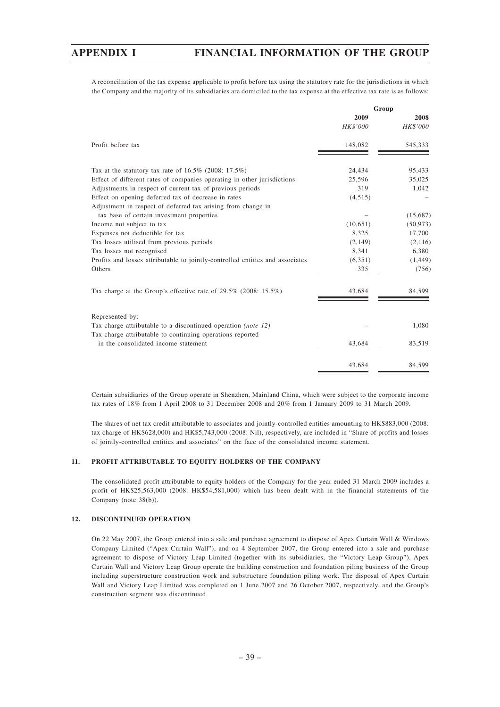A reconciliation of the tax expense applicable to profit before tax using the statutory rate for the jurisdictions in which the Company and the majority of its subsidiaries are domiciled to the tax expense at the effective tax rate is as follows:

|                                                                               | Group           |           |
|-------------------------------------------------------------------------------|-----------------|-----------|
|                                                                               | 2009            | 2008      |
|                                                                               | <b>HK\$'000</b> | HK\$'000  |
| Profit before tax                                                             | 148,082         | 545,333   |
|                                                                               |                 |           |
| Tax at the statutory tax rate of $16.5\%$ (2008: 17.5%)                       | 24,434          | 95,433    |
| Effect of different rates of companies operating in other jurisdictions       | 25,596          | 35,025    |
| Adjustments in respect of current tax of previous periods                     | 319             | 1,042     |
| Effect on opening deferred tax of decrease in rates                           | (4,515)         |           |
| Adjustment in respect of deferred tax arising from change in                  |                 |           |
| tax base of certain investment properties                                     |                 | (15,687)  |
| Income not subject to tax                                                     | (10,651)        | (50, 973) |
| Expenses not deductible for tax                                               | 8,325           | 17,700    |
| Tax losses utilised from previous periods                                     | (2,149)         | (2,116)   |
| Tax losses not recognised                                                     | 8,341           | 6,380     |
| Profits and losses attributable to jointly-controlled entities and associates | (6,351)         | (1, 449)  |
| Others                                                                        | 335             | (756)     |
| Tax charge at the Group's effective rate of $29.5\%$ (2008: 15.5%)            | 43,684          | 84,599    |
| Represented by:                                                               |                 |           |
| Tax charge attributable to a discontinued operation (note 12)                 |                 | 1,080     |
| Tax charge attributable to continuing operations reported                     |                 |           |
| in the consolidated income statement                                          | 43,684          | 83,519    |
|                                                                               | 43,684          | 84,599    |

Certain subsidiaries of the Group operate in Shenzhen, Mainland China, which were subject to the corporate income tax rates of 18% from 1 April 2008 to 31 December 2008 and 20% from 1 January 2009 to 31 March 2009.

The shares of net tax credit attributable to associates and jointly-controlled entities amounting to HK\$883,000 (2008: tax charge of HK\$628,000) and HK\$5,743,000 (2008: Nil), respectively, are included in "Share of profits and losses of jointly-controlled entities and associates" on the face of the consolidated income statement.

#### **11. PROFIT ATTRIBUTABLE TO EQUITY HOLDERS OF THE COMPANY**

The consolidated profit attributable to equity holders of the Company for the year ended 31 March 2009 includes a profit of HK\$25,563,000 (2008: HK\$54,581,000) which has been dealt with in the financial statements of the Company (note 38(b)).

#### **12. DISCONTINUED OPERATION**

On 22 May 2007, the Group entered into a sale and purchase agreement to dispose of Apex Curtain Wall & Windows Company Limited ("Apex Curtain Wall"), and on 4 September 2007, the Group entered into a sale and purchase agreement to dispose of Victory Leap Limited (together with its subsidiaries, the "Victory Leap Group"). Apex Curtain Wall and Victory Leap Group operate the building construction and foundation piling business of the Group including superstructure construction work and substructure foundation piling work. The disposal of Apex Curtain Wall and Victory Leap Limited was completed on 1 June 2007 and 26 October 2007, respectively, and the Group's construction segment was discontinued.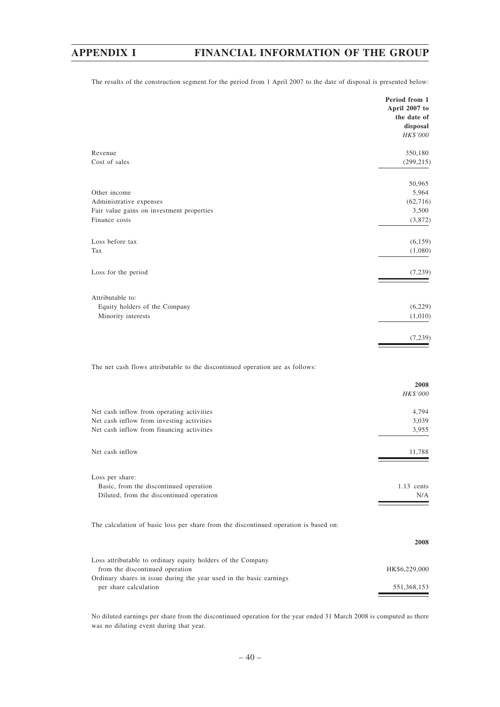|                                                                                                                                                                       | Period from 1<br>April 2007 to<br>the date of<br>disposal<br>HK\$'000 |
|-----------------------------------------------------------------------------------------------------------------------------------------------------------------------|-----------------------------------------------------------------------|
| Revenue<br>Cost of sales                                                                                                                                              | 350,180<br>(299, 215)                                                 |
| Other income<br>Administrative expenses<br>Fair value gains on investment properties<br>Finance costs                                                                 | 50,965<br>5,964<br>(62, 716)<br>3,500<br>(3,872)                      |
| Loss before tax<br>Tax                                                                                                                                                | (6, 159)<br>(1,080)                                                   |
| Loss for the period                                                                                                                                                   | (7,239)                                                               |
| Attributable to:<br>Equity holders of the Company<br>Minority interests                                                                                               | (6,229)<br>(1,010)<br>(7,239)                                         |
| The net cash flows attributable to the discontinued operation are as follows:                                                                                         | 2008                                                                  |
|                                                                                                                                                                       | HK\$'000                                                              |
| Net cash inflow from operating activities<br>Net cash inflow from investing activities<br>Net cash inflow from financing activities                                   | 4,794<br>3,039<br>3,955                                               |
| Net cash inflow                                                                                                                                                       | 11,788                                                                |
| Loss per share:<br>Basic, from the discontinued operation<br>Diluted, from the discontinued operation                                                                 | $1.13$ cents<br>N/A                                                   |
| The calculation of basic loss per share from the discontinued operation is based on:                                                                                  |                                                                       |
|                                                                                                                                                                       | 2008                                                                  |
| Loss attributable to ordinary equity holders of the Company<br>from the discontinued operation<br>Ordinary shares in issue during the year used in the basic earnings | HK\$6,229,000                                                         |

The results of the construction segment for the period from 1 April 2007 to the date of disposal is presented below:

No diluted earnings per share from the discontinued operation for the year ended 31 March 2008 is computed as there was no diluting event during that year.

per share calculation 551,368,153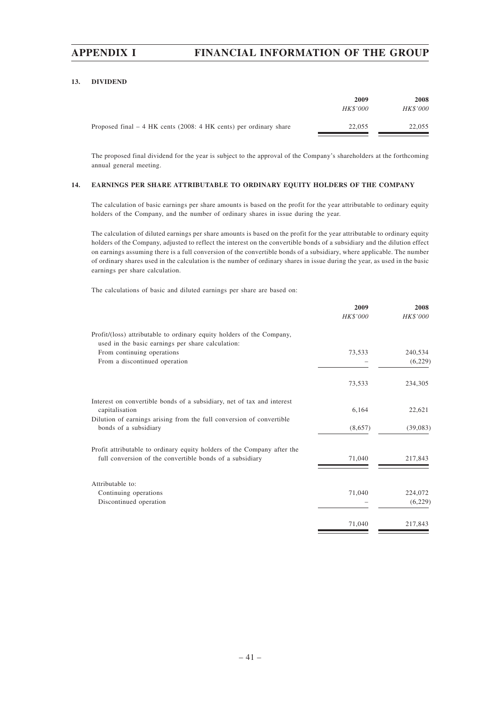### **13. DIVIDEND**

|                                                                    | 2009            | 2008            |
|--------------------------------------------------------------------|-----------------|-----------------|
|                                                                    | <i>HK\$'000</i> | <i>HK\$'000</i> |
|                                                                    |                 |                 |
| Proposed final $-4$ HK cents (2008: 4 HK cents) per ordinary share | 22,055          | 22,055          |

The proposed final dividend for the year is subject to the approval of the Company's shareholders at the forthcoming annual general meeting.

### **14. EARNINGS PER SHARE ATTRIBUTABLE TO ORDINARY EQUITY HOLDERS OF THE COMPANY**

The calculation of basic earnings per share amounts is based on the profit for the year attributable to ordinary equity holders of the Company, and the number of ordinary shares in issue during the year.

The calculation of diluted earnings per share amounts is based on the profit for the year attributable to ordinary equity holders of the Company, adjusted to reflect the interest on the convertible bonds of a subsidiary and the dilution effect on earnings assuming there is a full conversion of the convertible bonds of a subsidiary, where applicable. The number of ordinary shares used in the calculation is the number of ordinary shares in issue during the year, as used in the basic earnings per share calculation.

The calculations of basic and diluted earnings per share are based on:

|                                                                                                                            | 2009     | 2008     |
|----------------------------------------------------------------------------------------------------------------------------|----------|----------|
|                                                                                                                            | HK\$'000 | HK\$'000 |
| Profit/(loss) attributable to ordinary equity holders of the Company,<br>used in the basic earnings per share calculation: |          |          |
| From continuing operations                                                                                                 | 73,533   | 240,534  |
| From a discontinued operation                                                                                              |          | (6,229)  |
|                                                                                                                            | 73,533   | 234,305  |
| Interest on convertible bonds of a subsidiary, net of tax and interest                                                     |          |          |
| capitalisation                                                                                                             | 6,164    | 22,621   |
| Dilution of earnings arising from the full conversion of convertible<br>bonds of a subsidiary                              | (8,657)  | (39,083) |
| Profit attributable to ordinary equity holders of the Company after the                                                    |          |          |
| full conversion of the convertible bonds of a subsidiary                                                                   | 71,040   | 217,843  |
| Attributable to:                                                                                                           |          |          |
| Continuing operations                                                                                                      | 71,040   | 224,072  |
| Discontinued operation                                                                                                     |          | (6,229)  |
|                                                                                                                            | 71,040   | 217,843  |
|                                                                                                                            |          |          |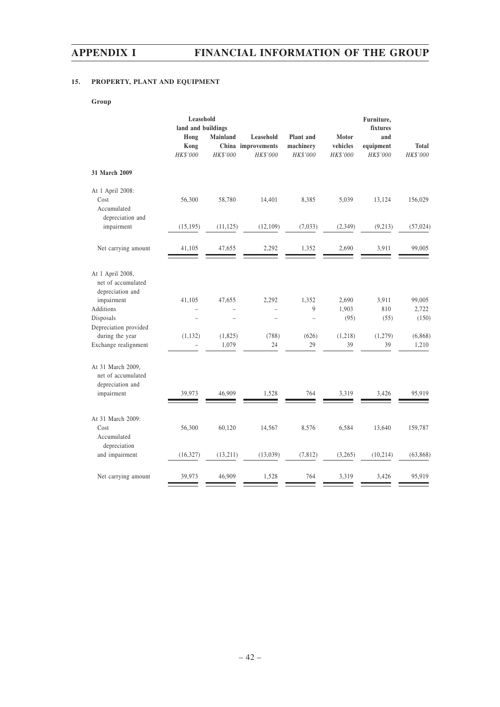## **15. PROPERTY, PLANT AND EQUIPMENT**

## **Group**

|                                                             | Leasehold<br>land and buildings |                             |                                             |                                    |                               | Furniture,<br>fixtures       |                   |
|-------------------------------------------------------------|---------------------------------|-----------------------------|---------------------------------------------|------------------------------------|-------------------------------|------------------------------|-------------------|
|                                                             | Hong<br>Kong<br>HK\$'000        | <b>Mainland</b><br>HK\$'000 | Leasehold<br>China improvements<br>HK\$'000 | Plant and<br>machinery<br>HK\$'000 | Motor<br>vehicles<br>HK\$'000 | and<br>equipment<br>HK\$'000 | Total<br>HK\$'000 |
| 31 March 2009                                               |                                 |                             |                                             |                                    |                               |                              |                   |
| At 1 April 2008:<br>Cost<br>Accumulated                     | 56,300                          | 58,780                      | 14,401                                      | 8,385                              | 5,039                         | 13,124                       | 156,029           |
| depreciation and<br>impairment                              | (15, 195)                       | (11, 125)                   | (12, 109)                                   | (7,033)                            | (2, 349)                      | (9, 213)                     | (57, 024)         |
| Net carrying amount                                         | 41,105                          | 47,655                      | 2,292                                       | 1,352                              | 2,690                         | 3,911                        | 99,005            |
| At 1 April 2008,<br>net of accumulated<br>depreciation and  |                                 |                             |                                             |                                    |                               |                              |                   |
| impairment                                                  | 41,105                          | 47,655                      | 2,292                                       | 1,352                              | 2,690                         | 3,911                        | 99,005            |
| Additions                                                   |                                 |                             | $\overline{a}$                              | 9                                  | 1,903                         | 810                          | 2,722             |
| Disposals                                                   |                                 |                             |                                             | $\overline{a}$                     | (95)                          | (55)                         | (150)             |
| Depreciation provided                                       |                                 |                             |                                             |                                    |                               |                              |                   |
| during the year                                             | (1, 132)                        | (1,825)                     | (788)                                       | (626)                              | (1,218)                       | (1,279)                      | (6, 868)          |
| Exchange realignment                                        | $\overline{\phantom{0}}$        | 1,079                       | 24                                          | 29                                 | 39                            | 39                           | 1,210             |
| At 31 March 2009,<br>net of accumulated<br>depreciation and |                                 |                             |                                             |                                    |                               |                              |                   |
| impairment                                                  | 39,973                          | 46,909                      | 1,528                                       | 764                                | 3,319                         | 3,426                        | 95,919            |
| At 31 March 2009:<br>Cost<br>Accumulated                    | 56,300                          | 60,120                      | 14,567                                      | 8,576                              | 6,584                         | 13,640                       | 159,787           |
| depreciation<br>and impairment                              | (16,327)                        | (13,211)                    | (13,039)                                    | (7, 812)                           | (3,265)                       | (10, 214)                    | (63,868)          |
| Net carrying amount                                         | 39,973                          | 46,909                      | 1,528                                       | 764                                | 3,319                         | 3,426                        | 95,919            |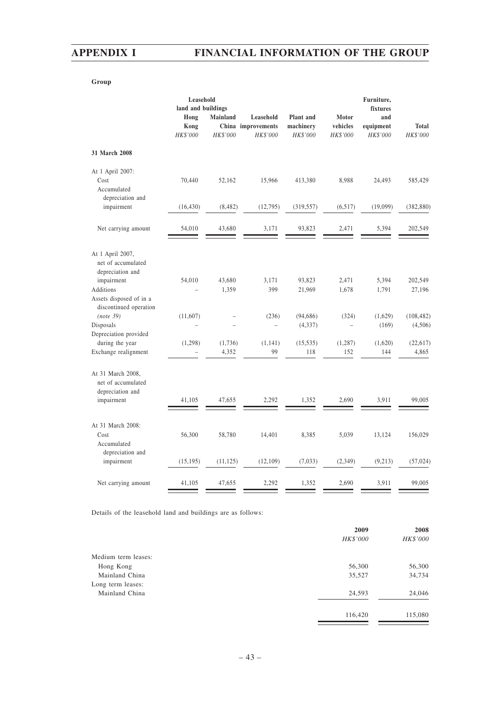### **Group**

|                                                             | Leasehold                                      |                      |                                             |                                    |                               | Furniture,                               |                          |
|-------------------------------------------------------------|------------------------------------------------|----------------------|---------------------------------------------|------------------------------------|-------------------------------|------------------------------------------|--------------------------|
|                                                             | land and buildings<br>Hong<br>Kong<br>HK\$'000 | Mainland<br>HK\$'000 | Leasehold<br>China improvements<br>HK\$'000 | Plant and<br>machinery<br>HK\$'000 | Motor<br>vehicles<br>HK\$'000 | fixtures<br>and<br>equipment<br>HK\$'000 | <b>Total</b><br>HK\$'000 |
| 31 March 2008                                               |                                                |                      |                                             |                                    |                               |                                          |                          |
| At 1 April 2007:<br>Cost<br>Accumulated<br>depreciation and | 70,440                                         | 52,162               | 15,966                                      | 413,380                            | 8,988                         | 24,493                                   | 585,429                  |
| impairment                                                  | (16, 430)                                      | (8, 482)             | (12,795)                                    | (319, 557)                         | (6,517)                       | (19,099)                                 | (382, 880)               |
| Net carrying amount                                         | 54,010                                         | 43,680               | 3,171                                       | 93,823                             | 2,471                         | 5,394                                    | 202,549                  |
| At 1 April 2007,<br>net of accumulated<br>depreciation and  |                                                |                      |                                             |                                    |                               |                                          |                          |
| impairment                                                  | 54,010                                         | 43,680               | 3,171                                       | 93,823                             | 2,471                         | 5,394                                    | 202,549                  |
| Additions                                                   |                                                | 1,359                | 399                                         | 21,969                             | 1,678                         | 1,791                                    | 27,196                   |
| Assets disposed of in a<br>discontinued operation           |                                                |                      |                                             |                                    |                               |                                          |                          |
| (note 39)                                                   | (11,607)                                       |                      | (236)                                       | (94, 686)                          | (324)                         | (1,629)                                  | (108, 482)               |
| Disposals                                                   | $\overline{\phantom{0}}$                       |                      | $\overline{\phantom{0}}$                    | (4, 337)                           | $\overline{\phantom{0}}$      | (169)                                    | (4,506)                  |
| Depreciation provided<br>during the year                    | (1,298)                                        | (1,736)              | (1,141)                                     | (15, 535)                          | (1, 287)                      | (1,620)                                  | (22, 617)                |
| Exchange realignment                                        |                                                | 4,352                | 99                                          | 118                                | 152                           | 144                                      | 4,865                    |
| At 31 March 2008,<br>net of accumulated<br>depreciation and |                                                |                      |                                             |                                    |                               |                                          |                          |
| impairment                                                  | 41,105                                         | 47,655               | 2,292                                       | 1,352                              | 2,690                         | 3,911                                    | 99,005                   |
| At 31 March 2008:<br>Cost<br>Accumulated                    | 56,300                                         | 58,780               | 14,401                                      | 8,385                              | 5,039                         | 13,124                                   | 156,029                  |
| depreciation and<br>impairment                              | (15, 195)                                      | (11, 125)            | (12,109)                                    | (7,033)                            | (2,349)                       | (9,213)                                  | (57, 024)                |
| Net carrying amount                                         | 41,105                                         | 47,655               | 2,292                                       | 1,352                              | 2,690                         | 3,911                                    | 99,005                   |

Details of the leasehold land and buildings are as follows:

|                     | 2009     | 2008     |
|---------------------|----------|----------|
|                     | HK\$'000 | HK\$'000 |
| Medium term leases: |          |          |
| Hong Kong           | 56,300   | 56,300   |
| Mainland China      | 35,527   | 34,734   |
| Long term leases:   |          |          |
| Mainland China      | 24,593   | 24,046   |
|                     | 116,420  | 115,080  |
|                     |          |          |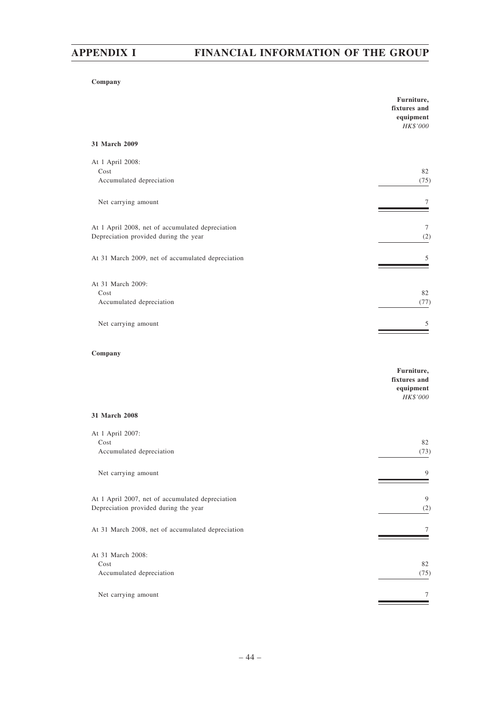## **Company**

|                                                                                           | Furniture,<br>fixtures and<br>equipment<br>HK\$'000 |
|-------------------------------------------------------------------------------------------|-----------------------------------------------------|
| 31 March 2009                                                                             |                                                     |
| At 1 April 2008:<br>Cost                                                                  | 82                                                  |
| Accumulated depreciation                                                                  | (75)                                                |
| Net carrying amount                                                                       | 7                                                   |
| At 1 April 2008, net of accumulated depreciation<br>Depreciation provided during the year | 7<br>(2)                                            |
| At 31 March 2009, net of accumulated depreciation                                         | 5                                                   |
| At 31 March 2009:<br>Cost                                                                 | 82                                                  |
| Accumulated depreciation                                                                  | (77)                                                |
| Net carrying amount                                                                       | 5                                                   |
| Company                                                                                   |                                                     |
|                                                                                           | Furniture,<br>fixtures and<br>equipment<br>HK\$'000 |
| 31 March 2008                                                                             |                                                     |
| At 1 April 2007:<br>Cost                                                                  | 82                                                  |
| Accumulated depreciation                                                                  | (73)                                                |
| Net carrying amount                                                                       | 9                                                   |
| At 1 April 2007, net of accumulated depreciation<br>Depreciation provided during the year | 9<br>(2)                                            |
| At 31 March 2008, net of accumulated depreciation                                         | 7                                                   |
| At 31 March 2008:<br>Cost                                                                 | 82                                                  |
| Accumulated depreciation                                                                  | (75)                                                |
| Net carrying amount                                                                       | 7                                                   |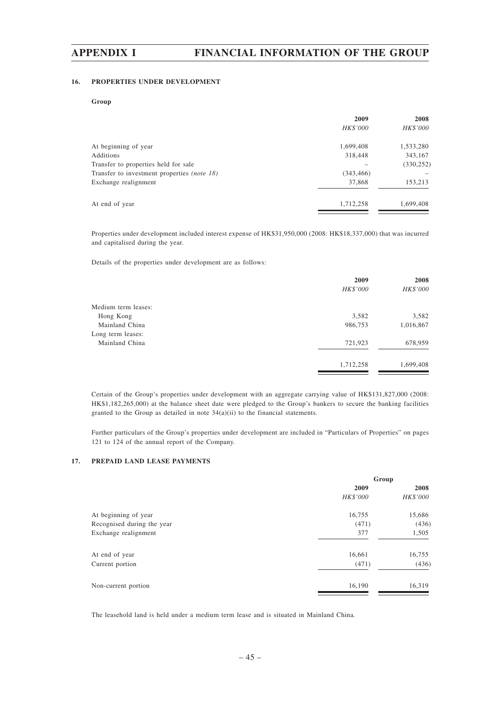### **16. PROPERTIES UNDER DEVELOPMENT**

#### **Group**

|                                                    | 2009       | 2008       |
|----------------------------------------------------|------------|------------|
|                                                    | HK\$'000   | HK\$'000   |
| At beginning of year                               | 1,699,408  | 1,533,280  |
| Additions                                          | 318,448    | 343,167    |
| Transfer to properties held for sale               |            | (330, 252) |
| Transfer to investment properties <i>(note 18)</i> | (343, 466) |            |
| Exchange realignment                               | 37,868     | 153,213    |
| At end of year                                     | 1,712,258  | 1,699,408  |

Properties under development included interest expense of HK\$31,950,000 (2008: HK\$18,337,000) that was incurred and capitalised during the year.

Details of the properties under development are as follows:

|                     | 2009      | 2008      |
|---------------------|-----------|-----------|
|                     | HK\$'000  | HK\$'000  |
| Medium term leases: |           |           |
| Hong Kong           | 3,582     | 3,582     |
| Mainland China      | 986,753   | 1,016,867 |
| Long term leases:   |           |           |
| Mainland China      | 721,923   | 678,959   |
|                     | 1,712,258 | 1,699,408 |
|                     |           |           |

Certain of the Group's properties under development with an aggregate carrying value of HK\$131,827,000 (2008: HK\$1,182,265,000) at the balance sheet date were pledged to the Group's bankers to secure the banking facilities granted to the Group as detailed in note 34(a)(ii) to the financial statements.

Further particulars of the Group's properties under development are included in "Particulars of Properties" on pages 121 to 124 of the annual report of the Company.

## **17. PREPAID LAND LEASE PAYMENTS**

|                            | Group    |          |  |
|----------------------------|----------|----------|--|
|                            | 2009     | 2008     |  |
|                            | HK\$'000 | HK\$'000 |  |
| At beginning of year       | 16,755   | 15,686   |  |
| Recognised during the year | (471)    | (436)    |  |
| Exchange realignment       | 377      | 1,505    |  |
| At end of year             | 16,661   | 16,755   |  |
| Current portion            | (471)    | (436)    |  |
| Non-current portion        | 16,190   | 16,319   |  |
|                            |          |          |  |

The leasehold land is held under a medium term lease and is situated in Mainland China.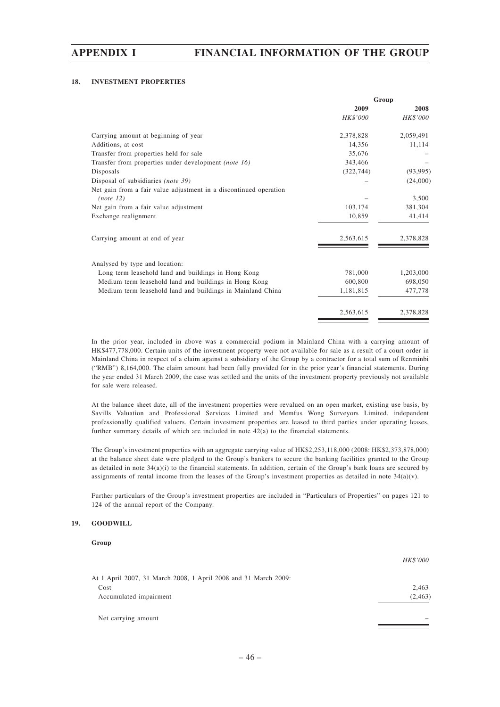#### **18. INVESTMENT PROPERTIES**

|                                                                   | Group      |           |
|-------------------------------------------------------------------|------------|-----------|
|                                                                   | 2009       | 2008      |
|                                                                   | HK\$'000   | HK\$'000  |
| Carrying amount at beginning of year                              | 2,378,828  | 2,059,491 |
| Additions, at cost                                                | 14,356     | 11,114    |
| Transfer from properties held for sale                            | 35,676     |           |
| Transfer from properties under development (note 16)              | 343,466    |           |
| Disposals                                                         | (322, 744) | (93, 995) |
| Disposal of subsidiaries (note 39)                                |            | (24,000)  |
| Net gain from a fair value adjustment in a discontinued operation |            |           |
| (note 12)                                                         |            | 3,500     |
| Net gain from a fair value adjustment                             | 103,174    | 381,304   |
| Exchange realignment                                              | 10,859     | 41,414    |
| Carrying amount at end of year                                    | 2,563,615  | 2,378,828 |
| Analysed by type and location:                                    |            |           |
| Long term leasehold land and buildings in Hong Kong               | 781,000    | 1,203,000 |
| Medium term leasehold land and buildings in Hong Kong             | 600,800    | 698,050   |
| Medium term leasehold land and buildings in Mainland China        | 1,181,815  | 477,778   |
|                                                                   | 2,563,615  | 2,378,828 |

In the prior year, included in above was a commercial podium in Mainland China with a carrying amount of HK\$477,778,000. Certain units of the investment property were not available for sale as a result of a court order in Mainland China in respect of a claim against a subsidiary of the Group by a contractor for a total sum of Renminbi ("RMB") 8,164,000. The claim amount had been fully provided for in the prior year's financial statements. During the year ended 31 March 2009, the case was settled and the units of the investment property previously not available for sale were released.

At the balance sheet date, all of the investment properties were revalued on an open market, existing use basis, by Savills Valuation and Professional Services Limited and Memfus Wong Surveyors Limited, independent professionally qualified valuers. Certain investment properties are leased to third parties under operating leases, further summary details of which are included in note 42(a) to the financial statements.

The Group's investment properties with an aggregate carrying value of HK\$2,253,118,000 (2008: HK\$2,373,878,000) at the balance sheet date were pledged to the Group's bankers to secure the banking facilities granted to the Group as detailed in note  $34(a)(i)$  to the financial statements. In addition, certain of the Group's bank loans are secured by assignments of rental income from the leases of the Group's investment properties as detailed in note  $34(a)(v)$ .

Further particulars of the Group's investment properties are included in "Particulars of Properties" on pages 121 to 124 of the annual report of the Company.

#### **19. GOODWILL**

## **Group**

|                                                                 | <i>HK\$'000</i> |
|-----------------------------------------------------------------|-----------------|
| At 1 April 2007, 31 March 2008, 1 April 2008 and 31 March 2009: |                 |
| Cost                                                            | 2,463           |
| Accumulated impairment                                          | (2, 463)        |
|                                                                 |                 |
| Net carrying amount                                             |                 |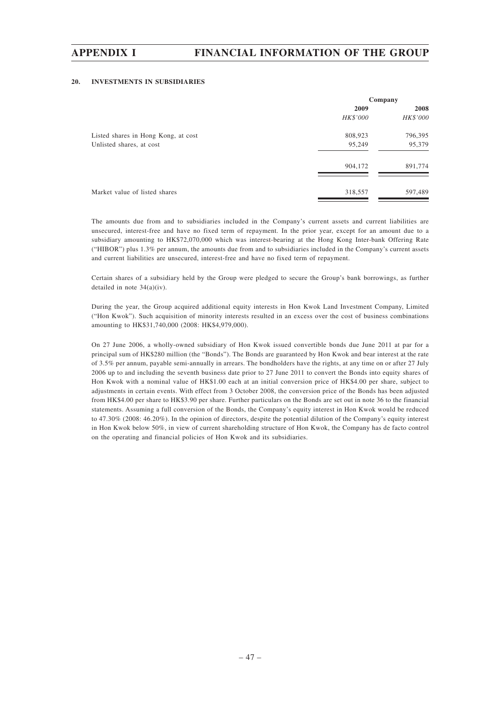#### **20. INVESTMENTS IN SUBSIDIARIES**

|                                     | Company  |          |  |
|-------------------------------------|----------|----------|--|
|                                     | 2009     | 2008     |  |
|                                     | HK\$'000 | HK\$'000 |  |
| Listed shares in Hong Kong, at cost | 808,923  | 796,395  |  |
| Unlisted shares, at cost            | 95,249   | 95,379   |  |
|                                     | 904,172  | 891,774  |  |
| Market value of listed shares       | 318,557  | 597,489  |  |

The amounts due from and to subsidiaries included in the Company's current assets and current liabilities are unsecured, interest-free and have no fixed term of repayment. In the prior year, except for an amount due to a subsidiary amounting to HK\$72,070,000 which was interest-bearing at the Hong Kong Inter-bank Offering Rate ("HIBOR") plus 1.3% per annum, the amounts due from and to subsidiaries included in the Company's current assets and current liabilities are unsecured, interest-free and have no fixed term of repayment.

Certain shares of a subsidiary held by the Group were pledged to secure the Group's bank borrowings, as further detailed in note 34(a)(iv).

During the year, the Group acquired additional equity interests in Hon Kwok Land Investment Company, Limited ("Hon Kwok"). Such acquisition of minority interests resulted in an excess over the cost of business combinations amounting to HK\$31,740,000 (2008: HK\$4,979,000).

On 27 June 2006, a wholly-owned subsidiary of Hon Kwok issued convertible bonds due June 2011 at par for a principal sum of HK\$280 million (the "Bonds"). The Bonds are guaranteed by Hon Kwok and bear interest at the rate of 3.5% per annum, payable semi-annually in arrears. The bondholders have the rights, at any time on or after 27 July 2006 up to and including the seventh business date prior to 27 June 2011 to convert the Bonds into equity shares of Hon Kwok with a nominal value of HK\$1.00 each at an initial conversion price of HK\$4.00 per share, subject to adjustments in certain events. With effect from 3 October 2008, the conversion price of the Bonds has been adjusted from HK\$4.00 per share to HK\$3.90 per share. Further particulars on the Bonds are set out in note 36 to the financial statements. Assuming a full conversion of the Bonds, the Company's equity interest in Hon Kwok would be reduced to 47.30% (2008: 46.20%). In the opinion of directors, despite the potential dilution of the Company's equity interest in Hon Kwok below 50%, in view of current shareholding structure of Hon Kwok, the Company has de facto control on the operating and financial policies of Hon Kwok and its subsidiaries.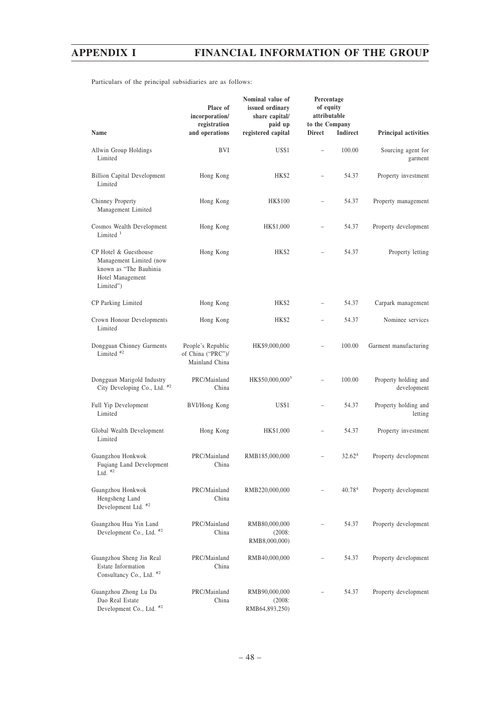Particulars of the principal subsidiaries are as follows:

|                                                                                                             | Place of<br>incorporation/<br>registration               | Nominal value of<br>issued ordinary<br>share capital/<br>paid up | Percentage<br>of equity<br>attributable<br>to the Company |                    |                                     |  |
|-------------------------------------------------------------------------------------------------------------|----------------------------------------------------------|------------------------------------------------------------------|-----------------------------------------------------------|--------------------|-------------------------------------|--|
| Name                                                                                                        | and operations                                           | registered capital                                               | <b>Direct</b>                                             | Indirect           | Principal activities                |  |
| Allwin Group Holdings<br>Limited                                                                            | <b>BVI</b>                                               | US\$1                                                            | $\qquad \qquad -$                                         | 100.00             | Sourcing agent for<br>garment       |  |
| <b>Billion Capital Development</b><br>Limited                                                               | Hong Kong                                                | HK\$2                                                            | $\qquad \qquad -$                                         | 54.37              | Property investment                 |  |
| Chinney Property<br>Management Limited                                                                      | Hong Kong                                                | <b>HK\$100</b>                                                   | $\qquad \qquad -$                                         | 54.37              | Property management                 |  |
| Cosmos Wealth Development<br>Limited $1$                                                                    | Hong Kong                                                | HK\$1,000                                                        | $\qquad \qquad -$                                         | 54.37              | Property development                |  |
| CP Hotel & Guesthouse<br>Management Limited (now<br>known as "The Bauhinia<br>Hotel Management<br>Limited") | Hong Kong                                                | <b>HK\$2</b>                                                     | $\overline{\phantom{0}}$                                  | 54.37              | Property letting                    |  |
| CP Parking Limited                                                                                          | Hong Kong                                                | <b>HK\$2</b>                                                     | $\overline{\phantom{0}}$                                  | 54.37              | Carpark management                  |  |
| Crown Honour Developments<br>Limited                                                                        | Hong Kong                                                | <b>HK\$2</b>                                                     | $\overline{\phantom{0}}$                                  | 54.37              | Nominee services                    |  |
| Dongguan Chinney Garments<br>Limited $#2$                                                                   | People's Republic<br>of China ("PRC")/<br>Mainland China | HK\$9,000,000                                                    | $\overline{\phantom{0}}$                                  | 100.00             | Garment manufacturing               |  |
| Dongguan Marigold Industry<br>City Developing Co., Ltd. #2                                                  | PRC/Mainland<br>China                                    | HK\$50,000,000 <sup>3</sup>                                      | $\overline{a}$                                            | 100.00             | Property holding and<br>development |  |
| Full Yip Development<br>Limited                                                                             | <b>BVI/Hong Kong</b>                                     | US\$1                                                            | $\overline{a}$                                            | 54.37              | Property holding and<br>letting     |  |
| Global Wealth Development<br>Limited                                                                        | Hong Kong                                                | HK\$1,000                                                        | $\overline{\phantom{0}}$                                  | 54.37              | Property investment                 |  |
| Guangzhou Honkwok<br><b>Fugiang Land Development</b><br>Ltd. $#2$                                           | PRC/Mainland<br>China                                    | RMB185,000,000                                                   | $\overline{\phantom{0}}$                                  | 32.62 <sup>4</sup> | Property development                |  |
| Guangzhou Honkwok<br>Hengsheng Land<br>Development Ltd. #2                                                  | PRC/Mainland<br>China                                    | RMB220,000,000                                                   |                                                           | 40.78 <sup>4</sup> | Property development                |  |
| Guangzhou Hua Yin Land<br>Development Co., Ltd. #2                                                          | PRC/Mainland<br>China                                    | RMB80,000,000<br>(2008)<br>RMB8,000,000)                         |                                                           | 54.37              | Property development                |  |
| Guangzhou Sheng Jin Real<br><b>Estate Information</b><br>Consultancy Co., Ltd. #2                           | PRC/Mainland<br>China                                    | RMB40,000,000                                                    |                                                           | 54.37              | Property development                |  |
| Guangzhou Zhong Lu Da<br>Dao Real Estate<br>Development Co., Ltd. #2                                        | PRC/Mainland<br>China                                    | RMB90,000,000<br>(2008)<br>RMB64,893,250)                        |                                                           | 54.37              | Property development                |  |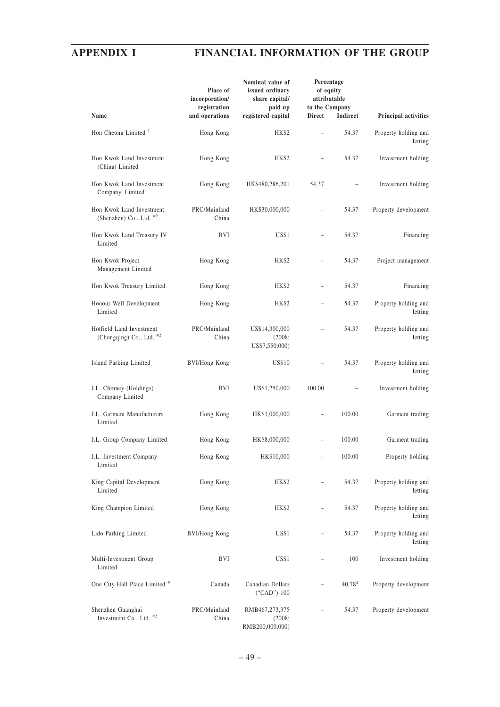|                                                      | Place of<br>incorporation/     | Nominal value of<br>issued ordinary<br>share capital/ | Percentage<br>of equity<br>attributable |                    |                                 |
|------------------------------------------------------|--------------------------------|-------------------------------------------------------|-----------------------------------------|--------------------|---------------------------------|
| Name                                                 | registration<br>and operations | paid up<br>registered capital                         | to the Company<br><b>Direct</b>         | Indirect           | Principal activities            |
| Hon Cheong Limited <sup>1</sup>                      | Hong Kong                      | HK\$2                                                 | $\overline{\phantom{a}}$                | 54.37              | Property holding and<br>letting |
| Hon Kwok Land Investment<br>(China) Limited          | Hong Kong                      | HK\$2                                                 | $\overline{\phantom{a}}$                | 54.37              | Investment holding              |
| Hon Kwok Land Investment<br>Company, Limited         | Hong Kong                      | HK\$480,286,201                                       | 54.37                                   |                    | Investment holding              |
| Hon Kwok Land Investment<br>(Shenzhen) Co., Ltd. #2  | PRC/Mainland<br>China          | HK\$30,000,000                                        | $\overline{\phantom{a}}$                | 54.37              | Property development            |
| Hon Kwok Land Treasury IV<br>Limited                 | BVI                            | US\$1                                                 | $\overline{a}$                          | 54.37              | Financing                       |
| Hon Kwok Project<br>Management Limited               | Hong Kong                      | HK\$2                                                 | $\equiv$                                | 54.37              | Project management              |
| Hon Kwok Treasury Limited                            | Hong Kong                      | HK\$2                                                 | $\overline{\phantom{0}}$                | 54.37              | Financing                       |
| Honour Well Development<br>Limited                   | Hong Kong                      | HK\$2                                                 | $\overline{\phantom{a}}$                | 54.37              | Property holding and<br>letting |
| Hotfield Land Investment<br>(Chongqing) Co., Ltd. #2 | PRC/Mainland<br>China          | US\$14,300,000<br>(2008)<br>US\$7,550,000)            | $\overline{\phantom{a}}$                | 54.37              | Property holding and<br>letting |
| <b>Island Parking Limited</b>                        | <b>BVI/Hong Kong</b>           | US\$10                                                | $\overline{\phantom{a}}$                | 54.37              | Property holding and<br>letting |
| J.L. Chinney (Holdings)<br>Company Limited           | BVI                            | US\$1,250,000                                         | 100.00                                  |                    | Investment holding              |
| J.L. Garment Manufacturers<br>Limited                | Hong Kong                      | HK\$1,000,000                                         | $\overline{\phantom{a}}$                | 100.00             | Garment trading                 |
| J.L. Group Company Limited                           | Hong Kong                      | HK\$8,000,000                                         | $\overline{\phantom{a}}$                | 100.00             | Garment trading                 |
| J.L. Investment Company<br>Limited                   | Hong Kong                      | HK\$10,000                                            |                                         | 100.00             | Property holding                |
| King Capital Development<br>Limited                  | Hong Kong                      | HK\$2                                                 | $\overline{a}$                          | 54.37              | Property holding and<br>letting |
| King Champion Limited                                | Hong Kong                      | HK\$2                                                 | $\overline{\phantom{0}}$                | 54.37              | Property holding and<br>letting |
| Lido Parking Limited                                 | <b>BVI/Hong Kong</b>           | US\$1                                                 | $\overline{\phantom{0}}$                | 54.37              | Property holding and<br>letting |
| Multi-Investment Group<br>Limited                    | BVI                            | US\$1                                                 | $\overline{\phantom{0}}$                | 100                | Investment holding              |
| One City Hall Place Limited #                        | Canada                         | Canadian Dollars<br>("CAD") 100                       | $\overline{a}$                          | 40.78 <sup>4</sup> | Property development            |
| Shenzhen Guanghai<br>Investment Co., Ltd. #2         | PRC/Mainland<br>China          | RMB467,273,375<br>(2008)<br>RMB200,000,000)           | $\overline{\phantom{0}}$                | 54.37              | Property development            |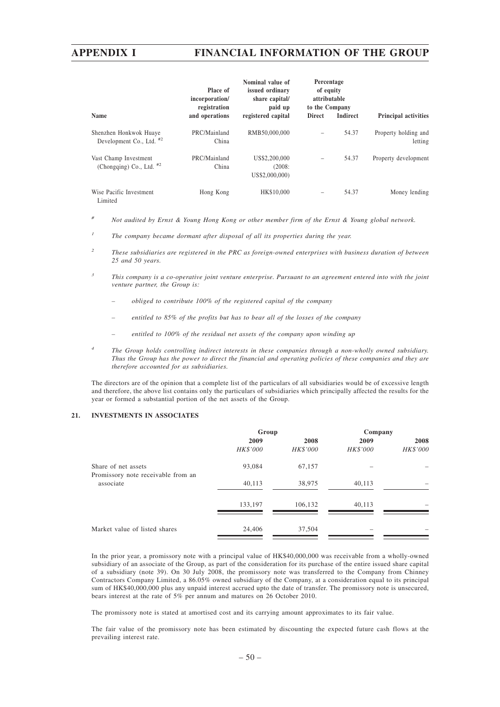|                                                         | Place of<br>incorporation/<br>registration | Nominal value of<br>issued ordinary<br>share capital/<br>paid up | Percentage<br>of equity<br>attributable<br>to the Company |          |                                 |  |
|---------------------------------------------------------|--------------------------------------------|------------------------------------------------------------------|-----------------------------------------------------------|----------|---------------------------------|--|
| Name                                                    | and operations                             | registered capital                                               | <b>Direct</b>                                             | Indirect | <b>Principal activities</b>     |  |
| Shenzhen Honkwok Huaye<br>Development Co., Ltd. $^{42}$ | PRC/Mainland<br>China                      | RMB50,000,000                                                    |                                                           | 54.37    | Property holding and<br>letting |  |
| Vast Champ Investment<br>(Chongqing) Co., Ltd. $#2$     | PRC/Mainland<br>China                      | US\$2,200,000<br>(2008)<br>US\$2,000,000)                        |                                                           | 54.37    | Property development            |  |
| Wise Pacific Investment<br>Limited                      | Hong Kong                                  | HK\$10,000                                                       |                                                           | 54.37    | Money lending                   |  |

- *# Not audited by Ernst & Young Hong Kong or other member firm of the Ernst & Young global network.*
- *1 The company became dormant after disposal of all its properties during the year.*
- *2 These subsidiaries are registered in the PRC as foreign-owned enterprises with business duration of between 25 and 50 years.*
- *3 This company is a co-operative joint venture enterprise. Pursuant to an agreement entered into with the joint venture partner, the Group is:*
	- *obliged to contribute 100% of the registered capital of the company*
	- *entitled to 85% of the profits but has to bear all of the losses of the company*
	- *entitled to 100% of the residual net assets of the company upon winding up*
- *4 The Group holds controlling indirect interests in these companies through a non-wholly owned subsidiary. Thus the Group has the power to direct the financial and operating policies of these companies and they are therefore accounted for as subsidiaries.*

The directors are of the opinion that a complete list of the particulars of all subsidiaries would be of excessive length and therefore, the above list contains only the particulars of subsidiaries which principally affected the results for the year or formed a substantial portion of the net assets of the Group.

#### **21. INVESTMENTS IN ASSOCIATES**

|                                                           | Group    |          | Company  |          |
|-----------------------------------------------------------|----------|----------|----------|----------|
|                                                           | 2009     | 2008     | 2009     | 2008     |
|                                                           | HK\$'000 | HK\$'000 | HK\$'000 | HK\$'000 |
| Share of net assets<br>Promissory note receivable from an | 93,084   | 67,157   |          |          |
| associate                                                 | 40,113   | 38,975   | 40.113   |          |
|                                                           | 133,197  | 106.132  | 40,113   |          |
| Market value of listed shares                             | 24,406   | 37,504   |          |          |

In the prior year, a promissory note with a principal value of HK\$40,000,000 was receivable from a wholly-owned subsidiary of an associate of the Group, as part of the consideration for its purchase of the entire issued share capital of a subsidiary (note 39). On 30 July 2008, the promissory note was transferred to the Company from Chinney Contractors Company Limited, a 86.05% owned subsidiary of the Company, at a consideration equal to its principal sum of HK\$40,000,000 plus any unpaid interest accrued upto the date of transfer. The promissory note is unsecured, bears interest at the rate of 5% per annum and matures on 26 October 2010.

The promissory note is stated at amortised cost and its carrying amount approximates to its fair value.

The fair value of the promissory note has been estimated by discounting the expected future cash flows at the prevailing interest rate.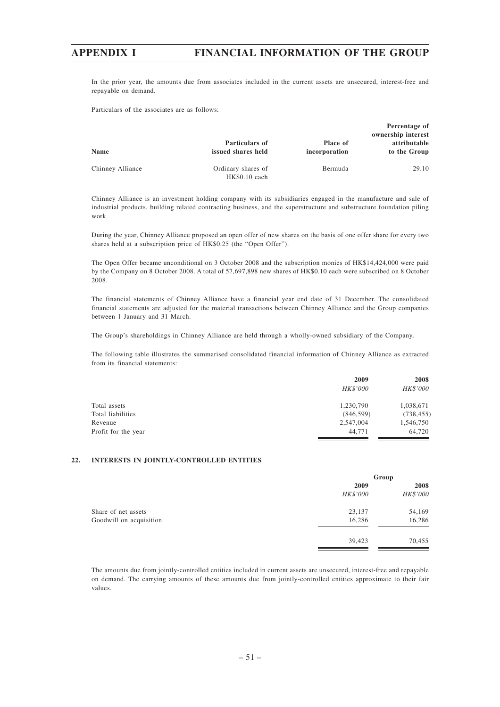In the prior year, the amounts due from associates included in the current assets are unsecured, interest-free and repayable on demand.

Particulars of the associates are as follows:

| <b>Name</b>      | <b>Particulars of</b><br>issued shares held | Place of<br>incorporation | Percentage of<br>ownership interest<br>attributable<br>to the Group |
|------------------|---------------------------------------------|---------------------------|---------------------------------------------------------------------|
| Chinney Alliance | Ordinary shares of<br>$HK$0.10$ each        | Bermuda                   | 29.10                                                               |

Chinney Alliance is an investment holding company with its subsidiaries engaged in the manufacture and sale of industrial products, building related contracting business, and the superstructure and substructure foundation piling work.

During the year, Chinney Alliance proposed an open offer of new shares on the basis of one offer share for every two shares held at a subscription price of HK\$0.25 (the "Open Offer").

The Open Offer became unconditional on 3 October 2008 and the subscription monies of HK\$14,424,000 were paid by the Company on 8 October 2008. A total of 57,697,898 new shares of HK\$0.10 each were subscribed on 8 October 2008.

The financial statements of Chinney Alliance have a financial year end date of 31 December. The consolidated financial statements are adjusted for the material transactions between Chinney Alliance and the Group companies between 1 January and 31 March.

The Group's shareholdings in Chinney Alliance are held through a wholly-owned subsidiary of the Company.

The following table illustrates the summarised consolidated financial information of Chinney Alliance as extracted from its financial statements:

|                     | 2009       | 2008       |
|---------------------|------------|------------|
|                     | HK\$'000   | HK\$'000   |
| Total assets        | 1,230,790  | 1,038,671  |
| Total liabilities   | (846, 599) | (738, 455) |
| Revenue             | 2,547,004  | 1,546,750  |
| Profit for the year | 44,771     | 64,720     |

### **22. INTERESTS IN JOINTLY-CONTROLLED ENTITIES**

|                         | Group    |          |
|-------------------------|----------|----------|
|                         | 2009     | 2008     |
|                         | HK\$'000 | HK\$'000 |
| Share of net assets     | 23,137   | 54,169   |
| Goodwill on acquisition | 16,286   | 16,286   |
|                         | 39,423   | 70,455   |

The amounts due from jointly-controlled entities included in current assets are unsecured, interest-free and repayable on demand. The carrying amounts of these amounts due from jointly-controlled entities approximate to their fair values.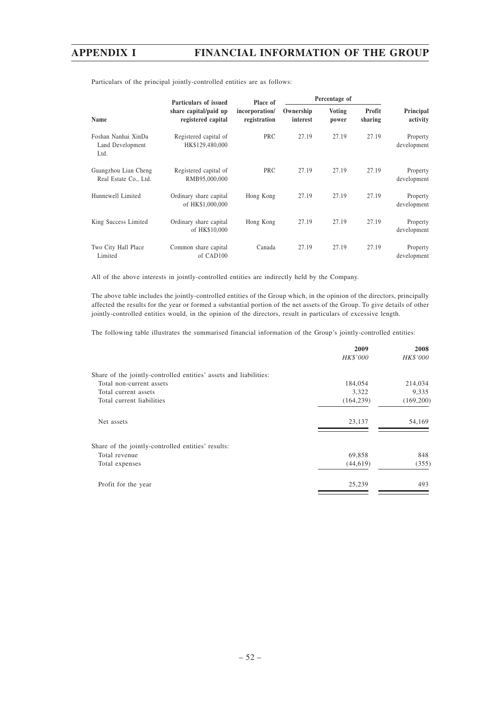|                                                 | <b>Particulars of issued</b><br>Place of    |                                | Percentage of         |                        |                   |                         |
|-------------------------------------------------|---------------------------------------------|--------------------------------|-----------------------|------------------------|-------------------|-------------------------|
| Name                                            | share capital/paid up<br>registered capital | incorporation/<br>registration | Ownership<br>interest | <b>Voting</b><br>power | Profit<br>sharing | Principal<br>activity   |
| Foshan Nanhai XinDa<br>Land Development<br>Ltd. | Registered capital of<br>HK\$129,480,000    | <b>PRC</b>                     | 27.19                 | 27.19                  | 27.19             | Property<br>development |
| Guangzhou Lian Cheng<br>Real Estate Co., Ltd.   | Registered capital of<br>RMB95,000,000      | <b>PRC</b>                     | 27.19                 | 27.19                  | 27.19             | Property<br>development |
| Hunnewell Limited                               | Ordinary share capital<br>of HK\$1,000,000  | Hong Kong                      | 27.19                 | 27.19                  | 27.19             | Property<br>development |
| King Success Limited                            | Ordinary share capital<br>of HK\$10,000     | Hong Kong                      | 27.19                 | 27.19                  | 27.19             | Property<br>development |
| Two City Hall Place<br>Limited                  | Common share capital<br>of CAD100           | Canada                         | 27.19                 | 27.19                  | 27.19             | Property<br>development |

Particulars of the principal jointly-controlled entities are as follows:

All of the above interests in jointly-controlled entities are indirectly held by the Company.

The above table includes the jointly-controlled entities of the Group which, in the opinion of the directors, principally affected the results for the year or formed a substantial portion of the net assets of the Group. To give details of other jointly-controlled entities would, in the opinion of the directors, result in particulars of excessive length.

The following table illustrates the summarised financial information of the Group's jointly-controlled entities:

|                                                                   | 2009       | 2008       |
|-------------------------------------------------------------------|------------|------------|
|                                                                   | HK\$'000   | HK\$'000   |
| Share of the jointly-controlled entities' assets and liabilities: |            |            |
| Total non-current assets                                          | 184,054    | 214,034    |
| Total current assets                                              | 3,322      | 9,335      |
| Total current liabilities                                         | (164, 239) | (169, 200) |
| Net assets                                                        | 23,137     | 54,169     |
| Share of the jointly-controlled entities' results:                |            |            |
| Total revenue                                                     | 69,858     | 848        |
| Total expenses                                                    | (44, 619)  | (355)      |
| Profit for the year                                               | 25,239     | 493        |
|                                                                   |            |            |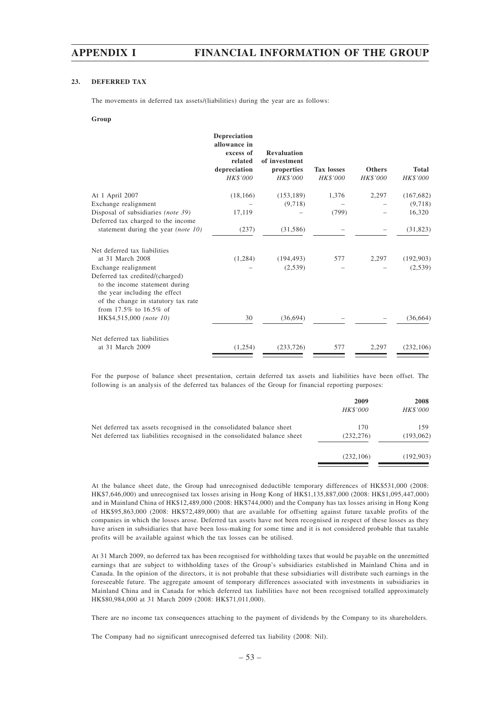#### **23. DEFERRED TAX**

The movements in deferred tax assets/(liabilities) during the year are as follows:

#### **Group**

|                                                                                                                                                                     | Depreciation<br>allowance in<br>excess of<br>related<br>depreciation<br>HK\$'000 | <b>Revaluation</b><br>of investment<br>properties<br>HK\$'000 | <b>Tax losses</b><br>HK\$'000 | <b>Others</b><br>HK\$'000 | <b>Total</b><br><b>HK\$'000</b> |
|---------------------------------------------------------------------------------------------------------------------------------------------------------------------|----------------------------------------------------------------------------------|---------------------------------------------------------------|-------------------------------|---------------------------|---------------------------------|
| At 1 April 2007                                                                                                                                                     | (18, 166)                                                                        | (153, 189)                                                    | 1,376                         | 2,297                     | (167, 682)                      |
| Exchange realignment                                                                                                                                                |                                                                                  | (9,718)                                                       |                               |                           | (9,718)                         |
| Disposal of subsidiaries (note 39)<br>Deferred tax charged to the income                                                                                            | 17,119                                                                           |                                                               | (799)                         |                           | 16,320                          |
| statement during the year (note 10)                                                                                                                                 | (237)                                                                            | (31, 586)                                                     |                               |                           | (31, 823)                       |
| Net deferred tax liabilities                                                                                                                                        |                                                                                  |                                                               |                               |                           |                                 |
| at 31 March 2008                                                                                                                                                    | (1, 284)                                                                         | (194, 493)                                                    | 577                           | 2,297                     | (192,903)                       |
| Exchange realignment                                                                                                                                                |                                                                                  | (2,539)                                                       |                               |                           | (2,539)                         |
| Deferred tax credited/(charged)<br>to the income statement during<br>the year including the effect<br>of the change in statutory tax rate<br>from 17.5% to 16.5% of |                                                                                  |                                                               |                               |                           |                                 |
| HK\$4,515,000 (note 10)                                                                                                                                             | 30                                                                               | (36,694)                                                      |                               |                           | (36, 664)                       |
| Net deferred tax liabilities                                                                                                                                        |                                                                                  |                                                               |                               |                           |                                 |
| at 31 March 2009                                                                                                                                                    | (1,254)                                                                          | (233, 726)                                                    | 577                           | 2,297                     | (232, 106)                      |

For the purpose of balance sheet presentation, certain deferred tax assets and liabilities have been offset. The following is an analysis of the deferred tax balances of the Group for financial reporting purposes:

|                                                                                                                                                   | 2009<br><b>HK\$'000</b> | 2008<br>HK\$'000 |
|---------------------------------------------------------------------------------------------------------------------------------------------------|-------------------------|------------------|
| Net deferred tax assets recognised in the consolidated balance sheet<br>Net deferred tax liabilities recognised in the consolidated balance sheet | 170<br>(232.276)        | 159<br>(193,062) |
|                                                                                                                                                   | (232.106)               | (192.903)        |

At the balance sheet date, the Group had unrecognised deductible temporary differences of HK\$531,000 (2008: HK\$7,646,000) and unrecognised tax losses arising in Hong Kong of HK\$1,135,887,000 (2008: HK\$1,095,447,000) and in Mainland China of HK\$12,489,000 (2008: HK\$744,000) and the Company has tax losses arising in Hong Kong of HK\$95,863,000 (2008: HK\$72,489,000) that are available for offsetting against future taxable profits of the companies in which the losses arose. Deferred tax assets have not been recognised in respect of these losses as they have arisen in subsidiaries that have been loss-making for some time and it is not considered probable that taxable profits will be available against which the tax losses can be utilised.

At 31 March 2009, no deferred tax has been recognised for withholding taxes that would be payable on the unremitted earnings that are subject to withholding taxes of the Group's subsidiaries established in Mainland China and in Canada. In the opinion of the directors, it is not probable that these subsidiaries will distribute such earnings in the foreseeable future. The aggregate amount of temporary differences associated with investments in subsidiaries in Mainland China and in Canada for which deferred tax liabilities have not been recognised totalled approximately HK\$80,984,000 at 31 March 2009 (2008: HK\$71,011,000).

There are no income tax consequences attaching to the payment of dividends by the Company to its shareholders.

The Company had no significant unrecognised deferred tax liability (2008: Nil).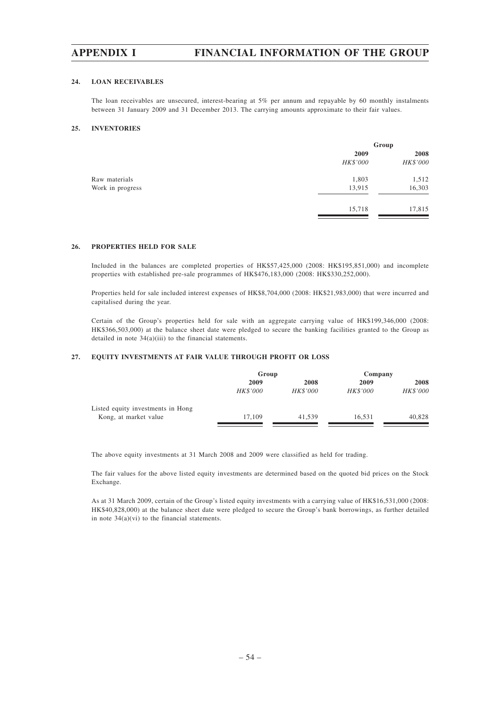#### **24. LOAN RECEIVABLES**

The loan receivables are unsecured, interest-bearing at 5% per annum and repayable by 60 monthly instalments between 31 January 2009 and 31 December 2013. The carrying amounts approximate to their fair values.

### **25. INVENTORIES**

|                  |          | Group    |  |
|------------------|----------|----------|--|
|                  | 2009     | 2008     |  |
|                  | HK\$'000 | HK\$'000 |  |
| Raw materials    | 1,803    | 1,512    |  |
| Work in progress | 13,915   | 16,303   |  |
|                  | 15,718   | 17,815   |  |
|                  |          |          |  |

### **26. PROPERTIES HELD FOR SALE**

Included in the balances are completed properties of HK\$57,425,000 (2008: HK\$195,851,000) and incomplete properties with established pre-sale programmes of HK\$476,183,000 (2008: HK\$330,252,000).

Properties held for sale included interest expenses of HK\$8,704,000 (2008: HK\$21,983,000) that were incurred and capitalised during the year.

Certain of the Group's properties held for sale with an aggregate carrying value of HK\$199,346,000 (2008: HK\$366,503,000) at the balance sheet date were pledged to secure the banking facilities granted to the Group as detailed in note 34(a)(iii) to the financial statements.

### **27. EQUITY INVESTMENTS AT FAIR VALUE THROUGH PROFIT OR LOSS**

|                                   |          | Group    |          | Company  |  |
|-----------------------------------|----------|----------|----------|----------|--|
|                                   | 2009     | 2008     | 2009     | 2008     |  |
|                                   | HK\$'000 | HK\$'000 | HK\$'000 | HK\$'000 |  |
| Listed equity investments in Hong |          |          |          |          |  |
| Kong, at market value             | 17,109   | 41.539   | 16.531   | 40,828   |  |
|                                   |          |          |          |          |  |

The above equity investments at 31 March 2008 and 2009 were classified as held for trading.

The fair values for the above listed equity investments are determined based on the quoted bid prices on the Stock Exchange.

As at 31 March 2009, certain of the Group's listed equity investments with a carrying value of HK\$16,531,000 (2008: HK\$40,828,000) at the balance sheet date were pledged to secure the Group's bank borrowings, as further detailed in note 34(a)(vi) to the financial statements.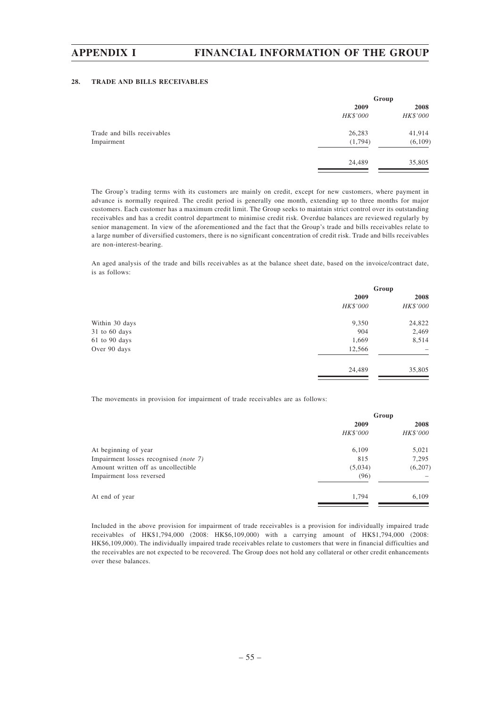#### **28. TRADE AND BILLS RECEIVABLES**

|                             | Group    |          |
|-----------------------------|----------|----------|
|                             | 2009     | 2008     |
|                             | HK\$'000 | HK\$'000 |
| Trade and bills receivables | 26,283   | 41,914   |
| Impairment                  | (1,794)  | (6,109)  |
|                             | 24,489   | 35,805   |
|                             |          |          |

The Group's trading terms with its customers are mainly on credit, except for new customers, where payment in advance is normally required. The credit period is generally one month, extending up to three months for major customers. Each customer has a maximum credit limit. The Group seeks to maintain strict control over its outstanding receivables and has a credit control department to minimise credit risk. Overdue balances are reviewed regularly by senior management. In view of the aforementioned and the fact that the Group's trade and bills receivables relate to a large number of diversified customers, there is no significant concentration of credit risk. Trade and bills receivables are non-interest-bearing.

An aged analysis of the trade and bills receivables as at the balance sheet date, based on the invoice/contract date, is as follows:

|                 | Group    |          |
|-----------------|----------|----------|
|                 | 2009     | 2008     |
|                 | HK\$'000 | HK\$'000 |
| Within 30 days  | 9,350    | 24,822   |
| $31$ to 60 days | 904      | 2,469    |
| 61 to 90 days   | 1,669    | 8,514    |
| Over 90 days    | 12,566   |          |
|                 | 24,489   | 35,805   |
|                 |          |          |

The movements in provision for impairment of trade receivables are as follows:

|                                              | Group    |          |  |
|----------------------------------------------|----------|----------|--|
|                                              | 2009     |          |  |
|                                              | HK\$'000 | HK\$'000 |  |
| At beginning of year                         | 6,109    | 5,021    |  |
| Impairment losses recognised <i>(note 7)</i> | 815      | 7,295    |  |
| Amount written off as uncollectible          | (5,034)  | (6,207)  |  |
| Impairment loss reversed                     | (96)     |          |  |
| At end of year                               | 1.794    | 6.109    |  |

Included in the above provision for impairment of trade receivables is a provision for individually impaired trade receivables of HK\$1,794,000 (2008: HK\$6,109,000) with a carrying amount of HK\$1,794,000 (2008: HK\$6,109,000). The individually impaired trade receivables relate to customers that were in financial difficulties and the receivables are not expected to be recovered. The Group does not hold any collateral or other credit enhancements over these balances.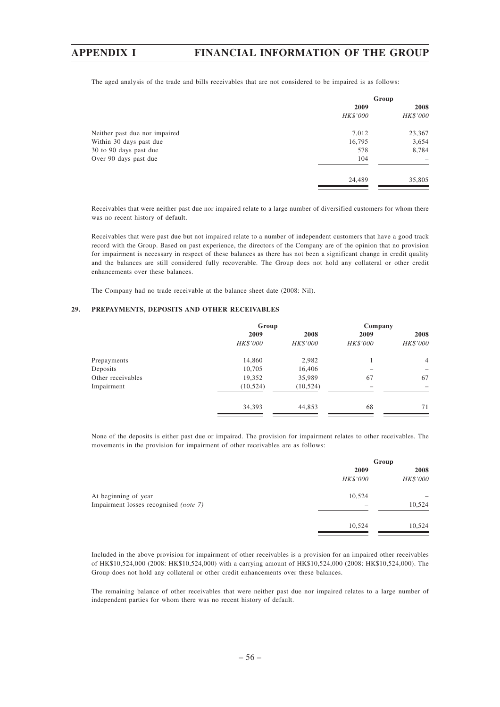The aged analysis of the trade and bills receivables that are not considered to be impaired is as follows:

|                               | Group    |          |
|-------------------------------|----------|----------|
|                               | 2009     | 2008     |
|                               | HK\$'000 | HK\$'000 |
| Neither past due nor impaired | 7,012    | 23,367   |
| Within 30 days past due       | 16,795   | 3,654    |
| 30 to 90 days past due        | 578      | 8,784    |
| Over 90 days past due         | 104      |          |
|                               | 24,489   | 35,805   |

Receivables that were neither past due nor impaired relate to a large number of diversified customers for whom there was no recent history of default.

Receivables that were past due but not impaired relate to a number of independent customers that have a good track record with the Group. Based on past experience, the directors of the Company are of the opinion that no provision for impairment is necessary in respect of these balances as there has not been a significant change in credit quality and the balances are still considered fully recoverable. The Group does not hold any collateral or other credit enhancements over these balances.

The Company had no trade receivable at the balance sheet date (2008: Nil).

### **29. PREPAYMENTS, DEPOSITS AND OTHER RECEIVABLES**

|                   | Group     |           | Company  |                |
|-------------------|-----------|-----------|----------|----------------|
|                   | 2009      | 2008      | 2009     | 2008           |
|                   | HK\$'000  | HK\$'000  | HK\$'000 | HK\$'000       |
| Prepayments       | 14,860    | 2,982     |          | $\overline{4}$ |
| Deposits          | 10,705    | 16,406    |          | -              |
| Other receivables | 19,352    | 35,989    | 67       | 67             |
| Impairment        | (10, 524) | (10, 524) |          |                |
|                   | 34,393    | 44,853    | 68       | 71             |
|                   |           |           |          |                |

None of the deposits is either past due or impaired. The provision for impairment relates to other receivables. The movements in the provision for impairment of other receivables are as follows:

|                                       | Group    |          |  |
|---------------------------------------|----------|----------|--|
|                                       | 2009     | 2008     |  |
|                                       | HK\$'000 | HK\$'000 |  |
| At beginning of year                  | 10,524   |          |  |
| Impairment losses recognised (note 7) |          | 10,524   |  |
|                                       | 10,524   | 10,524   |  |
|                                       |          |          |  |

Included in the above provision for impairment of other receivables is a provision for an impaired other receivables of HK\$10,524,000 (2008: HK\$10,524,000) with a carrying amount of HK\$10,524,000 (2008: HK\$10,524,000). The Group does not hold any collateral or other credit enhancements over these balances.

The remaining balance of other receivables that were neither past due nor impaired relates to a large number of independent parties for whom there was no recent history of default.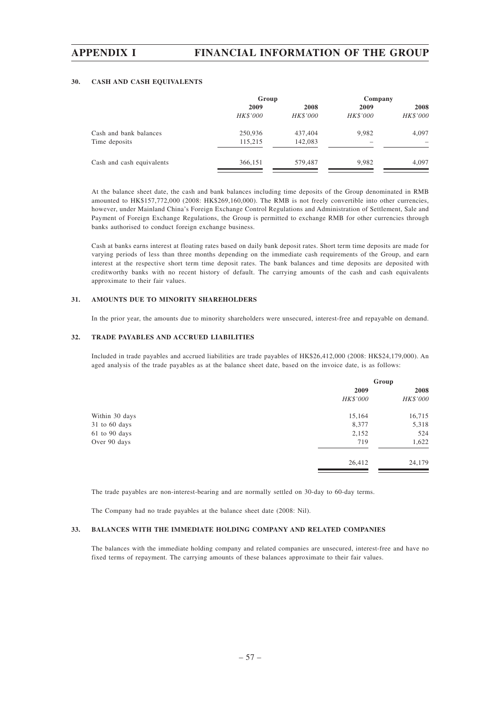#### **30. CASH AND CASH EQUIVALENTS**

| Group           |                 | Company         |          |
|-----------------|-----------------|-----------------|----------|
| 2009            | 2008            | 2009            | 2008     |
| <b>HK\$'000</b> | <b>HK\$'000</b> | <i>HK\$'000</i> | HK\$'000 |
| 250,936         | 437,404         | 9,982           | 4,097    |
| 115,215         | 142,083         |                 |          |
| 366,151         | 579,487         | 9,982           | 4,097    |
|                 |                 |                 |          |

At the balance sheet date, the cash and bank balances including time deposits of the Group denominated in RMB amounted to HK\$157,772,000 (2008: HK\$269,160,000). The RMB is not freely convertible into other currencies, however, under Mainland China's Foreign Exchange Control Regulations and Administration of Settlement, Sale and Payment of Foreign Exchange Regulations, the Group is permitted to exchange RMB for other currencies through banks authorised to conduct foreign exchange business.

Cash at banks earns interest at floating rates based on daily bank deposit rates. Short term time deposits are made for varying periods of less than three months depending on the immediate cash requirements of the Group, and earn interest at the respective short term time deposit rates. The bank balances and time deposits are deposited with creditworthy banks with no recent history of default. The carrying amounts of the cash and cash equivalents approximate to their fair values.

#### **31. AMOUNTS DUE TO MINORITY SHAREHOLDERS**

In the prior year, the amounts due to minority shareholders were unsecured, interest-free and repayable on demand.

#### **32. TRADE PAYABLES AND ACCRUED LIABILITIES**

Included in trade payables and accrued liabilities are trade payables of HK\$26,412,000 (2008: HK\$24,179,000). An aged analysis of the trade payables as at the balance sheet date, based on the invoice date, is as follows:

|                   |          | Group    |
|-------------------|----------|----------|
|                   | 2009     | 2008     |
|                   | HK\$'000 | HK\$'000 |
| Within 30 days    | 15,164   | 16,715   |
| 31 to 60 days     | 8,377    | 5,318    |
| $61$ to $90$ days | 2,152    | 524      |
| Over 90 days      | 719      | 1,622    |
|                   | 26,412   | 24,179   |
|                   |          |          |

The trade payables are non-interest-bearing and are normally settled on 30-day to 60-day terms.

The Company had no trade payables at the balance sheet date (2008: Nil).

#### **33. BALANCES WITH THE IMMEDIATE HOLDING COMPANY AND RELATED COMPANIES**

The balances with the immediate holding company and related companies are unsecured, interest-free and have no fixed terms of repayment. The carrying amounts of these balances approximate to their fair values.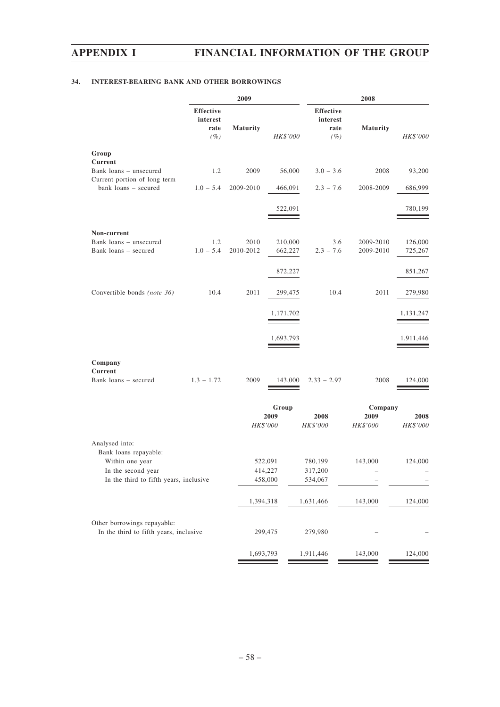## **34. INTEREST-BEARING BANK AND OTHER BORROWINGS**

|                                                                          |                                         | 2009              |                    |                                                | 2008                   |                    |  |
|--------------------------------------------------------------------------|-----------------------------------------|-------------------|--------------------|------------------------------------------------|------------------------|--------------------|--|
|                                                                          | Effective<br>interest<br>rate<br>$(\%)$ | Maturity          | HK\$'000           | <b>Effective</b><br>interest<br>rate<br>$(\%)$ | Maturity               | HK\$'000           |  |
| Group                                                                    |                                         |                   |                    |                                                |                        |                    |  |
| <b>Current</b><br>Bank loans - unsecured<br>Current portion of long term | 1.2                                     | 2009              | 56,000             | $3.0 - 3.6$                                    | 2008                   | 93,200             |  |
| bank loans - secured                                                     | $1.0 - 5.4$                             | 2009-2010         | 466,091            | $2.3 - 7.6$                                    | 2008-2009              | 686,999            |  |
|                                                                          |                                         |                   | 522,091            |                                                |                        | 780,199            |  |
| Non-current                                                              |                                         |                   |                    |                                                |                        |                    |  |
| Bank loans - unsecured<br>Bank loans - secured                           | 1.2<br>$1.0 - 5.4$                      | 2010<br>2010-2012 | 210,000<br>662,227 | 3.6<br>$2.3 - 7.6$                             | 2009-2010<br>2009-2010 | 126,000<br>725,267 |  |
|                                                                          |                                         |                   | 872,227            |                                                |                        | 851,267            |  |
| Convertible bonds (note 36)                                              | 10.4                                    | 2011              | 299,475            | 10.4                                           | 2011                   | 279,980            |  |
|                                                                          |                                         |                   | 1,171,702          |                                                |                        | 1,131,247          |  |
|                                                                          |                                         |                   | 1,693,793          |                                                |                        | 1,911,446          |  |
| Company<br><b>Current</b><br>Bank loans - secured                        | $1.3 - 1.72$                            | 2009              | 143,000            | $2.33 - 2.97$                                  | 2008                   | 124,000            |  |
|                                                                          |                                         |                   | Group              |                                                | Company                |                    |  |
|                                                                          |                                         |                   | 2009<br>HK\$'000   | 2008<br>HK\$'000                               | 2009<br>HK\$'000       | 2008<br>HK\$'000   |  |
| Analysed into:<br>Bank loans repayable:                                  |                                         |                   |                    |                                                |                        |                    |  |
| Within one year                                                          |                                         |                   | 522,091            | 780,199                                        | 143,000                | 124,000            |  |
| In the second year<br>In the third to fifth years, inclusive             |                                         |                   | 414,227<br>458,000 | 317,200<br>534,067                             |                        |                    |  |
|                                                                          |                                         | 1,394,318         |                    | 1,631,466                                      | 143,000                | 124,000            |  |
| Other borrowings repayable:                                              |                                         |                   |                    |                                                |                        |                    |  |
| In the third to fifth years, inclusive                                   |                                         |                   | 299,475            | 279,980                                        |                        |                    |  |
|                                                                          |                                         | 1,693,793         |                    | 1,911,446                                      | 143,000                | 124,000            |  |
|                                                                          |                                         |                   |                    |                                                |                        |                    |  |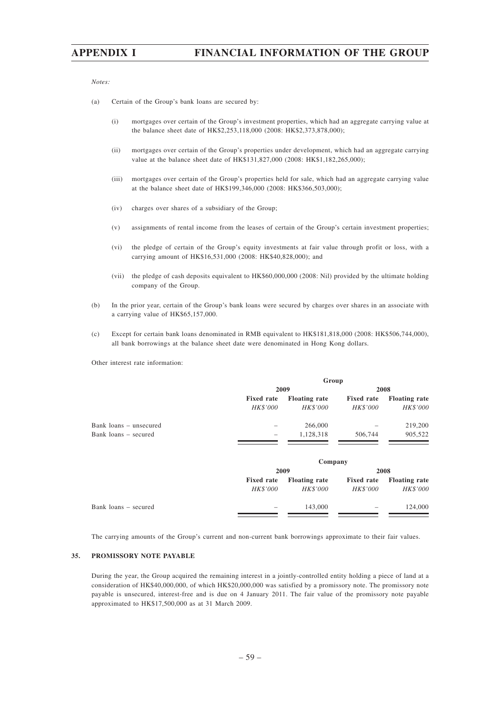#### *Notes:*

- (a) Certain of the Group's bank loans are secured by:
	- (i) mortgages over certain of the Group's investment properties, which had an aggregate carrying value at the balance sheet date of HK\$2,253,118,000 (2008: HK\$2,373,878,000);
	- (ii) mortgages over certain of the Group's properties under development, which had an aggregate carrying value at the balance sheet date of HK\$131,827,000 (2008: HK\$1,182,265,000);
	- (iii) mortgages over certain of the Group's properties held for sale, which had an aggregate carrying value at the balance sheet date of HK\$199,346,000 (2008: HK\$366,503,000);
	- (iv) charges over shares of a subsidiary of the Group;
	- (v) assignments of rental income from the leases of certain of the Group's certain investment properties;
	- (vi) the pledge of certain of the Group's equity investments at fair value through profit or loss, with a carrying amount of HK\$16,531,000 (2008: HK\$40,828,000); and
	- (vii) the pledge of cash deposits equivalent to HK\$60,000,000 (2008: Nil) provided by the ultimate holding company of the Group.
- (b) In the prior year, certain of the Group's bank loans were secured by charges over shares in an associate with a carrying value of HK\$65,157,000.
- (c) Except for certain bank loans denominated in RMB equivalent to HK\$181,818,000 (2008: HK\$506,744,000), all bank borrowings at the balance sheet date were denominated in Hong Kong dollars.

Other interest rate information:

|                        |                   | Group                |                   |                      |  |
|------------------------|-------------------|----------------------|-------------------|----------------------|--|
|                        |                   | 2009                 |                   | 2008                 |  |
|                        | <b>Fixed rate</b> | <b>Floating rate</b> | <b>Fixed rate</b> | <b>Floating rate</b> |  |
|                        | <i>HK\$'000</i>   | <i>HK\$'000</i>      | <i>HK\$'000</i>   | <i>HK\$'000</i>      |  |
| Bank loans – unsecured | $\qquad \qquad$   | 266,000              |                   | 219,200              |  |
| Bank loans - secured   | $\hspace{0.05cm}$ | 1.128.318            | 506,744           | 905,522              |  |

|                      | Company           |                      |                   |                      |
|----------------------|-------------------|----------------------|-------------------|----------------------|
|                      |                   | 2009                 |                   | 2008                 |
|                      | <b>Fixed rate</b> | <b>Floating rate</b> | <b>Fixed rate</b> | <b>Floating rate</b> |
|                      | HK\$'000          | HK\$'000             | HK\$'000          | HK\$'000             |
| Bank loans – secured |                   | 143,000              |                   | 124,000              |

The carrying amounts of the Group's current and non-current bank borrowings approximate to their fair values.

### **35. PROMISSORY NOTE PAYABLE**

During the year, the Group acquired the remaining interest in a jointly-controlled entity holding a piece of land at a consideration of HK\$40,000,000, of which HK\$20,000,000 was satisfied by a promissory note. The promissory note payable is unsecured, interest-free and is due on 4 January 2011. The fair value of the promissory note payable approximated to HK\$17,500,000 as at 31 March 2009.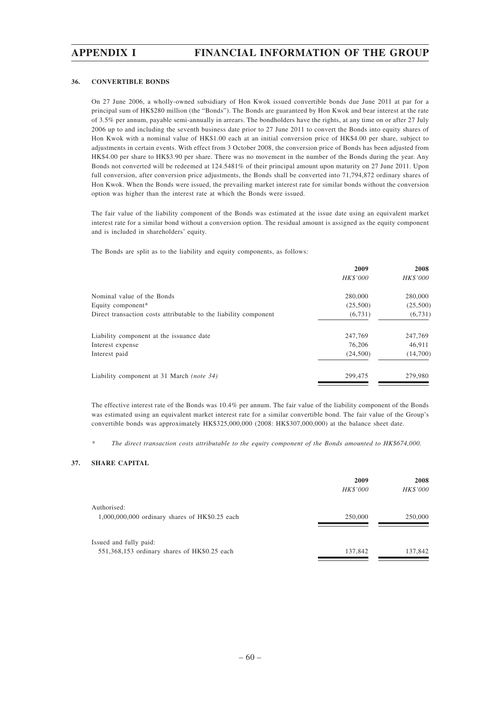#### **36. CONVERTIBLE BONDS**

On 27 June 2006, a wholly-owned subsidiary of Hon Kwok issued convertible bonds due June 2011 at par for a principal sum of HK\$280 million (the "Bonds"). The Bonds are guaranteed by Hon Kwok and bear interest at the rate of 3.5% per annum, payable semi-annually in arrears. The bondholders have the rights, at any time on or after 27 July 2006 up to and including the seventh business date prior to 27 June 2011 to convert the Bonds into equity shares of Hon Kwok with a nominal value of HK\$1.00 each at an initial conversion price of HK\$4.00 per share, subject to adjustments in certain events. With effect from 3 October 2008, the conversion price of Bonds has been adjusted from HK\$4.00 per share to HK\$3.90 per share. There was no movement in the number of the Bonds during the year. Any Bonds not converted will be redeemed at 124.5481% of their principal amount upon maturity on 27 June 2011. Upon full conversion, after conversion price adjustments, the Bonds shall be converted into 71,794,872 ordinary shares of Hon Kwok. When the Bonds were issued, the prevailing market interest rate for similar bonds without the conversion option was higher than the interest rate at which the Bonds were issued.

The fair value of the liability component of the Bonds was estimated at the issue date using an equivalent market interest rate for a similar bond without a conversion option. The residual amount is assigned as the equity component and is included in shareholders' equity.

The Bonds are split as to the liability and equity components, as follows:

|                                                                  | 2009     | 2008     |
|------------------------------------------------------------------|----------|----------|
|                                                                  | HK\$'000 | HK\$'000 |
| Nominal value of the Bonds                                       | 280,000  | 280,000  |
| Equity component*                                                | (25,500) | (25,500) |
| Direct transaction costs attributable to the liability component | (6, 731) | (6,731)  |
| Liability component at the issuance date                         | 247,769  | 247,769  |
| Interest expense                                                 | 76,206   | 46,911   |
| Interest paid                                                    | (24,500) | (14,700) |
| Liability component at 31 March (note 34)                        | 299,475  | 279,980  |
|                                                                  |          |          |

The effective interest rate of the Bonds was 10.4% per annum. The fair value of the liability component of the Bonds was estimated using an equivalent market interest rate for a similar convertible bond. The fair value of the Group's convertible bonds was approximately HK\$325,000,000 (2008: HK\$307,000,000) at the balance sheet date.

*\* The direct transaction costs attributable to the equity component of the Bonds amounted to HK\$674,000.*

#### **37. SHARE CAPITAL**

|                                                  | 2009<br>HK\$'000 | 2008<br>HK\$'000 |
|--------------------------------------------------|------------------|------------------|
|                                                  |                  |                  |
| Authorised:                                      |                  |                  |
| $1,000,000,000$ ordinary shares of HK\$0.25 each | 250,000          | 250,000          |
|                                                  |                  |                  |
| Issued and fully paid:                           |                  |                  |
| 551,368,153 ordinary shares of HK\$0.25 each     | 137,842          | 137,842          |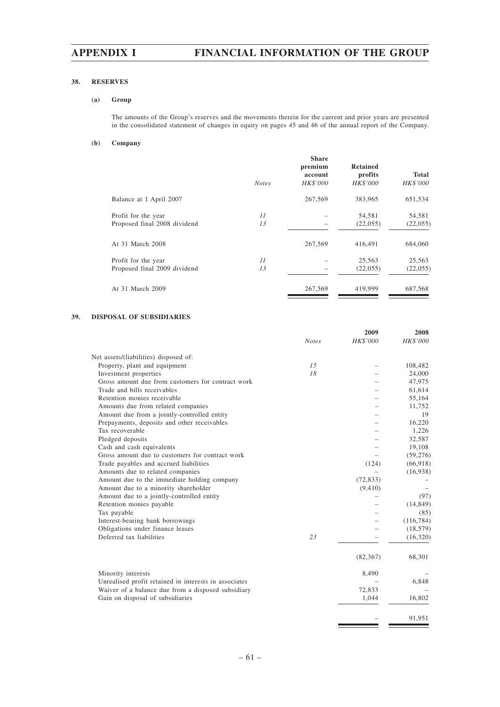#### **38. RESERVES**

### **(a) Group**

The amounts of the Group's reserves and the movements therein for the current and prior years are presented in the consolidated statement of changes in equity on pages 45 and 46 of the annual report of the Company.

### **(b) Company**

|                              | <b>Notes</b> | <b>Share</b><br>premium<br>account<br>HK\$'000 | <b>Retained</b><br>profits<br>HK\$'000 | Total<br>HK\$'000 |
|------------------------------|--------------|------------------------------------------------|----------------------------------------|-------------------|
| Balance at 1 April 2007      |              | 267,569                                        | 383,965                                | 651,534           |
| Profit for the year          | 11           |                                                | 54,581                                 | 54,581            |
| Proposed final 2008 dividend | 13           |                                                | (22, 055)                              | (22,055)          |
| At 31 March 2008             |              | 267,569                                        | 416,491                                | 684,060           |
| Profit for the year          | 11           |                                                | 25,563                                 | 25,563            |
| Proposed final 2009 dividend | 13           |                                                | (22, 055)                              | (22,055)          |
| At 31 March 2009             |              | 267,569                                        | 419,999                                | 687,568           |

### **39. DISPOSAL OF SUBSIDIARIES**

|                                                       | 2009         |           | 2008       |
|-------------------------------------------------------|--------------|-----------|------------|
|                                                       | <b>Notes</b> | HK\$'000  | HK\$'000   |
| Net assets/(liabilities) disposed of:                 |              |           |            |
| Property, plant and equipment                         | 1.5          |           | 108,482    |
| Investment properties                                 | 18           |           | 24,000     |
| Gross amount due from customers for contract work     |              |           | 47,975     |
| Trade and bills receivables                           |              |           | 61,614     |
| Retention monies receivable                           |              |           | 55,164     |
| Amounts due from related companies                    |              |           | 11,752     |
| Amount due from a jointly-controlled entity           |              |           | 19         |
| Prepayments, deposits and other receivables           |              |           | 16,220     |
| Tax recoverable                                       |              |           | 1,226      |
| Pledged deposits                                      |              |           | 32,587     |
| Cash and cash equivalents                             |              |           | 19,108     |
| Gross amount due to customers for contract work       |              |           | (59, 276)  |
| Trade payables and accrued liabilities                |              | (124)     | (66, 918)  |
| Amounts due to related companies                      |              |           | (16,938)   |
| Amount due to the immediate holding company           |              | (72, 833) |            |
| Amount due to a minority shareholder                  |              | (9,410)   |            |
| Amount due to a jointly-controlled entity             |              |           | (97)       |
| Retention monies payable                              |              |           | (14, 849)  |
| Tax payable                                           |              |           | (85)       |
| Interest-bearing bank borrowings                      |              |           | (116, 784) |
| Obligations under finance leases                      |              |           | (18, 579)  |
| Deferred tax liabilities                              | 23           |           | (16,320)   |
|                                                       |              | (82, 367) | 68,301     |
| Minority interests                                    |              | 8,490     |            |
| Unrealised profit retained in interests in associates |              |           | 6,848      |
| Waiver of a balance due from a disposed subsidiary    |              | 72,833    |            |
| Gain on disposal of subsidiaries                      |              | 1,044     | 16,802     |
|                                                       |              |           | 91,951     |
|                                                       |              |           |            |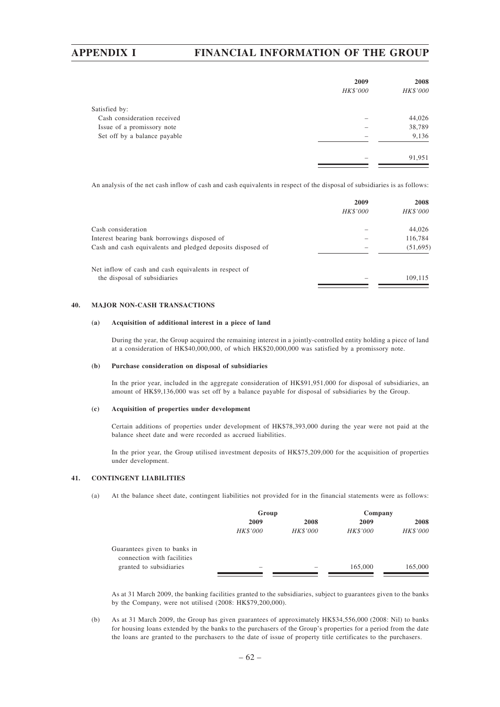|                              | 2009     | 2008     |
|------------------------------|----------|----------|
|                              | HK\$'000 | HK\$'000 |
| Satisfied by:                |          |          |
| Cash consideration received  |          | 44,026   |
| Issue of a promissory note   |          | 38,789   |
| Set off by a balance payable |          | 9,136    |
|                              |          | 91,951   |

An analysis of the net cash inflow of cash and cash equivalents in respect of the disposal of subsidiaries is as follows:

|                                                            | 2009     | 2008      |
|------------------------------------------------------------|----------|-----------|
|                                                            | HK\$'000 | HK\$'000  |
| Cash consideration                                         |          | 44,026    |
| Interest bearing bank borrowings disposed of               |          | 116,784   |
| Cash and cash equivalents and pledged deposits disposed of |          | (51, 695) |
| Net inflow of cash and cash equivalents in respect of      |          |           |
| the disposal of subsidiaries                               |          | 109.115   |

#### **40. MAJOR NON-CASH TRANSACTIONS**

#### **(a) Acquisition of additional interest in a piece of land**

During the year, the Group acquired the remaining interest in a jointly-controlled entity holding a piece of land at a consideration of HK\$40,000,000, of which HK\$20,000,000 was satisfied by a promissory note.

#### **(b) Purchase consideration on disposal of subsidiaries**

In the prior year, included in the aggregate consideration of HK\$91,951,000 for disposal of subsidiaries, an amount of HK\$9,136,000 was set off by a balance payable for disposal of subsidiaries by the Group.

#### **(c) Acquisition of properties under development**

Certain additions of properties under development of HK\$78,393,000 during the year were not paid at the balance sheet date and were recorded as accrued liabilities.

In the prior year, the Group utilised investment deposits of HK\$75,209,000 for the acquisition of properties under development.

#### **41. CONTINGENT LIABILITIES**

(a) At the balance sheet date, contingent liabilities not provided for in the financial statements were as follows:

|                                                            | Group    |          | Company         |          |
|------------------------------------------------------------|----------|----------|-----------------|----------|
|                                                            | 2009     | 2008     | 2009            | 2008     |
|                                                            | HK\$'000 | HK\$'000 | <b>HK\$'000</b> | HK\$'000 |
| Guarantees given to banks in<br>connection with facilities |          |          |                 |          |
| granted to subsidiaries                                    |          |          | 165,000         | 165,000  |

As at 31 March 2009, the banking facilities granted to the subsidiaries, subject to guarantees given to the banks by the Company, were not utilised (2008: HK\$79,200,000).

(b) As at 31 March 2009, the Group has given guarantees of approximately HK\$34,556,000 (2008: Nil) to banks for housing loans extended by the banks to the purchasers of the Group's properties for a period from the date the loans are granted to the purchasers to the date of issue of property title certificates to the purchasers.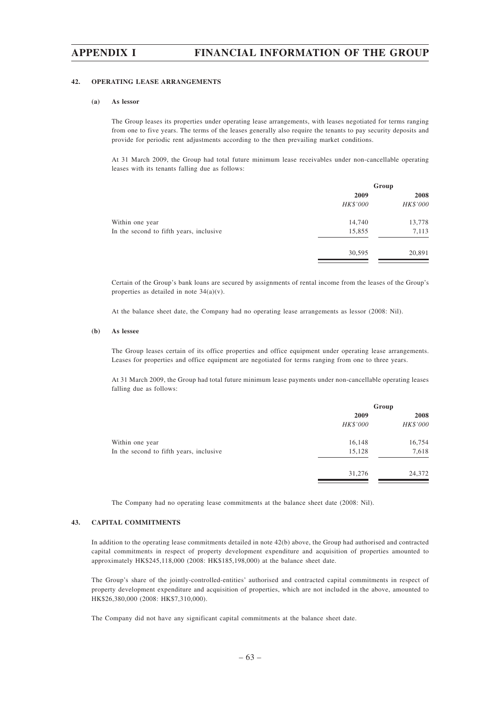#### **42. OPERATING LEASE ARRANGEMENTS**

#### **(a) As lessor**

The Group leases its properties under operating lease arrangements, with leases negotiated for terms ranging from one to five years. The terms of the leases generally also require the tenants to pay security deposits and provide for periodic rent adjustments according to the then prevailing market conditions.

At 31 March 2009, the Group had total future minimum lease receivables under non-cancellable operating leases with its tenants falling due as follows:

|                                         | Group    |          |
|-----------------------------------------|----------|----------|
|                                         | 2009     | 2008     |
|                                         | HK\$'000 | HK\$'000 |
| Within one year                         | 14,740   | 13,778   |
| In the second to fifth years, inclusive | 15,855   | 7,113    |
|                                         | 30,595   | 20,891   |
|                                         |          |          |

Certain of the Group's bank loans are secured by assignments of rental income from the leases of the Group's properties as detailed in note 34(a)(v).

At the balance sheet date, the Company had no operating lease arrangements as lessor (2008: Nil).

#### **(b) As lessee**

The Group leases certain of its office properties and office equipment under operating lease arrangements. Leases for properties and office equipment are negotiated for terms ranging from one to three years.

At 31 March 2009, the Group had total future minimum lease payments under non-cancellable operating leases falling due as follows:

|                                         |          | Group    |  |
|-----------------------------------------|----------|----------|--|
|                                         | 2009     | 2008     |  |
|                                         | HK\$'000 | HK\$'000 |  |
| Within one year                         | 16,148   | 16,754   |  |
| In the second to fifth years, inclusive | 15,128   | 7,618    |  |
|                                         | 31,276   | 24,372   |  |
|                                         |          |          |  |

The Company had no operating lease commitments at the balance sheet date (2008: Nil).

### **43. CAPITAL COMMITMENTS**

In addition to the operating lease commitments detailed in note 42(b) above, the Group had authorised and contracted capital commitments in respect of property development expenditure and acquisition of properties amounted to approximately HK\$245,118,000 (2008: HK\$185,198,000) at the balance sheet date.

The Group's share of the jointly-controlled-entities' authorised and contracted capital commitments in respect of property development expenditure and acquisition of properties, which are not included in the above, amounted to HK\$26,380,000 (2008: HK\$7,310,000).

The Company did not have any significant capital commitments at the balance sheet date.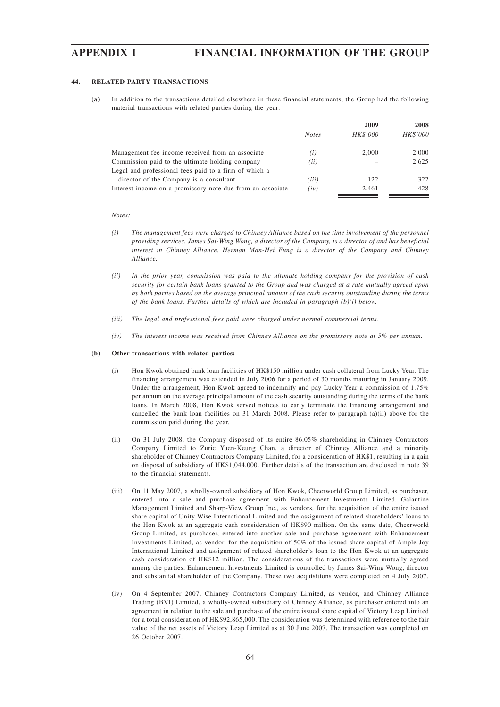#### **44. RELATED PARTY TRANSACTIONS**

**(a)** In addition to the transactions detailed elsewhere in these financial statements, the Group had the following material transactions with related parties during the year:

|                                                            |              | 2009     | 2008     |
|------------------------------------------------------------|--------------|----------|----------|
|                                                            | <b>Notes</b> | HK\$'000 | HK\$'000 |
| Management fee income received from an associate           | (i)          | 2.000    | 2,000    |
| Commission paid to the ultimate holding company            | (ii)         |          | 2,625    |
| Legal and professional fees paid to a firm of which a      |              |          |          |
| director of the Company is a consultant                    | (iii)        | 122      | 322      |
| Interest income on a promissory note due from an associate | (iv)         | 2.461    | 428      |

#### *Notes:*

- *(i) The management fees were charged to Chinney Alliance based on the time involvement of the personnel providing services. James Sai-Wing Wong, a director of the Company, is a director of and has beneficial interest in Chinney Alliance. Herman Man-Hei Fung is a director of the Company and Chinney Alliance.*
- *(ii) In the prior year, commission was paid to the ultimate holding company for the provision of cash security for certain bank loans granted to the Group and was charged at a rate mutually agreed upon by both parties based on the average principal amount of the cash security outstanding during the terms of the bank loans. Further details of which are included in paragraph (b)(i) below.*
- *(iii) The legal and professional fees paid were charged under normal commercial terms.*
- *(iv) The interest income was received from Chinney Alliance on the promissory note at 5% per annum.*

#### **(b) Other transactions with related parties:**

- (i) Hon Kwok obtained bank loan facilities of HK\$150 million under cash collateral from Lucky Year. The financing arrangement was extended in July 2006 for a period of 30 months maturing in January 2009. Under the arrangement, Hon Kwok agreed to indemnify and pay Lucky Year a commission of 1.75% per annum on the average principal amount of the cash security outstanding during the terms of the bank loans. In March 2008, Hon Kwok served notices to early terminate the financing arrangement and cancelled the bank loan facilities on 31 March 2008. Please refer to paragraph (a)(ii) above for the commission paid during the year.
- (ii) On 31 July 2008, the Company disposed of its entire 86.05% shareholding in Chinney Contractors Company Limited to Zuric Yuen-Keung Chan, a director of Chinney Alliance and a minority shareholder of Chinney Contractors Company Limited, for a consideration of HK\$1, resulting in a gain on disposal of subsidiary of HK\$1,044,000. Further details of the transaction are disclosed in note 39 to the financial statements.
- (iii) On 11 May 2007, a wholly-owned subsidiary of Hon Kwok, Cheerworld Group Limited, as purchaser, entered into a sale and purchase agreement with Enhancement Investments Limited, Galantine Management Limited and Sharp-View Group Inc., as vendors, for the acquisition of the entire issued share capital of Unity Wise International Limited and the assignment of related shareholders' loans to the Hon Kwok at an aggregate cash consideration of HK\$90 million. On the same date, Cheerworld Group Limited, as purchaser, entered into another sale and purchase agreement with Enhancement Investments Limited, as vendor, for the acquisition of 50% of the issued share capital of Ample Joy International Limited and assignment of related shareholder's loan to the Hon Kwok at an aggregate cash consideration of HK\$12 million. The considerations of the transactions were mutually agreed among the parties. Enhancement Investments Limited is controlled by James Sai-Wing Wong, director and substantial shareholder of the Company. These two acquisitions were completed on 4 July 2007.
- (iv) On 4 September 2007, Chinney Contractors Company Limited, as vendor, and Chinney Alliance Trading (BVI) Limited, a wholly-owned subsidiary of Chinney Alliance, as purchaser entered into an agreement in relation to the sale and purchase of the entire issued share capital of Victory Leap Limited for a total consideration of HK\$92,865,000. The consideration was determined with reference to the fair value of the net assets of Victory Leap Limited as at 30 June 2007. The transaction was completed on 26 October 2007.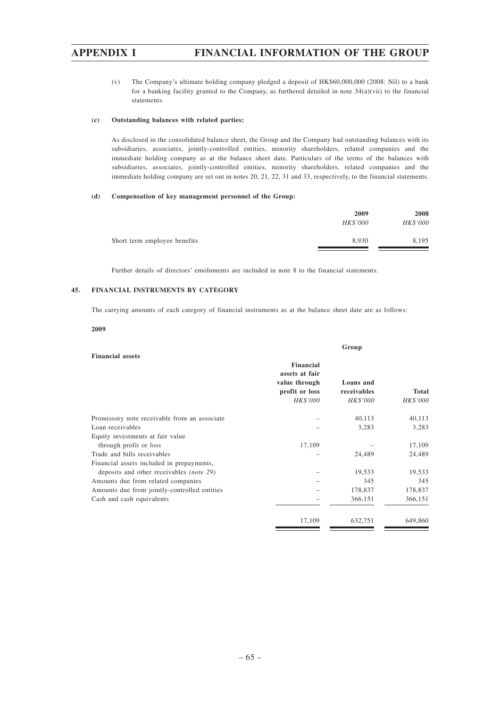(v) The Company's ultimate holding company pledged a deposit of HK\$60,000,000 (2008: Nil) to a bank for a banking facility granted to the Company, as furthered detailed in note  $34(a)(vii)$  to the financial statements.

#### **(c) Outstanding balances with related parties:**

As disclosed in the consolidated balance sheet, the Group and the Company had outstanding balances with its subsidiaries, associates, jointly-controlled entities, minority shareholders, related companies and the immediate holding company as at the balance sheet date. Particulars of the terms of the balances with subsidiaries, associates, jointly-controlled entities, minority shareholders, related companies and the immediate holding company are set out in notes 20, 21, 22, 31 and 33, respectively, to the financial statements.

#### **(d) Compensation of key management personnel of the Group:**

| 2009     | 2008     |
|----------|----------|
| HK\$'000 | HK\$'000 |
| 8.930    | 8.195    |
|          |          |

Further details of directors' emoluments are included in note 8 to the financial statements.

## **45. FINANCIAL INSTRUMENTS BY CATEGORY**

The carrying amounts of each category of financial instruments as at the balance sheet date are as follows:

#### **2009**

| <b>Total</b> |
|--------------|
| HK\$'000     |
| 40,113       |
| 3,283        |
|              |
| 17,109       |
| 24,489       |
|              |
| 19,533       |
| 345          |
| 178,837      |
| 366,151      |
| 649,860      |
|              |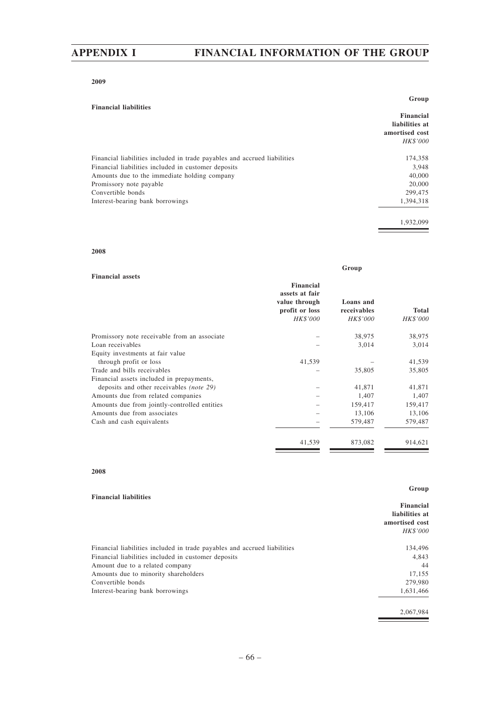## **2009**

|                                                                          | Group                                                     |  |
|--------------------------------------------------------------------------|-----------------------------------------------------------|--|
| <b>Financial liabilities</b>                                             | Financial<br>liabilities at<br>amortised cost<br>HK\$'000 |  |
| Financial liabilities included in trade payables and accrued liabilities | 174,358                                                   |  |
| Financial liabilities included in customer deposits                      | 3,948                                                     |  |
| Amounts due to the immediate holding company                             | 40,000                                                    |  |
| Promissory note payable                                                  | 20,000                                                    |  |
| Convertible bonds                                                        | 299,475                                                   |  |
| Interest-bearing bank borrowings                                         | 1,394,318                                                 |  |
|                                                                          | 1,932,099                                                 |  |

### **2008**

|                                                 |                                                                                   | Group                                |                          |
|-------------------------------------------------|-----------------------------------------------------------------------------------|--------------------------------------|--------------------------|
| <b>Financial assets</b>                         |                                                                                   |                                      |                          |
|                                                 | <b>Financial</b><br>assets at fair<br>value through<br>profit or loss<br>HK\$'000 | Loans and<br>receivables<br>HK\$'000 | <b>Total</b><br>HK\$'000 |
| Promissory note receivable from an associate    |                                                                                   | 38,975                               | 38,975                   |
| Loan receivables                                |                                                                                   | 3,014                                | 3,014                    |
| Equity investments at fair value                |                                                                                   |                                      |                          |
| through profit or loss                          | 41,539                                                                            |                                      | 41,539                   |
| Trade and bills receivables                     |                                                                                   | 35,805                               | 35,805                   |
| Financial assets included in prepayments,       |                                                                                   |                                      |                          |
| deposits and other receivables <i>(note 29)</i> |                                                                                   | 41,871                               | 41,871                   |
| Amounts due from related companies              |                                                                                   | 1,407                                | 1,407                    |
| Amounts due from jointly-controlled entities    |                                                                                   | 159,417                              | 159,417                  |
| Amounts due from associates                     |                                                                                   | 13,106                               | 13,106                   |
| Cash and cash equivalents                       |                                                                                   | 579,487                              | 579,487                  |
|                                                 | 41,539                                                                            | 873,082                              | 914,621                  |

## **2008**

## **Financial liabilities**

| ×<br>- -<br>., |
|----------------|
|----------------|

|                                                                          | Financial<br>liabilities at<br>amortised cost<br>HK\$'000 |
|--------------------------------------------------------------------------|-----------------------------------------------------------|
| Financial liabilities included in trade payables and accrued liabilities | 134,496                                                   |
| Financial liabilities included in customer deposits                      | 4.843                                                     |
| Amount due to a related company                                          | 44                                                        |
| Amounts due to minority shareholders                                     | 17,155                                                    |
| Convertible bonds                                                        | 279,980                                                   |
| Interest-bearing bank borrowings                                         | 1,631,466                                                 |
|                                                                          | 2.067.984                                                 |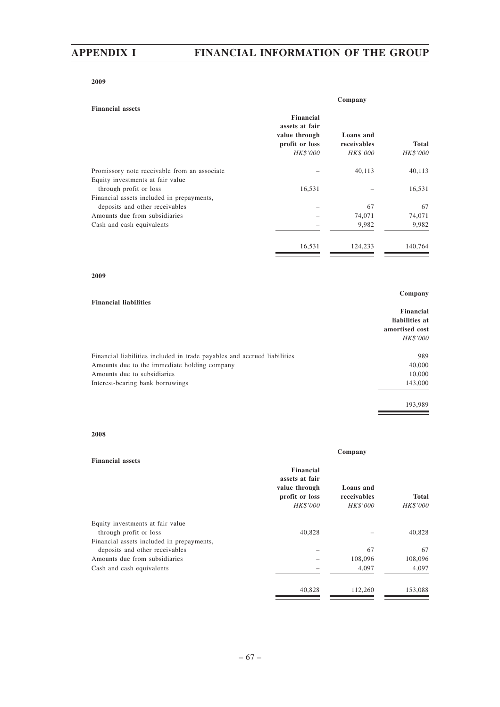## **2009**

|                                              | Company                                                                           |                                      |                          |  |
|----------------------------------------------|-----------------------------------------------------------------------------------|--------------------------------------|--------------------------|--|
| <b>Financial assets</b>                      | <b>Financial</b><br>assets at fair<br>value through<br>profit or loss<br>HK\$'000 | Loans and<br>receivables<br>HK\$'000 | <b>Total</b><br>HK\$'000 |  |
| Promissory note receivable from an associate |                                                                                   | 40,113                               | 40,113                   |  |
| Equity investments at fair value             |                                                                                   |                                      |                          |  |
| through profit or loss                       | 16,531                                                                            |                                      | 16,531                   |  |
| Financial assets included in prepayments,    |                                                                                   |                                      |                          |  |
| deposits and other receivables               |                                                                                   | 67                                   | 67                       |  |
| Amounts due from subsidiaries                |                                                                                   | 74,071                               | 74,071                   |  |
| Cash and cash equivalents                    |                                                                                   | 9,982                                | 9,982                    |  |
|                                              | 16,531                                                                            | 124,233                              | 140,764                  |  |

### **2009**

|                                                                          | Company          |
|--------------------------------------------------------------------------|------------------|
| <b>Financial liabilities</b>                                             |                  |
|                                                                          | <b>Financial</b> |
|                                                                          | liabilities at   |
|                                                                          | amortised cost   |
|                                                                          | <b>HK\$'000</b>  |
| Financial liabilities included in trade payables and accrued liabilities | 989              |
| Amounts due to the immediate holding company                             | 40,000           |
| Amounts due to subsidiaries                                              | 10,000           |
| Interest-bearing bank borrowings                                         | 143,000          |
|                                                                          | 193,989          |

۰

### **2008**

|                                           | Company                                                                           |                                             |                                 |  |
|-------------------------------------------|-----------------------------------------------------------------------------------|---------------------------------------------|---------------------------------|--|
| <b>Financial assets</b>                   |                                                                                   |                                             |                                 |  |
|                                           | <b>Financial</b><br>assets at fair<br>value through<br>profit or loss<br>HK\$'000 | Loans and<br>receivables<br><b>HK\$'000</b> | <b>Total</b><br><b>HK\$'000</b> |  |
| Equity investments at fair value          |                                                                                   |                                             |                                 |  |
| through profit or loss                    | 40,828                                                                            |                                             | 40,828                          |  |
| Financial assets included in prepayments, |                                                                                   |                                             |                                 |  |
| deposits and other receivables            |                                                                                   | 67                                          | 67                              |  |
| Amounts due from subsidiaries             |                                                                                   | 108,096                                     | 108,096                         |  |
| Cash and cash equivalents                 |                                                                                   | 4,097                                       | 4,097                           |  |
|                                           | 40,828                                                                            | 112,260                                     | 153,088                         |  |
|                                           |                                                                                   |                                             |                                 |  |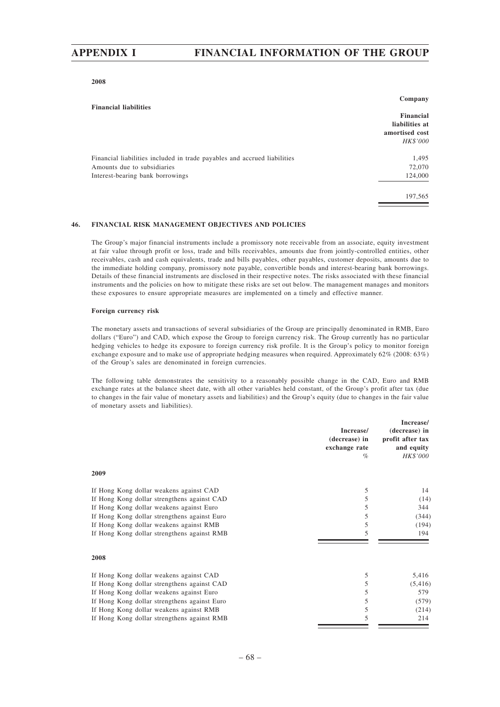#### **2008**

|                                                                          | Company          |
|--------------------------------------------------------------------------|------------------|
| <b>Financial liabilities</b>                                             |                  |
|                                                                          | <b>Financial</b> |
|                                                                          | liabilities at   |
|                                                                          | amortised cost   |
|                                                                          | HK\$'000         |
| Financial liabilities included in trade payables and accrued liabilities | 1,495            |
| Amounts due to subsidiaries                                              | 72,070           |
| Interest-bearing bank borrowings                                         | 124,000          |
|                                                                          | 197,565          |
|                                                                          |                  |

### **46. FINANCIAL RISK MANAGEMENT OBJECTIVES AND POLICIES**

The Group's major financial instruments include a promissory note receivable from an associate, equity investment at fair value through profit or loss, trade and bills receivables, amounts due from jointly-controlled entities, other receivables, cash and cash equivalents, trade and bills payables, other payables, customer deposits, amounts due to the immediate holding company, promissory note payable, convertible bonds and interest-bearing bank borrowings. Details of these financial instruments are disclosed in their respective notes. The risks associated with these financial instruments and the policies on how to mitigate these risks are set out below. The management manages and monitors these exposures to ensure appropriate measures are implemented on a timely and effective manner.

#### **Foreign currency risk**

The monetary assets and transactions of several subsidiaries of the Group are principally denominated in RMB, Euro dollars ("Euro") and CAD, which expose the Group to foreign currency risk. The Group currently has no particular hedging vehicles to hedge its exposure to foreign currency risk profile. It is the Group's policy to monitor foreign exchange exposure and to make use of appropriate hedging measures when required. Approximately 62% (2008: 63%) of the Group's sales are denominated in foreign currencies.

The following table demonstrates the sensitivity to a reasonably possible change in the CAD, Euro and RMB exchange rates at the balance sheet date, with all other variables held constant, of the Group's profit after tax (due to changes in the fair value of monetary assets and liabilities) and the Group's equity (due to changes in the fair value of monetary assets and liabilities).

|                                              | Increase/<br>(decrease) in<br>exchange rate | Increase/<br>(decrease) in<br>profit after tax<br>and equity |
|----------------------------------------------|---------------------------------------------|--------------------------------------------------------------|
|                                              | $\%$                                        | HK\$'000                                                     |
| 2009                                         |                                             |                                                              |
| If Hong Kong dollar weakens against CAD      | 5                                           | 14                                                           |
| If Hong Kong dollar strengthens against CAD  | 5                                           | (14)                                                         |
| If Hong Kong dollar weakens against Euro     | 5                                           | 344                                                          |
| If Hong Kong dollar strengthens against Euro | 5                                           | (344)                                                        |
| If Hong Kong dollar weakens against RMB      | 5                                           | (194)                                                        |
| If Hong Kong dollar strengthens against RMB  | 5                                           | 194                                                          |
| 2008                                         |                                             |                                                              |
| If Hong Kong dollar weakens against CAD      | 5                                           | 5,416                                                        |
| If Hong Kong dollar strengthens against CAD  | 5                                           | (5, 416)                                                     |
| If Hong Kong dollar weakens against Euro     | 5                                           | 579                                                          |
| If Hong Kong dollar strengthens against Euro | 5                                           | (579)                                                        |
| If Hong Kong dollar weakens against RMB      | 5                                           | (214)                                                        |
| If Hong Kong dollar strengthens against RMB  | 5                                           | 214                                                          |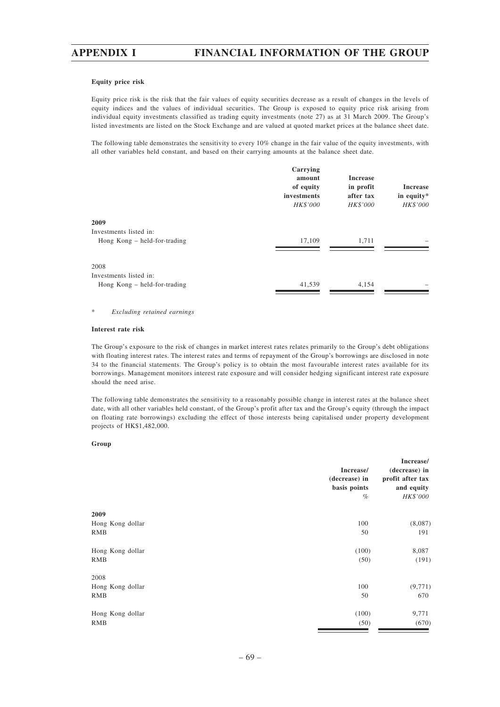#### **Equity price risk**

Equity price risk is the risk that the fair values of equity securities decrease as a result of changes in the levels of equity indices and the values of individual securities. The Group is exposed to equity price risk arising from individual equity investments classified as trading equity investments (note 27) as at 31 March 2009. The Group's listed investments are listed on the Stock Exchange and are valued at quoted market prices at the balance sheet date.

The following table demonstrates the sensitivity to every 10% change in the fair value of the equity investments, with all other variables held constant, and based on their carrying amounts at the balance sheet date.

|                                | Carrying<br>amount<br>of equity<br>investments<br>HK\$'000 | <b>Increase</b><br>in profit<br>after tax<br>HK\$'000 | <b>Increase</b><br>in equity*<br>HK\$'000 |
|--------------------------------|------------------------------------------------------------|-------------------------------------------------------|-------------------------------------------|
| 2009                           |                                                            |                                                       |                                           |
| Investments listed in:         |                                                            |                                                       |                                           |
| Hong Kong $-$ held-for-trading | 17,109                                                     | 1,711                                                 |                                           |
| 2008                           |                                                            |                                                       |                                           |
| Investments listed in:         |                                                            |                                                       |                                           |
| Hong Kong – held-for-trading   | 41,539                                                     | 4,154                                                 |                                           |

#### $Excluding\ retained\ earnings$

#### **Interest rate risk**

The Group's exposure to the risk of changes in market interest rates relates primarily to the Group's debt obligations with floating interest rates. The interest rates and terms of repayment of the Group's borrowings are disclosed in note 34 to the financial statements. The Group's policy is to obtain the most favourable interest rates available for its borrowings. Management monitors interest rate exposure and will consider hedging significant interest rate exposure should the need arise.

The following table demonstrates the sensitivity to a reasonably possible change in interest rates at the balance sheet date, with all other variables held constant, of the Group's profit after tax and the Group's equity (through the impact on floating rate borrowings) excluding the effect of those interests being capitalised under property development projects of HK\$1,482,000.

#### **Group**

|                  | Increase/<br>(decrease) in<br>basis points<br>$\%$ | Increase/<br>(decrease) in<br>profit after tax<br>and equity<br>HK\$'000 |
|------------------|----------------------------------------------------|--------------------------------------------------------------------------|
| 2009             |                                                    |                                                                          |
| Hong Kong dollar | 100                                                | (8,087)                                                                  |
| <b>RMB</b>       | 50                                                 | 191                                                                      |
| Hong Kong dollar | (100)                                              | 8,087                                                                    |
| <b>RMB</b>       | (50)                                               | (191)                                                                    |
| 2008             |                                                    |                                                                          |
| Hong Kong dollar | 100                                                | (9,771)                                                                  |
| <b>RMB</b>       | 50                                                 | 670                                                                      |
| Hong Kong dollar | (100)                                              | 9,771                                                                    |
| RMB              | (50)                                               | (670)                                                                    |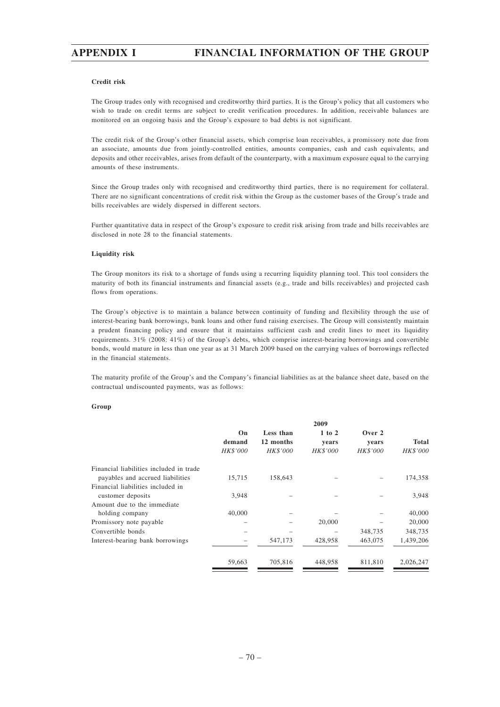#### **Credit risk**

The Group trades only with recognised and creditworthy third parties. It is the Group's policy that all customers who wish to trade on credit terms are subject to credit verification procedures. In addition, receivable balances are monitored on an ongoing basis and the Group's exposure to bad debts is not significant.

The credit risk of the Group's other financial assets, which comprise loan receivables, a promissory note due from an associate, amounts due from jointly-controlled entities, amounts companies, cash and cash equivalents, and deposits and other receivables, arises from default of the counterparty, with a maximum exposure equal to the carrying amounts of these instruments.

Since the Group trades only with recognised and creditworthy third parties, there is no requirement for collateral. There are no significant concentrations of credit risk within the Group as the customer bases of the Group's trade and bills receivables are widely dispersed in different sectors.

Further quantitative data in respect of the Group's exposure to credit risk arising from trade and bills receivables are disclosed in note 28 to the financial statements.

#### **Liquidity risk**

The Group monitors its risk to a shortage of funds using a recurring liquidity planning tool. This tool considers the maturity of both its financial instruments and financial assets (e.g., trade and bills receivables) and projected cash flows from operations.

The Group's objective is to maintain a balance between continuity of funding and flexibility through the use of interest-bearing bank borrowings, bank loans and other fund raising exercises. The Group will consistently maintain a prudent financing policy and ensure that it maintains sufficient cash and credit lines to meet its liquidity requirements. 31% (2008: 41%) of the Group's debts, which comprise interest-bearing borrowings and convertible bonds, would mature in less than one year as at 31 March 2009 based on the carrying values of borrowings reflected in the financial statements.

The maturity profile of the Group's and the Company's financial liabilities as at the balance sheet date, based on the contractual undiscounted payments, was as follows:

#### **Group**

| On       | Less than | $1$ to $2$ | Over 2   |                 |
|----------|-----------|------------|----------|-----------------|
| demand   | 12 months | vears      | vears    | <b>Total</b>    |
| HK\$'000 | HK\$'000  | HK\$'000   | HK\$'000 | <b>HK\$'000</b> |
|          |           |            |          |                 |
| 15,715   | 158,643   |            |          | 174,358         |
|          |           |            |          |                 |
| 3,948    |           |            |          | 3,948           |
|          |           |            |          |                 |
| 40,000   |           |            |          | 40,000          |
|          |           | 20,000     |          | 20,000          |
|          |           |            | 348,735  | 348,735         |
|          | 547,173   | 428,958    | 463,075  | 1,439,206       |
| 59,663   | 705,816   | 448,958    | 811,810  | 2,026,247       |
|          |           |            | 2009     |                 |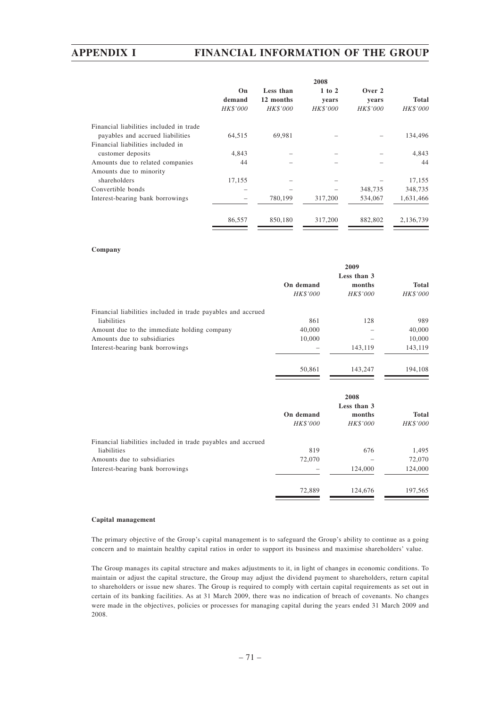|                                         | 2008     |           |            |          |           |  |
|-----------------------------------------|----------|-----------|------------|----------|-----------|--|
|                                         | On.      | Less than | $1$ to $2$ | Over 2   |           |  |
|                                         | demand   | 12 months | vears      | vears    | Total     |  |
|                                         | HK\$'000 | HK\$'000  | HK\$'000   | HK\$'000 | HK\$'000  |  |
| Financial liabilities included in trade |          |           |            |          |           |  |
| payables and accrued liabilities        | 64,515   | 69.981    |            |          | 134,496   |  |
| Financial liabilities included in       |          |           |            |          |           |  |
| customer deposits                       | 4.843    |           |            |          | 4,843     |  |
| Amounts due to related companies        | 44       |           |            |          | 44        |  |
| Amounts due to minority                 |          |           |            |          |           |  |
| shareholders                            | 17,155   |           |            |          | 17,155    |  |
| Convertible bonds                       |          |           |            | 348,735  | 348,735   |  |
| Interest-bearing bank borrowings        |          | 780,199   | 317,200    | 534,067  | 1,631,466 |  |
|                                         | 86,557   | 850,180   | 317,200    | 882,802  | 2,136,739 |  |

### **Company**

|                                                              | 2009                  |                                   |                                 |  |
|--------------------------------------------------------------|-----------------------|-----------------------------------|---------------------------------|--|
|                                                              | On demand<br>HK\$'000 | Less than 3<br>months<br>HK\$'000 | <b>Total</b><br><b>HK\$'000</b> |  |
| Financial liabilities included in trade payables and accrued |                       |                                   |                                 |  |
| liabilities                                                  | 861                   | 128                               | 989                             |  |
| Amount due to the immediate holding company                  | 40,000                |                                   | 40,000                          |  |
| Amounts due to subsidiaries                                  | 10,000                |                                   | 10,000                          |  |
| Interest-bearing bank borrowings                             |                       | 143,119                           | 143,119                         |  |
|                                                              | 50,861                | 143,247                           | 194,108                         |  |

|                                                              | On demand | months   | <b>Total</b> |
|--------------------------------------------------------------|-----------|----------|--------------|
|                                                              | HK\$'000  | HK\$'000 | HK\$'000     |
| Financial liabilities included in trade payables and accrued |           |          |              |
| liabilities                                                  | 819       | 676      | 1,495        |
| Amounts due to subsidiaries                                  | 72,070    |          | 72,070       |
| Interest-bearing bank borrowings                             |           | 124,000  | 124,000      |
|                                                              | 72,889    | 124,676  | 197,565      |

#### **Capital management**

The primary objective of the Group's capital management is to safeguard the Group's ability to continue as a going concern and to maintain healthy capital ratios in order to support its business and maximise shareholders' value.

The Group manages its capital structure and makes adjustments to it, in light of changes in economic conditions. To maintain or adjust the capital structure, the Group may adjust the dividend payment to shareholders, return capital to shareholders or issue new shares. The Group is required to comply with certain capital requirements as set out in certain of its banking facilities. As at 31 March 2009, there was no indication of breach of covenants. No changes were made in the objectives, policies or processes for managing capital during the years ended 31 March 2009 and 2008.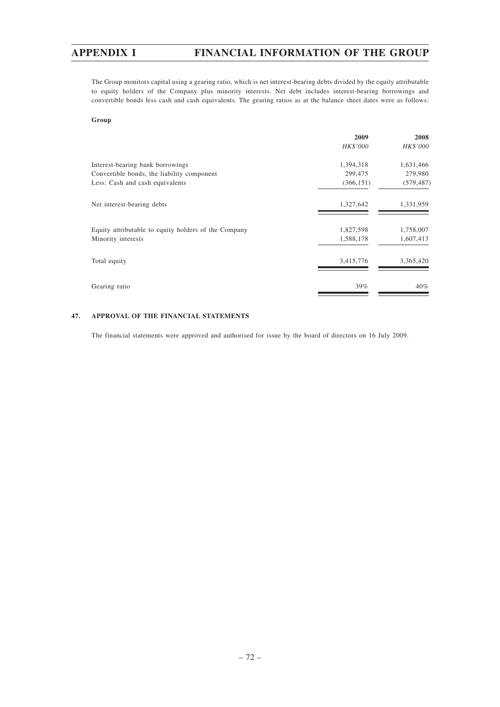The Group monitors capital using a gearing ratio, which is net interest-bearing debts divided by the equity attributable to equity holders of the Company plus minority interests. Net debt includes interest-bearing borrowings and convertible bonds less cash and cash equivalents. The gearing ratios as at the balance sheet dates were as follows:

### **Group**

|                                                      | 2009       | 2008       |
|------------------------------------------------------|------------|------------|
|                                                      | HK\$'000   | HK\$'000   |
| Interest-bearing bank borrowings                     | 1,394,318  | 1,631,466  |
| Convertible bonds, the liability component           | 299,475    | 279,980    |
| Less: Cash and cash equivalents                      | (366, 151) | (579, 487) |
| Net interest-bearing debts                           | 1,327,642  | 1,331,959  |
| Equity attributable to equity holders of the Company | 1,827,598  | 1,758,007  |
| Minority interests                                   | 1,588,178  | 1,607,413  |
| Total equity                                         | 3,415,776  | 3,365,420  |
| Gearing ratio                                        | 39%        | 40%        |

## **47. APPROVAL OF THE FINANCIAL STATEMENTS**

The financial statements were approved and authorised for issue by the board of directors on 16 July 2009.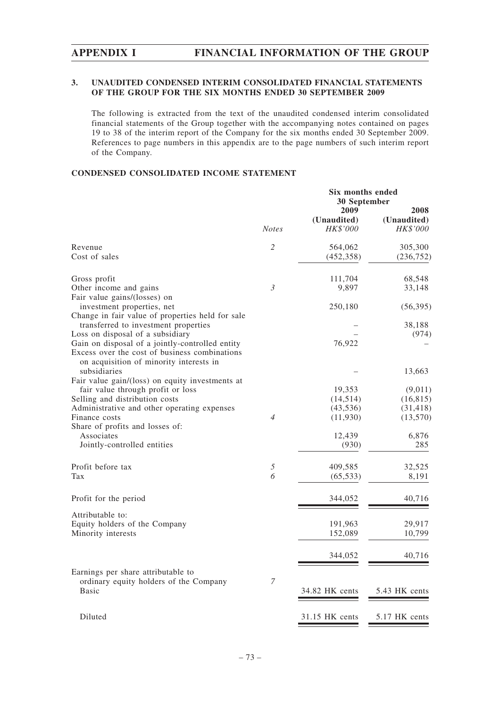## **3. UNAUDITED CONDENSED INTERIM CONSOLIDATED FINANCIAL STATEMENTS OF THE GROUP FOR THE SIX MONTHS ENDED 30 SEPTEMBER 2009**

The following is extracted from the text of the unaudited condensed interim consolidated financial statements of the Group together with the accompanying notes contained on pages 19 to 38 of the interim report of the Company for the six months ended 30 September 2009. References to page numbers in this appendix are to the page numbers of such interim report of the Company.

## **CONDENSED CONSOLIDATED INCOME STATEMENT**

|                                                                                                                             |                 |                                 | Six months ended<br>30 September |  |  |  |
|-----------------------------------------------------------------------------------------------------------------------------|-----------------|---------------------------------|----------------------------------|--|--|--|
|                                                                                                                             | <b>Notes</b>    | 2009<br>(Unaudited)<br>HK\$'000 | 2008<br>(Unaudited)<br>HK\$'000  |  |  |  |
| Revenue<br>Cost of sales                                                                                                    | $\mathfrak{2}$  | 564,062<br>(452, 358)           | 305,300<br>(236,752)             |  |  |  |
| Gross profit<br>Other income and gains<br>Fair value gains/(losses) on                                                      | $\mathfrak{Z}$  | 111,704<br>9,897                | 68,548<br>33,148                 |  |  |  |
| investment properties, net<br>Change in fair value of properties held for sale                                              |                 | 250,180                         | (56, 395)                        |  |  |  |
| transferred to investment properties<br>Loss on disposal of a subsidiary<br>Gain on disposal of a jointly-controlled entity |                 | 76,922                          | 38,188<br>(974)                  |  |  |  |
| Excess over the cost of business combinations<br>on acquisition of minority interests in<br>subsidiaries                    |                 |                                 | 13,663                           |  |  |  |
| Fair value gain/(loss) on equity investments at<br>fair value through profit or loss                                        |                 | 19,353                          | (9,011)                          |  |  |  |
| Selling and distribution costs                                                                                              |                 | (14, 514)                       | (16, 815)                        |  |  |  |
| Administrative and other operating expenses<br>Finance costs<br>Share of profits and losses of:                             | $\overline{4}$  | (43, 536)<br>(11,930)           | (31, 418)<br>(13,570)            |  |  |  |
| Associates<br>Jointly-controlled entities                                                                                   |                 | 12,439<br>(930)                 | 6,876<br>285                     |  |  |  |
| Profit before tax<br>Tax                                                                                                    | $\sqrt{2}$<br>6 | 409,585<br>(65, 533)            | 32,525<br>8,191                  |  |  |  |
| Profit for the period                                                                                                       |                 | 344,052                         | 40,716                           |  |  |  |
| Attributable to:<br>Equity holders of the Company<br>Minority interests                                                     |                 | 191,963<br>152,089              | 29,917<br>10,799                 |  |  |  |
|                                                                                                                             |                 | 344,052                         | 40,716                           |  |  |  |
| Earnings per share attributable to<br>ordinary equity holders of the Company<br><b>Basic</b>                                | 7               | 34.82 HK cents                  | 5.43 HK cents                    |  |  |  |
| Diluted                                                                                                                     |                 | 31.15 HK cents                  | 5.17 HK cents                    |  |  |  |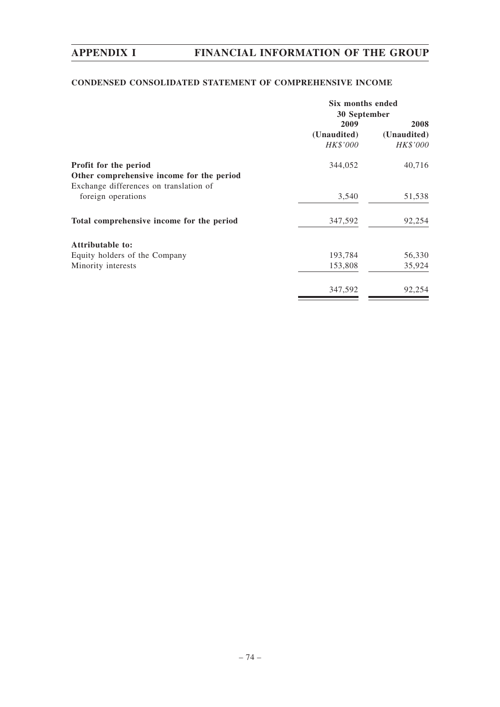## **CONDENSED CONSOLIDATED STATEMENT OF COMPREHENSIVE INCOME**

|                                           | Six months ended |             |  |  |
|-------------------------------------------|------------------|-------------|--|--|
|                                           | 30 September     |             |  |  |
|                                           | 2009             | 2008        |  |  |
|                                           | (Unaudited)      | (Unaudited) |  |  |
|                                           | HK\$'000         | HK\$'000    |  |  |
| Profit for the period                     | 344,052          | 40,716      |  |  |
| Other comprehensive income for the period |                  |             |  |  |
| Exchange differences on translation of    |                  |             |  |  |
| foreign operations                        | 3,540            | 51,538      |  |  |
| Total comprehensive income for the period | 347,592          | 92,254      |  |  |
| Attributable to:                          |                  |             |  |  |
| Equity holders of the Company             | 193,784          | 56,330      |  |  |
| Minority interests                        | 153,808          | 35,924      |  |  |
|                                           | 347,592          | 92,254      |  |  |
|                                           |                  |             |  |  |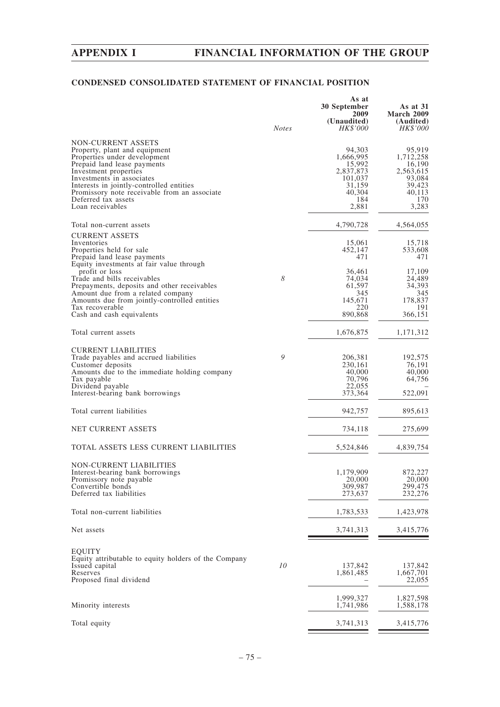## **CONDENSED CONSOLIDATED STATEMENT OF FINANCIAL POSITION**

|                                                                                                                                                                                                                                                                                                                 | <b>Notes</b> | As at<br>30 September<br>2009<br>(Unaudited)<br><i>HK\$'000</i>                           | As at 31<br><b>March 2009</b><br>(Audited)<br><i>HK\$'000</i>                            |
|-----------------------------------------------------------------------------------------------------------------------------------------------------------------------------------------------------------------------------------------------------------------------------------------------------------------|--------------|-------------------------------------------------------------------------------------------|------------------------------------------------------------------------------------------|
| NON-CURRENT ASSETS<br>Property, plant and equipment<br>Properties under development<br>Prepaid land lease payments<br>Investment properties<br>Investments in associates<br>Interests in jointly-controlled entities<br>Promissory note receivable from an associate<br>Deferred tax assets<br>Loan receivables |              | 94,303<br>1,666,995<br>15,992<br>2,837,873<br>101,037<br>31,159<br>40,304<br>184<br>2,881 | 95,919<br>1,712,258<br>16,190<br>2,563,615<br>93,084<br>39,423<br>40,113<br>170<br>3,283 |
| Total non-current assets                                                                                                                                                                                                                                                                                        |              | 4,790,728                                                                                 | 4,564,055                                                                                |
| <b>CURRENT ASSETS</b><br>Inventories<br>Properties held for sale<br>Prepaid land lease payments<br>Equity investments at fair value through                                                                                                                                                                     |              | 15,061<br>452,147<br>471                                                                  | 15,718<br>533,608<br>471                                                                 |
| profit or loss<br>Trade and bills receivables<br>Prepayments, deposits and other receivables<br>Amount due from a related company<br>Amounts due from jointly-controlled entities<br>Tax recoverable<br>Cash and cash equivalents                                                                               | 8            | 36,461<br>74.034<br>61,597<br>345<br>145,671<br>220<br>890,868                            | 17,109<br>24,489<br>34,393<br>345<br>178,837<br>191<br>366,151                           |
| Total current assets                                                                                                                                                                                                                                                                                            |              | 1,676,875                                                                                 | 1,171,312                                                                                |
| <b>CURRENT LIABILITIES</b><br>Trade payables and accrued liabilities<br>Customer deposits<br>Amounts due to the immediate holding company<br>Tax payable<br>Dividend payable<br>Interest-bearing bank borrowings                                                                                                | 9            | 206,381<br>230,161<br>40,000<br>70,796<br>22,055<br>373,364                               | 192,575<br>76,191<br>40,000<br>64,756<br>522,091                                         |
| Total current liabilities                                                                                                                                                                                                                                                                                       |              | 942,757                                                                                   | 895,613                                                                                  |
| <b>NET CURRENT ASSETS</b>                                                                                                                                                                                                                                                                                       |              | 734,118                                                                                   | 275,699                                                                                  |
| TOTAL ASSETS LESS CURRENT LIABILITIES                                                                                                                                                                                                                                                                           |              | 5,524,846                                                                                 | 4,839,754                                                                                |
| <b>NON-CURRENT LIABILITIES</b><br>Interest-bearing bank borrowings<br>Promissory note payable<br>Convertible bonds<br>Deferred tax liabilities                                                                                                                                                                  |              | 1,179,909<br>20,000<br>309,987<br>273,637                                                 | 872,227<br>20,000<br>299,475<br>232,276                                                  |
| Total non-current liabilities                                                                                                                                                                                                                                                                                   |              | 1,783,533                                                                                 | 1,423,978                                                                                |
| Net assets                                                                                                                                                                                                                                                                                                      |              | 3,741,313                                                                                 | 3,415,776                                                                                |
| <b>EQUITY</b><br>Equity attributable to equity holders of the Company<br>Issued capital<br>Reserves<br>Proposed final dividend                                                                                                                                                                                  | 10           | 137,842<br>1,861,485                                                                      | 137,842<br>1,667,701<br>22,055                                                           |
| Minority interests                                                                                                                                                                                                                                                                                              |              | 1,999,327<br>1,741,986                                                                    | 1,827,598<br>1,588,178                                                                   |
| Total equity                                                                                                                                                                                                                                                                                                    |              | 3,741,313                                                                                 | 3,415,776                                                                                |
|                                                                                                                                                                                                                                                                                                                 |              |                                                                                           |                                                                                          |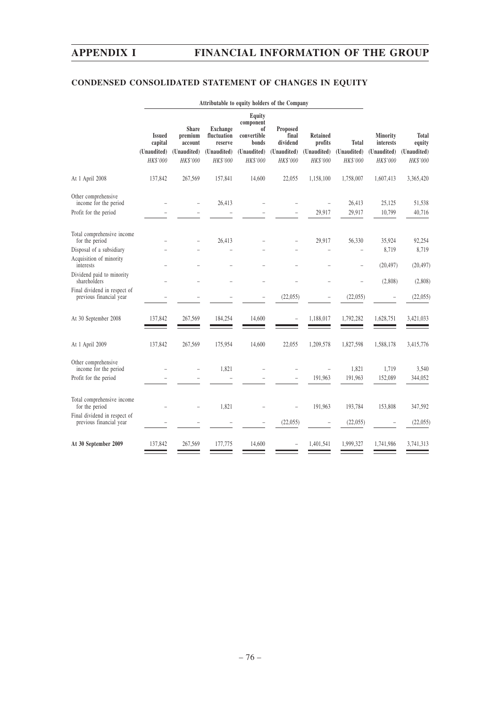## **CONDENSED CONSOLIDATED STATEMENT OF CHANGES IN EQUITY**

|                                                                                                         | Attributable to equity holders of the Company       |                                                               |                                                                      |                                                                              |                                                          |                                                |                                  |                                                         |                                            |
|---------------------------------------------------------------------------------------------------------|-----------------------------------------------------|---------------------------------------------------------------|----------------------------------------------------------------------|------------------------------------------------------------------------------|----------------------------------------------------------|------------------------------------------------|----------------------------------|---------------------------------------------------------|--------------------------------------------|
|                                                                                                         | <b>Issued</b><br>capital<br>(Unaudited)<br>HK\$'000 | <b>Share</b><br>premium<br>account<br>(Unaudited)<br>HK\$'000 | <b>Exchange</b><br>fluctuation<br>reserve<br>(Unaudited)<br>HK\$'000 | Equity<br>component<br>of<br>convertible<br>bonds<br>(Unaudited)<br>HK\$'000 | Proposed<br>final<br>dividend<br>(Unaudited)<br>HK\$'000 | Retained<br>profits<br>(Unaudited)<br>HK\$'000 | Total<br>(Unaudited)<br>HK\$'000 | <b>Minority</b><br>interests<br>(Unaudited)<br>HK\$'000 | Total<br>equity<br>(Unaudited)<br>HK\$'000 |
| At 1 April 2008                                                                                         | 137,842                                             | 267,569                                                       | 157,841                                                              | 14,600                                                                       | 22,055                                                   | 1,158,100                                      | 1,758,007                        | 1,607,413                                               | 3,365,420                                  |
| Other comprehensive<br>income for the period<br>Profit for the period                                   |                                                     |                                                               | 26,413                                                               |                                                                              |                                                          | 29,917                                         | 26,413<br>29,917                 | 25,125<br>10,799                                        | 51,538<br>40,716                           |
| Total comprehensive income<br>for the period<br>Disposal of a subsidiary<br>Acquisition of minority     |                                                     |                                                               | 26,413                                                               |                                                                              |                                                          | 29,917                                         | 56,330<br>$\overline{a}$         | 35,924<br>8,719                                         | 92,254<br>8,719                            |
| interests<br>Dividend paid to minority<br>shareholders                                                  |                                                     |                                                               |                                                                      |                                                                              |                                                          |                                                |                                  | (20, 497)<br>(2,808)                                    | (20, 497)<br>(2,808)                       |
| Final dividend in respect of<br>previous financial year                                                 |                                                     |                                                               |                                                                      |                                                                              | (22, 055)                                                |                                                | (22, 055)                        |                                                         | (22, 055)                                  |
| At 30 September 2008                                                                                    | 137,842                                             | 267,569                                                       | 184,254                                                              | 14,600                                                                       | $\qquad \qquad -$                                        | 1,188,017                                      | 1,792,282                        | 1,628,751                                               | 3,421,033                                  |
| At 1 April 2009                                                                                         | 137,842                                             | 267,569                                                       | 175,954                                                              | 14,600                                                                       | 22,055                                                   | 1,209,578                                      | 1,827,598                        | 1,588,178                                               | 3,415,776                                  |
| Other comprehensive<br>income for the period<br>Profit for the period                                   |                                                     |                                                               | 1,821                                                                |                                                                              |                                                          | 191,963                                        | 1,821<br>191,963                 | 1,719<br>152,089                                        | 3,540<br>344,052                           |
| Total comprehensive income<br>for the period<br>Final dividend in respect of<br>previous financial year |                                                     |                                                               | 1,821                                                                |                                                                              | (22,055)                                                 | 191,963                                        | 193,784<br>(22, 055)             | 153,808                                                 | 347,592<br>(22,055)                        |
| At 30 September 2009                                                                                    | 137,842                                             | 267,569                                                       | 177,775                                                              | 14,600                                                                       |                                                          | 1,401,541                                      | 1,999,327                        | 1,741,986                                               | 3,741,313                                  |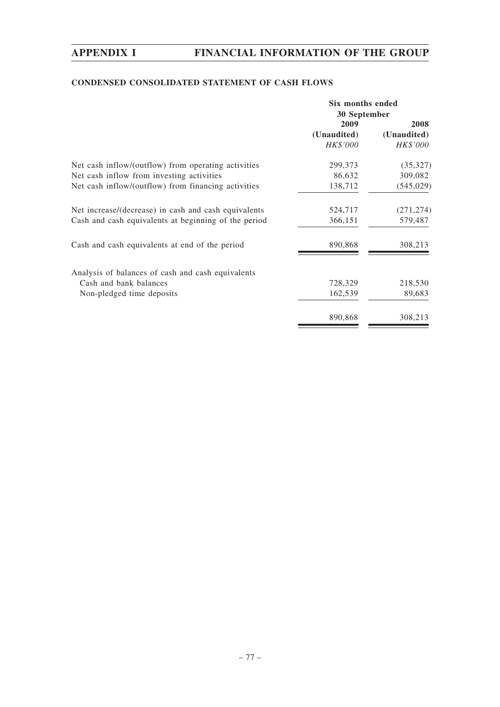## **CONDENSED CONSOLIDATED STATEMENT OF CASH FLOWS**

|                                                      | Six months ended<br>30 September |             |  |  |
|------------------------------------------------------|----------------------------------|-------------|--|--|
|                                                      |                                  |             |  |  |
|                                                      | 2009                             | 2008        |  |  |
|                                                      | (Unaudited)                      | (Unaudited) |  |  |
|                                                      | HK\$'000                         | HK\$'000    |  |  |
| Net cash inflow/(outflow) from operating activities  | 299,373                          | (35,327)    |  |  |
| Net cash inflow from investing activities            | 86,632                           | 309,082     |  |  |
| Net cash inflow/(outflow) from financing activities  | 138,712                          | (545, 029)  |  |  |
| Net increase/(decrease) in cash and cash equivalents | 524,717                          | (271, 274)  |  |  |
| Cash and cash equivalents at beginning of the period | 366,151                          | 579,487     |  |  |
| Cash and cash equivalents at end of the period       | 890,868                          | 308,213     |  |  |
| Analysis of balances of cash and cash equivalents    |                                  |             |  |  |
| Cash and bank balances                               | 728,329                          | 218,530     |  |  |
| Non-pledged time deposits                            | 162,539                          | 89,683      |  |  |
|                                                      | 890,868                          | 308,213     |  |  |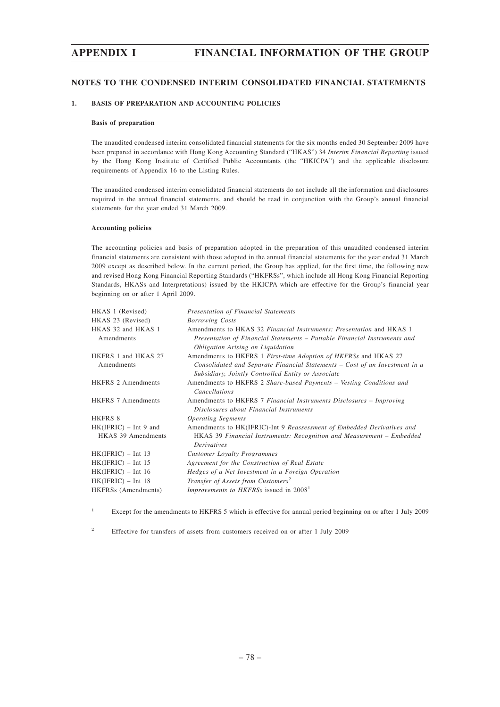## **NOTES TO THE CONDENSED INTERIM CONSOLIDATED FINANCIAL STATEMENTS**

## **1. BASIS OF PREPARATION AND ACCOUNTING POLICIES**

#### **Basis of preparation**

The unaudited condensed interim consolidated financial statements for the six months ended 30 September 2009 have been prepared in accordance with Hong Kong Accounting Standard ("HKAS") 34 *Interim Financial Reporting* issued by the Hong Kong Institute of Certified Public Accountants (the "HKICPA") and the applicable disclosure requirements of Appendix 16 to the Listing Rules.

The unaudited condensed interim consolidated financial statements do not include all the information and disclosures required in the annual financial statements, and should be read in conjunction with the Group's annual financial statements for the year ended 31 March 2009.

#### **Accounting policies**

The accounting policies and basis of preparation adopted in the preparation of this unaudited condensed interim financial statements are consistent with those adopted in the annual financial statements for the year ended 31 March 2009 except as described below. In the current period, the Group has applied, for the first time, the following new and revised Hong Kong Financial Reporting Standards ("HKFRSs", which include all Hong Kong Financial Reporting Standards, HKASs and Interpretations) issued by the HKICPA which are effective for the Group's financial year beginning on or after 1 April 2009.

| HKAS 1 (Revised)          | Presentation of Financial Statements                                                                                              |
|---------------------------|-----------------------------------------------------------------------------------------------------------------------------------|
| HKAS 23 (Revised)         | <b>Borrowing Costs</b>                                                                                                            |
| HKAS 32 and HKAS 1        | Amendments to HKAS 32 Financial Instruments: Presentation and HKAS 1                                                              |
| Amendments                | Presentation of Financial Statements – Puttable Financial Instruments and<br>Obligation Arising on Liquidation                    |
| HKFRS 1 and HKAS 27       | Amendments to HKFRS 1 First-time Adoption of HKFRSs and HKAS 27                                                                   |
| Amendments                | Consolidated and Separate Financial Statements - Cost of an Investment in a<br>Subsidiary, Jointly Controlled Entity or Associate |
| <b>HKFRS 2 Amendments</b> | Amendments to HKFRS 2 Share-based Payments – Vesting Conditions and<br>Cancellations                                              |
| <b>HKFRS</b> 7 Amendments | Amendments to HKFRS 7 Financial Instruments Disclosures – Improving<br>Disclosures about Financial Instruments                    |
| HKFRS 8                   | <b>Operating Segments</b>                                                                                                         |
| $HK(IFRIC) - Int 9$ and   | Amendments to HK(IFRIC)-Int 9 Reassessment of Embedded Derivatives and                                                            |
| HKAS 39 Amendments        | HKAS 39 Financial Instruments: Recognition and Measurement – Embedded<br><b>Derivatives</b>                                       |
| $HK(IFRIC) - Int 13$      | <b>Customer Loyalty Programmes</b>                                                                                                |
| $HK(IFRIC) - Int 15$      | Agreement for the Construction of Real Estate                                                                                     |
| $HK(IFRIC) - Int 16$      | Hedges of a Net Investment in a Foreign Operation                                                                                 |
| $HK(IFRIC) - Int 18$      | Transfer of Assets from Customers <sup>2</sup>                                                                                    |
| HKFRSs (Amendments)       | <i>Improvements to HKFRSs</i> issued in 2008 <sup>1</sup>                                                                         |

<sup>1</sup> Except for the amendments to HKFRS 5 which is effective for annual period beginning on or after 1 July 2009

<sup>2</sup> Effective for transfers of assets from customers received on or after 1 July 2009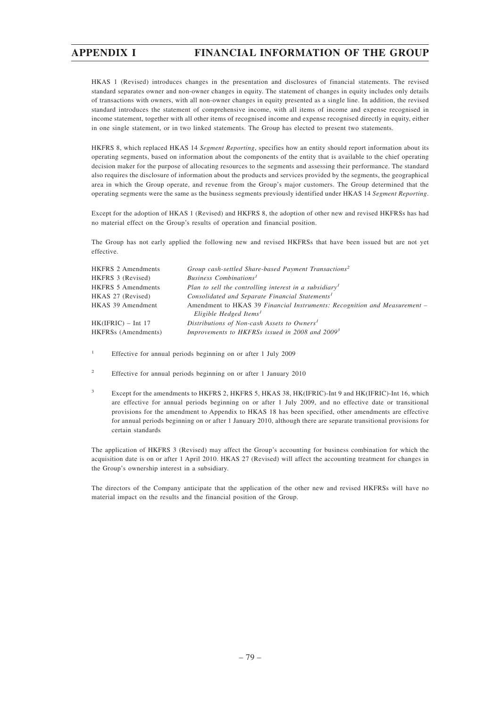HKAS 1 (Revised) introduces changes in the presentation and disclosures of financial statements. The revised standard separates owner and non-owner changes in equity. The statement of changes in equity includes only details of transactions with owners, with all non-owner changes in equity presented as a single line. In addition, the revised standard introduces the statement of comprehensive income, with all items of income and expense recognised in income statement, together with all other items of recognised income and expense recognised directly in equity, either in one single statement, or in two linked statements. The Group has elected to present two statements.

HKFRS 8, which replaced HKAS 14 *Segment Reporting*, specifies how an entity should report information about its operating segments, based on information about the components of the entity that is available to the chief operating decision maker for the purpose of allocating resources to the segments and assessing their performance. The standard also requires the disclosure of information about the products and services provided by the segments, the geographical area in which the Group operate, and revenue from the Group's major customers. The Group determined that the operating segments were the same as the business segments previously identified under HKAS 14 *Segment Reporting*.

Except for the adoption of HKAS 1 (Revised) and HKFRS 8, the adoption of other new and revised HKFRSs has had no material effect on the Group's results of operation and financial position.

The Group has not early applied the following new and revised HKFRSs that have been issued but are not yet effective.

| <b>HKFRS 2 Amendments</b> | Group cash-settled Share-based Payment Transactions <sup>2</sup>                                                |
|---------------------------|-----------------------------------------------------------------------------------------------------------------|
| HKFRS 3 (Revised)         | Business Combinations <sup>1</sup>                                                                              |
| <b>HKFRS 5 Amendments</b> | Plan to sell the controlling interest in a subsidiary                                                           |
| HKAS 27 (Revised)         | Consolidated and Separate Financial Statements <sup>1</sup>                                                     |
| HKAS 39 Amendment         | Amendment to HKAS 39 Financial Instruments: Recognition and Measurement -<br>Eligible Hedged Items <sup>1</sup> |
| $HK(IFRIC) - Int 17$      | Distributions of Non-cash Assets to Owners <sup>1</sup>                                                         |
| HKFRSs (Amendments)       | Improvements to HKFRSs issued in 2008 and 2009 <sup>3</sup>                                                     |

- <sup>1</sup> Effective for annual periods beginning on or after 1 July 2009
- <sup>2</sup> Effective for annual periods beginning on or after 1 January 2010
- <sup>3</sup> Except for the amendments to HKFRS 2, HKFRS 5, HKAS 38, HK(IFRIC)-Int 9 and HK(IFRIC)-Int 16, which are effective for annual periods beginning on or after 1 July 2009, and no effective date or transitional provisions for the amendment to Appendix to HKAS 18 has been specified, other amendments are effective for annual periods beginning on or after 1 January 2010, although there are separate transitional provisions for certain standards

The application of HKFRS 3 (Revised) may affect the Group's accounting for business combination for which the acquisition date is on or after 1 April 2010. HKAS 27 (Revised) will affect the accounting treatment for changes in the Group's ownership interest in a subsidiary.

The directors of the Company anticipate that the application of the other new and revised HKFRSs will have no material impact on the results and the financial position of the Group.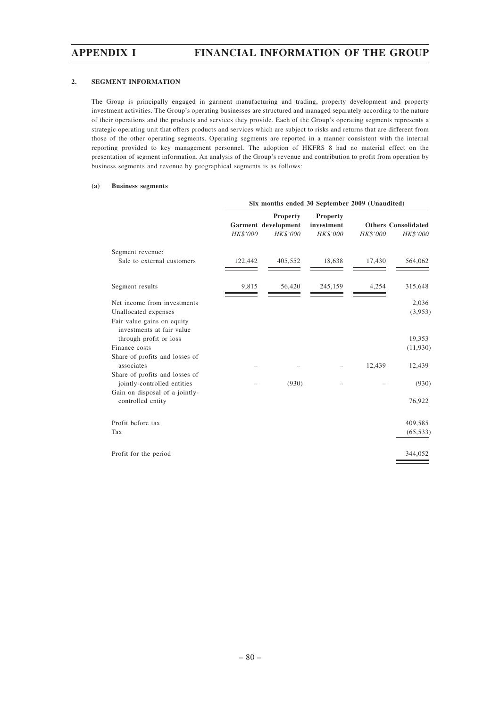## **2. SEGMENT INFORMATION**

The Group is principally engaged in garment manufacturing and trading, property development and property investment activities. The Group's operating businesses are structured and managed separately according to the nature of their operations and the products and services they provide. Each of the Group's operating segments represents a strategic operating unit that offers products and services which are subject to risks and returns that are different from those of the other operating segments. Operating segments are reported in a manner consistent with the internal reporting provided to key management personnel. The adoption of HKFRS 8 had no material effect on the presentation of segment information. An analysis of the Group's revenue and contribution to profit from operation by business segments and revenue by geographical segments is as follows:

## **(a) Business segments**

|                                                                                   | Six months ended 30 September 2009 (Unaudited) |                                                    |                                    |          |                                        |  |
|-----------------------------------------------------------------------------------|------------------------------------------------|----------------------------------------------------|------------------------------------|----------|----------------------------------------|--|
|                                                                                   | HK\$'000                                       | <b>Property</b><br>Garment development<br>HK\$'000 | Property<br>investment<br>HK\$'000 | HK\$'000 | <b>Others Consolidated</b><br>HK\$'000 |  |
| Segment revenue:                                                                  |                                                |                                                    |                                    |          |                                        |  |
| Sale to external customers                                                        | 122,442                                        | 405,552                                            | 18,638                             | 17,430   | 564,062                                |  |
| Segment results                                                                   | 9,815                                          | 56,420                                             | 245,159                            | 4,254    | 315,648                                |  |
| Net income from investments                                                       |                                                |                                                    |                                    |          | 2,036                                  |  |
| Unallocated expenses                                                              |                                                |                                                    |                                    |          | (3,953)                                |  |
| Fair value gains on equity<br>investments at fair value<br>through profit or loss |                                                |                                                    |                                    |          | 19,353                                 |  |
| Finance costs                                                                     |                                                |                                                    |                                    |          | (11,930)                               |  |
| Share of profits and losses of                                                    |                                                |                                                    |                                    |          |                                        |  |
| associates                                                                        |                                                |                                                    |                                    | 12,439   | 12,439                                 |  |
| Share of profits and losses of                                                    |                                                |                                                    |                                    |          |                                        |  |
| jointly-controlled entities                                                       |                                                | (930)                                              |                                    |          | (930)                                  |  |
| Gain on disposal of a jointly-                                                    |                                                |                                                    |                                    |          |                                        |  |
| controlled entity                                                                 |                                                |                                                    |                                    |          | 76,922                                 |  |
| Profit before tax                                                                 |                                                |                                                    |                                    |          | 409,585                                |  |
| Tax                                                                               |                                                |                                                    |                                    |          | (65, 533)                              |  |
| Profit for the period                                                             |                                                |                                                    |                                    |          | 344,052                                |  |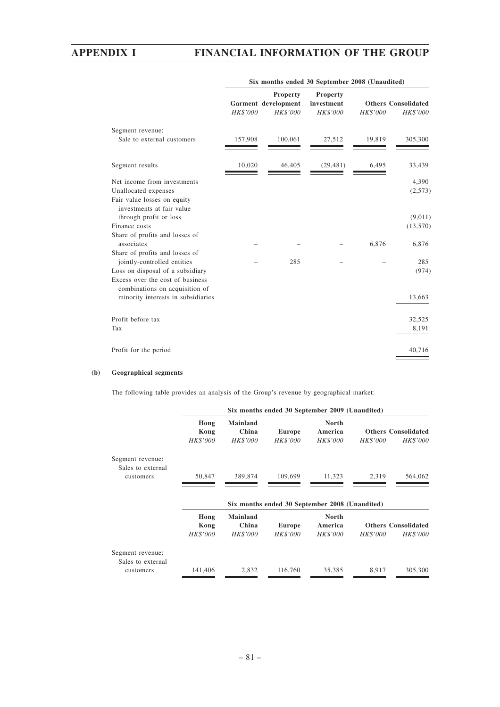|                                                                    | Six months ended 30 September 2008 (Unaudited) |                                             |                                    |          |                                        |
|--------------------------------------------------------------------|------------------------------------------------|---------------------------------------------|------------------------------------|----------|----------------------------------------|
|                                                                    | HK\$'000                                       | Property<br>Garment development<br>HK\$'000 | Property<br>investment<br>HK\$'000 | HK\$'000 | <b>Others Consolidated</b><br>HK\$'000 |
| Segment revenue:                                                   |                                                |                                             |                                    |          |                                        |
| Sale to external customers                                         | 157,908                                        | 100,061                                     | 27,512                             | 19,819   | 305,300                                |
| Segment results                                                    | 10,020                                         | 46,405                                      | (29, 481)                          | 6,495    | 33,439                                 |
| Net income from investments                                        |                                                |                                             |                                    |          | 4,390                                  |
| Unallocated expenses                                               |                                                |                                             |                                    |          | (2,573)                                |
| Fair value losses on equity<br>investments at fair value           |                                                |                                             |                                    |          |                                        |
| through profit or loss<br>Finance costs                            |                                                |                                             |                                    |          | (9,011)                                |
| Share of profits and losses of                                     |                                                |                                             |                                    |          | (13, 570)                              |
| associates                                                         |                                                |                                             |                                    | 6,876    | 6,876                                  |
| Share of profits and losses of                                     |                                                |                                             |                                    |          |                                        |
| jointly-controlled entities                                        |                                                | 285                                         |                                    |          | 285                                    |
| Loss on disposal of a subsidiary                                   |                                                |                                             |                                    |          | (974)                                  |
| Excess over the cost of business<br>combinations on acquisition of |                                                |                                             |                                    |          |                                        |
| minority interests in subsidiaries                                 |                                                |                                             |                                    |          | 13,663                                 |
|                                                                    |                                                |                                             |                                    |          |                                        |
| Profit before tax                                                  |                                                |                                             |                                    |          | 32,525                                 |
| Tax                                                                |                                                |                                             |                                    |          | 8,191                                  |
|                                                                    |                                                |                                             |                                    |          |                                        |
| Profit for the period                                              |                                                |                                             |                                    |          | 40,716                                 |
|                                                                    |                                                |                                             |                                    |          |                                        |

## **(b) Geographical segments**

The following table provides an analysis of the Group's revenue by geographical market:

|                                                    |                          |                                             | Six months ended 30 September 2009 (Unaudited) |                                     |                 |                                        |
|----------------------------------------------------|--------------------------|---------------------------------------------|------------------------------------------------|-------------------------------------|-----------------|----------------------------------------|
|                                                    | Hong<br>Kong<br>HK\$'000 | <b>Mainland</b><br>China<br><b>HK\$'000</b> | <b>Europe</b><br><b>HK\$'000</b>               | <b>North</b><br>America<br>HK\$'000 | HK\$'000        | <b>Others Consolidated</b><br>HK\$'000 |
| Segment revenue:<br>Sales to external<br>customers | 50,847                   | 389,874                                     | 109,699                                        | 11,323                              | 2,319           | 564,062                                |
|                                                    |                          |                                             | Six months ended 30 September 2008 (Unaudited) |                                     |                 |                                        |
|                                                    | Hong<br>Kong<br>HK\$'000 | <b>Mainland</b><br>China<br>HK\$'000        | <b>Europe</b><br>HK\$'000                      | <b>North</b><br>America<br>HK\$'000 | <i>HK\$'000</i> | <b>Others Consolidated</b><br>HK\$'000 |
| Segment revenue:<br>Sales to external<br>customers | 141,406                  | 2,832                                       | 116,760                                        | 35,385                              | 8,917           | 305,300                                |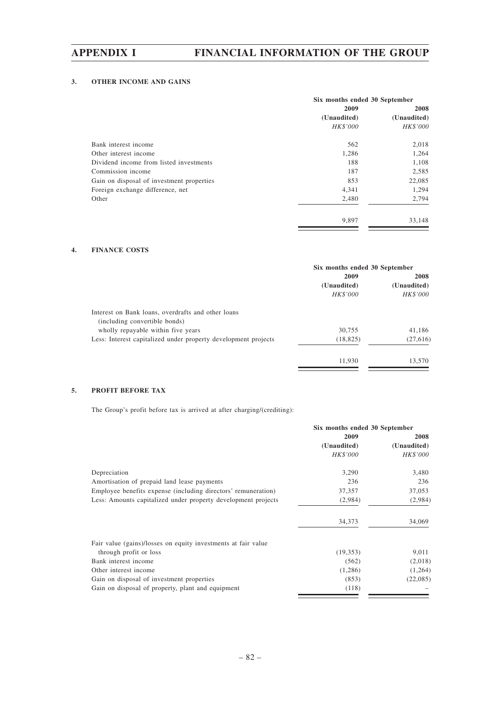## **3. OTHER INCOME AND GAINS**

|                                           | Six months ended 30 September |             |
|-------------------------------------------|-------------------------------|-------------|
|                                           | 2009                          | 2008        |
|                                           | (Unaudited)                   | (Unaudited) |
|                                           | HK\$'000                      | HK\$'000    |
| Bank interest income                      | 562                           | 2,018       |
| Other interest income                     | 1,286                         | 1,264       |
| Dividend income from listed investments   | 188                           | 1,108       |
| Commission income                         | 187                           | 2,585       |
| Gain on disposal of investment properties | 853                           | 22,085      |
| Foreign exchange difference, net          | 4,341                         | 1,294       |
| Other                                     | 2,480                         | 2,794       |
|                                           | 9.897                         | 33,148      |

## **4. FINANCE COSTS**

|                                                                | Six months ended 30 September |                     |
|----------------------------------------------------------------|-------------------------------|---------------------|
|                                                                | 2009                          | 2008<br>(Unaudited) |
|                                                                | (Unaudited)                   |                     |
|                                                                | HK\$'000                      | HK\$'000            |
| Interest on Bank loans, overdrafts and other loans             |                               |                     |
| (including convertible bonds)                                  |                               |                     |
| wholly repayable within five years                             | 30,755                        | 41,186              |
| Less: Interest capitalized under property development projects | (18, 825)                     | (27,616)            |
|                                                                | 11.930                        | 13,570              |

## **5. PROFIT BEFORE TAX**

The Group's profit before tax is arrived at after charging/(crediting):

|                                                               | Six months ended 30 September |                 |  |
|---------------------------------------------------------------|-------------------------------|-----------------|--|
|                                                               | 2009                          | 2008            |  |
|                                                               | (Unaudited)                   | (Unaudited)     |  |
|                                                               | HK\$'000                      | <i>HK\$'000</i> |  |
| Depreciation                                                  | 3,290                         | 3,480           |  |
| Amortisation of prepaid land lease payments                   | 236                           | 236             |  |
| Employee benefits expense (including directors' remuneration) | 37,357                        | 37,053          |  |
| Less: Amounts capitalized under property development projects | (2,984)                       | (2,984)         |  |
|                                                               | 34,373                        | 34,069          |  |
| Fair value (gains)/losses on equity investments at fair value |                               |                 |  |
| through profit or loss                                        | (19, 353)                     | 9,011           |  |
| Bank interest income                                          | (562)                         | (2,018)         |  |
| Other interest income                                         | (1,286)                       | (1,264)         |  |
| Gain on disposal of investment properties                     | (853)                         | (22,085)        |  |
| Gain on disposal of property, plant and equipment             | (118)                         |                 |  |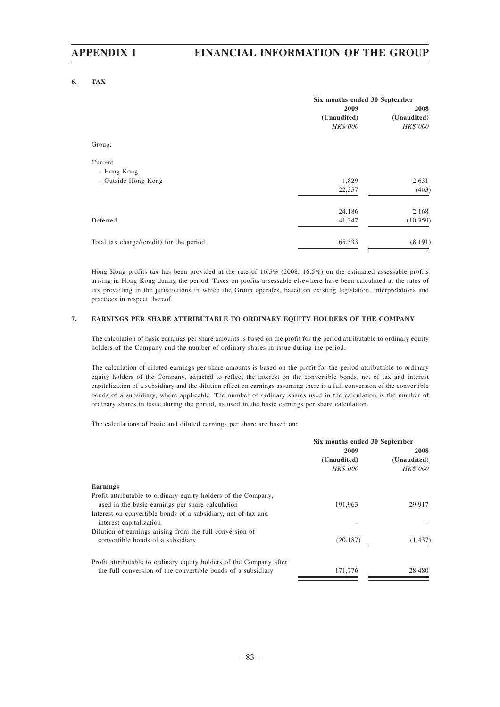## **6. TAX**

| Six months ended 30 September |             |
|-------------------------------|-------------|
| 2009                          | 2008        |
| (Unaudited)                   | (Unaudited) |
| HK\$'000                      | HK\$'000    |
|                               |             |
|                               |             |
|                               |             |
| 1,829                         | 2,631       |
| 22,357                        | (463)       |
|                               | 2,168       |
| 41,347                        | (10, 359)   |
| 65,533                        | (8,191)     |
|                               | 24,186      |

Hong Kong profits tax has been provided at the rate of 16.5% (2008: 16.5%) on the estimated assessable profits arising in Hong Kong during the period. Taxes on profits assessable elsewhere have been calculated at the rates of tax prevailing in the jurisdictions in which the Group operates, based on existing legislation, interpretations and practices in respect thereof.

## **7. EARNINGS PER SHARE ATTRIBUTABLE TO ORDINARY EQUITY HOLDERS OF THE COMPANY**

The calculation of basic earnings per share amounts is based on the profit for the period attributable to ordinary equity holders of the Company and the number of ordinary shares in issue during the period.

The calculation of diluted earnings per share amounts is based on the profit for the period attributable to ordinary equity holders of the Company, adjusted to reflect the interest on the convertible bonds, net of tax and interest capitalization of a subsidiary and the dilution effect on earnings assuming there is a full conversion of the convertible bonds of a subsidiary, where applicable. The number of ordinary shares used in the calculation is the number of ordinary shares in issue during the period, as used in the basic earnings per share calculation.

The calculations of basic and diluted earnings per share are based on:

|                                                                     | Six months ended 30 September |             |  |
|---------------------------------------------------------------------|-------------------------------|-------------|--|
|                                                                     | 2009                          | 2008        |  |
|                                                                     | (Unaudited)                   | (Unaudited) |  |
|                                                                     | HK\$'000                      | HK\$'000    |  |
| Earnings                                                            |                               |             |  |
| Profit attributable to ordinary equity holders of the Company,      |                               |             |  |
| used in the basic earnings per share calculation                    | 191,963                       | 29,917      |  |
| Interest on convertible bonds of a subsidiary, net of tax and       |                               |             |  |
| interest capitalization                                             |                               |             |  |
| Dilution of earnings arising from the full conversion of            |                               |             |  |
| convertible bonds of a subsidiary                                   | (20, 187)                     | (1, 437)    |  |
| Profit attributable to ordinary equity holders of the Company after |                               |             |  |
| the full conversion of the convertible bonds of a subsidiary        | 171,776                       | 28,480      |  |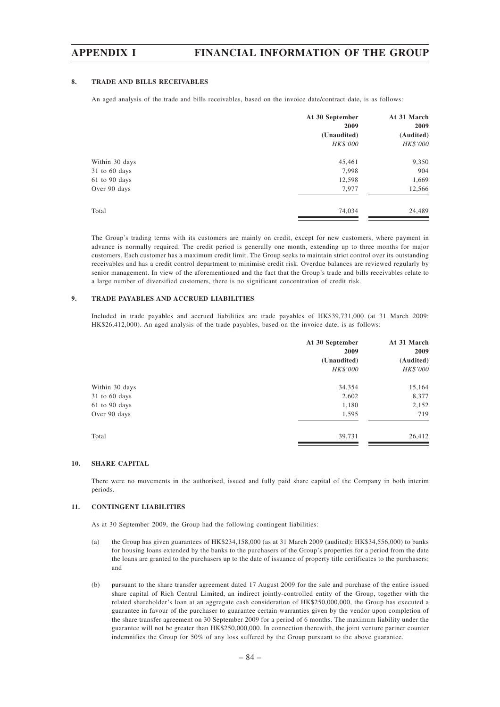### **8. TRADE AND BILLS RECEIVABLES**

An aged analysis of the trade and bills receivables, based on the invoice date/contract date, is as follows:

|                   | At 30 September<br>2009 | At 31 March<br>2009 |
|-------------------|-------------------------|---------------------|
|                   | (Unaudited)             | (Audited)           |
|                   | HK\$'000                | HK\$'000            |
| Within 30 days    | 45,461                  | 9,350               |
| $31$ to 60 days   | 7,998                   | 904                 |
| $61$ to $90$ days | 12,598                  | 1,669               |
| Over 90 days      | 7,977                   | 12,566              |
| Total             | 74,034                  | 24,489              |

The Group's trading terms with its customers are mainly on credit, except for new customers, where payment in advance is normally required. The credit period is generally one month, extending up to three months for major customers. Each customer has a maximum credit limit. The Group seeks to maintain strict control over its outstanding receivables and has a credit control department to minimise credit risk. Overdue balances are reviewed regularly by senior management. In view of the aforementioned and the fact that the Group's trade and bills receivables relate to a large number of diversified customers, there is no significant concentration of credit risk.

## **9. TRADE PAYABLES AND ACCRUED LIABILITIES**

Included in trade payables and accrued liabilities are trade payables of HK\$39,731,000 (at 31 March 2009: HK\$26,412,000). An aged analysis of the trade payables, based on the invoice date, is as follows:

|                | At 30 September<br>2009 | At 31 March<br>2009 |
|----------------|-------------------------|---------------------|
|                | (Unaudited)             | (Audited)           |
|                | HK\$'000                | HK\$'000            |
| Within 30 days | 34,354                  | 15,164              |
| 31 to 60 days  | 2,602                   | 8,377               |
| 61 to 90 days  | 1,180                   | 2,152               |
| Over 90 days   | 1,595                   | 719                 |
| Total          | 39,731                  | 26,412              |
|                |                         |                     |

## **10. SHARE CAPITAL**

There were no movements in the authorised, issued and fully paid share capital of the Company in both interim periods.

## **11. CONTINGENT LIABILITIES**

As at 30 September 2009, the Group had the following contingent liabilities:

- (a) the Group has given guarantees of HK\$234,158,000 (as at 31 March 2009 (audited): HK\$34,556,000) to banks for housing loans extended by the banks to the purchasers of the Group's properties for a period from the date the loans are granted to the purchasers up to the date of issuance of property title certificates to the purchasers; and
- (b) pursuant to the share transfer agreement dated 17 August 2009 for the sale and purchase of the entire issued share capital of Rich Central Limited, an indirect jointly-controlled entity of the Group, together with the related shareholder's loan at an aggregate cash consideration of HK\$250,000,000, the Group has executed a guarantee in favour of the purchaser to guarantee certain warranties given by the vendor upon completion of the share transfer agreement on 30 September 2009 for a period of 6 months. The maximum liability under the guarantee will not be greater than HK\$250,000,000. In connection therewith, the joint venture partner counter indemnifies the Group for 50% of any loss suffered by the Group pursuant to the above guarantee.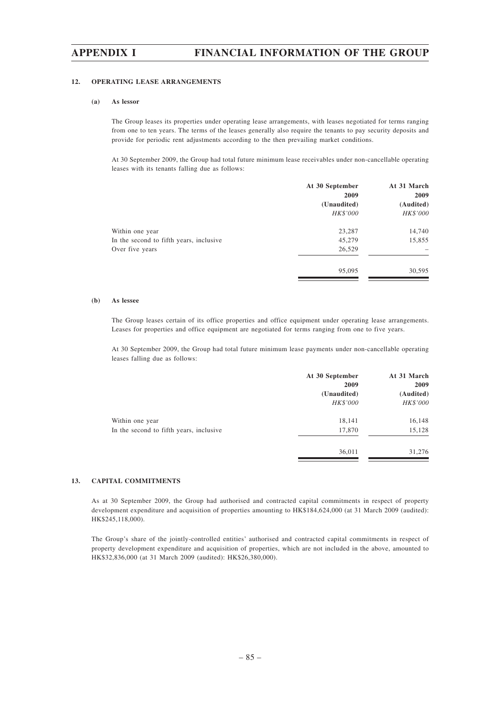#### **12. OPERATING LEASE ARRANGEMENTS**

#### **(a) As lessor**

The Group leases its properties under operating lease arrangements, with leases negotiated for terms ranging from one to ten years. The terms of the leases generally also require the tenants to pay security deposits and provide for periodic rent adjustments according to the then prevailing market conditions.

At 30 September 2009, the Group had total future minimum lease receivables under non-cancellable operating leases with its tenants falling due as follows:

| At 30 September | At 31 March |
|-----------------|-------------|
| 2009            | 2009        |
| (Unaudited)     | (Audited)   |
| HK\$'000        | HK\$'000    |
| 23,287          | 14,740      |
| 45,279          | 15,855      |
| 26,529          |             |
| 95,095          | 30,595      |
|                 |             |

#### **(b) As lessee**

The Group leases certain of its office properties and office equipment under operating lease arrangements. Leases for properties and office equipment are negotiated for terms ranging from one to five years.

At 30 September 2009, the Group had total future minimum lease payments under non-cancellable operating leases falling due as follows:

| At 30 September<br>2009 | At 31 March<br>2009 |
|-------------------------|---------------------|
| (Unaudited)             | (Audited)           |
| HK\$'000                | HK\$'000            |
| 18,141                  | 16,148              |
| 17,870                  | 15,128              |
| 36,011                  | 31,276              |
|                         |                     |

## **13. CAPITAL COMMITMENTS**

As at 30 September 2009, the Group had authorised and contracted capital commitments in respect of property development expenditure and acquisition of properties amounting to HK\$184,624,000 (at 31 March 2009 (audited): HK\$245,118,000).

The Group's share of the jointly-controlled entities' authorised and contracted capital commitments in respect of property development expenditure and acquisition of properties, which are not included in the above, amounted to HK\$32,836,000 (at 31 March 2009 (audited): HK\$26,380,000).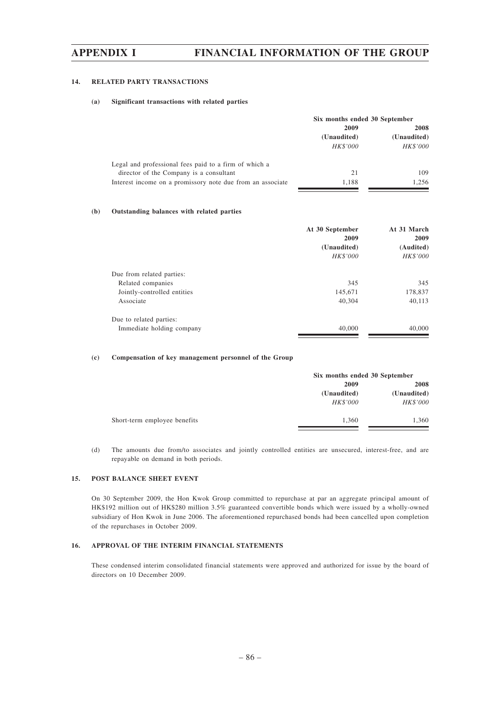## **14. RELATED PARTY TRANSACTIONS**

### **(a) Significant transactions with related parties**

|                                                            | Six months ended 30 September |             |
|------------------------------------------------------------|-------------------------------|-------------|
|                                                            | 2009                          | 2008        |
|                                                            | (Unaudited)                   | (Unaudited) |
|                                                            | HK\$'000                      | HK\$'000    |
| Legal and professional fees paid to a firm of which a      |                               |             |
| director of the Company is a consultant                    | 21                            | 109         |
| Interest income on a promissory note due from an associate | 1.188                         | 1.256       |

### **(b) Outstanding balances with related parties**

|                             | At 30 September<br>2009        | At 31 March<br>2009   |  |
|-----------------------------|--------------------------------|-----------------------|--|
|                             | (Unaudited)<br><b>HK\$'000</b> | (Audited)<br>HK\$'000 |  |
|                             |                                |                       |  |
| Due from related parties:   |                                |                       |  |
| Related companies           | 345                            | 345                   |  |
| Jointly-controlled entities | 145,671                        | 178,837               |  |
| Associate                   | 40,304                         | 40,113                |  |
| Due to related parties:     |                                |                       |  |
| Immediate holding company   | 40,000                         | 40,000                |  |

### **(c) Compensation of key management personnel of the Group**

|                              | Six months ended 30 September |             |  |
|------------------------------|-------------------------------|-------------|--|
|                              | 2009                          |             |  |
|                              | (Unaudited)                   | (Unaudited) |  |
|                              | HK\$'000                      | HK\$'000    |  |
| Short-term employee benefits | 1,360                         | 1,360       |  |

(d) The amounts due from/to associates and jointly controlled entities are unsecured, interest-free, and are repayable on demand in both periods.

## **15. POST BALANCE SHEET EVENT**

On 30 September 2009, the Hon Kwok Group committed to repurchase at par an aggregate principal amount of HK\$192 million out of HK\$280 million 3.5% guaranteed convertible bonds which were issued by a wholly-owned subsidiary of Hon Kwok in June 2006. The aforementioned repurchased bonds had been cancelled upon completion of the repurchases in October 2009.

## **16. APPROVAL OF THE INTERIM FINANCIAL STATEMENTS**

These condensed interim consolidated financial statements were approved and authorized for issue by the board of directors on 10 December 2009.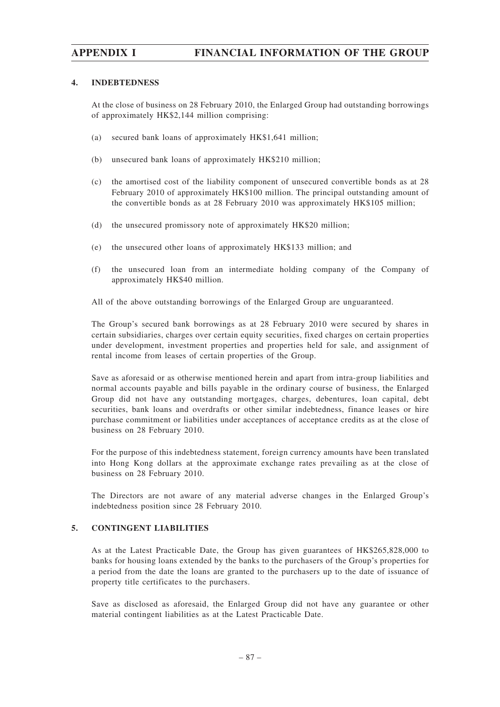## **4. INDEBTEDNESS**

At the close of business on 28 February 2010, the Enlarged Group had outstanding borrowings of approximately HK\$2,144 million comprising:

- (a) secured bank loans of approximately HK\$1,641 million;
- (b) unsecured bank loans of approximately HK\$210 million;
- (c) the amortised cost of the liability component of unsecured convertible bonds as at 28 February 2010 of approximately HK\$100 million. The principal outstanding amount of the convertible bonds as at 28 February 2010 was approximately HK\$105 million;
- (d) the unsecured promissory note of approximately HK\$20 million;
- (e) the unsecured other loans of approximately HK\$133 million; and
- (f) the unsecured loan from an intermediate holding company of the Company of approximately HK\$40 million.

All of the above outstanding borrowings of the Enlarged Group are unguaranteed.

The Group's secured bank borrowings as at 28 February 2010 were secured by shares in certain subsidiaries, charges over certain equity securities, fixed charges on certain properties under development, investment properties and properties held for sale, and assignment of rental income from leases of certain properties of the Group.

Save as aforesaid or as otherwise mentioned herein and apart from intra-group liabilities and normal accounts payable and bills payable in the ordinary course of business, the Enlarged Group did not have any outstanding mortgages, charges, debentures, loan capital, debt securities, bank loans and overdrafts or other similar indebtedness, finance leases or hire purchase commitment or liabilities under acceptances of acceptance credits as at the close of business on 28 February 2010.

For the purpose of this indebtedness statement, foreign currency amounts have been translated into Hong Kong dollars at the approximate exchange rates prevailing as at the close of business on 28 February 2010.

The Directors are not aware of any material adverse changes in the Enlarged Group's indebtedness position since 28 February 2010.

## **5. CONTINGENT LIABILITIES**

As at the Latest Practicable Date, the Group has given guarantees of HK\$265,828,000 to banks for housing loans extended by the banks to the purchasers of the Group's properties for a period from the date the loans are granted to the purchasers up to the date of issuance of property title certificates to the purchasers.

Save as disclosed as aforesaid, the Enlarged Group did not have any guarantee or other material contingent liabilities as at the Latest Practicable Date.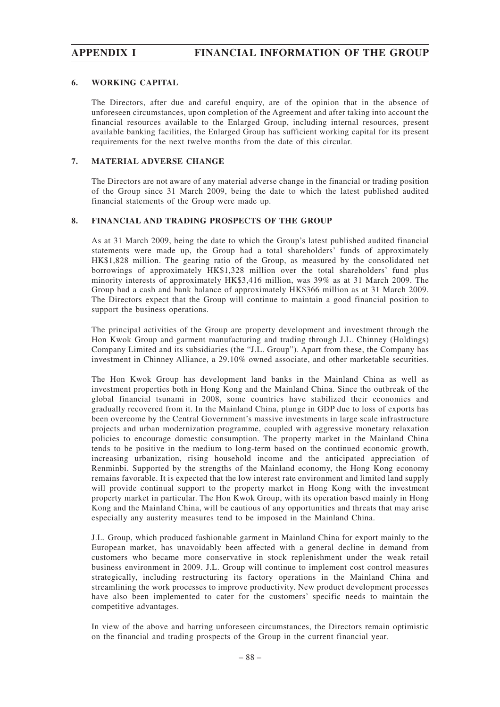## **6. WORKING CAPITAL**

The Directors, after due and careful enquiry, are of the opinion that in the absence of unforeseen circumstances, upon completion of the Agreement and after taking into account the financial resources available to the Enlarged Group, including internal resources, present available banking facilities, the Enlarged Group has sufficient working capital for its present requirements for the next twelve months from the date of this circular.

## **7. MATERIAL ADVERSE CHANGE**

The Directors are not aware of any material adverse change in the financial or trading position of the Group since 31 March 2009, being the date to which the latest published audited financial statements of the Group were made up.

## **8. FINANCIAL AND TRADING PROSPECTS OF THE GROUP**

As at 31 March 2009, being the date to which the Group's latest published audited financial statements were made up, the Group had a total shareholders' funds of approximately HK\$1,828 million. The gearing ratio of the Group, as measured by the consolidated net borrowings of approximately HK\$1,328 million over the total shareholders' fund plus minority interests of approximately HK\$3,416 million, was 39% as at 31 March 2009. The Group had a cash and bank balance of approximately HK\$366 million as at 31 March 2009. The Directors expect that the Group will continue to maintain a good financial position to support the business operations.

The principal activities of the Group are property development and investment through the Hon Kwok Group and garment manufacturing and trading through J.L. Chinney (Holdings) Company Limited and its subsidiaries (the "J.L. Group"). Apart from these, the Company has investment in Chinney Alliance, a 29.10% owned associate, and other marketable securities.

The Hon Kwok Group has development land banks in the Mainland China as well as investment properties both in Hong Kong and the Mainland China. Since the outbreak of the global financial tsunami in 2008, some countries have stabilized their economies and gradually recovered from it. In the Mainland China, plunge in GDP due to loss of exports has been overcome by the Central Government's massive investments in large scale infrastructure projects and urban modernization programme, coupled with aggressive monetary relaxation policies to encourage domestic consumption. The property market in the Mainland China tends to be positive in the medium to long-term based on the continued economic growth, increasing urbanization, rising household income and the anticipated appreciation of Renminbi. Supported by the strengths of the Mainland economy, the Hong Kong economy remains favorable. It is expected that the low interest rate environment and limited land supply will provide continual support to the property market in Hong Kong with the investment property market in particular. The Hon Kwok Group, with its operation based mainly in Hong Kong and the Mainland China, will be cautious of any opportunities and threats that may arise especially any austerity measures tend to be imposed in the Mainland China.

J.L. Group, which produced fashionable garment in Mainland China for export mainly to the European market, has unavoidably been affected with a general decline in demand from customers who became more conservative in stock replenishment under the weak retail business environment in 2009. J.L. Group will continue to implement cost control measures strategically, including restructuring its factory operations in the Mainland China and streamlining the work processes to improve productivity. New product development processes have also been implemented to cater for the customers' specific needs to maintain the competitive advantages.

In view of the above and barring unforeseen circumstances, the Directors remain optimistic on the financial and trading prospects of the Group in the current financial year.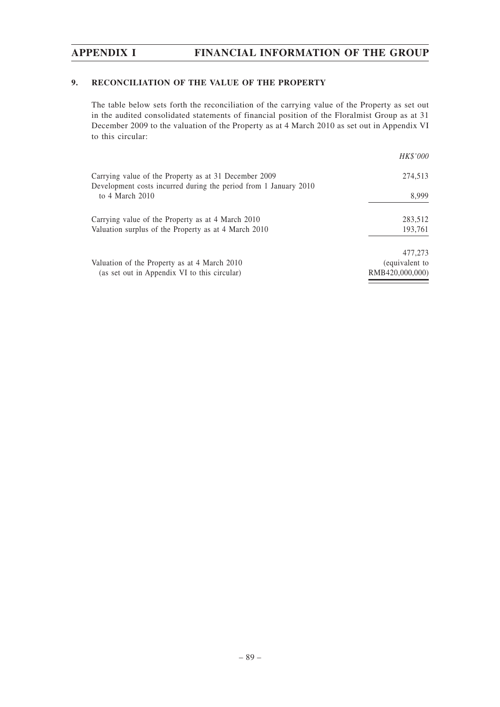## **9. RECONCILIATION OF THE VALUE OF THE PROPERTY**

The table below sets forth the reconciliation of the carrying value of the Property as set out in the audited consolidated statements of financial position of the Floralmist Group as at 31 December 2009 to the valuation of the Property as at 4 March 2010 as set out in Appendix VI to this circular:

|                                                                                                                           | <i>HK\$'000</i> |
|---------------------------------------------------------------------------------------------------------------------------|-----------------|
| Carrying value of the Property as at 31 December 2009<br>Development costs incurred during the period from 1 January 2010 | 274,513         |
| to $4$ March $2010$                                                                                                       | 8,999           |
| Carrying value of the Property as at 4 March 2010                                                                         | 283,512         |
| Valuation surplus of the Property as at 4 March 2010                                                                      | 193,761         |
|                                                                                                                           | 477,273         |
| Valuation of the Property as at 4 March 2010                                                                              | equivalent to   |
| (as set out in Appendix VI to this circular)                                                                              | RMB420,000,000) |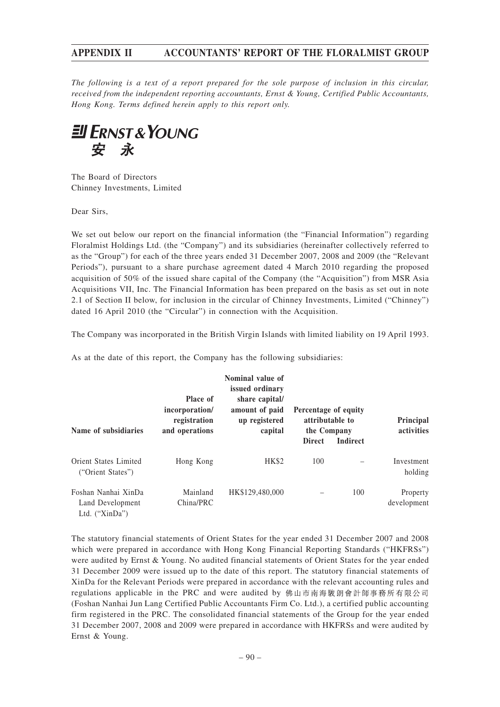*The following is a text of a report prepared for the sole purpose of inclusion in this circular, received from the independent reporting accountants, Ernst & Young, Certified Public Accountants, Hong Kong. Terms defined herein apply to this report only.*



The Board of Directors Chinney Investments, Limited

Dear Sirs,

We set out below our report on the financial information (the "Financial Information") regarding Floralmist Holdings Ltd. (the "Company") and its subsidiaries (hereinafter collectively referred to as the "Group") for each of the three years ended 31 December 2007, 2008 and 2009 (the "Relevant Periods"), pursuant to a share purchase agreement dated 4 March 2010 regarding the proposed acquisition of 50% of the issued share capital of the Company (the "Acquisition") from MSR Asia Acquisitions VII, Inc. The Financial Information has been prepared on the basis as set out in note 2.1 of Section II below, for inclusion in the circular of Chinney Investments, Limited ("Chinney") dated 16 April 2010 (the "Circular") in connection with the Acquisition.

The Company was incorporated in the British Virgin Islands with limited liability on 19 April 1993.

As at the date of this report, the Company has the following subsidiaries:

| Name of subsidiaries                                      | Place of<br>incorporation/<br>registration<br>and operations | Nominal value of<br>issued ordinary<br>share capital/<br>amount of paid<br>up registered<br>capital | Percentage of equity<br>attributable to<br>the Company |                 | Principal<br>activities |
|-----------------------------------------------------------|--------------------------------------------------------------|-----------------------------------------------------------------------------------------------------|--------------------------------------------------------|-----------------|-------------------------|
|                                                           |                                                              |                                                                                                     | <b>Direct</b>                                          | <b>Indirect</b> |                         |
| Orient States Limited<br>("Orient States")                | Hong Kong                                                    | <b>HK\$2</b>                                                                                        | 100                                                    |                 | Investment<br>holding   |
| Foshan Nanhai XinDa<br>Land Development<br>Ltd. ("XinDa") | Mainland<br>China/PRC                                        | HK\$129.480,000                                                                                     |                                                        | 100             | Property<br>development |

The statutory financial statements of Orient States for the year ended 31 December 2007 and 2008 which were prepared in accordance with Hong Kong Financial Reporting Standards ("HKFRSs") were audited by Ernst & Young. No audited financial statements of Orient States for the year ended 31 December 2009 were issued up to the date of this report. The statutory financial statements of XinDa for the Relevant Periods were prepared in accordance with the relevant accounting rules and regulations applicable in the PRC and were audited by 佛山市南海駿朗會計師事務所有限公司 (Foshan Nanhai Jun Lang Certified Public Accountants Firm Co. Ltd.), a certified public accounting firm registered in the PRC. The consolidated financial statements of the Group for the year ended 31 December 2007, 2008 and 2009 were prepared in accordance with HKFRSs and were audited by Ernst & Young.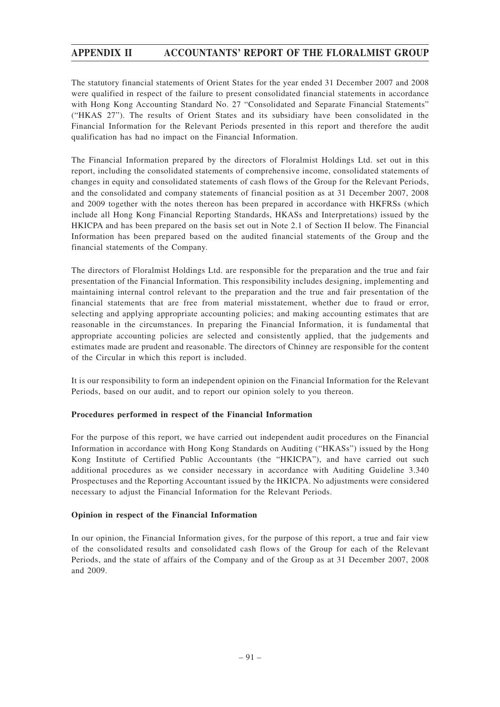The statutory financial statements of Orient States for the year ended 31 December 2007 and 2008 were qualified in respect of the failure to present consolidated financial statements in accordance with Hong Kong Accounting Standard No. 27 "Consolidated and Separate Financial Statements" ("HKAS 27"). The results of Orient States and its subsidiary have been consolidated in the Financial Information for the Relevant Periods presented in this report and therefore the audit qualification has had no impact on the Financial Information.

The Financial Information prepared by the directors of Floralmist Holdings Ltd. set out in this report, including the consolidated statements of comprehensive income, consolidated statements of changes in equity and consolidated statements of cash flows of the Group for the Relevant Periods, and the consolidated and company statements of financial position as at 31 December 2007, 2008 and 2009 together with the notes thereon has been prepared in accordance with HKFRSs (which include all Hong Kong Financial Reporting Standards, HKASs and Interpretations) issued by the HKICPA and has been prepared on the basis set out in Note 2.1 of Section II below. The Financial Information has been prepared based on the audited financial statements of the Group and the financial statements of the Company.

The directors of Floralmist Holdings Ltd. are responsible for the preparation and the true and fair presentation of the Financial Information. This responsibility includes designing, implementing and maintaining internal control relevant to the preparation and the true and fair presentation of the financial statements that are free from material misstatement, whether due to fraud or error, selecting and applying appropriate accounting policies; and making accounting estimates that are reasonable in the circumstances. In preparing the Financial Information, it is fundamental that appropriate accounting policies are selected and consistently applied, that the judgements and estimates made are prudent and reasonable. The directors of Chinney are responsible for the content of the Circular in which this report is included.

It is our responsibility to form an independent opinion on the Financial Information for the Relevant Periods, based on our audit, and to report our opinion solely to you thereon.

## **Procedures performed in respect of the Financial Information**

For the purpose of this report, we have carried out independent audit procedures on the Financial Information in accordance with Hong Kong Standards on Auditing ("HKASs") issued by the Hong Kong Institute of Certified Public Accountants (the "HKICPA"), and have carried out such additional procedures as we consider necessary in accordance with Auditing Guideline 3.340 Prospectuses and the Reporting Accountant issued by the HKICPA. No adjustments were considered necessary to adjust the Financial Information for the Relevant Periods.

## **Opinion in respect of the Financial Information**

In our opinion, the Financial Information gives, for the purpose of this report, a true and fair view of the consolidated results and consolidated cash flows of the Group for each of the Relevant Periods, and the state of affairs of the Company and of the Group as at 31 December 2007, 2008 and 2009.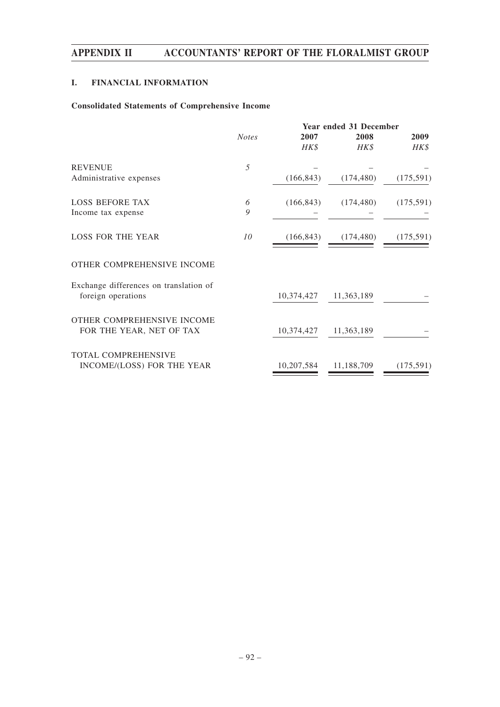## **I. FINANCIAL INFORMATION**

## **Consolidated Statements of Comprehensive Income**

|                                                              |              | Year ended 31 December |            |            |
|--------------------------------------------------------------|--------------|------------------------|------------|------------|
|                                                              | <b>Notes</b> | 2007                   | 2008       | 2009       |
|                                                              |              | HK\$                   | HK\$       | HK\$       |
| <b>REVENUE</b>                                               | 5            |                        |            |            |
| Administrative expenses                                      |              | (166, 843)             | (174, 480) | (175, 591) |
| <b>LOSS BEFORE TAX</b>                                       | 6            | (166, 843)             | (174, 480) | (175, 591) |
| Income tax expense                                           | 9            |                        |            |            |
| <b>LOSS FOR THE YEAR</b>                                     | 10           | (166, 843)             | (174, 480) | (175, 591) |
| OTHER COMPREHENSIVE INCOME                                   |              |                        |            |            |
| Exchange differences on translation of<br>foreign operations |              | 10,374,427             | 11,363,189 |            |
| OTHER COMPREHENSIVE INCOME<br>FOR THE YEAR, NET OF TAX       |              | 10,374,427             | 11,363,189 |            |
| TOTAL COMPREHENSIVE<br>INCOME/(LOSS) FOR THE YEAR            |              | 10,207,584             | 11,188,709 | (175, 591) |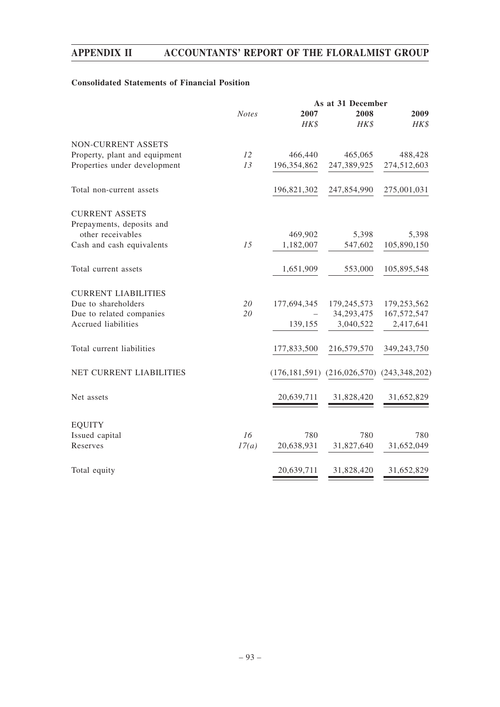## **Consolidated Statements of Financial Position**

|                                |              | As at 31 December |                                                       |               |
|--------------------------------|--------------|-------------------|-------------------------------------------------------|---------------|
|                                | <b>Notes</b> | 2007              | 2008                                                  | 2009          |
|                                |              | HK\$              | HK\$                                                  | HK\$          |
| <b>NON-CURRENT ASSETS</b>      |              |                   |                                                       |               |
| Property, plant and equipment  | 12           | 466,440           | 465,065                                               | 488,428       |
| Properties under development   | 13           | 196,354,862       | 247,389,925                                           | 274,512,603   |
| Total non-current assets       |              | 196,821,302       | 247,854,990                                           | 275,001,031   |
| <b>CURRENT ASSETS</b>          |              |                   |                                                       |               |
| Prepayments, deposits and      |              |                   |                                                       |               |
| other receivables              |              | 469,902           | 5,398                                                 | 5,398         |
| Cash and cash equivalents      | 15           | 1,182,007         | 547,602                                               | 105,890,150   |
| Total current assets           |              | 1,651,909         | 553,000                                               | 105,895,548   |
| <b>CURRENT LIABILITIES</b>     |              |                   |                                                       |               |
| Due to shareholders            | 20           | 177,694,345       | 179,245,573                                           | 179,253,562   |
| Due to related companies       | 20           |                   | 34,293,475                                            | 167, 572, 547 |
| Accrued liabilities            |              | 139,155           | 3,040,522                                             | 2,417,641     |
| Total current liabilities      |              | 177,833,500       | 216,579,570                                           | 349,243,750   |
| <b>NET CURRENT LIABILITIES</b> |              |                   | $(176, 181, 591)$ $(216, 026, 570)$ $(243, 348, 202)$ |               |
| Net assets                     |              | 20,639,711        | 31,828,420                                            | 31,652,829    |
| <b>EQUITY</b>                  |              |                   |                                                       |               |
| Issued capital                 | 16           | 780               | 780                                                   | 780           |
| Reserves                       | 17(a)        | 20,638,931        | 31,827,640                                            | 31,652,049    |
| Total equity                   |              | 20,639,711        | 31,828,420                                            | 31,652,829    |
|                                |              |                   |                                                       |               |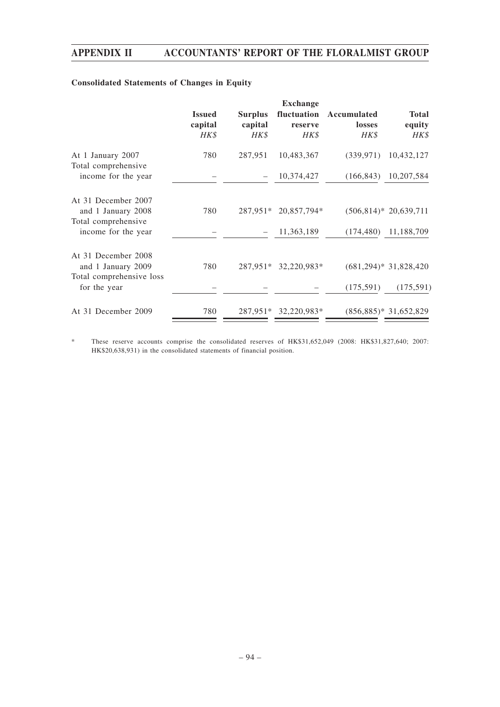# **Consolidated Statements of Changes in Equity**

|                                                | <b>Exchange</b>          |                           |                        |                       |                        |
|------------------------------------------------|--------------------------|---------------------------|------------------------|-----------------------|------------------------|
|                                                | <b>Issued</b><br>capital | <b>Surplus</b><br>capital | fluctuation<br>reserve | Accumulated<br>losses | <b>Total</b><br>equity |
|                                                | HK\$                     | HK\$                      | HK\$                   | HK\$                  | HK\$                   |
| At 1 January 2007<br>Total comprehensive       | 780                      | 287,951                   | 10,483,367             | (339, 971)            | 10,432,127             |
| income for the year                            |                          | $\qquad \qquad -$         | 10,374,427             | (166, 843)            | 10,207,584             |
| At 31 December 2007                            |                          |                           |                        |                       |                        |
| and 1 January 2008<br>Total comprehensive      | 780                      |                           | 287,951* 20,857,794*   |                       | $(506,814)*20,639,711$ |
| income for the year                            |                          |                           | 11,363,189             | (174, 480)            | 11,188,709             |
| At 31 December 2008                            |                          |                           |                        |                       |                        |
| and 1 January 2009<br>Total comprehensive loss | 780                      |                           | 287,951* 32,220,983*   |                       | $(681,294)*31,828,420$ |
| for the year                                   |                          |                           |                        | (175,591)             | (175,591)              |
| At 31 December 2009                            | 780                      |                           | 287,951* 32,220,983*   |                       | $(856,885)*31,652,829$ |

\* These reserve accounts comprise the consolidated reserves of HK\$31,652,049 (2008: HK\$31,827,640; 2007: HK\$20,638,931) in the consolidated statements of financial position.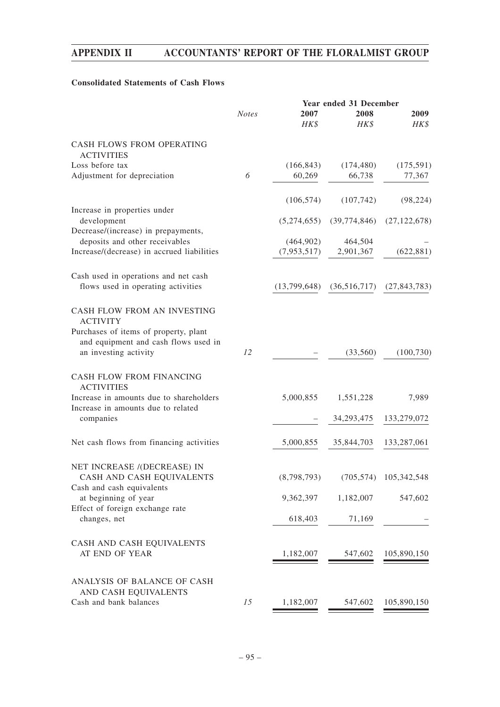## **Consolidated Statements of Cash Flows**

|                                                        |                      | Year ended 31 December |                |                          |
|--------------------------------------------------------|----------------------|------------------------|----------------|--------------------------|
|                                                        | <b>Notes</b><br>2007 |                        | 2008           | 2009                     |
|                                                        |                      | HK\$                   | HK\$           | HK\$                     |
| CASH FLOWS FROM OPERATING<br><b>ACTIVITIES</b>         |                      |                        |                |                          |
| Loss before tax                                        |                      | (166, 843)             | (174, 480)     | (175, 591)               |
| Adjustment for depreciation                            | 6                    | 60,269                 | 66,738         | 77,367                   |
|                                                        |                      |                        |                |                          |
|                                                        |                      | (106, 574)             | (107, 742)     | (98, 224)                |
| Increase in properties under<br>development            |                      | (5,274,655)            | (39, 774, 846) | (27, 122, 678)           |
| Decrease/(increase) in prepayments,                    |                      |                        |                |                          |
| deposits and other receivables                         |                      | (464,902)              | 464,504        |                          |
| Increase/(decrease) in accrued liabilities             |                      | (7,953,517)            | 2,901,367      | (622, 881)               |
|                                                        |                      |                        |                |                          |
| Cash used in operations and net cash                   |                      |                        |                |                          |
| flows used in operating activities                     |                      | (13,799,648)           | (36,516,717)   | (27, 843, 783)           |
| CASH FLOW FROM AN INVESTING<br><b>ACTIVITY</b>         |                      |                        |                |                          |
| Purchases of items of property, plant                  |                      |                        |                |                          |
| and equipment and cash flows used in                   |                      |                        |                |                          |
| an investing activity                                  | 12                   |                        | (33,560)       | (100, 730)               |
| CASH FLOW FROM FINANCING<br><b>ACTIVITIES</b>          |                      |                        |                |                          |
| Increase in amounts due to shareholders                |                      | 5,000,855              | 1,551,228      | 7,989                    |
| Increase in amounts due to related<br>companies        |                      |                        | 34, 293, 475   | 133,279,072              |
| Net cash flows from financing activities               |                      | 5,000,855              | 35,844,703     | 133,287,061              |
| NET INCREASE /(DECREASE) IN                            |                      |                        |                |                          |
| CASH AND CASH EQUIVALENTS<br>Cash and cash equivalents |                      | (8,798,793)            |                | $(705, 574)$ 105,342,548 |
| at beginning of year                                   |                      | 9,362,397              | 1,182,007      | 547,602                  |
| Effect of foreign exchange rate                        |                      |                        |                |                          |
| changes, net                                           |                      | 618,403                | 71,169         |                          |
| CASH AND CASH EQUIVALENTS                              |                      |                        |                |                          |
| AT END OF YEAR                                         |                      | 1,182,007              | 547,602        | 105,890,150              |
|                                                        |                      |                        |                |                          |
| ANALYSIS OF BALANCE OF CASH<br>AND CASH EQUIVALENTS    |                      |                        |                |                          |
| Cash and bank balances                                 | 15                   | 1,182,007              | 547,602        | 105,890,150              |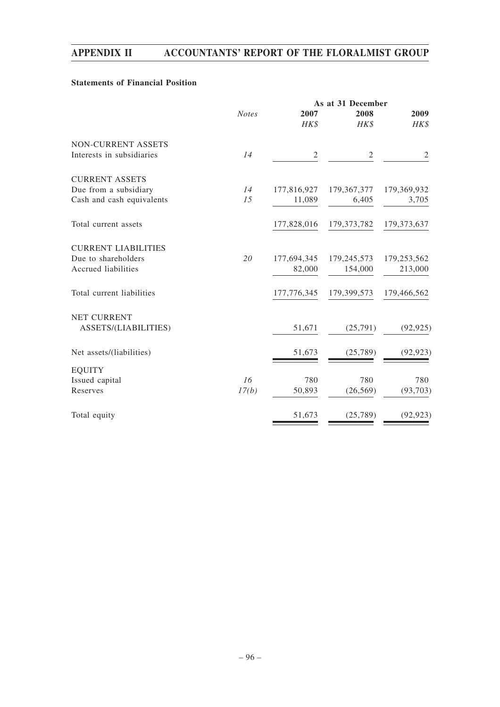## **Statements of Financial Position**

|                            |              | As at 31 December |                |              |  |
|----------------------------|--------------|-------------------|----------------|--------------|--|
|                            | <b>Notes</b> | 2007<br>HK\$      | 2008<br>HK\$   | 2009<br>HK\$ |  |
|                            |              |                   |                |              |  |
| NON-CURRENT ASSETS         |              |                   |                |              |  |
| Interests in subsidiaries  | 14           | $\mathfrak{2}$    | $\overline{2}$ | 2            |  |
| <b>CURRENT ASSETS</b>      |              |                   |                |              |  |
| Due from a subsidiary      | 14           | 177,816,927       | 179, 367, 377  | 179,369,932  |  |
| Cash and cash equivalents  | 15           | 11,089            | 6,405          | 3,705        |  |
| Total current assets       |              | 177,828,016       | 179, 373, 782  | 179,373,637  |  |
| <b>CURRENT LIABILITIES</b> |              |                   |                |              |  |
| Due to shareholders        | 20           | 177,694,345       | 179,245,573    | 179,253,562  |  |
| Accrued liabilities        |              | 82,000            | 154,000        | 213,000      |  |
| Total current liabilities  |              | 177,776,345       | 179,399,573    | 179,466,562  |  |
| <b>NET CURRENT</b>         |              |                   |                |              |  |
| ASSETS/(LIABILITIES)       |              | 51,671            | (25,791)       | (92, 925)    |  |
| Net assets/(liabilities)   |              | 51,673            | (25,789)       | (92, 923)    |  |
| <b>EQUITY</b>              |              |                   |                |              |  |
| Issued capital             | 16           | 780               | 780            | 780          |  |
| Reserves                   | 17(b)        | 50,893            | (26, 569)      | (93, 703)    |  |
| Total equity               |              | 51,673            | (25,789)       | (92, 923)    |  |
|                            |              |                   |                |              |  |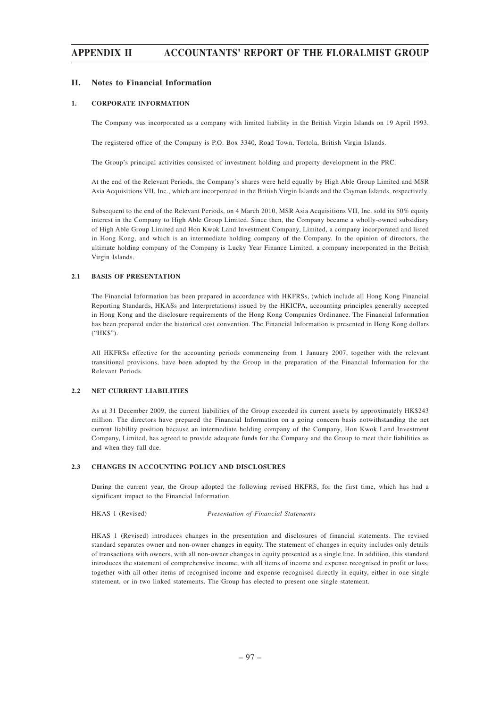## **II. Notes to Financial Information**

## **1. CORPORATE INFORMATION**

The Company was incorporated as a company with limited liability in the British Virgin Islands on 19 April 1993.

The registered office of the Company is P.O. Box 3340, Road Town, Tortola, British Virgin Islands.

The Group's principal activities consisted of investment holding and property development in the PRC.

At the end of the Relevant Periods, the Company's shares were held equally by High Able Group Limited and MSR Asia Acquisitions VII, Inc., which are incorporated in the British Virgin Islands and the Cayman Islands, respectively.

Subsequent to the end of the Relevant Periods, on 4 March 2010, MSR Asia Acquisitions VII, Inc. sold its 50% equity interest in the Company to High Able Group Limited. Since then, the Company became a wholly-owned subsidiary of High Able Group Limited and Hon Kwok Land Investment Company, Limited, a company incorporated and listed in Hong Kong, and which is an intermediate holding company of the Company. In the opinion of directors, the ultimate holding company of the Company is Lucky Year Finance Limited, a company incorporated in the British Virgin Islands.

## **2.1 BASIS OF PRESENTATION**

The Financial Information has been prepared in accordance with HKFRSs, (which include all Hong Kong Financial Reporting Standards, HKASs and Interpretations) issued by the HKICPA, accounting principles generally accepted in Hong Kong and the disclosure requirements of the Hong Kong Companies Ordinance. The Financial Information has been prepared under the historical cost convention. The Financial Information is presented in Hong Kong dollars ("HK\$").

All HKFRSs effective for the accounting periods commencing from 1 January 2007, together with the relevant transitional provisions, have been adopted by the Group in the preparation of the Financial Information for the Relevant Periods.

## **2.2 NET CURRENT LIABILITIES**

As at 31 December 2009, the current liabilities of the Group exceeded its current assets by approximately HK\$243 million. The directors have prepared the Financial Information on a going concern basis notwithstanding the net current liability position because an intermediate holding company of the Company, Hon Kwok Land Investment Company, Limited, has agreed to provide adequate funds for the Company and the Group to meet their liabilities as and when they fall due.

## **2.3 CHANGES IN ACCOUNTING POLICY AND DISCLOSURES**

During the current year, the Group adopted the following revised HKFRS, for the first time, which has had a significant impact to the Financial Information.

HKAS 1 (Revised) *Presentation of Financial Statements*

HKAS 1 (Revised) introduces changes in the presentation and disclosures of financial statements. The revised standard separates owner and non-owner changes in equity. The statement of changes in equity includes only details of transactions with owners, with all non-owner changes in equity presented as a single line. In addition, this standard introduces the statement of comprehensive income, with all items of income and expense recognised in profit or loss, together with all other items of recognised income and expense recognised directly in equity, either in one single statement, or in two linked statements. The Group has elected to present one single statement.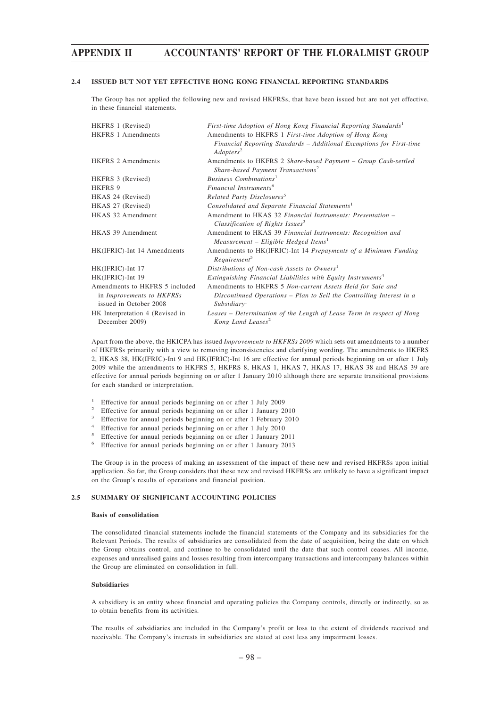#### **2.4 ISSUED BUT NOT YET EFFECTIVE HONG KONG FINANCIAL REPORTING STANDARDS**

The Group has not applied the following new and revised HKFRSs, that have been issued but are not yet effective, in these financial statements.

| HKFRS 1 (Revised)               | First-time Adoption of Hong Kong Financial Reporting Standards <sup>1</sup>                                     |
|---------------------------------|-----------------------------------------------------------------------------------------------------------------|
| <b>HKFRS</b> 1 Amendments       | Amendments to HKFRS 1 First-time Adoption of Hong Kong                                                          |
|                                 | Financial Reporting Standards - Additional Exemptions for First-time<br>Adopters <sup>2</sup>                   |
| <b>HKFRS 2 Amendments</b>       | Amendments to HKFRS 2 Share-based Payment - Group Cash-settled<br>Share-based Payment Transactions <sup>2</sup> |
| HKFRS 3 (Revised)               | Business Combinations <sup>1</sup>                                                                              |
| <b>HKFRS 9</b>                  | Financial Instruments <sup>6</sup>                                                                              |
| HKAS 24 (Revised)               | Related Party Disclosures <sup>5</sup>                                                                          |
| HKAS 27 (Revised)               | Consolidated and Separate Financial Statements <sup>1</sup>                                                     |
| HKAS 32 Amendment               | Amendment to HKAS 32 Financial Instruments: Presentation –<br>Classification of Rights Issues <sup>3</sup>      |
| HKAS 39 Amendment               | Amendment to HKAS 39 Financial Instruments: Recognition and<br>Measurement – Eligible Hedged Items <sup>1</sup> |
| HK(IFRIC)-Int 14 Amendments     | Amendments to HK(IFRIC)-Int 14 Prepayments of a Minimum Funding<br>Requirement <sup>5</sup>                     |
| HK(IFRIC)-Int 17                | Distributions of Non-cash Assets to Owners <sup>1</sup>                                                         |
| HK(IFRIC)-Int 19                | Extinguishing Financial Liabilities with Equity Instruments <sup>4</sup>                                        |
| Amendments to HKFRS 5 included  | Amendments to HKFRS 5 Non-current Assets Held for Sale and                                                      |
| in Improvements to HKFRSs       | Discontinued Operations - Plan to Sell the Controlling Interest in a                                            |
| issued in October 2008          | Subsidiary <sup>1</sup>                                                                                         |
| HK Interpretation 4 (Revised in | Leases – Determination of the Length of Lease Term in respect of Hong                                           |
| December 2009)                  | Kong Land Leases <sup>2</sup>                                                                                   |

Apart from the above, the HKICPA has issued *Improvements to HKFRSs 2009* which sets out amendments to a number of HKFRSs primarily with a view to removing inconsistencies and clarifying wording. The amendments to HKFRS 2, HKAS 38, HK(IFRIC)-Int 9 and HK(IFRIC)-Int 16 are effective for annual periods beginning on or after 1 July 2009 while the amendments to HKFRS 5, HKFRS 8, HKAS 1, HKAS 7, HKAS 17, HKAS 38 and HKAS 39 are effective for annual periods beginning on or after 1 January 2010 although there are separate transitional provisions for each standard or interpretation.

- <sup>1</sup> Effective for annual periods beginning on or after 1 July 2009
- <sup>2</sup> Effective for annual periods beginning on or after 1 January 2010
- <sup>3</sup> Effective for annual periods beginning on or after 1 February 2010
- <sup>4</sup> Effective for annual periods beginning on or after 1 July 2010
- <sup>5</sup> Effective for annual periods beginning on or after 1 January 2011
- <sup>6</sup> Effective for annual periods beginning on or after 1 January 2013

The Group is in the process of making an assessment of the impact of these new and revised HKFRSs upon initial application. So far, the Group considers that these new and revised HKFRSs are unlikely to have a significant impact on the Group's results of operations and financial position.

#### **2.5 SUMMARY OF SIGNIFICANT ACCOUNTING POLICIES**

#### **Basis of consolidation**

The consolidated financial statements include the financial statements of the Company and its subsidiaries for the Relevant Periods. The results of subsidiaries are consolidated from the date of acquisition, being the date on which the Group obtains control, and continue to be consolidated until the date that such control ceases. All income, expenses and unrealised gains and losses resulting from intercompany transactions and intercompany balances within the Group are eliminated on consolidation in full.

#### **Subsidiaries**

A subsidiary is an entity whose financial and operating policies the Company controls, directly or indirectly, so as to obtain benefits from its activities.

The results of subsidiaries are included in the Company's profit or loss to the extent of dividends received and receivable. The Company's interests in subsidiaries are stated at cost less any impairment losses.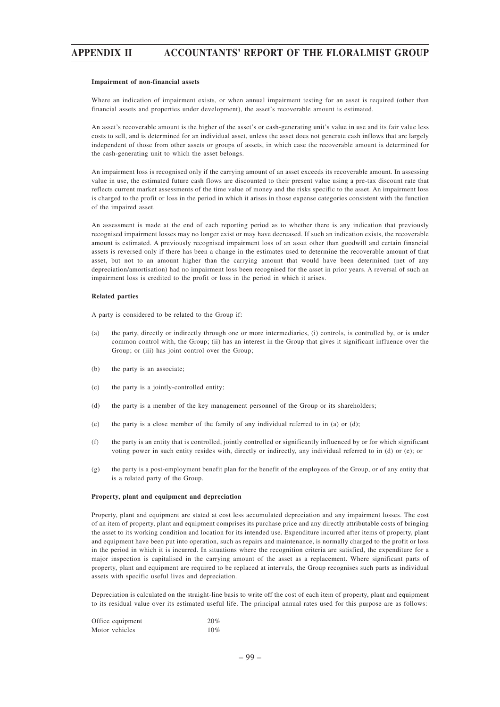#### **Impairment of non-financial assets**

Where an indication of impairment exists, or when annual impairment testing for an asset is required (other than financial assets and properties under development), the asset's recoverable amount is estimated.

An asset's recoverable amount is the higher of the asset's or cash-generating unit's value in use and its fair value less costs to sell, and is determined for an individual asset, unless the asset does not generate cash inflows that are largely independent of those from other assets or groups of assets, in which case the recoverable amount is determined for the cash-generating unit to which the asset belongs.

An impairment loss is recognised only if the carrying amount of an asset exceeds its recoverable amount. In assessing value in use, the estimated future cash flows are discounted to their present value using a pre-tax discount rate that reflects current market assessments of the time value of money and the risks specific to the asset. An impairment loss is charged to the profit or loss in the period in which it arises in those expense categories consistent with the function of the impaired asset.

An assessment is made at the end of each reporting period as to whether there is any indication that previously recognised impairment losses may no longer exist or may have decreased. If such an indication exists, the recoverable amount is estimated. A previously recognised impairment loss of an asset other than goodwill and certain financial assets is reversed only if there has been a change in the estimates used to determine the recoverable amount of that asset, but not to an amount higher than the carrying amount that would have been determined (net of any depreciation/amortisation) had no impairment loss been recognised for the asset in prior years. A reversal of such an impairment loss is credited to the profit or loss in the period in which it arises.

#### **Related parties**

A party is considered to be related to the Group if:

- (a) the party, directly or indirectly through one or more intermediaries, (i) controls, is controlled by, or is under common control with, the Group; (ii) has an interest in the Group that gives it significant influence over the Group; or (iii) has joint control over the Group;
- (b) the party is an associate;
- (c) the party is a jointly-controlled entity;
- (d) the party is a member of the key management personnel of the Group or its shareholders;
- (e) the party is a close member of the family of any individual referred to in (a) or (d);
- (f) the party is an entity that is controlled, jointly controlled or significantly influenced by or for which significant voting power in such entity resides with, directly or indirectly, any individual referred to in (d) or (e); or
- (g) the party is a post-employment benefit plan for the benefit of the employees of the Group, or of any entity that is a related party of the Group.

#### **Property, plant and equipment and depreciation**

Property, plant and equipment are stated at cost less accumulated depreciation and any impairment losses. The cost of an item of property, plant and equipment comprises its purchase price and any directly attributable costs of bringing the asset to its working condition and location for its intended use. Expenditure incurred after items of property, plant and equipment have been put into operation, such as repairs and maintenance, is normally charged to the profit or loss in the period in which it is incurred. In situations where the recognition criteria are satisfied, the expenditure for a major inspection is capitalised in the carrying amount of the asset as a replacement. Where significant parts of property, plant and equipment are required to be replaced at intervals, the Group recognises such parts as individual assets with specific useful lives and depreciation.

Depreciation is calculated on the straight-line basis to write off the cost of each item of property, plant and equipment to its residual value over its estimated useful life. The principal annual rates used for this purpose are as follows:

| Office equipment | 20% |
|------------------|-----|
| Motor vehicles   | 10% |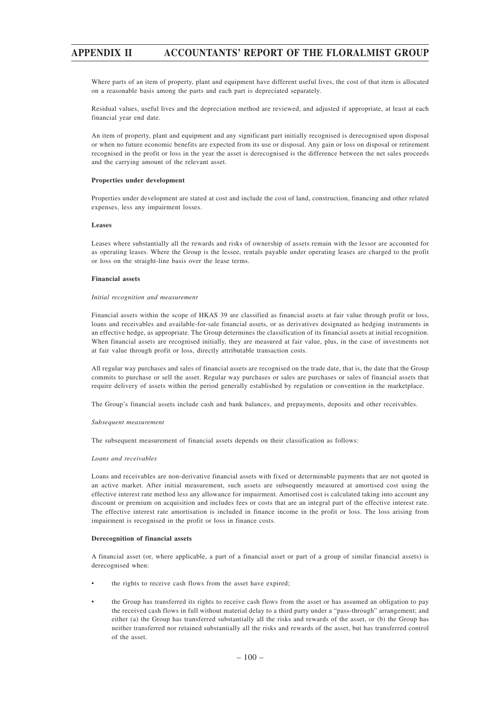Where parts of an item of property, plant and equipment have different useful lives, the cost of that item is allocated on a reasonable basis among the parts and each part is depreciated separately.

Residual values, useful lives and the depreciation method are reviewed, and adjusted if appropriate, at least at each financial year end date.

An item of property, plant and equipment and any significant part initially recognised is derecognised upon disposal or when no future economic benefits are expected from its use or disposal. Any gain or loss on disposal or retirement recognised in the profit or loss in the year the asset is derecognised is the difference between the net sales proceeds and the carrying amount of the relevant asset.

#### **Properties under development**

Properties under development are stated at cost and include the cost of land, construction, financing and other related expenses, less any impairment losses.

### **Leases**

Leases where substantially all the rewards and risks of ownership of assets remain with the lessor are accounted for as operating leases. Where the Group is the lessee, rentals payable under operating leases are charged to the profit or loss on the straight-line basis over the lease terms.

### **Financial assets**

#### *Initial recognition and measurement*

Financial assets within the scope of HKAS 39 are classified as financial assets at fair value through profit or loss, loans and receivables and available-for-sale financial assets, or as derivatives designated as hedging instruments in an effective hedge, as appropriate. The Group determines the classification of its financial assets at initial recognition. When financial assets are recognised initially, they are measured at fair value, plus, in the case of investments not at fair value through profit or loss, directly attributable transaction costs.

All regular way purchases and sales of financial assets are recognised on the trade date, that is, the date that the Group commits to purchase or sell the asset. Regular way purchases or sales are purchases or sales of financial assets that require delivery of assets within the period generally established by regulation or convention in the marketplace.

The Group's financial assets include cash and bank balances, and prepayments, deposits and other receivables.

#### *Subsequent measurement*

The subsequent measurement of financial assets depends on their classification as follows:

#### *Loans and receivables*

Loans and receivables are non-derivative financial assets with fixed or determinable payments that are not quoted in an active market. After initial measurement, such assets are subsequently measured at amortised cost using the effective interest rate method less any allowance for impairment. Amortised cost is calculated taking into account any discount or premium on acquisition and includes fees or costs that are an integral part of the effective interest rate. The effective interest rate amortisation is included in finance income in the profit or loss. The loss arising from impairment is recognised in the profit or loss in finance costs.

### **Derecognition of financial assets**

A financial asset (or, where applicable, a part of a financial asset or part of a group of similar financial assets) is derecognised when:

- the rights to receive cash flows from the asset have expired;
- the Group has transferred its rights to receive cash flows from the asset or has assumed an obligation to pay the received cash flows in full without material delay to a third party under a "pass-through" arrangement; and either (a) the Group has transferred substantially all the risks and rewards of the asset, or (b) the Group has neither transferred nor retained substantially all the risks and rewards of the asset, but has transferred control of the asset.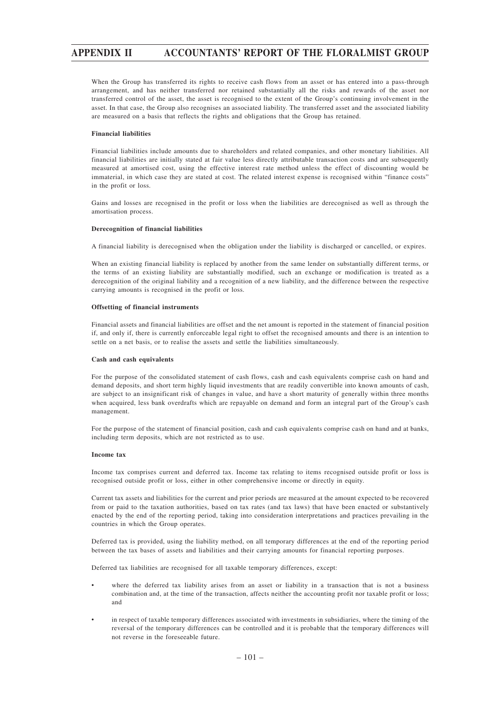When the Group has transferred its rights to receive cash flows from an asset or has entered into a pass-through arrangement, and has neither transferred nor retained substantially all the risks and rewards of the asset nor transferred control of the asset, the asset is recognised to the extent of the Group's continuing involvement in the asset. In that case, the Group also recognises an associated liability. The transferred asset and the associated liability are measured on a basis that reflects the rights and obligations that the Group has retained.

### **Financial liabilities**

Financial liabilities include amounts due to shareholders and related companies, and other monetary liabilities. All financial liabilities are initially stated at fair value less directly attributable transaction costs and are subsequently measured at amortised cost, using the effective interest rate method unless the effect of discounting would be immaterial, in which case they are stated at cost. The related interest expense is recognised within "finance costs" in the profit or loss.

Gains and losses are recognised in the profit or loss when the liabilities are derecognised as well as through the amortisation process.

### **Derecognition of financial liabilities**

A financial liability is derecognised when the obligation under the liability is discharged or cancelled, or expires.

When an existing financial liability is replaced by another from the same lender on substantially different terms, or the terms of an existing liability are substantially modified, such an exchange or modification is treated as a derecognition of the original liability and a recognition of a new liability, and the difference between the respective carrying amounts is recognised in the profit or loss.

#### **Offsetting of financial instruments**

Financial assets and financial liabilities are offset and the net amount is reported in the statement of financial position if, and only if, there is currently enforceable legal right to offset the recognised amounts and there is an intention to settle on a net basis, or to realise the assets and settle the liabilities simultaneously.

#### **Cash and cash equivalents**

For the purpose of the consolidated statement of cash flows, cash and cash equivalents comprise cash on hand and demand deposits, and short term highly liquid investments that are readily convertible into known amounts of cash, are subject to an insignificant risk of changes in value, and have a short maturity of generally within three months when acquired, less bank overdrafts which are repayable on demand and form an integral part of the Group's cash management.

For the purpose of the statement of financial position, cash and cash equivalents comprise cash on hand and at banks, including term deposits, which are not restricted as to use.

#### **Income tax**

Income tax comprises current and deferred tax. Income tax relating to items recognised outside profit or loss is recognised outside profit or loss, either in other comprehensive income or directly in equity.

Current tax assets and liabilities for the current and prior periods are measured at the amount expected to be recovered from or paid to the taxation authorities, based on tax rates (and tax laws) that have been enacted or substantively enacted by the end of the reporting period, taking into consideration interpretations and practices prevailing in the countries in which the Group operates.

Deferred tax is provided, using the liability method, on all temporary differences at the end of the reporting period between the tax bases of assets and liabilities and their carrying amounts for financial reporting purposes.

Deferred tax liabilities are recognised for all taxable temporary differences, except:

- where the deferred tax liability arises from an asset or liability in a transaction that is not a business combination and, at the time of the transaction, affects neither the accounting profit nor taxable profit or loss; and
- in respect of taxable temporary differences associated with investments in subsidiaries, where the timing of the reversal of the temporary differences can be controlled and it is probable that the temporary differences will not reverse in the foreseeable future.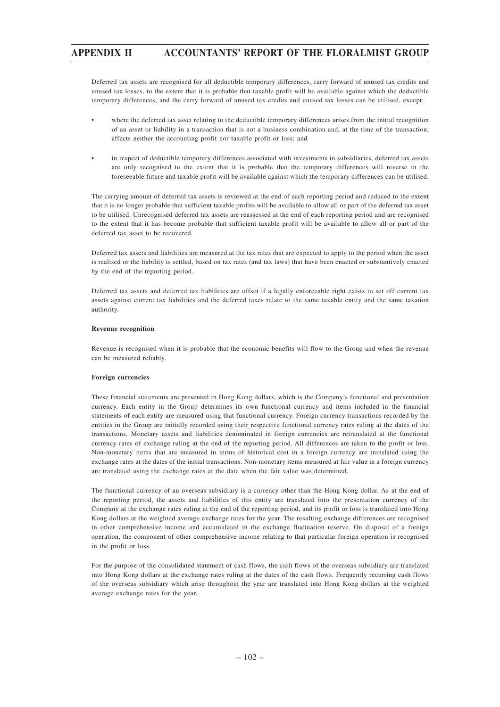Deferred tax assets are recognised for all deductible temporary differences, carry forward of unused tax credits and unused tax losses, to the extent that it is probable that taxable profit will be available against which the deductible temporary differences, and the carry forward of unused tax credits and unused tax losses can be utilised, except:

- where the deferred tax asset relating to the deductible temporary differences arises from the initial recognition of an asset or liability in a transaction that is not a business combination and, at the time of the transaction, affects neither the accounting profit nor taxable profit or loss; and
- in respect of deductible temporary differences associated with investments in subsidiaries, deferred tax assets are only recognised to the extent that it is probable that the temporary differences will reverse in the foreseeable future and taxable profit will be available against which the temporary differences can be utilised.

The carrying amount of deferred tax assets is reviewed at the end of each reporting period and reduced to the extent that it is no longer probable that sufficient taxable profits will be available to allow all or part of the deferred tax asset to be utilised. Unrecognised deferred tax assets are reassessed at the end of each reporting period and are recognised to the extent that it has become probable that sufficient taxable profit will be available to allow all or part of the deferred tax asset to be recovered.

Deferred tax assets and liabilities are measured at the tax rates that are expected to apply to the period when the asset is realised or the liability is settled, based on tax rates (and tax laws) that have been enacted or substantively enacted by the end of the reporting period.

Deferred tax assets and deferred tax liabilities are offset if a legally enforceable right exists to set off current tax assets against current tax liabilities and the deferred taxes relate to the same taxable entity and the same taxation authority.

### **Revenue recognition**

Revenue is recognised when it is probable that the economic benefits will flow to the Group and when the revenue can be measured reliably.

## **Foreign currencies**

These financial statements are presented in Hong Kong dollars, which is the Company's functional and presentation currency. Each entity in the Group determines its own functional currency and items included in the financial statements of each entity are measured using that functional currency. Foreign currency transactions recorded by the entities in the Group are initially recorded using their respective functional currency rates ruling at the dates of the transactions. Monetary assets and liabilities denominated in foreign currencies are retranslated at the functional currency rates of exchange ruling at the end of the reporting period. All differences are taken to the profit or loss. Non-monetary items that are measured in terms of historical cost in a foreign currency are translated using the exchange rates at the dates of the initial transactions. Non-monetary items measured at fair value in a foreign currency are translated using the exchange rates at the date when the fair value was determined.

The functional currency of an overseas subsidiary is a currency other than the Hong Kong dollar. As at the end of the reporting period, the assets and liabilities of this entity are translated into the presentation currency of the Company at the exchange rates ruling at the end of the reporting period, and its profit or loss is translated into Hong Kong dollars at the weighted average exchange rates for the year. The resulting exchange differences are recognised in other comprehensive income and accumulated in the exchange fluctuation reserve. On disposal of a foreign operation, the component of other comprehensive income relating to that particular foreign operation is recognised in the profit or loss.

For the purpose of the consolidated statement of cash flows, the cash flows of the overseas subsidiary are translated into Hong Kong dollars at the exchange rates ruling at the dates of the cash flows. Frequently recurring cash flows of the overseas subsidiary which arise throughout the year are translated into Hong Kong dollars at the weighted average exchange rates for the year.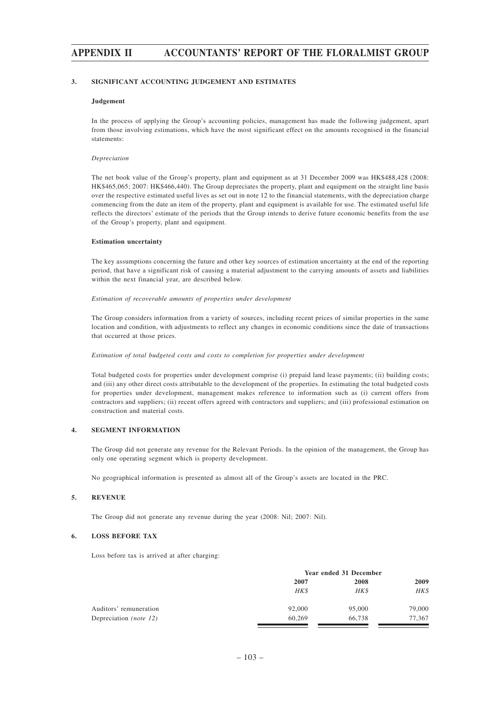## **3. SIGNIFICANT ACCOUNTING JUDGEMENT AND ESTIMATES**

#### **Judgement**

In the process of applying the Group's accounting policies, management has made the following judgement, apart from those involving estimations, which have the most significant effect on the amounts recognised in the financial statements:

#### *Depreciation*

The net book value of the Group's property, plant and equipment as at 31 December 2009 was HK\$488,428 (2008: HK\$465,065; 2007: HK\$466,440). The Group depreciates the property, plant and equipment on the straight line basis over the respective estimated useful lives as set out in note 12 to the financial statements, with the depreciation charge commencing from the date an item of the property, plant and equipment is available for use. The estimated useful life reflects the directors' estimate of the periods that the Group intends to derive future economic benefits from the use of the Group's property, plant and equipment.

#### **Estimation uncertainty**

The key assumptions concerning the future and other key sources of estimation uncertainty at the end of the reporting period, that have a significant risk of causing a material adjustment to the carrying amounts of assets and liabilities within the next financial year, are described below.

#### *Estimation of recoverable amounts of properties under development*

The Group considers information from a variety of sources, including recent prices of similar properties in the same location and condition, with adjustments to reflect any changes in economic conditions since the date of transactions that occurred at those prices.

### *Estimation of total budgeted costs and costs to completion for properties under development*

Total budgeted costs for properties under development comprise (i) prepaid land lease payments; (ii) building costs; and (iii) any other direct costs attributable to the development of the properties. In estimating the total budgeted costs for properties under development, management makes reference to information such as (i) current offers from contractors and suppliers; (ii) recent offers agreed with contractors and suppliers; and (iii) professional estimation on construction and material costs.

## **4. SEGMENT INFORMATION**

The Group did not generate any revenue for the Relevant Periods. In the opinion of the management, the Group has only one operating segment which is property development.

No geographical information is presented as almost all of the Group's assets are located in the PRC.

#### **5. REVENUE**

The Group did not generate any revenue during the year (2008: Nil; 2007: Nil).

## **6. LOSS BEFORE TAX**

Loss before tax is arrived at after charging:

|                               | Year ended 31 December |        |        |
|-------------------------------|------------------------|--------|--------|
|                               | 2007<br>2008           |        | 2009   |
|                               | HK\$                   | HK\$   | HK\$   |
| Auditors' remuneration        | 92,000                 | 95,000 | 79,000 |
| Depreciation <i>(note 12)</i> | 60.269                 | 66.738 | 77.367 |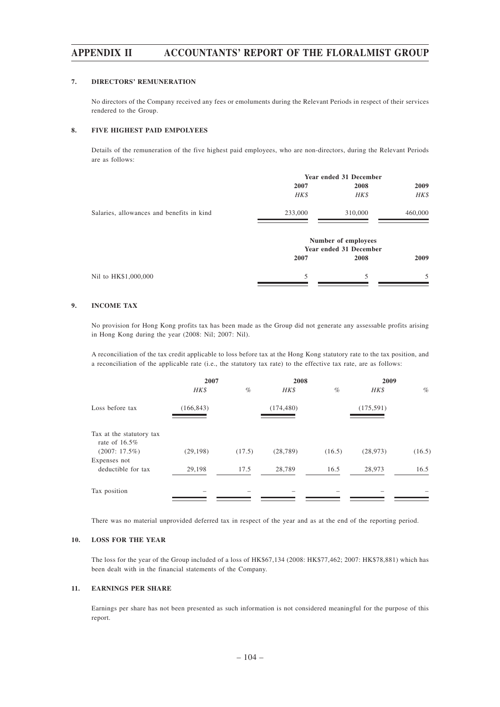### **7. DIRECTORS' REMUNERATION**

No directors of the Company received any fees or emoluments during the Relevant Periods in respect of their services rendered to the Group.

## **8. FIVE HIGHEST PAID EMPOLYEES**

Details of the remuneration of the five highest paid employees, who are non-directors, during the Relevant Periods are as follows:

| Year ended 31 December |         |                                               |
|------------------------|---------|-----------------------------------------------|
| 2007                   | 2008    | 2009                                          |
| HK\$                   | HK\$    | HK\$                                          |
| 233,000                | 310,000 | 460,000                                       |
|                        |         |                                               |
| 2007                   | 2008    | 2009                                          |
|                        |         |                                               |
| 5                      | 5       | $\overline{5}$                                |
|                        |         | Number of employees<br>Year ended 31 December |

## **9. INCOME TAX**

No provision for Hong Kong profits tax has been made as the Group did not generate any assessable profits arising in Hong Kong during the year (2008: Nil; 2007: Nil).

A reconciliation of the tax credit applicable to loss before tax at the Hong Kong statutory rate to the tax position, and a reconciliation of the applicable rate (i.e., the statutory tax rate) to the effective tax rate, are as follows:

| 2007       |        | 2008       |        | 2009       |        |
|------------|--------|------------|--------|------------|--------|
| HK\$       | $\%$   | HK\$       | $\%$   | HK\$       | $\%$   |
| (166, 843) |        | (174, 480) |        | (175, 591) |        |
|            |        |            |        |            |        |
| (29, 198)  | (17.5) | (28, 789)  | (16.5) | (28, 973)  | (16.5) |
|            |        |            |        |            |        |
| 29,198     | 17.5   | 28,789     | 16.5   | 28,973     | 16.5   |
|            |        |            |        |            |        |
|            |        |            |        |            |        |

There was no material unprovided deferred tax in respect of the year and as at the end of the reporting period.

## **10. LOSS FOR THE YEAR**

The loss for the year of the Group included of a loss of HK\$67,134 (2008: HK\$77,462; 2007: HK\$78,881) which has been dealt with in the financial statements of the Company.

#### **11. EARNINGS PER SHARE**

Earnings per share has not been presented as such information is not considered meaningful for the purpose of this report.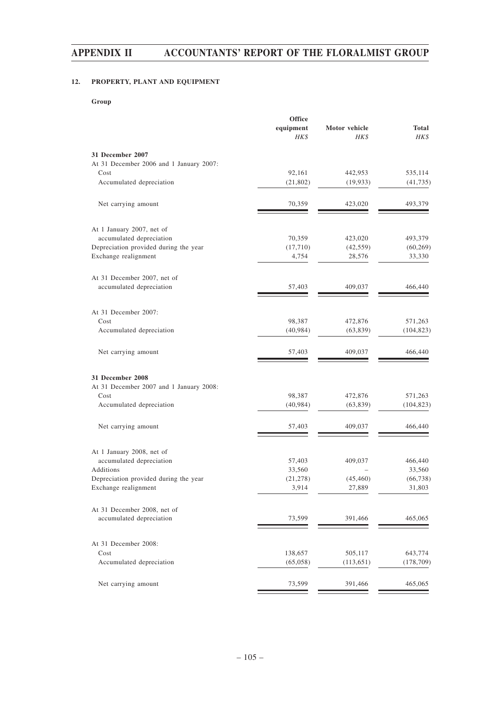## **12. PROPERTY, PLANT AND EQUIPMENT**

**Group**

|                                                                                                 | Office<br>equipment<br>HK\$ | Motor vehicle<br>HK\$ | <b>Total</b><br>HK\$  |
|-------------------------------------------------------------------------------------------------|-----------------------------|-----------------------|-----------------------|
|                                                                                                 |                             |                       |                       |
| 31 December 2007<br>At 31 December 2006 and 1 January 2007:                                     |                             |                       |                       |
| Cost                                                                                            | 92,161                      | 442,953               | 535,114               |
| Accumulated depreciation                                                                        | (21, 802)                   | (19, 933)             | (41, 735)             |
| Net carrying amount                                                                             | 70,359                      | 423,020               | 493,379               |
|                                                                                                 |                             |                       |                       |
| At 1 January 2007, net of                                                                       |                             |                       |                       |
| accumulated depreciation                                                                        | 70,359                      | 423,020               | 493,379               |
| Depreciation provided during the year<br>Exchange realignment                                   | (17,710)<br>4,754           | (42, 559)<br>28,576   | (60, 269)<br>33,330   |
| At 31 December 2007, net of                                                                     |                             |                       |                       |
| accumulated depreciation                                                                        | 57,403                      | 409,037               | 466,440               |
|                                                                                                 |                             |                       |                       |
| At 31 December 2007:<br>Cost                                                                    | 98,387                      | 472,876               | 571,263               |
| Accumulated depreciation                                                                        | (40, 984)                   | (63, 839)             | (104, 823)            |
| Net carrying amount                                                                             | 57,403                      | 409,037               | 466,440               |
| 31 December 2008<br>At 31 December 2007 and 1 January 2008:<br>Cost<br>Accumulated depreciation | 98,387<br>(40, 984)         | 472,876<br>(63, 839)  | 571,263<br>(104, 823) |
| Net carrying amount                                                                             | 57,403                      | 409,037               | 466,440               |
| At 1 January 2008, net of                                                                       |                             |                       |                       |
| accumulated depreciation                                                                        | 57,403                      | 409,037               | 466,440               |
| Additions                                                                                       | 33,560                      |                       | 33,560                |
| Depreciation provided during the year                                                           | (21, 278)                   | (45, 460)             | (66, 738)             |
| Exchange realignment                                                                            | 3,914                       | 27,889                | 31,803                |
| At 31 December 2008, net of                                                                     |                             |                       |                       |
| accumulated depreciation                                                                        | 73,599                      | 391,466               | 465,065               |
| At 31 December 2008:                                                                            |                             |                       |                       |
| Cost                                                                                            | 138,657                     | 505,117               | 643,774               |
| Accumulated depreciation                                                                        | (65,058)                    | (113, 651)            | (178, 709)            |
| Net carrying amount                                                                             | 73,599                      | 391,466               | 465,065               |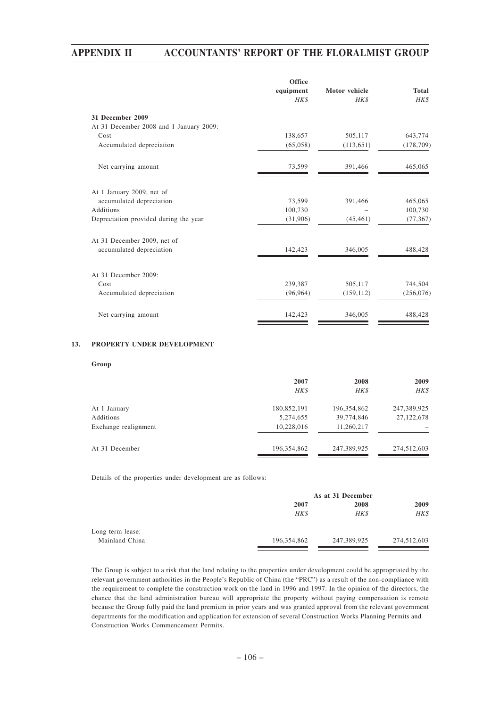| Office    |                              |                                  |
|-----------|------------------------------|----------------------------------|
|           |                              | <b>Total</b><br>HK\$             |
|           |                              |                                  |
|           |                              |                                  |
|           |                              |                                  |
| 138,657   | 505,117                      | 643,774                          |
| (65,058)  | (113, 651)                   | (178, 709)                       |
| 73,599    | 391,466                      | 465,065                          |
|           |                              |                                  |
| 73,599    | 391,466                      | 465,065                          |
| 100,730   |                              | 100,730                          |
| (31,906)  | (45, 461)                    | (77, 367)                        |
|           |                              |                                  |
| 142,423   | 346,005                      | 488,428                          |
|           |                              |                                  |
|           |                              | 744,504                          |
| (96, 964) | (159, 112)                   | (256, 076)                       |
| 142,423   | 346,005                      | 488,428                          |
|           | equipment<br>HK\$<br>239,387 | Motor vehicle<br>HK\$<br>505,117 |

#### **13. PROPERTY UNDER DEVELOPMENT**

#### **Group**

|                      | 2007          | 2008          | 2009        |
|----------------------|---------------|---------------|-------------|
|                      | HK\$          | HK\$          | HK\$        |
| At 1 January         | 180,852,191   | 196, 354, 862 | 247,389,925 |
| Additions            | 5,274,655     | 39,774,846    | 27,122,678  |
| Exchange realignment | 10,228,016    | 11,260,217    |             |
| At 31 December       | 196, 354, 862 | 247,389,925   | 274,512,603 |

Details of the properties under development are as follows:

|                  |               | As at 31 December |             |  |
|------------------|---------------|-------------------|-------------|--|
|                  | 2007          | 2008              | 2009        |  |
|                  | HK\$          | HK\$              | HK\$        |  |
| Long term lease: |               |                   |             |  |
| Mainland China   | 196, 354, 862 | 247,389,925       | 274,512,603 |  |

The Group is subject to a risk that the land relating to the properties under development could be appropriated by the relevant government authorities in the People's Republic of China (the "PRC") as a result of the non-compliance with the requirement to complete the construction work on the land in 1996 and 1997. In the opinion of the directors, the chance that the land administration bureau will appropriate the property without paying compensation is remote because the Group fully paid the land premium in prior years and was granted approval from the relevant government departments for the modification and application for extension of several Construction Works Planning Permits and Construction Works Commencement Permits.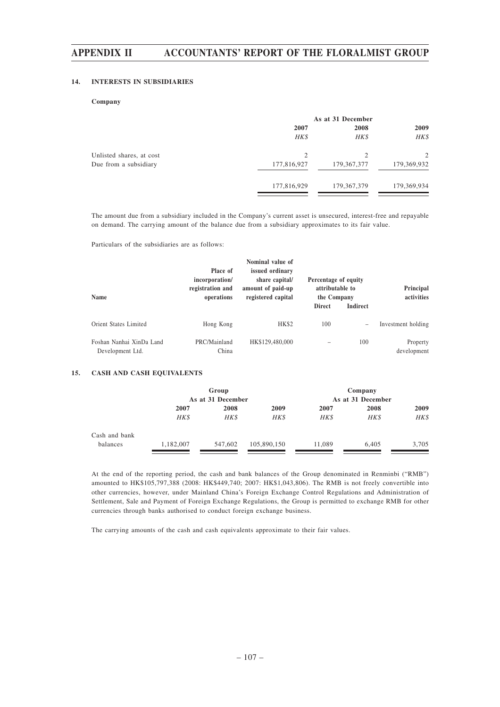### **14. INTERESTS IN SUBSIDIARIES**

### **Company**

|                          | As at 31 December |                |             |
|--------------------------|-------------------|----------------|-------------|
|                          | 2007              | 2008           | 2009        |
|                          | HK\$              | HK\$           | HK\$        |
| Unlisted shares, at cost | $\mathfrak{2}$    | $\overline{2}$ | 2           |
| Due from a subsidiary    | 177,816,927       | 179, 367, 377  | 179,369,932 |
|                          | 177,816,929       | 179, 367, 379  | 179,369,934 |
|                          |                   |                |             |

The amount due from a subsidiary included in the Company's current asset is unsecured, interest-free and repayable on demand. The carrying amount of the balance due from a subsidiary approximates to its fair value.

Particulars of the subsidiaries are as follows:

| Name                                         | Place of<br>incorporation/<br>registration and<br>operations | Nominal value of<br>issued ordinary<br>share capital/<br>amount of paid-up<br>registered capital | Percentage of equity<br>attributable to<br>the Company |                          | Principal<br>activities |
|----------------------------------------------|--------------------------------------------------------------|--------------------------------------------------------------------------------------------------|--------------------------------------------------------|--------------------------|-------------------------|
|                                              |                                                              |                                                                                                  | <b>Direct</b>                                          | Indirect                 |                         |
| Orient States Limited                        | Hong Kong                                                    | <b>HK\$2</b>                                                                                     | 100                                                    | $\overline{\phantom{m}}$ | Investment holding      |
| Foshan Nanhai XinDa Land<br>Development Ltd. | PRC/Mainland<br>China                                        | HK\$129,480,000                                                                                  | $\overline{\phantom{0}}$                               | 100                      | Property<br>development |

#### **15. CASH AND CASH EQUIVALENTS**

|               |           | Group<br>As at 31 December |             | Company<br>As at 31 December |       |       |
|---------------|-----------|----------------------------|-------------|------------------------------|-------|-------|
|               | 2007      | 2008                       | 2009        | 2007                         | 2008  | 2009  |
|               | HK\$      | HK\$                       | HK\$        | HK\$                         | HK\$  | HK\$  |
| Cash and bank |           |                            |             |                              |       |       |
| balances      | 1,182,007 | 547,602                    | 105,890,150 | 11.089                       | 6.405 | 3.705 |

At the end of the reporting period, the cash and bank balances of the Group denominated in Renminbi ("RMB") amounted to HK\$105,797,388 (2008: HK\$449,740; 2007: HK\$1,043,806). The RMB is not freely convertible into other currencies, however, under Mainland China's Foreign Exchange Control Regulations and Administration of Settlement, Sale and Payment of Foreign Exchange Regulations, the Group is permitted to exchange RMB for other currencies through banks authorised to conduct foreign exchange business.

The carrying amounts of the cash and cash equivalents approximate to their fair values.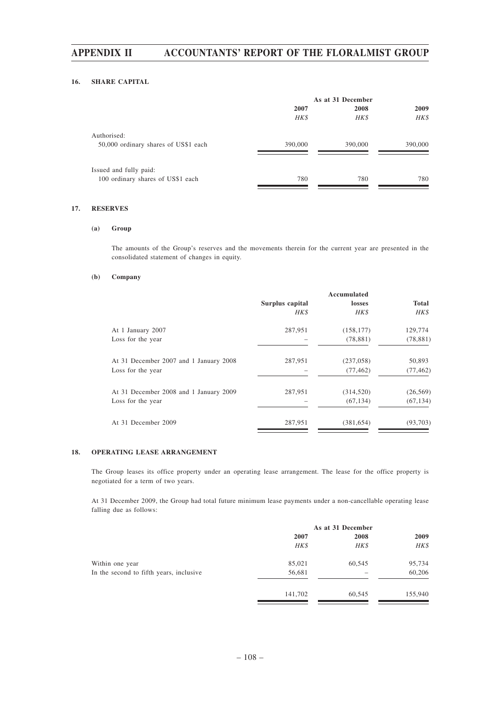### **16. SHARE CAPITAL**

|                                      | As at 31 December |         |         |  |
|--------------------------------------|-------------------|---------|---------|--|
|                                      | 2007              | 2008    | 2009    |  |
|                                      | HK\$              | HK\$    | HK\$    |  |
| Authorised:                          |                   |         |         |  |
| 50,000 ordinary shares of US\$1 each | 390,000           | 390,000 | 390,000 |  |
|                                      |                   |         |         |  |
| Issued and fully paid:               |                   |         |         |  |
| 100 ordinary shares of US\$1 each    | 780               | 780     | 780     |  |

### **17. RESERVES**

#### **(a) Group**

The amounts of the Group's reserves and the movements therein for the current year are presented in the consolidated statement of changes in equity.

### **(b) Company**

|                                        | Accumulated     |            |              |
|----------------------------------------|-----------------|------------|--------------|
|                                        | Surplus capital | losses     | <b>Total</b> |
|                                        | HK\$            | HK\$       | HK\$         |
| At 1 January 2007                      | 287,951         | (158, 177) | 129,774      |
| Loss for the year                      |                 | (78, 881)  | (78, 881)    |
| At 31 December 2007 and 1 January 2008 | 287,951         | (237,058)  | 50,893       |
| Loss for the year                      |                 | (77, 462)  | (77, 462)    |
| At 31 December 2008 and 1 January 2009 | 287,951         | (314, 520) | (26, 569)    |
| Loss for the year                      |                 | (67.134)   | (67, 134)    |
| At 31 December 2009                    | 287,951         | (381, 654) | (93,703)     |

## **18. OPERATING LEASE ARRANGEMENT**

The Group leases its office property under an operating lease arrangement. The lease for the office property is negotiated for a term of two years.

At 31 December 2009, the Group had total future minimum lease payments under a non-cancellable operating lease falling due as follows:

|                                         | As at 31 December |        |         |  |
|-----------------------------------------|-------------------|--------|---------|--|
|                                         | 2007              | 2008   | 2009    |  |
|                                         | HK\$              | HK\$   | HK\$    |  |
| Within one year                         | 85,021            | 60,545 | 95,734  |  |
| In the second to fifth years, inclusive | 56,681            |        | 60,206  |  |
|                                         | 141,702           | 60,545 | 155,940 |  |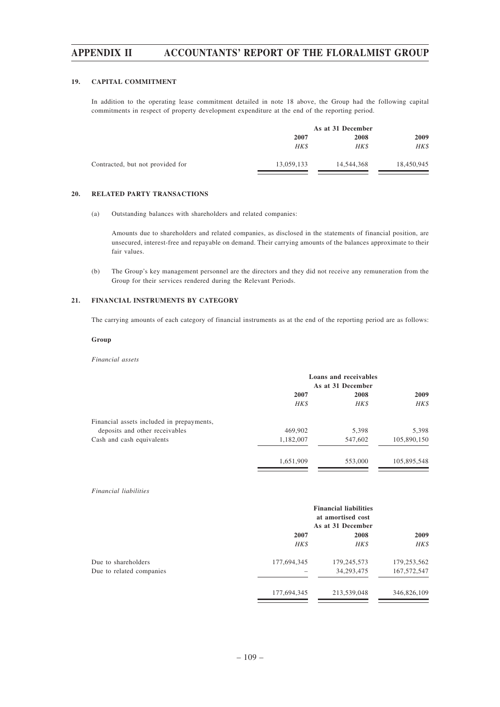#### **19. CAPITAL COMMITMENT**

In addition to the operating lease commitment detailed in note 18 above, the Group had the following capital commitments in respect of property development expenditure at the end of the reporting period.

|                                  | As at 31 December |            |            |
|----------------------------------|-------------------|------------|------------|
|                                  | 2007              | 2008       | 2009       |
|                                  | HK\$              | HK\$       | HK\$       |
| Contracted, but not provided for | 13,059,133        | 14,544,368 | 18,450,945 |

### **20. RELATED PARTY TRANSACTIONS**

(a) Outstanding balances with shareholders and related companies:

Amounts due to shareholders and related companies, as disclosed in the statements of financial position, are unsecured, interest-free and repayable on demand. Their carrying amounts of the balances approximate to their fair values.

(b) The Group's key management personnel are the directors and they did not receive any remuneration from the Group for their services rendered during the Relevant Periods.

### **21. FINANCIAL INSTRUMENTS BY CATEGORY**

The carrying amounts of each category of financial instruments as at the end of the reporting period are as follows:

#### **Group**

#### *Financial assets*

|                                           | Loans and receivables<br>As at 31 December |         |             |  |
|-------------------------------------------|--------------------------------------------|---------|-------------|--|
|                                           | 2007                                       | 2008    | 2009        |  |
|                                           | HK\$                                       | HK\$    | HK\$        |  |
| Financial assets included in prepayments, |                                            |         |             |  |
| deposits and other receivables            | 469,902                                    | 5,398   | 5,398       |  |
| Cash and cash equivalents                 | 1,182,007                                  | 547,602 | 105,890,150 |  |
|                                           | 1,651,909                                  | 553,000 | 105,895,548 |  |

#### *Financial liabilities*

|                          | <b>Financial liabilities</b><br>at amortised cost<br>As at 31 December |              |               |
|--------------------------|------------------------------------------------------------------------|--------------|---------------|
|                          | 2007                                                                   | 2008         | 2009          |
|                          | HK\$                                                                   | HK\$         | HK\$          |
| Due to shareholders      | 177,694,345                                                            | 179,245,573  | 179,253,562   |
| Due to related companies |                                                                        | 34, 293, 475 | 167, 572, 547 |
|                          | 177,694,345                                                            | 213,539,048  | 346,826,109   |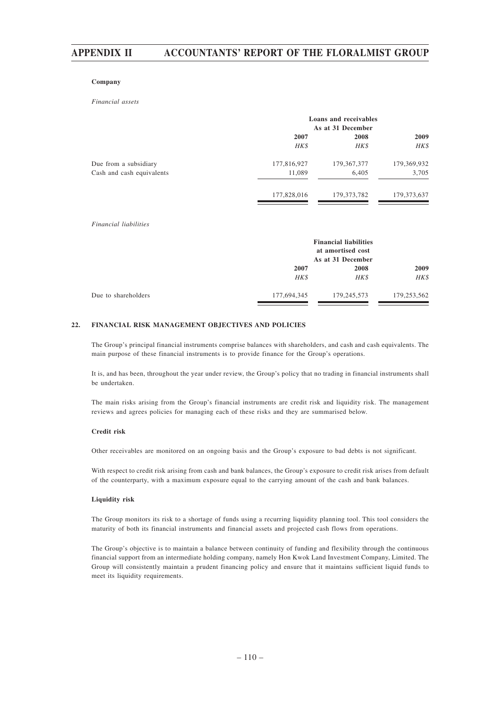#### **Company**

#### *Financial assets*

| Loans and receivables |               |                   |  |
|-----------------------|---------------|-------------------|--|
|                       |               |                   |  |
| 2007                  | 2008          | 2009              |  |
| HK\$                  | HK\$          | HK\$              |  |
| 177,816,927           | 179, 367, 377 | 179,369,932       |  |
| 11,089                | 6,405         | 3,705             |  |
| 177,828,016           | 179, 373, 782 | 179, 373, 637     |  |
|                       |               | As at 31 December |  |

#### *Financial liabilities*

|                     | <b>Financial liabilities</b><br>at amortised cost<br>As at 31 December |             |             |  |
|---------------------|------------------------------------------------------------------------|-------------|-------------|--|
|                     | 2007                                                                   | 2008        | 2009        |  |
|                     | HK\$                                                                   | HK\$        | HK\$        |  |
| Due to shareholders | 177,694,345                                                            | 179,245,573 | 179,253,562 |  |

### **22. FINANCIAL RISK MANAGEMENT OBJECTIVES AND POLICIES**

The Group's principal financial instruments comprise balances with shareholders, and cash and cash equivalents. The main purpose of these financial instruments is to provide finance for the Group's operations.

It is, and has been, throughout the year under review, the Group's policy that no trading in financial instruments shall be undertaken.

The main risks arising from the Group's financial instruments are credit risk and liquidity risk. The management reviews and agrees policies for managing each of these risks and they are summarised below.

### **Credit risk**

Other receivables are monitored on an ongoing basis and the Group's exposure to bad debts is not significant.

With respect to credit risk arising from cash and bank balances, the Group's exposure to credit risk arises from default of the counterparty, with a maximum exposure equal to the carrying amount of the cash and bank balances.

#### **Liquidity risk**

The Group monitors its risk to a shortage of funds using a recurring liquidity planning tool. This tool considers the maturity of both its financial instruments and financial assets and projected cash flows from operations.

The Group's objective is to maintain a balance between continuity of funding and flexibility through the continuous financial support from an intermediate holding company, namely Hon Kwok Land Investment Company, Limited. The Group will consistently maintain a prudent financing policy and ensure that it maintains sufficient liquid funds to meet its liquidity requirements.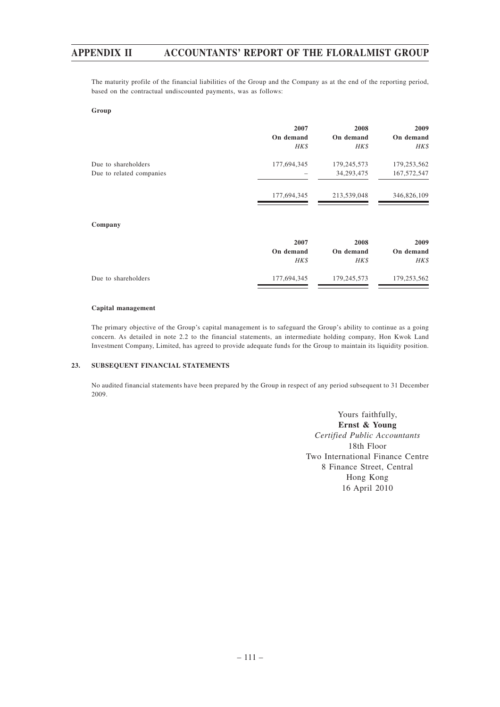The maturity profile of the financial liabilities of the Group and the Company as at the end of the reporting period, based on the contractual undiscounted payments, was as follows:

#### **Group**

|                          | 2007        | 2008         | 2009          |
|--------------------------|-------------|--------------|---------------|
|                          | On demand   | On demand    | On demand     |
|                          | HK\$        | HK\$         | HK\$          |
| Due to shareholders      | 177,694,345 | 179,245,573  | 179,253,562   |
| Due to related companies |             | 34, 293, 475 | 167, 572, 547 |
|                          | 177,694,345 | 213,539,048  | 346,826,109   |

#### **Company**

|                     | 2007        | 2008        | 2009        |
|---------------------|-------------|-------------|-------------|
|                     | On demand   | On demand   | On demand   |
|                     | HK\$        | HK\$        | HK\$        |
| Due to shareholders | 177,694,345 | 179,245,573 | 179,253,562 |

#### **Capital management**

The primary objective of the Group's capital management is to safeguard the Group's ability to continue as a going concern. As detailed in note 2.2 to the financial statements, an intermediate holding company, Hon Kwok Land Investment Company, Limited, has agreed to provide adequate funds for the Group to maintain its liquidity position.

### **23. SUBSEQUENT FINANCIAL STATEMENTS**

No audited financial statements have been prepared by the Group in respect of any period subsequent to 31 December 2009.

> Yours faithfully, **Ernst & Young** *Certified Public Accountants* 18th Floor Two International Finance Centre 8 Finance Street, Central Hong Kong 16 April 2010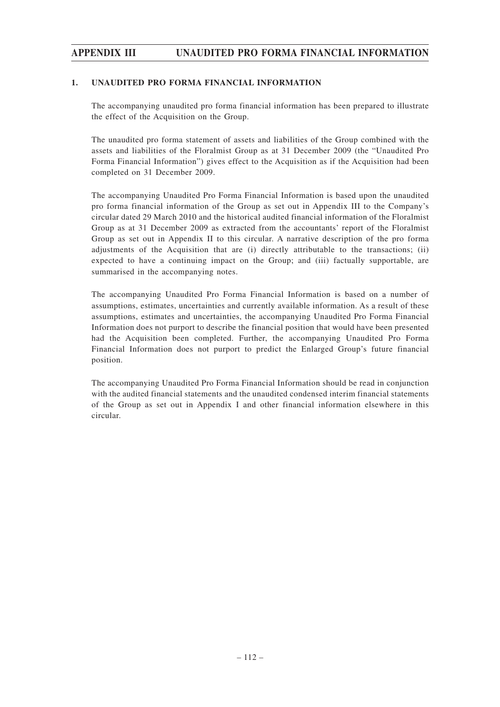## **1. UNAUDITED PRO FORMA FINANCIAL INFORMATION**

The accompanying unaudited pro forma financial information has been prepared to illustrate the effect of the Acquisition on the Group.

The unaudited pro forma statement of assets and liabilities of the Group combined with the assets and liabilities of the Floralmist Group as at 31 December 2009 (the "Unaudited Pro Forma Financial Information") gives effect to the Acquisition as if the Acquisition had been completed on 31 December 2009.

The accompanying Unaudited Pro Forma Financial Information is based upon the unaudited pro forma financial information of the Group as set out in Appendix III to the Company's circular dated 29 March 2010 and the historical audited financial information of the Floralmist Group as at 31 December 2009 as extracted from the accountants' report of the Floralmist Group as set out in Appendix II to this circular. A narrative description of the pro forma adjustments of the Acquisition that are (i) directly attributable to the transactions; (ii) expected to have a continuing impact on the Group; and (iii) factually supportable, are summarised in the accompanying notes.

The accompanying Unaudited Pro Forma Financial Information is based on a number of assumptions, estimates, uncertainties and currently available information. As a result of these assumptions, estimates and uncertainties, the accompanying Unaudited Pro Forma Financial Information does not purport to describe the financial position that would have been presented had the Acquisition been completed. Further, the accompanying Unaudited Pro Forma Financial Information does not purport to predict the Enlarged Group's future financial position.

The accompanying Unaudited Pro Forma Financial Information should be read in conjunction with the audited financial statements and the unaudited condensed interim financial statements of the Group as set out in Appendix I and other financial information elsewhere in this circular.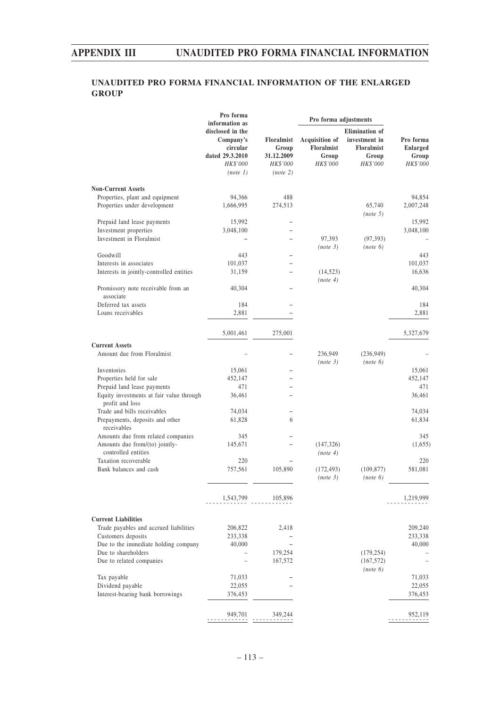# **UNAUDITED PRO FORMA FINANCIAL INFORMATION OF THE ENLARGED GROUP**

|                                                             | Pro forma<br>information as                                              |                                               |                                                   | Pro forma adjustments                                                     |                                                   |  |
|-------------------------------------------------------------|--------------------------------------------------------------------------|-----------------------------------------------|---------------------------------------------------|---------------------------------------------------------------------------|---------------------------------------------------|--|
|                                                             | disclosed in the<br>Company's<br>circular<br>dated 29.3.2010<br>HK\$'000 | Floralmist<br>Group<br>31.12.2009<br>HK\$'000 | Acquisition of<br>Floralmist<br>Group<br>HK\$'000 | <b>Elimination</b> of<br>investment in<br>Floralmist<br>Group<br>HK\$'000 | Pro forma<br><b>Enlarged</b><br>Group<br>HK\$'000 |  |
|                                                             | (note 1)                                                                 | (note 2)                                      |                                                   |                                                                           |                                                   |  |
| <b>Non-Current Assets</b>                                   |                                                                          |                                               |                                                   |                                                                           |                                                   |  |
| Properties, plant and equipment                             | 94,366                                                                   | 488                                           |                                                   |                                                                           | 94,854                                            |  |
| Properties under development                                | 1,666,995                                                                | 274,513                                       |                                                   | 65,740                                                                    | 2,007,248                                         |  |
|                                                             |                                                                          |                                               |                                                   | (note 5)                                                                  |                                                   |  |
| Prepaid land lease payments                                 | 15,992                                                                   |                                               |                                                   |                                                                           | 15,992                                            |  |
| Investment properties                                       | 3,048,100                                                                |                                               |                                                   |                                                                           | 3,048,100                                         |  |
| Investment in Floralmist                                    |                                                                          |                                               | 97,393                                            | (97, 393)                                                                 |                                                   |  |
|                                                             |                                                                          |                                               | (note 3)                                          | (note 6)                                                                  |                                                   |  |
| Goodwill                                                    | 443                                                                      |                                               |                                                   |                                                                           | 443                                               |  |
| Interests in associates                                     | 101,037                                                                  |                                               |                                                   |                                                                           | 101,037                                           |  |
| Interests in jointly-controlled entities                    | 31,159                                                                   |                                               | (14, 523)                                         |                                                                           | 16,636                                            |  |
|                                                             |                                                                          |                                               | (note 4)                                          |                                                                           |                                                   |  |
| Promissory note receivable from an<br>associate             | 40,304                                                                   |                                               |                                                   |                                                                           | 40,304                                            |  |
| Deferred tax assets                                         | 184                                                                      |                                               |                                                   |                                                                           | 184                                               |  |
| Loans receivables                                           | 2,881                                                                    |                                               |                                                   |                                                                           | 2,881                                             |  |
|                                                             |                                                                          |                                               |                                                   |                                                                           |                                                   |  |
|                                                             |                                                                          |                                               |                                                   |                                                                           |                                                   |  |
|                                                             | 5,001,461                                                                | 275,001                                       |                                                   |                                                                           | 5,327,679                                         |  |
| <b>Current Assets</b>                                       |                                                                          |                                               |                                                   |                                                                           |                                                   |  |
| Amount due from Floralmist                                  |                                                                          |                                               | 236,949                                           | (236,949)                                                                 |                                                   |  |
|                                                             |                                                                          |                                               | (note 3)                                          | (note 6)                                                                  |                                                   |  |
| Inventories                                                 | 15,061                                                                   |                                               |                                                   |                                                                           | 15,061                                            |  |
| Properties held for sale                                    | 452,147                                                                  |                                               |                                                   |                                                                           | 452,147                                           |  |
| Prepaid land lease payments                                 | 471                                                                      |                                               |                                                   |                                                                           | 471                                               |  |
| Equity investments at fair value through<br>profit and loss | 36,461                                                                   |                                               |                                                   |                                                                           | 36,461                                            |  |
| Trade and bills receivables                                 | 74,034                                                                   |                                               |                                                   |                                                                           | 74,034                                            |  |
| Prepayments, deposits and other<br>receivables              | 61,828                                                                   | 6                                             |                                                   |                                                                           | 61,834                                            |  |
| Amounts due from related companies                          | 345                                                                      |                                               |                                                   |                                                                           | 345                                               |  |
| Amounts due from/(to) jointly-                              | 145,671                                                                  |                                               | (147, 326)                                        |                                                                           | (1,655)                                           |  |
| controlled entities                                         |                                                                          |                                               | (note 4)                                          |                                                                           |                                                   |  |
| Taxation recoverable                                        | 220                                                                      |                                               |                                                   |                                                                           | 220                                               |  |
| Bank balances and cash                                      | 757,561                                                                  | 105,890                                       | (172, 493)<br>(note 3)                            | (109, 877)<br>(note 6)                                                    | 581,081                                           |  |
|                                                             | 1,543,799                                                                | 105,896                                       |                                                   |                                                                           | 1,219,999                                         |  |
| <b>Current Liabilities</b>                                  |                                                                          |                                               |                                                   |                                                                           |                                                   |  |
| Trade payables and accrued liabilities                      | 206,822                                                                  | 2,418                                         |                                                   |                                                                           | 209,240                                           |  |
| Customers deposits                                          | 233,338                                                                  |                                               |                                                   |                                                                           | 233,338                                           |  |
| Due to the immediate holding company                        | 40,000                                                                   |                                               |                                                   |                                                                           | 40,000                                            |  |
| Due to shareholders                                         |                                                                          | 179,254                                       |                                                   | (179, 254)                                                                |                                                   |  |
| Due to related companies                                    |                                                                          | 167,572                                       |                                                   | (167, 572)                                                                |                                                   |  |
|                                                             |                                                                          |                                               |                                                   | (note 6)                                                                  |                                                   |  |
| Tax payable                                                 | 71,033                                                                   |                                               |                                                   |                                                                           | 71,033                                            |  |
| Dividend payable                                            | 22,055                                                                   |                                               |                                                   |                                                                           | 22,055                                            |  |
| Interest-bearing bank borrowings                            | 376,453                                                                  |                                               |                                                   |                                                                           | 376,453                                           |  |
|                                                             | 949,701                                                                  | 349,244                                       |                                                   |                                                                           | 952,119                                           |  |
|                                                             |                                                                          |                                               |                                                   |                                                                           |                                                   |  |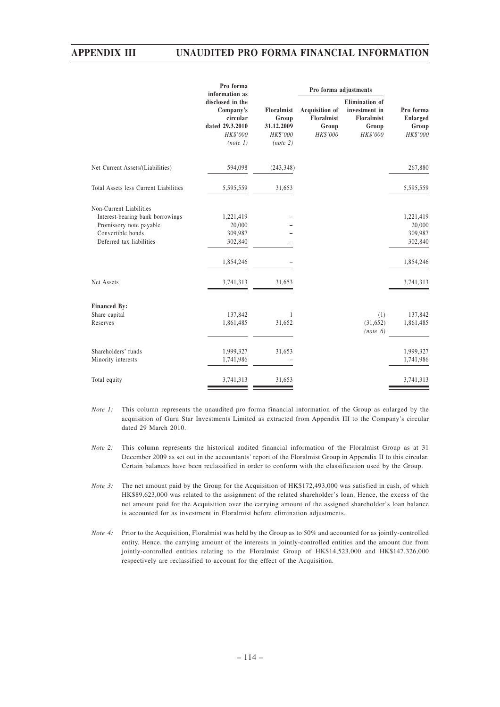|                                                                                                                                         | Pro forma<br>information as                                                          |                                                           | Pro forma adjustments                                    |                                                                           |                                                   |
|-----------------------------------------------------------------------------------------------------------------------------------------|--------------------------------------------------------------------------------------|-----------------------------------------------------------|----------------------------------------------------------|---------------------------------------------------------------------------|---------------------------------------------------|
|                                                                                                                                         | disclosed in the<br>Company's<br>circular<br>dated 29.3.2010<br>HK\$'000<br>(note 1) | Floralmist<br>Group<br>31.12.2009<br>HK\$'000<br>(note 2) | Acquisition of<br><b>Floralmist</b><br>Group<br>HK\$'000 | <b>Elimination</b> of<br>investment in<br>Floralmist<br>Group<br>HK\$'000 | Pro forma<br><b>Enlarged</b><br>Group<br>HK\$'000 |
| Net Current Assets/(Liabilities)                                                                                                        | 594,098                                                                              | (243, 348)                                                |                                                          |                                                                           | 267,880                                           |
| Total Assets less Current Liabilities                                                                                                   | 5,595,559                                                                            | 31,653                                                    |                                                          |                                                                           | 5,595,559                                         |
| Non-Current Liabilities<br>Interest-bearing bank borrowings<br>Promissory note payable<br>Convertible bonds<br>Deferred tax liabilities | 1,221,419<br>20,000<br>309,987<br>302,840                                            |                                                           |                                                          |                                                                           | 1,221,419<br>20,000<br>309,987<br>302,840         |
|                                                                                                                                         | 1,854,246                                                                            |                                                           |                                                          |                                                                           | 1,854,246                                         |
| Net Assets                                                                                                                              | 3,741,313                                                                            | 31,653                                                    |                                                          |                                                                           | 3,741,313                                         |
| <b>Financed By:</b><br>Share capital<br>Reserves                                                                                        | 137,842<br>1,861,485                                                                 | $\mathbf{1}$<br>31,652                                    |                                                          | (1)<br>(31,652)<br>(note 6)                                               | 137,842<br>1,861,485                              |
| Shareholders' funds<br>Minority interests                                                                                               | 1,999,327<br>1,741,986                                                               | 31,653                                                    |                                                          |                                                                           | 1,999,327<br>1,741,986                            |
| Total equity                                                                                                                            | 3,741,313                                                                            | 31,653                                                    |                                                          |                                                                           | 3,741,313                                         |

- *Note 1:* This column represents the unaudited pro forma financial information of the Group as enlarged by the acquisition of Guru Star Investments Limited as extracted from Appendix III to the Company's circular dated 29 March 2010.
- *Note 2:* This column represents the historical audited financial information of the Floralmist Group as at 31 December 2009 as set out in the accountants' report of the Floralmist Group in Appendix II to this circular. Certain balances have been reclassified in order to conform with the classification used by the Group.
- *Note 3:* The net amount paid by the Group for the Acquisition of HK\$172,493,000 was satisfied in cash, of which HK\$89,623,000 was related to the assignment of the related shareholder's loan. Hence, the excess of the net amount paid for the Acquisition over the carrying amount of the assigned shareholder's loan balance is accounted for as investment in Floralmist before elimination adjustments.
- *Note 4:* Prior to the Acquisition, Floralmist was held by the Group as to 50% and accounted for as jointly-controlled entity. Hence, the carrying amount of the interests in jointly-controlled entities and the amount due from jointly-controlled entities relating to the Floralmist Group of HK\$14,523,000 and HK\$147,326,000 respectively are reclassified to account for the effect of the Acquisition.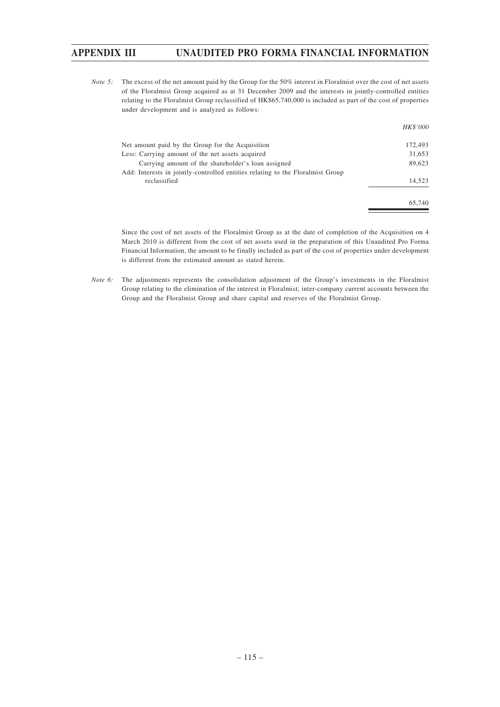*Note 5:* The excess of the net amount paid by the Group for the 50% interest in Floralmist over the cost of net assets of the Floralmist Group acquired as at 31 December 2009 and the interests in jointly-controlled entities relating to the Floralmist Group reclassified of HK\$65,740,000 is included as part of the cost of properties under development and is analyzed as follows:

|                                                                                | HK\$'000 |
|--------------------------------------------------------------------------------|----------|
| Net amount paid by the Group for the Acquisition                               | 172,493  |
| Less: Carrying amount of the net assets acquired                               | 31,653   |
| Carrying amount of the shareholder's loan assigned                             | 89,623   |
| Add: Interests in jointly-controlled entities relating to the Floralmist Group |          |
| reclassified                                                                   | 14.523   |
|                                                                                | 65,740   |

Since the cost of net assets of the Floralmist Group as at the date of completion of the Acquisition on 4 March 2010 is different from the cost of net assets used in the preparation of this Unaudited Pro Forma Financial Information, the amount to be finally included as part of the cost of properties under development is different from the estimated amount as stated herein.

*Note 6:* The adjustments represents the consolidation adjustment of the Group's investments in the Floralmist Group relating to the elimination of the interest in Floralmist, inter-company current accounts between the Group and the Floralmist Group and share capital and reserves of the Floralmist Group.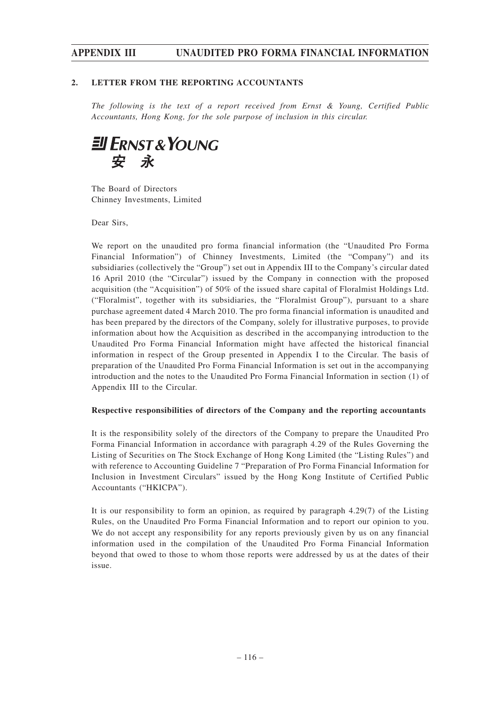## **2. LETTER FROM THE REPORTING ACCOUNTANTS**

*The following is the text of a report received from Ernst & Young, Certified Public Accountants, Hong Kong, for the sole purpose of inclusion in this circular.*



The Board of Directors Chinney Investments, Limited

Dear Sirs,

We report on the unaudited pro forma financial information (the "Unaudited Pro Forma Financial Information") of Chinney Investments, Limited (the "Company") and its subsidiaries (collectively the "Group") set out in Appendix III to the Company's circular dated 16 April 2010 (the "Circular") issued by the Company in connection with the proposed acquisition (the "Acquisition") of 50% of the issued share capital of Floralmist Holdings Ltd. ("Floralmist", together with its subsidiaries, the "Floralmist Group"), pursuant to a share purchase agreement dated 4 March 2010. The pro forma financial information is unaudited and has been prepared by the directors of the Company, solely for illustrative purposes, to provide information about how the Acquisition as described in the accompanying introduction to the Unaudited Pro Forma Financial Information might have affected the historical financial information in respect of the Group presented in Appendix I to the Circular. The basis of preparation of the Unaudited Pro Forma Financial Information is set out in the accompanying introduction and the notes to the Unaudited Pro Forma Financial Information in section (1) of Appendix III to the Circular.

## **Respective responsibilities of directors of the Company and the reporting accountants**

It is the responsibility solely of the directors of the Company to prepare the Unaudited Pro Forma Financial Information in accordance with paragraph 4.29 of the Rules Governing the Listing of Securities on The Stock Exchange of Hong Kong Limited (the "Listing Rules") and with reference to Accounting Guideline 7 "Preparation of Pro Forma Financial Information for Inclusion in Investment Circulars" issued by the Hong Kong Institute of Certified Public Accountants ("HKICPA").

It is our responsibility to form an opinion, as required by paragraph 4.29(7) of the Listing Rules, on the Unaudited Pro Forma Financial Information and to report our opinion to you. We do not accept any responsibility for any reports previously given by us on any financial information used in the compilation of the Unaudited Pro Forma Financial Information beyond that owed to those to whom those reports were addressed by us at the dates of their issue.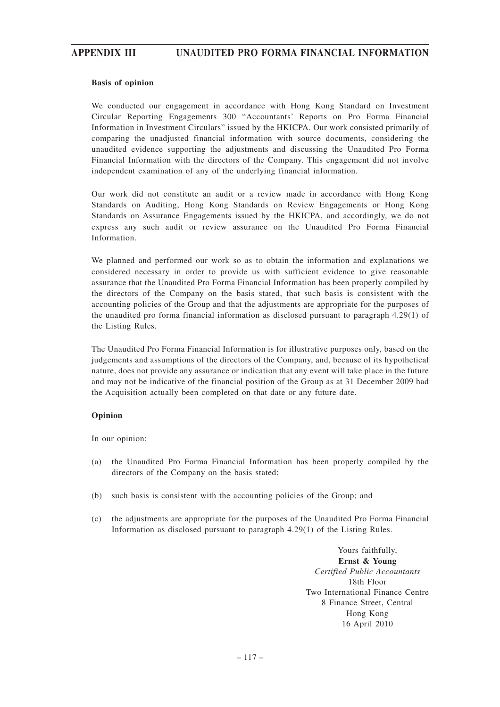## **Basis of opinion**

We conducted our engagement in accordance with Hong Kong Standard on Investment Circular Reporting Engagements 300 "Accountants' Reports on Pro Forma Financial Information in Investment Circulars" issued by the HKICPA. Our work consisted primarily of comparing the unadjusted financial information with source documents, considering the unaudited evidence supporting the adjustments and discussing the Unaudited Pro Forma Financial Information with the directors of the Company. This engagement did not involve independent examination of any of the underlying financial information.

Our work did not constitute an audit or a review made in accordance with Hong Kong Standards on Auditing, Hong Kong Standards on Review Engagements or Hong Kong Standards on Assurance Engagements issued by the HKICPA, and accordingly, we do not express any such audit or review assurance on the Unaudited Pro Forma Financial Information.

We planned and performed our work so as to obtain the information and explanations we considered necessary in order to provide us with sufficient evidence to give reasonable assurance that the Unaudited Pro Forma Financial Information has been properly compiled by the directors of the Company on the basis stated, that such basis is consistent with the accounting policies of the Group and that the adjustments are appropriate for the purposes of the unaudited pro forma financial information as disclosed pursuant to paragraph 4.29(1) of the Listing Rules.

The Unaudited Pro Forma Financial Information is for illustrative purposes only, based on the judgements and assumptions of the directors of the Company, and, because of its hypothetical nature, does not provide any assurance or indication that any event will take place in the future and may not be indicative of the financial position of the Group as at 31 December 2009 had the Acquisition actually been completed on that date or any future date.

## **Opinion**

In our opinion:

- (a) the Unaudited Pro Forma Financial Information has been properly compiled by the directors of the Company on the basis stated;
- (b) such basis is consistent with the accounting policies of the Group; and
- (c) the adjustments are appropriate for the purposes of the Unaudited Pro Forma Financial Information as disclosed pursuant to paragraph 4.29(1) of the Listing Rules.

Yours faithfully, **Ernst & Young** *Certified Public Accountants* 18th Floor Two International Finance Centre 8 Finance Street, Central Hong Kong 16 April 2010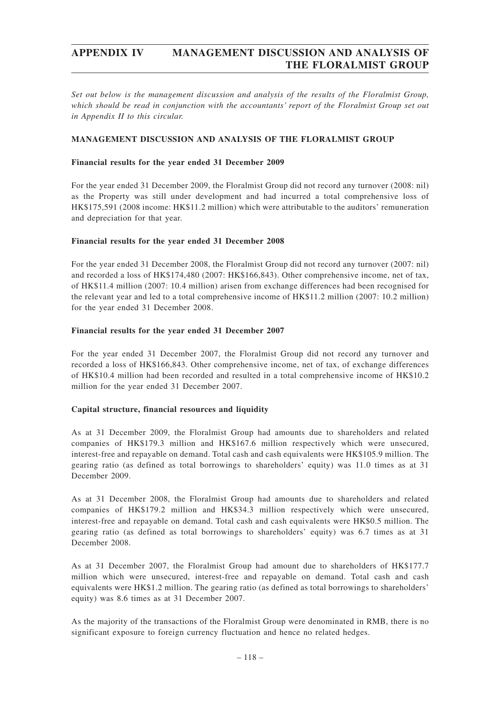# **APPENDIX IV MANAGEMENT DISCUSSION AND ANALYSIS OF THE FLORALMIST GROUP**

*Set out below is the management discussion and analysis of the results of the Floralmist Group, which should be read in conjunction with the accountants' report of the Floralmist Group set out in Appendix II to this circular.*

## **MANAGEMENT DISCUSSION AND ANALYSIS OF THE FLORALMIST GROUP**

## **Financial results for the year ended 31 December 2009**

For the year ended 31 December 2009, the Floralmist Group did not record any turnover (2008: nil) as the Property was still under development and had incurred a total comprehensive loss of HK\$175,591 (2008 income: HK\$11.2 million) which were attributable to the auditors' remuneration and depreciation for that year.

## **Financial results for the year ended 31 December 2008**

For the year ended 31 December 2008, the Floralmist Group did not record any turnover (2007: nil) and recorded a loss of HK\$174,480 (2007: HK\$166,843). Other comprehensive income, net of tax, of HK\$11.4 million (2007: 10.4 million) arisen from exchange differences had been recognised for the relevant year and led to a total comprehensive income of HK\$11.2 million (2007: 10.2 million) for the year ended 31 December 2008.

## **Financial results for the year ended 31 December 2007**

For the year ended 31 December 2007, the Floralmist Group did not record any turnover and recorded a loss of HK\$166,843. Other comprehensive income, net of tax, of exchange differences of HK\$10.4 million had been recorded and resulted in a total comprehensive income of HK\$10.2 million for the year ended 31 December 2007.

## **Capital structure, financial resources and liquidity**

As at 31 December 2009, the Floralmist Group had amounts due to shareholders and related companies of HK\$179.3 million and HK\$167.6 million respectively which were unsecured, interest-free and repayable on demand. Total cash and cash equivalents were HK\$105.9 million. The gearing ratio (as defined as total borrowings to shareholders' equity) was 11.0 times as at 31 December 2009.

As at 31 December 2008, the Floralmist Group had amounts due to shareholders and related companies of HK\$179.2 million and HK\$34.3 million respectively which were unsecured, interest-free and repayable on demand. Total cash and cash equivalents were HK\$0.5 million. The gearing ratio (as defined as total borrowings to shareholders' equity) was 6.7 times as at 31 December 2008.

As at 31 December 2007, the Floralmist Group had amount due to shareholders of HK\$177.7 million which were unsecured, interest-free and repayable on demand. Total cash and cash equivalents were HK\$1.2 million. The gearing ratio (as defined as total borrowings to shareholders' equity) was 8.6 times as at 31 December 2007.

As the majority of the transactions of the Floralmist Group were denominated in RMB, there is no significant exposure to foreign currency fluctuation and hence no related hedges.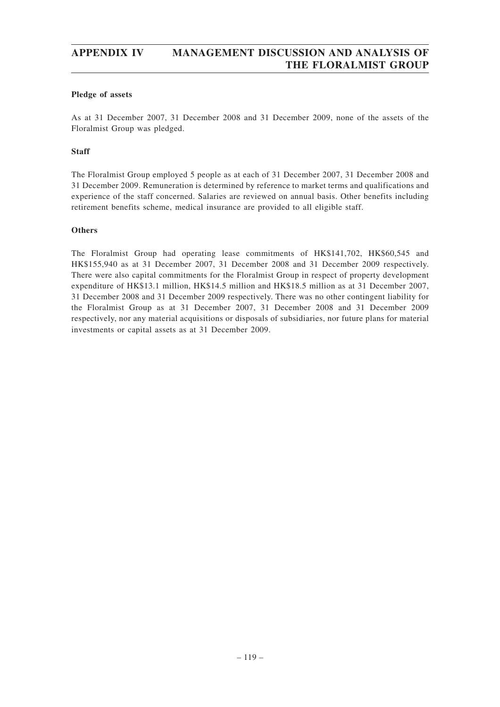# **APPENDIX IV MANAGEMENT DISCUSSION AND ANALYSIS OF THE FLORALMIST GROUP**

## **Pledge of assets**

As at 31 December 2007, 31 December 2008 and 31 December 2009, none of the assets of the Floralmist Group was pledged.

## **Staff**

The Floralmist Group employed 5 people as at each of 31 December 2007, 31 December 2008 and 31 December 2009. Remuneration is determined by reference to market terms and qualifications and experience of the staff concerned. Salaries are reviewed on annual basis. Other benefits including retirement benefits scheme, medical insurance are provided to all eligible staff.

## **Others**

The Floralmist Group had operating lease commitments of HK\$141,702, HK\$60,545 and HK\$155,940 as at 31 December 2007, 31 December 2008 and 31 December 2009 respectively. There were also capital commitments for the Floralmist Group in respect of property development expenditure of HK\$13.1 million, HK\$14.5 million and HK\$18.5 million as at 31 December 2007, 31 December 2008 and 31 December 2009 respectively. There was no other contingent liability for the Floralmist Group as at 31 December 2007, 31 December 2008 and 31 December 2009 respectively, nor any material acquisitions or disposals of subsidiaries, nor future plans for material investments or capital assets as at 31 December 2009.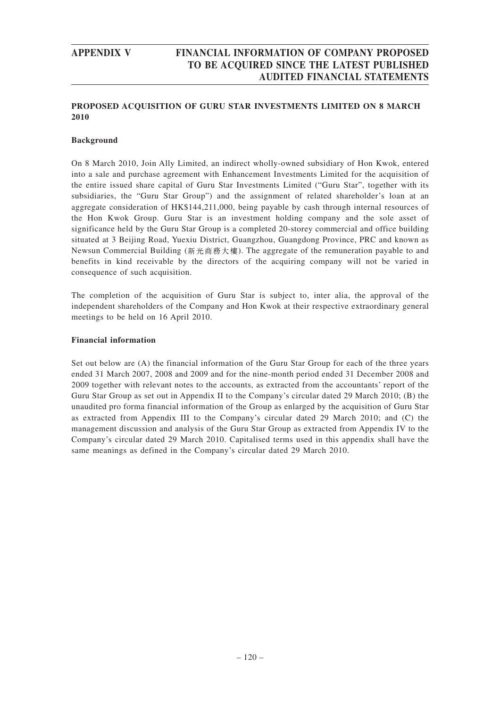## **PROPOSED ACQUISITION OF GURU STAR INVESTMENTS LIMITED ON 8 MARCH 2010**

## **Background**

On 8 March 2010, Join Ally Limited, an indirect wholly-owned subsidiary of Hon Kwok, entered into a sale and purchase agreement with Enhancement Investments Limited for the acquisition of the entire issued share capital of Guru Star Investments Limited ("Guru Star", together with its subsidiaries, the "Guru Star Group") and the assignment of related shareholder's loan at an aggregate consideration of HK\$144,211,000, being payable by cash through internal resources of the Hon Kwok Group. Guru Star is an investment holding company and the sole asset of significance held by the Guru Star Group is a completed 20-storey commercial and office building situated at 3 Beijing Road, Yuexiu District, Guangzhou, Guangdong Province, PRC and known as Newsun Commercial Building (新光商務大樓). The aggregate of the remuneration payable to and benefits in kind receivable by the directors of the acquiring company will not be varied in consequence of such acquisition.

The completion of the acquisition of Guru Star is subject to, inter alia, the approval of the independent shareholders of the Company and Hon Kwok at their respective extraordinary general meetings to be held on 16 April 2010.

## **Financial information**

Set out below are (A) the financial information of the Guru Star Group for each of the three years ended 31 March 2007, 2008 and 2009 and for the nine-month period ended 31 December 2008 and 2009 together with relevant notes to the accounts, as extracted from the accountants' report of the Guru Star Group as set out in Appendix II to the Company's circular dated 29 March 2010; (B) the unaudited pro forma financial information of the Group as enlarged by the acquisition of Guru Star as extracted from Appendix III to the Company's circular dated 29 March 2010; and (C) the management discussion and analysis of the Guru Star Group as extracted from Appendix IV to the Company's circular dated 29 March 2010. Capitalised terms used in this appendix shall have the same meanings as defined in the Company's circular dated 29 March 2010.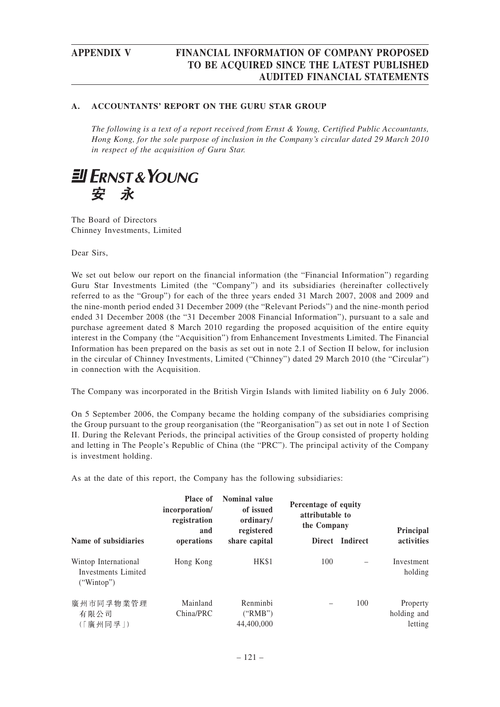## **A. ACCOUNTANTS' REPORT ON THE GURU STAR GROUP**

*The following is a text of a report received from Ernst & Young, Certified Public Accountants, Hong Kong, for the sole purpose of inclusion in the Company's circular dated 29 March 2010 in respect of the acquisition of Guru Star.*



The Board of Directors Chinney Investments, Limited

Dear Sirs,

We set out below our report on the financial information (the "Financial Information") regarding Guru Star Investments Limited (the "Company") and its subsidiaries (hereinafter collectively referred to as the "Group") for each of the three years ended 31 March 2007, 2008 and 2009 and the nine-month period ended 31 December 2009 (the "Relevant Periods") and the nine-month period ended 31 December 2008 (the "31 December 2008 Financial Information"), pursuant to a sale and purchase agreement dated 8 March 2010 regarding the proposed acquisition of the entire equity interest in the Company (the "Acquisition") from Enhancement Investments Limited. The Financial Information has been prepared on the basis as set out in note 2.1 of Section II below, for inclusion in the circular of Chinney Investments, Limited ("Chinney") dated 29 March 2010 (the "Circular") in connection with the Acquisition.

The Company was incorporated in the British Virgin Islands with limited liability on 6 July 2006.

On 5 September 2006, the Company became the holding company of the subsidiaries comprising the Group pursuant to the group reorganisation (the "Reorganisation") as set out in note 1 of Section II. During the Relevant Periods, the principal activities of the Group consisted of property holding and letting in The People's Republic of China (the "PRC"). The principal activity of the Company is investment holding.

As at the date of this report, the Company has the following subsidiaries:

|                                                           | Place of<br>incorporation/<br>registration<br>and | Nominal value<br>of issued<br>ordinary/<br>registered | Percentage of equity<br>attributable to<br>the Company |                 | <b>Principal</b>                   |
|-----------------------------------------------------------|---------------------------------------------------|-------------------------------------------------------|--------------------------------------------------------|-----------------|------------------------------------|
| Name of subsidiaries                                      | operations                                        | share capital                                         | <b>Direct</b>                                          | <b>Indirect</b> | <i>activities</i>                  |
| Wintop International<br>Investments Limited<br>("Winton") | Hong Kong                                         | <b>HK\$1</b>                                          | 100                                                    |                 | Investment<br>holding              |
| 廣州市同孚物業管理<br>有限公司<br>(「廣州同孚」)                             | Mainland<br>China/PRC                             | Renminbi<br>("RMB")<br>44,400,000                     | -                                                      | 100             | Property<br>holding and<br>letting |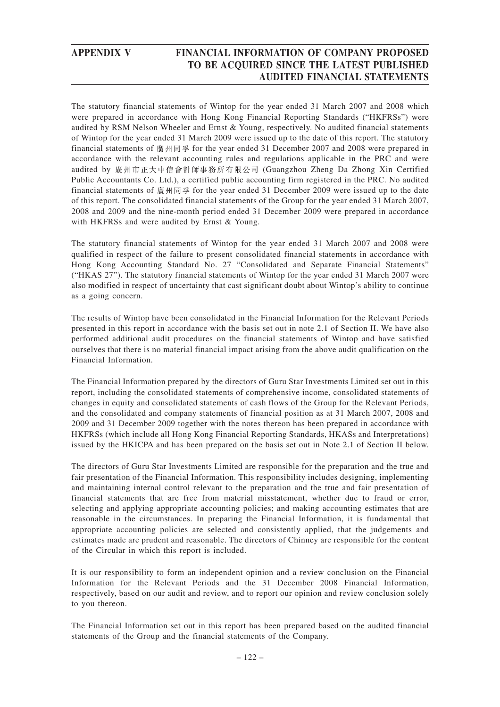The statutory financial statements of Wintop for the year ended 31 March 2007 and 2008 which were prepared in accordance with Hong Kong Financial Reporting Standards ("HKFRSs") were audited by RSM Nelson Wheeler and Ernst & Young, respectively. No audited financial statements of Wintop for the year ended 31 March 2009 were issued up to the date of this report. The statutory financial statements of 廣州同孚 for the year ended 31 December 2007 and 2008 were prepared in accordance with the relevant accounting rules and regulations applicable in the PRC and were audited by 廣州市正大中信會計師事務所有限公司 (Guangzhou Zheng Da Zhong Xin Certified Public Accountants Co. Ltd.), a certified public accounting firm registered in the PRC. No audited financial statements of 廣州同孚 for the year ended 31 December 2009 were issued up to the date of this report. The consolidated financial statements of the Group for the year ended 31 March 2007, 2008 and 2009 and the nine-month period ended 31 December 2009 were prepared in accordance with HKFRSs and were audited by Ernst & Young.

The statutory financial statements of Wintop for the year ended 31 March 2007 and 2008 were qualified in respect of the failure to present consolidated financial statements in accordance with Hong Kong Accounting Standard No. 27 "Consolidated and Separate Financial Statements" ("HKAS 27"). The statutory financial statements of Wintop for the year ended 31 March 2007 were also modified in respect of uncertainty that cast significant doubt about Wintop's ability to continue as a going concern.

The results of Wintop have been consolidated in the Financial Information for the Relevant Periods presented in this report in accordance with the basis set out in note 2.1 of Section II. We have also performed additional audit procedures on the financial statements of Wintop and have satisfied ourselves that there is no material financial impact arising from the above audit qualification on the Financial Information.

The Financial Information prepared by the directors of Guru Star Investments Limited set out in this report, including the consolidated statements of comprehensive income, consolidated statements of changes in equity and consolidated statements of cash flows of the Group for the Relevant Periods, and the consolidated and company statements of financial position as at 31 March 2007, 2008 and 2009 and 31 December 2009 together with the notes thereon has been prepared in accordance with HKFRSs (which include all Hong Kong Financial Reporting Standards, HKASs and Interpretations) issued by the HKICPA and has been prepared on the basis set out in Note 2.1 of Section II below.

The directors of Guru Star Investments Limited are responsible for the preparation and the true and fair presentation of the Financial Information. This responsibility includes designing, implementing and maintaining internal control relevant to the preparation and the true and fair presentation of financial statements that are free from material misstatement, whether due to fraud or error, selecting and applying appropriate accounting policies; and making accounting estimates that are reasonable in the circumstances. In preparing the Financial Information, it is fundamental that appropriate accounting policies are selected and consistently applied, that the judgements and estimates made are prudent and reasonable. The directors of Chinney are responsible for the content of the Circular in which this report is included.

It is our responsibility to form an independent opinion and a review conclusion on the Financial Information for the Relevant Periods and the 31 December 2008 Financial Information, respectively, based on our audit and review, and to report our opinion and review conclusion solely to you thereon.

The Financial Information set out in this report has been prepared based on the audited financial statements of the Group and the financial statements of the Company.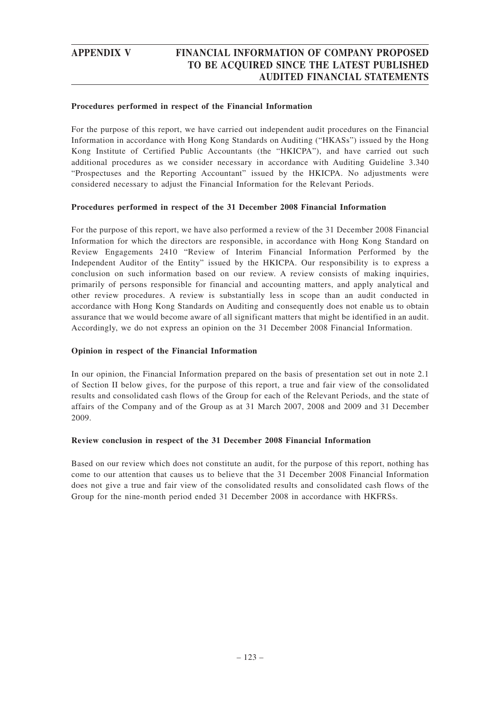## **Procedures performed in respect of the Financial Information**

For the purpose of this report, we have carried out independent audit procedures on the Financial Information in accordance with Hong Kong Standards on Auditing ("HKASs") issued by the Hong Kong Institute of Certified Public Accountants (the "HKICPA"), and have carried out such additional procedures as we consider necessary in accordance with Auditing Guideline 3.340 "Prospectuses and the Reporting Accountant" issued by the HKICPA. No adjustments were considered necessary to adjust the Financial Information for the Relevant Periods.

## **Procedures performed in respect of the 31 December 2008 Financial Information**

For the purpose of this report, we have also performed a review of the 31 December 2008 Financial Information for which the directors are responsible, in accordance with Hong Kong Standard on Review Engagements 2410 "Review of Interim Financial Information Performed by the Independent Auditor of the Entity" issued by the HKICPA. Our responsibility is to express a conclusion on such information based on our review. A review consists of making inquiries, primarily of persons responsible for financial and accounting matters, and apply analytical and other review procedures. A review is substantially less in scope than an audit conducted in accordance with Hong Kong Standards on Auditing and consequently does not enable us to obtain assurance that we would become aware of all significant matters that might be identified in an audit. Accordingly, we do not express an opinion on the 31 December 2008 Financial Information.

## **Opinion in respect of the Financial Information**

In our opinion, the Financial Information prepared on the basis of presentation set out in note 2.1 of Section II below gives, for the purpose of this report, a true and fair view of the consolidated results and consolidated cash flows of the Group for each of the Relevant Periods, and the state of affairs of the Company and of the Group as at 31 March 2007, 2008 and 2009 and 31 December 2009.

## **Review conclusion in respect of the 31 December 2008 Financial Information**

Based on our review which does not constitute an audit, for the purpose of this report, nothing has come to our attention that causes us to believe that the 31 December 2008 Financial Information does not give a true and fair view of the consolidated results and consolidated cash flows of the Group for the nine-month period ended 31 December 2008 in accordance with HKFRSs.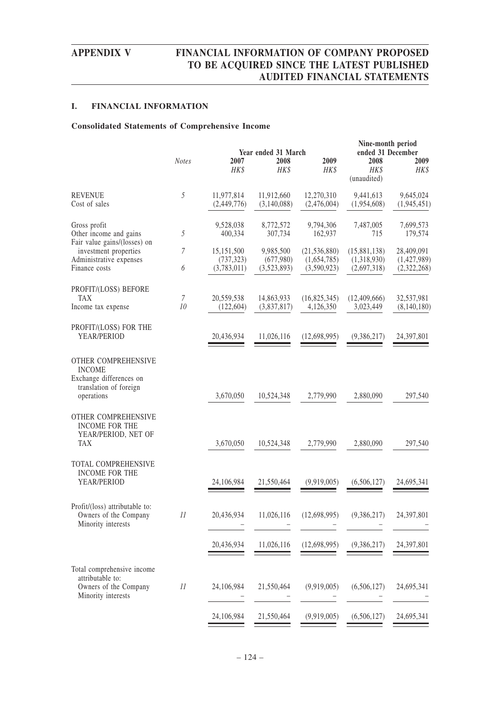## **I. FINANCIAL INFORMATION**

## **Consolidated Statements of Comprehensive Income**

|                                                                                                         | <b>Notes</b>           | 2007<br>HK\$                            | Year ended 31 March<br>2008<br>HK\$   | 2009<br>HK\$                                 | Nine-month period<br>ended 31 December<br>2008<br>HK\$<br>(unaudited) | 2009<br>HK\$                             |
|---------------------------------------------------------------------------------------------------------|------------------------|-----------------------------------------|---------------------------------------|----------------------------------------------|-----------------------------------------------------------------------|------------------------------------------|
| <b>REVENUE</b><br>Cost of sales                                                                         | 5                      | 11,977,814<br>(2,449,776)               | 11,912,660<br>(3,140,088)             | 12,270,310<br>(2,476,004)                    | 9,441,613<br>(1,954,608)                                              | 9,645,024<br>(1,945,451)                 |
| Gross profit<br>Other income and gains                                                                  | 5                      | 9,528,038<br>400,334                    | 8,772,572<br>307,734                  | 9,794,306<br>162,937                         | 7,487,005<br>715                                                      | 7,699,573<br>179,574                     |
| Fair value gains/(losses) on<br>investment properties<br>Administrative expenses<br>Finance costs       | $\sqrt{ }$<br>6        | 15,151,500<br>(737, 323)<br>(3,783,011) | 9,985,500<br>(677,980)<br>(3,523,893) | (21, 536, 880)<br>(1,654,785)<br>(3,590,923) | (15,881,138)<br>(1,318,930)<br>(2,697,318)                            | 28,409,091<br>(1,427,989)<br>(2,322,268) |
| PROFIT/(LOSS) BEFORE<br><b>TAX</b><br>Income tax expense                                                | $\boldsymbol{7}$<br>10 | 20,559,538<br>(122, 604)                | 14,863,933<br>(3,837,817)             | (16,825,345)<br>4,126,350                    | (12,409,666)<br>3,023,449                                             | 32,537,981<br>(8,140,180)                |
| PROFIT/(LOSS) FOR THE<br>YEAR/PERIOD                                                                    |                        | 20,436,934                              | 11,026,116                            | (12,698,995)                                 | (9,386,217)                                                           | 24,397,801                               |
| OTHER COMPREHENSIVE<br><b>INCOME</b><br>Exchange differences on<br>translation of foreign<br>operations |                        | 3,670,050                               | 10,524,348                            | 2,779,990                                    | 2,880,090                                                             | 297,540                                  |
| OTHER COMPREHENSIVE<br><b>INCOME FOR THE</b><br>YEAR/PERIOD, NET OF<br><b>TAX</b>                       |                        | 3,670,050                               | 10,524,348                            | 2,779,990                                    | 2,880,090                                                             | 297,540                                  |
| TOTAL COMPREHENSIVE<br><b>INCOME FOR THE</b><br>YEAR/PERIOD                                             |                        | 24,106,984                              | 21,550,464                            | (9,919,005)                                  | (6,506,127)                                                           | 24,695,341                               |
| Profit/(loss) attributable to:<br>Owners of the Company<br>Minority interests                           | $\it 11$               | 20,436,934                              | 11,026,116                            | (12,698,995)                                 | (9,386,217)                                                           | 24,397,801                               |
|                                                                                                         |                        | 20,436,934                              | 11,026,116                            | (12,698,995)                                 | (9,386,217)                                                           | 24,397,801                               |
| Total comprehensive income<br>attributable to:<br>Owners of the Company<br>Minority interests           | 11                     | 24,106,984                              | 21,550,464                            | (9,919,005)                                  | (6,506,127)                                                           | 24,695,341                               |
|                                                                                                         |                        | 24,106,984                              | 21,550,464                            | (9,919,005)                                  | (6,506,127)                                                           | 24,695,341                               |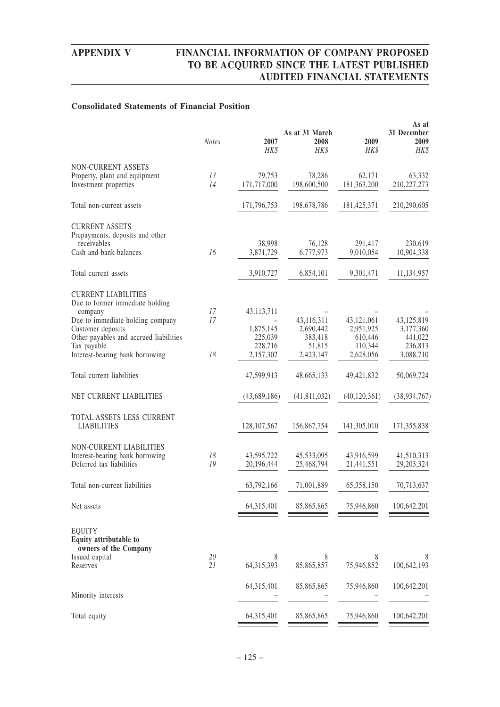## **Consolidated Statements of Financial Position**

|                                                                                                                                                                                                                               | <b>Notes</b>   | 2007<br>HK\$                                                 | As at 31 March<br>2008<br>HK\$                            | 2009<br>HK\$                                               | As at<br>31 December<br>2009<br>HK\$                       |
|-------------------------------------------------------------------------------------------------------------------------------------------------------------------------------------------------------------------------------|----------------|--------------------------------------------------------------|-----------------------------------------------------------|------------------------------------------------------------|------------------------------------------------------------|
| <b>NON-CURRENT ASSETS</b><br>Property, plant and equipment<br>Investment properties                                                                                                                                           | 13<br>14       | 79.753<br>171,717,000                                        | 78,286<br>198,600,500                                     | 62,171<br>181,363,200                                      | 63,332<br>210,227,273                                      |
| Total non-current assets                                                                                                                                                                                                      |                | 171,796,753                                                  | 198,678,786                                               | 181,425,371                                                | 210,290,605                                                |
| <b>CURRENT ASSETS</b><br>Prepayments, deposits and other<br>receivables<br>Cash and bank balances<br>Total current assets                                                                                                     | 16             | 38,998<br>3,871,729<br>3,910,727                             | 76,128<br>6,777,973<br>6,854,101                          | 291,417<br>9,010,054<br>9,301,471                          | 230,619<br>10,904,338<br>11,134,957                        |
| <b>CURRENT LIABILITIES</b><br>Due to former immediate holding<br>company<br>Due to immediate holding company<br>Customer deposits<br>Other payables and accrued liabilities<br>Tax payable<br>Interest-bearing bank borrowing | 17<br>17<br>18 | 43, 113, 711<br>1,875,145<br>225,039<br>228,716<br>2,157,302 | 43,116,311<br>2,690,442<br>383,418<br>51,815<br>2,423,147 | 43,121,061<br>2,951,925<br>610,446<br>110,344<br>2,628,056 | 43,125,819<br>3,177,360<br>441,022<br>236,813<br>3,088,710 |
| Total current liabilities                                                                                                                                                                                                     |                | 47,599,913                                                   | 48,665,133                                                | 49, 421, 832                                               | 50,069,724                                                 |
| NET CURRENT LIABILITIES                                                                                                                                                                                                       |                | (43,689,186)                                                 | (41, 811, 032)                                            | (40, 120, 361)                                             | (38, 934, 767)                                             |
| TOTAL ASSETS LESS CURRENT<br><b>LIABILITIES</b>                                                                                                                                                                               |                | 128, 107, 567                                                | 156,867,754                                               | 141,305,010                                                | 171,355,838                                                |
| NON-CURRENT LIABILITIES<br>Interest-bearing bank borrowing<br>Deferred tax liabilities                                                                                                                                        | 18<br>19       | 43,595,722<br>20,196,444                                     | 45,533,095<br>25,468,794                                  | 43,916,599<br>21,441,551                                   | 41,510,313<br>29,203,324                                   |
| Total non-current liabilities                                                                                                                                                                                                 |                | 63,792,166                                                   | 71,001,889                                                | 65,358,150                                                 | 70,713,637                                                 |
| Net assets                                                                                                                                                                                                                    |                | 64, 315, 401                                                 | 85,865,865                                                | 75,946,860                                                 | 100,642,201                                                |
| <b>EQUITY</b><br>Equity attributable to<br>owners of the Company<br>Issued capital<br>Reserves                                                                                                                                | 20<br>21       | 8<br>64,315,393                                              | 8<br>85,865,857                                           | 8<br>75,946,852                                            | 8<br>100,642,193                                           |
| Minority interests                                                                                                                                                                                                            |                | 64,315,401                                                   | 85,865,865                                                | 75,946,860                                                 | 100,642,201                                                |
| Total equity                                                                                                                                                                                                                  |                | 64,315,401                                                   | 85,865,865                                                | 75,946,860                                                 | 100,642,201                                                |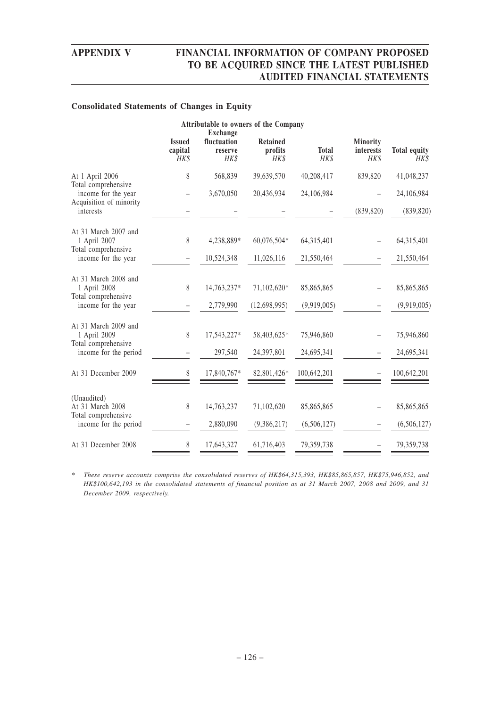## **Consolidated Statements of Changes in Equity**

|                                                             | Attributable to owners of the Company<br><b>Exchange</b> |                                |                                    |                      |                                      |                             |
|-------------------------------------------------------------|----------------------------------------------------------|--------------------------------|------------------------------------|----------------------|--------------------------------------|-----------------------------|
|                                                             | <b>Issued</b><br>capital<br>HK\$                         | fluctuation<br>reserve<br>HK\$ | <b>Retained</b><br>profits<br>HK\$ | <b>Total</b><br>HK\$ | <b>Minority</b><br>interests<br>HK\$ | <b>Total equity</b><br>HK\$ |
| At 1 April 2006<br>Total comprehensive                      | 8                                                        | 568,839                        | 39,639,570                         | 40,208,417           | 839,820                              | 41,048,237                  |
| income for the year<br>Acquisition of minority              |                                                          | 3,670,050                      | 20,436,934                         | 24,106,984           |                                      | 24,106,984                  |
| interests                                                   |                                                          |                                |                                    |                      | (839, 820)                           | (839, 820)                  |
| At 31 March 2007 and<br>1 April 2007<br>Total comprehensive | 8                                                        | 4,238,889*                     | 60,076,504*                        | 64,315,401           |                                      | 64,315,401                  |
| income for the year                                         |                                                          | 10,524,348                     | 11,026,116                         | 21,550,464           |                                      | 21,550,464                  |
| At 31 March 2008 and<br>1 April 2008<br>Total comprehensive | 8                                                        | 14,763,237*                    | 71,102,620*                        | 85,865,865           |                                      | 85,865,865                  |
| income for the year                                         |                                                          | 2,779,990                      | (12,698,995)                       | (9,919,005)          |                                      | (9,919,005)                 |
| At 31 March 2009 and<br>1 April 2009<br>Total comprehensive | 8                                                        | 17,543,227*                    | 58,403,625*                        | 75,946,860           |                                      | 75,946,860                  |
| income for the period                                       |                                                          | 297,540                        | 24,397,801                         | 24,695,341           |                                      | 24,695,341                  |
| At 31 December 2009                                         | 8                                                        | 17,840,767*                    | 82,801,426*                        | 100,642,201          |                                      | 100,642,201                 |
| (Unaudited)<br>At 31 March 2008<br>Total comprehensive      | 8                                                        | 14,763,237                     | 71,102,620                         | 85,865,865           |                                      | 85,865,865                  |
| income for the period                                       |                                                          | 2,880,090                      | (9,386,217)                        | (6,506,127)          |                                      | (6,506,127)                 |
| At 31 December 2008                                         | 8                                                        | 17,643,327                     | 61,716,403                         | 79,359,738           |                                      | 79,359,738                  |

*\* These reserve accounts comprise the consolidated reserves of HK\$64,315,393, HK\$85,865,857, HK\$75,946,852, and HK\$100,642,193 in the consolidated statements of financial position as at 31 March 2007, 2008 and 2009, and 31 December 2009, respectively.*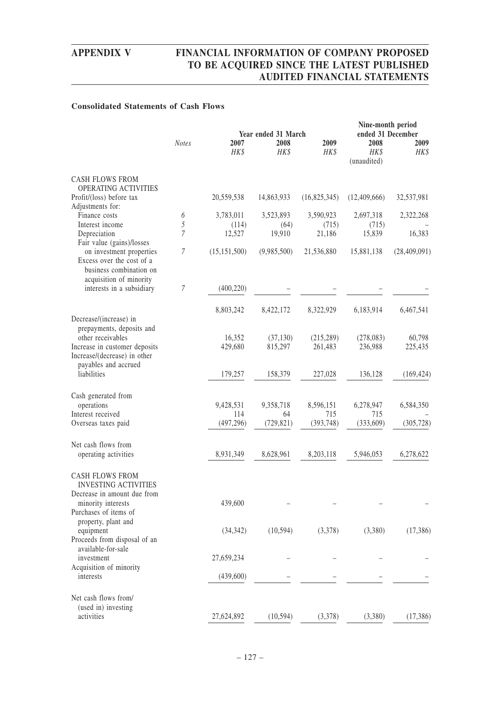## **Consolidated Statements of Cash Flows**

|                                                                                                             |              |                | Year ended 31 March | Nine-month period<br>ended 31 December |                             |              |
|-------------------------------------------------------------------------------------------------------------|--------------|----------------|---------------------|----------------------------------------|-----------------------------|--------------|
|                                                                                                             | <b>Notes</b> | 2007<br>HK\$   | 2008<br>HK\$        | 2009<br>HK\$                           | 2008<br>HK\$<br>(unaudited) | 2009<br>HK\$ |
| <b>CASH FLOWS FROM</b><br>OPERATING ACTIVITIES                                                              |              |                |                     |                                        |                             |              |
| Profit/(loss) before tax<br>Adjustments for:                                                                |              | 20,559,538     | 14,863,933          | (16,825,345)                           | (12,409,666)                | 32,537,981   |
| Finance costs                                                                                               | 6            | 3,783,011      | 3,523,893           | 3,590,923                              | 2,697,318                   | 2,322,268    |
| Interest income                                                                                             | 5            | (114)          | (64)                | (715)                                  | (715)                       |              |
| Depreciation<br>Fair value (gains)/losses                                                                   | 7            | 12,527         | 19,910              | 21,186                                 | 15,839                      | 16,383       |
| on investment properties<br>Excess over the cost of a<br>business combination on<br>acquisition of minority | $\sqrt{ }$   | (15, 151, 500) | (9,985,500)         | 21,536,880                             | 15,881,138                  | (28,409,091) |
| interests in a subsidiary                                                                                   | 7            | (400, 220)     |                     |                                        |                             |              |
| Decrease/(increase) in                                                                                      |              | 8,803,242      | 8,422,172           | 8,322,929                              | 6,183,914                   | 6,467,541    |
| prepayments, deposits and                                                                                   |              |                |                     |                                        |                             |              |
| other receivables                                                                                           |              | 16,352         | (37, 130)           | (215, 289)                             | (278,083)                   | 60,798       |
| Increase in customer deposits<br>Increase/(decrease) in other<br>payables and accrued                       |              | 429,680        | 815,297             | 261,483                                | 236,988                     | 225,435      |
| liabilities                                                                                                 |              | 179,257        | 158,379             | 227,028                                | 136,128                     | (169, 424)   |
| Cash generated from                                                                                         |              |                |                     |                                        |                             |              |
| operations                                                                                                  |              | 9,428,531      | 9,358,718           | 8,596,151                              | 6,278,947                   | 6,584,350    |
| Interest received                                                                                           |              | 114            | 64                  | 715                                    | 715                         |              |
| Overseas taxes paid                                                                                         |              | (497, 296)     | (729, 821)          | (393, 748)                             | (333,609)                   | (305, 728)   |
| Net cash flows from                                                                                         |              |                |                     |                                        |                             | 6,278,622    |
| operating activities                                                                                        |              | 8,931,349      | 8,628,961           | 8,203,118                              | 5,946,053                   |              |
| <b>CASH FLOWS FROM</b><br><b>INVESTING ACTIVITIES</b>                                                       |              |                |                     |                                        |                             |              |
| Decrease in amount due from<br>minority interests<br>Purchases of items of                                  |              | 439,600        |                     |                                        |                             |              |
| property, plant and<br>equipment                                                                            |              | (34, 342)      | (10, 594)           | (3,378)                                | (3,380)                     | (17, 386)    |
| Proceeds from disposal of an<br>available-for-sale                                                          |              |                |                     |                                        |                             |              |
| investment                                                                                                  |              | 27,659,234     |                     |                                        |                             |              |
| Acquisition of minority<br>interests                                                                        |              | (439,600)      |                     |                                        |                             |              |
| Net cash flows from/                                                                                        |              |                |                     |                                        |                             |              |
| (used in) investing<br>activities                                                                           |              |                |                     |                                        |                             | (17, 386)    |
|                                                                                                             |              | 27,624,892     | (10, 594)           | (3,378)                                | (3,380)                     |              |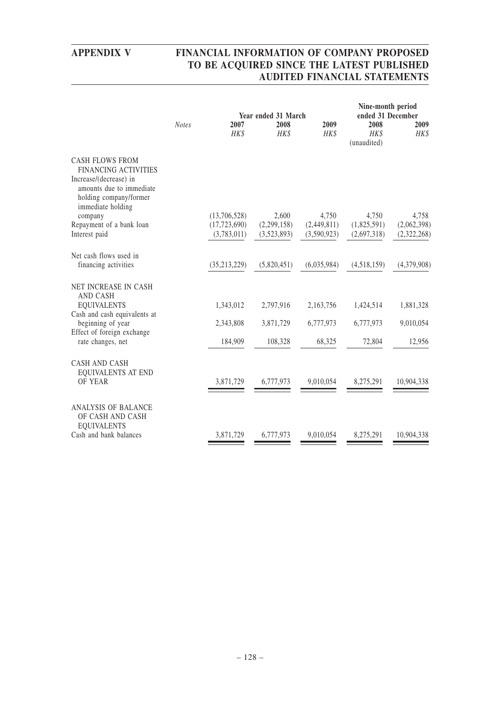|                                                                                                                                                            |              | Year ended 31 March                           |                                       |                                     | Nine-month period<br>ended 31 December |                                     |  |
|------------------------------------------------------------------------------------------------------------------------------------------------------------|--------------|-----------------------------------------------|---------------------------------------|-------------------------------------|----------------------------------------|-------------------------------------|--|
|                                                                                                                                                            | <b>Notes</b> | 2007<br>HK\$                                  | 2008<br>HK\$                          | 2009<br>HK\$                        | 2008<br>HK\$<br>(unaudited)            | 2009<br>HK\$                        |  |
| <b>CASH FLOWS FROM</b><br><b>FINANCING ACTIVITIES</b><br>Increase/(decrease) in<br>amounts due to immediate<br>holding company/former<br>immediate holding |              |                                               |                                       |                                     |                                        |                                     |  |
| company<br>Repayment of a bank loan<br>Interest paid                                                                                                       |              | (13,706,528)<br>(17, 723, 690)<br>(3,783,011) | 2,600<br>(2, 299, 158)<br>(3,523,893) | 4,750<br>(2,449,811)<br>(3,590,923) | 4,750<br>(1,825,591)<br>(2,697,318)    | 4,758<br>(2,062,398)<br>(2,322,268) |  |
| Net cash flows used in<br>financing activities                                                                                                             |              | (35, 213, 229)                                | (5,820,451)                           | (6,035,984)                         | (4,518,159)                            | (4,379,908)                         |  |
| NET INCREASE IN CASH                                                                                                                                       |              |                                               |                                       |                                     |                                        |                                     |  |
| <b>AND CASH</b><br><b>EQUIVALENTS</b><br>Cash and cash equivalents at                                                                                      |              | 1,343,012                                     | 2,797,916                             | 2,163,756                           | 1,424,514                              | 1,881,328                           |  |
| beginning of year<br>Effect of foreign exchange<br>rate changes, net                                                                                       |              | 2,343,808<br>184,909                          | 3,871,729<br>108,328                  | 6,777,973<br>68,325                 | 6,777,973<br>72,804                    | 9,010,054<br>12,956                 |  |
| CASH AND CASH                                                                                                                                              |              |                                               |                                       |                                     |                                        |                                     |  |
| <b>EQUIVALENTS AT END</b><br><b>OF YEAR</b>                                                                                                                |              | 3,871,729                                     | 6,777,973                             | 9,010,054                           | 8,275,291                              | 10,904,338                          |  |
| <b>ANALYSIS OF BALANCE</b><br>OF CASH AND CASH<br><b>EQUIVALENTS</b><br>Cash and bank balances                                                             |              |                                               |                                       | 9,010,054                           |                                        |                                     |  |
|                                                                                                                                                            |              | 3,871,729                                     | 6,777,973                             |                                     | 8,275,291                              | 10,904,338                          |  |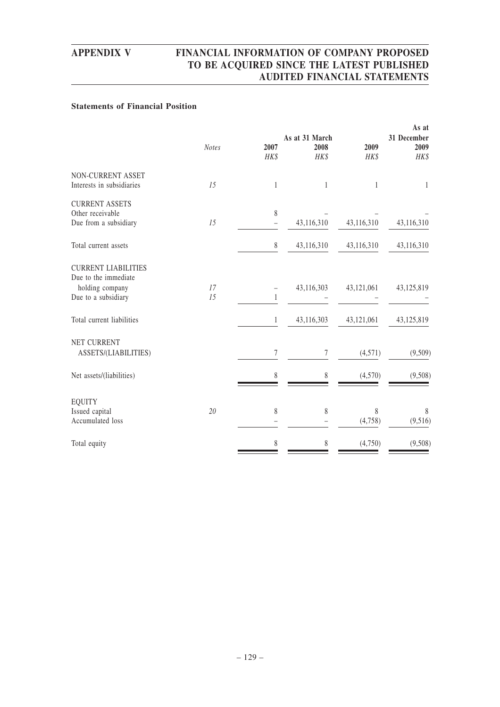## **Statements of Financial Position**

|                                                                                                                           | <b>Notes</b> | 2007<br>HK\$   | As at 31 March<br>2008<br>HK\$ | 2009<br>HK\$             | As at<br>31 December<br>2009<br>HK\$ |
|---------------------------------------------------------------------------------------------------------------------------|--------------|----------------|--------------------------------|--------------------------|--------------------------------------|
| NON-CURRENT ASSET<br>Interests in subsidiaries                                                                            | 15           | 1              | $\mathbf{1}$                   | $\mathbf{1}$             | $\mathbf{1}$                         |
| <b>CURRENT ASSETS</b><br>Other receivable<br>Due from a subsidiary                                                        | 15           | 8              | 43,116,310                     | 43,116,310               | 43,116,310                           |
| Total current assets                                                                                                      |              | 8              | 43,116,310                     | 43,116,310               | 43,116,310                           |
| <b>CURRENT LIABILITIES</b><br>Due to the immediate<br>holding company<br>Due to a subsidiary<br>Total current liabilities | 17<br>15     | 1<br>1         | 43,116,303<br>43,116,303       | 43,121,061<br>43,121,061 | 43,125,819<br>43,125,819             |
| NET CURRENT<br>ASSETS/(LIABILITIES)                                                                                       |              | $\overline{7}$ | $\overline{7}$                 | (4,571)                  | (9,509)                              |
| Net assets/(liabilities)                                                                                                  |              | 8              | 8                              | (4,570)                  | (9,508)                              |
| <b>EQUITY</b><br>Issued capital<br>Accumulated loss                                                                       | 20           | 8              | 8                              | 8<br>(4,758)             | 8<br>(9,516)                         |
| Total equity                                                                                                              |              | 8              | 8                              | (4,750)                  | (9,508)                              |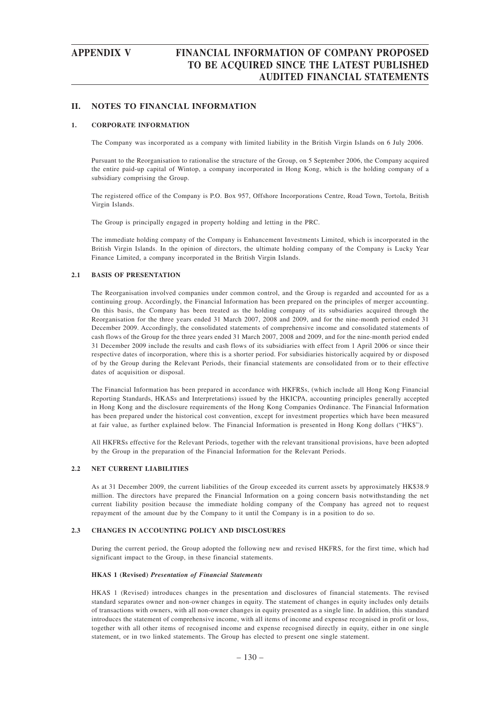## **II. NOTES TO FINANCIAL INFORMATION**

### **1. CORPORATE INFORMATION**

The Company was incorporated as a company with limited liability in the British Virgin Islands on 6 July 2006.

Pursuant to the Reorganisation to rationalise the structure of the Group, on 5 September 2006, the Company acquired the entire paid-up capital of Wintop, a company incorporated in Hong Kong, which is the holding company of a subsidiary comprising the Group.

The registered office of the Company is P.O. Box 957, Offshore Incorporations Centre, Road Town, Tortola, British Virgin Islands.

The Group is principally engaged in property holding and letting in the PRC.

The immediate holding company of the Company is Enhancement Investments Limited, which is incorporated in the British Virgin Islands. In the opinion of directors, the ultimate holding company of the Company is Lucky Year Finance Limited, a company incorporated in the British Virgin Islands.

### **2.1 BASIS OF PRESENTATION**

The Reorganisation involved companies under common control, and the Group is regarded and accounted for as a continuing group. Accordingly, the Financial Information has been prepared on the principles of merger accounting. On this basis, the Company has been treated as the holding company of its subsidiaries acquired through the Reorganisation for the three years ended 31 March 2007, 2008 and 2009, and for the nine-month period ended 31 December 2009. Accordingly, the consolidated statements of comprehensive income and consolidated statements of cash flows of the Group for the three years ended 31 March 2007, 2008 and 2009, and for the nine-month period ended 31 December 2009 include the results and cash flows of its subsidiaries with effect from 1 April 2006 or since their respective dates of incorporation, where this is a shorter period. For subsidiaries historically acquired by or disposed of by the Group during the Relevant Periods, their financial statements are consolidated from or to their effective dates of acquisition or disposal.

The Financial Information has been prepared in accordance with HKFRSs, (which include all Hong Kong Financial Reporting Standards, HKASs and Interpretations) issued by the HKICPA, accounting principles generally accepted in Hong Kong and the disclosure requirements of the Hong Kong Companies Ordinance. The Financial Information has been prepared under the historical cost convention, except for investment properties which have been measured at fair value, as further explained below. The Financial Information is presented in Hong Kong dollars ("HK\$").

All HKFRSs effective for the Relevant Periods, together with the relevant transitional provisions, have been adopted by the Group in the preparation of the Financial Information for the Relevant Periods.

### **2.2 NET CURRENT LIABILITIES**

As at 31 December 2009, the current liabilities of the Group exceeded its current assets by approximately HK\$38.9 million. The directors have prepared the Financial Information on a going concern basis notwithstanding the net current liability position because the immediate holding company of the Company has agreed not to request repayment of the amount due by the Company to it until the Company is in a position to do so.

#### **2.3 CHANGES IN ACCOUNTING POLICY AND DISCLOSURES**

During the current period, the Group adopted the following new and revised HKFRS, for the first time, which had significant impact to the Group, in these financial statements.

#### **HKAS 1 (Revised)** *Presentation of Financial Statements*

HKAS 1 (Revised) introduces changes in the presentation and disclosures of financial statements. The revised standard separates owner and non-owner changes in equity. The statement of changes in equity includes only details of transactions with owners, with all non-owner changes in equity presented as a single line. In addition, this standard introduces the statement of comprehensive income, with all items of income and expense recognised in profit or loss, together with all other items of recognised income and expense recognised directly in equity, either in one single statement, or in two linked statements. The Group has elected to present one single statement.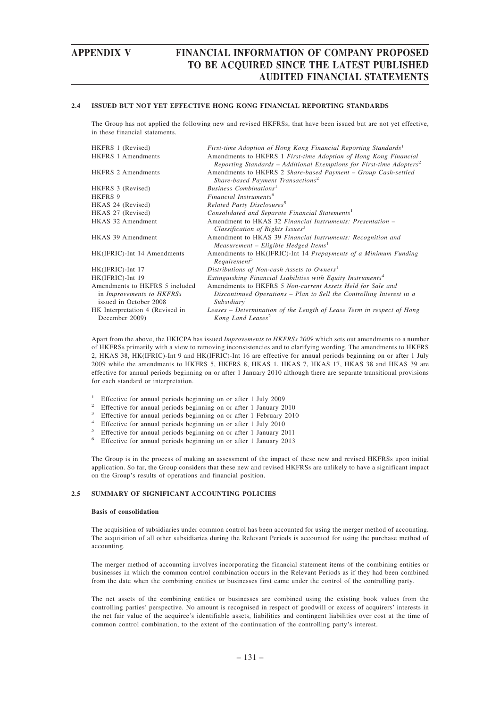### **2.4 ISSUED BUT NOT YET EFFECTIVE HONG KONG FINANCIAL REPORTING STANDARDS**

The Group has not applied the following new and revised HKFRSs, that have been issued but are not yet effective, in these financial statements.

| HKFRS 1 (Revised)                                                                     | First-time Adoption of Hong Kong Financial Reporting Standards <sup>1</sup>                                                                                   |
|---------------------------------------------------------------------------------------|---------------------------------------------------------------------------------------------------------------------------------------------------------------|
| <b>HKFRS</b> 1 Amendments                                                             | Amendments to HKFRS 1 First-time Adoption of Hong Kong Financial<br>Reporting Standards – Additional Exemptions for First-time Adopters <sup>2</sup>          |
| <b>HKFRS 2 Amendments</b>                                                             | Amendments to HKFRS 2 Share-based Payment - Group Cash-settled<br>Share-based Payment Transactions <sup>2</sup>                                               |
| HKFRS 3 (Revised)                                                                     | Business Combinations <sup>1</sup>                                                                                                                            |
| HKFRS 9                                                                               | Financial Instruments <sup>6</sup>                                                                                                                            |
| HKAS 24 (Revised)                                                                     | Related Party Disclosures <sup>5</sup>                                                                                                                        |
| HKAS 27 (Revised)                                                                     | Consolidated and Separate Financial Statements <sup>1</sup>                                                                                                   |
| HKAS 32 Amendment                                                                     | Amendment to HKAS 32 Financial Instruments: Presentation –<br>Classification of Rights Issues <sup>3</sup>                                                    |
| HKAS 39 Amendment                                                                     | Amendment to HKAS 39 Financial Instruments: Recognition and<br>Measurement – Eligible Hedged Items <sup>1</sup>                                               |
| HK(IFRIC)-Int 14 Amendments                                                           | Amendments to HK(IFRIC)-Int 14 Prepayments of a Minimum Funding<br>Requirement <sup>5</sup>                                                                   |
| HK(IFRIC)-Int 17                                                                      | Distributions of Non-cash Assets to Owners <sup>1</sup>                                                                                                       |
| HK(IFRIC)-Int 19                                                                      | Extinguishing Financial Liabilities with Equity Instruments <sup>4</sup>                                                                                      |
| Amendments to HKFRS 5 included<br>in Improvements to HKFRSs<br>issued in October 2008 | Amendments to HKFRS 5 Non-current Assets Held for Sale and<br>Discontinued Operations – Plan to Sell the Controlling Interest in a<br>Subsidiary <sup>1</sup> |
| HK Interpretation 4 (Revised in                                                       | Leases – Determination of the Length of Lease Term in respect of Hong                                                                                         |
| December 2009)                                                                        | Kong Land Leases <sup>2</sup>                                                                                                                                 |

Apart from the above, the HKICPA has issued *Improvements to HKFRSs 2009* which sets out amendments to a number of HKFRSs primarily with a view to removing inconsistencies and to clarifying wording. The amendments to HKFRS 2, HKAS 38, HK(IFRIC)-Int 9 and HK(IFRIC)-Int 16 are effective for annual periods beginning on or after 1 July 2009 while the amendments to HKFRS 5, HKFRS 8, HKAS 1, HKAS 7, HKAS 17, HKAS 38 and HKAS 39 are effective for annual periods beginning on or after 1 January 2010 although there are separate transitional provisions for each standard or interpretation.

- <sup>1</sup> Effective for annual periods beginning on or after 1 July 2009<br><sup>2</sup> Effective for annual periods beginning on or after 1 January 20
- <sup>2</sup> Effective for annual periods beginning on or after 1 January 2010<br><sup>3</sup> Effective for annual periods beginning on or after 1 Eshmany 2010
- Effective for annual periods beginning on or after 1 February 2010
- <sup>4</sup> Effective for annual periods beginning on or after 1 July 2010
- <sup>5</sup> Effective for annual periods beginning on or after 1 January 2011
- <sup>6</sup> Effective for annual periods beginning on or after 1 January 2013

The Group is in the process of making an assessment of the impact of these new and revised HKFRSs upon initial application. So far, the Group considers that these new and revised HKFRSs are unlikely to have a significant impact on the Group's results of operations and financial position.

### **2.5 SUMMARY OF SIGNIFICANT ACCOUNTING POLICIES**

#### **Basis of consolidation**

The acquisition of subsidiaries under common control has been accounted for using the merger method of accounting. The acquisition of all other subsidiaries during the Relevant Periods is accounted for using the purchase method of accounting.

The merger method of accounting involves incorporating the financial statement items of the combining entities or businesses in which the common control combination occurs in the Relevant Periods as if they had been combined from the date when the combining entities or businesses first came under the control of the controlling party.

The net assets of the combining entities or businesses are combined using the existing book values from the controlling parties' perspective. No amount is recognised in respect of goodwill or excess of acquirers' interests in the net fair value of the acquiree's identifiable assets, liabilities and contingent liabilities over cost at the time of common control combination, to the extent of the continuation of the controlling party's interest.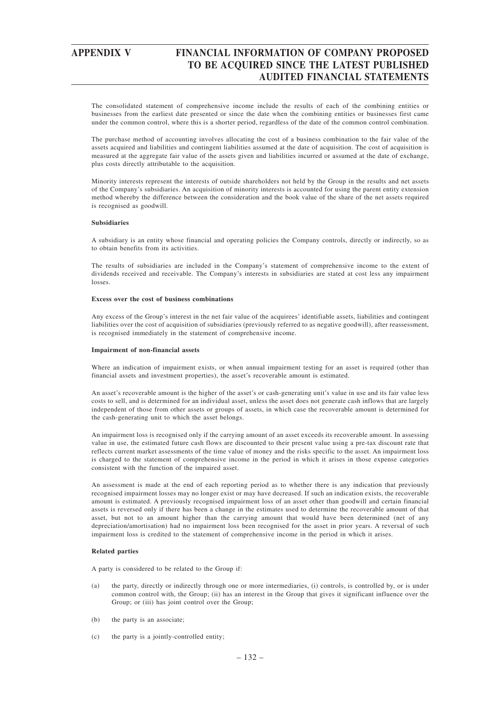The consolidated statement of comprehensive income include the results of each of the combining entities or businesses from the earliest date presented or since the date when the combining entities or businesses first came under the common control, where this is a shorter period, regardless of the date of the common control combination.

The purchase method of accounting involves allocating the cost of a business combination to the fair value of the assets acquired and liabilities and contingent liabilities assumed at the date of acquisition. The cost of acquisition is measured at the aggregate fair value of the assets given and liabilities incurred or assumed at the date of exchange, plus costs directly attributable to the acquisition.

Minority interests represent the interests of outside shareholders not held by the Group in the results and net assets of the Company's subsidiaries. An acquisition of minority interests is accounted for using the parent entity extension method whereby the difference between the consideration and the book value of the share of the net assets required is recognised as goodwill.

#### **Subsidiaries**

A subsidiary is an entity whose financial and operating policies the Company controls, directly or indirectly, so as to obtain benefits from its activities.

The results of subsidiaries are included in the Company's statement of comprehensive income to the extent of dividends received and receivable. The Company's interests in subsidiaries are stated at cost less any impairment losses.

#### **Excess over the cost of business combinations**

Any excess of the Group's interest in the net fair value of the acquirees' identifiable assets, liabilities and contingent liabilities over the cost of acquisition of subsidiaries (previously referred to as negative goodwill), after reassessment, is recognised immediately in the statement of comprehensive income.

#### **Impairment of non-financial assets**

Where an indication of impairment exists, or when annual impairment testing for an asset is required (other than financial assets and investment properties), the asset's recoverable amount is estimated.

An asset's recoverable amount is the higher of the asset's or cash-generating unit's value in use and its fair value less costs to sell, and is determined for an individual asset, unless the asset does not generate cash inflows that are largely independent of those from other assets or groups of assets, in which case the recoverable amount is determined for the cash-generating unit to which the asset belongs.

An impairment loss is recognised only if the carrying amount of an asset exceeds its recoverable amount. In assessing value in use, the estimated future cash flows are discounted to their present value using a pre-tax discount rate that reflects current market assessments of the time value of money and the risks specific to the asset. An impairment loss is charged to the statement of comprehensive income in the period in which it arises in those expense categories consistent with the function of the impaired asset.

An assessment is made at the end of each reporting period as to whether there is any indication that previously recognised impairment losses may no longer exist or may have decreased. If such an indication exists, the recoverable amount is estimated. A previously recognised impairment loss of an asset other than goodwill and certain financial assets is reversed only if there has been a change in the estimates used to determine the recoverable amount of that asset, but not to an amount higher than the carrying amount that would have been determined (net of any depreciation/amortisation) had no impairment loss been recognised for the asset in prior years. A reversal of such impairment loss is credited to the statement of comprehensive income in the period in which it arises.

#### **Related parties**

A party is considered to be related to the Group if:

- (a) the party, directly or indirectly through one or more intermediaries, (i) controls, is controlled by, or is under common control with, the Group; (ii) has an interest in the Group that gives it significant influence over the Group; or (iii) has joint control over the Group;
- (b) the party is an associate;
- (c) the party is a jointly-controlled entity;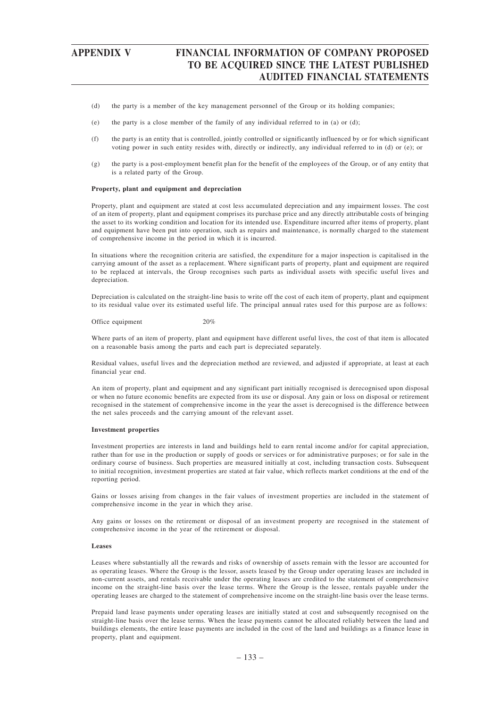- (d) the party is a member of the key management personnel of the Group or its holding companies;
- (e) the party is a close member of the family of any individual referred to in (a) or (d);
- (f) the party is an entity that is controlled, jointly controlled or significantly influenced by or for which significant voting power in such entity resides with, directly or indirectly, any individual referred to in (d) or (e); or
- (g) the party is a post-employment benefit plan for the benefit of the employees of the Group, or of any entity that is a related party of the Group.

#### **Property, plant and equipment and depreciation**

Property, plant and equipment are stated at cost less accumulated depreciation and any impairment losses. The cost of an item of property, plant and equipment comprises its purchase price and any directly attributable costs of bringing the asset to its working condition and location for its intended use. Expenditure incurred after items of property, plant and equipment have been put into operation, such as repairs and maintenance, is normally charged to the statement of comprehensive income in the period in which it is incurred.

In situations where the recognition criteria are satisfied, the expenditure for a major inspection is capitalised in the carrying amount of the asset as a replacement. Where significant parts of property, plant and equipment are required to be replaced at intervals, the Group recognises such parts as individual assets with specific useful lives and depreciation.

Depreciation is calculated on the straight-line basis to write off the cost of each item of property, plant and equipment to its residual value over its estimated useful life. The principal annual rates used for this purpose are as follows:

#### Office equipment 20%

Where parts of an item of property, plant and equipment have different useful lives, the cost of that item is allocated on a reasonable basis among the parts and each part is depreciated separately.

Residual values, useful lives and the depreciation method are reviewed, and adjusted if appropriate, at least at each financial year end.

An item of property, plant and equipment and any significant part initially recognised is derecognised upon disposal or when no future economic benefits are expected from its use or disposal. Any gain or loss on disposal or retirement recognised in the statement of comprehensive income in the year the asset is derecognised is the difference between the net sales proceeds and the carrying amount of the relevant asset.

#### **Investment properties**

Investment properties are interests in land and buildings held to earn rental income and/or for capital appreciation, rather than for use in the production or supply of goods or services or for administrative purposes; or for sale in the ordinary course of business. Such properties are measured initially at cost, including transaction costs. Subsequent to initial recognition, investment properties are stated at fair value, which reflects market conditions at the end of the reporting period.

Gains or losses arising from changes in the fair values of investment properties are included in the statement of comprehensive income in the year in which they arise.

Any gains or losses on the retirement or disposal of an investment property are recognised in the statement of comprehensive income in the year of the retirement or disposal.

#### **Leases**

Leases where substantially all the rewards and risks of ownership of assets remain with the lessor are accounted for as operating leases. Where the Group is the lessor, assets leased by the Group under operating leases are included in non-current assets, and rentals receivable under the operating leases are credited to the statement of comprehensive income on the straight-line basis over the lease terms. Where the Group is the lessee, rentals payable under the operating leases are charged to the statement of comprehensive income on the straight-line basis over the lease terms.

Prepaid land lease payments under operating leases are initially stated at cost and subsequently recognised on the straight-line basis over the lease terms. When the lease payments cannot be allocated reliably between the land and buildings elements, the entire lease payments are included in the cost of the land and buildings as a finance lease in property, plant and equipment.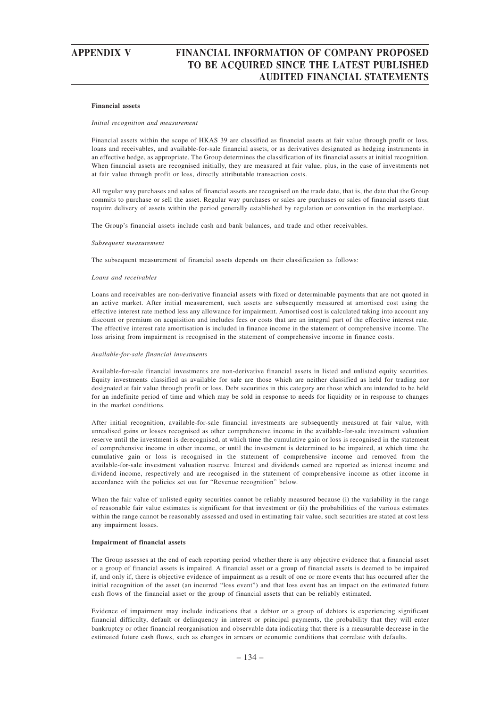### **Financial assets**

*Initial recognition and measurement*

Financial assets within the scope of HKAS 39 are classified as financial assets at fair value through profit or loss, loans and receivables, and available-for-sale financial assets, or as derivatives designated as hedging instruments in an effective hedge, as appropriate. The Group determines the classification of its financial assets at initial recognition. When financial assets are recognised initially, they are measured at fair value, plus, in the case of investments not at fair value through profit or loss, directly attributable transaction costs.

All regular way purchases and sales of financial assets are recognised on the trade date, that is, the date that the Group commits to purchase or sell the asset. Regular way purchases or sales are purchases or sales of financial assets that require delivery of assets within the period generally established by regulation or convention in the marketplace.

The Group's financial assets include cash and bank balances, and trade and other receivables.

#### *Subsequent measurement*

The subsequent measurement of financial assets depends on their classification as follows:

#### *Loans and receivables*

Loans and receivables are non-derivative financial assets with fixed or determinable payments that are not quoted in an active market. After initial measurement, such assets are subsequently measured at amortised cost using the effective interest rate method less any allowance for impairment. Amortised cost is calculated taking into account any discount or premium on acquisition and includes fees or costs that are an integral part of the effective interest rate. The effective interest rate amortisation is included in finance income in the statement of comprehensive income. The loss arising from impairment is recognised in the statement of comprehensive income in finance costs.

#### *Available-for-sale financial investments*

Available-for-sale financial investments are non-derivative financial assets in listed and unlisted equity securities. Equity investments classified as available for sale are those which are neither classified as held for trading nor designated at fair value through profit or loss. Debt securities in this category are those which are intended to be held for an indefinite period of time and which may be sold in response to needs for liquidity or in response to changes in the market conditions.

After initial recognition, available-for-sale financial investments are subsequently measured at fair value, with unrealised gains or losses recognised as other comprehensive income in the available-for-sale investment valuation reserve until the investment is derecognised, at which time the cumulative gain or loss is recognised in the statement of comprehensive income in other income, or until the investment is determined to be impaired, at which time the cumulative gain or loss is recognised in the statement of comprehensive income and removed from the available-for-sale investment valuation reserve. Interest and dividends earned are reported as interest income and dividend income, respectively and are recognised in the statement of comprehensive income as other income in accordance with the policies set out for "Revenue recognition" below.

When the fair value of unlisted equity securities cannot be reliably measured because (i) the variability in the range of reasonable fair value estimates is significant for that investment or (ii) the probabilities of the various estimates within the range cannot be reasonably assessed and used in estimating fair value, such securities are stated at cost less any impairment losses.

#### **Impairment of financial assets**

The Group assesses at the end of each reporting period whether there is any objective evidence that a financial asset or a group of financial assets is impaired. A financial asset or a group of financial assets is deemed to be impaired if, and only if, there is objective evidence of impairment as a result of one or more events that has occurred after the initial recognition of the asset (an incurred "loss event") and that loss event has an impact on the estimated future cash flows of the financial asset or the group of financial assets that can be reliably estimated.

Evidence of impairment may include indications that a debtor or a group of debtors is experiencing significant financial difficulty, default or delinquency in interest or principal payments, the probability that they will enter bankruptcy or other financial reorganisation and observable data indicating that there is a measurable decrease in the estimated future cash flows, such as changes in arrears or economic conditions that correlate with defaults.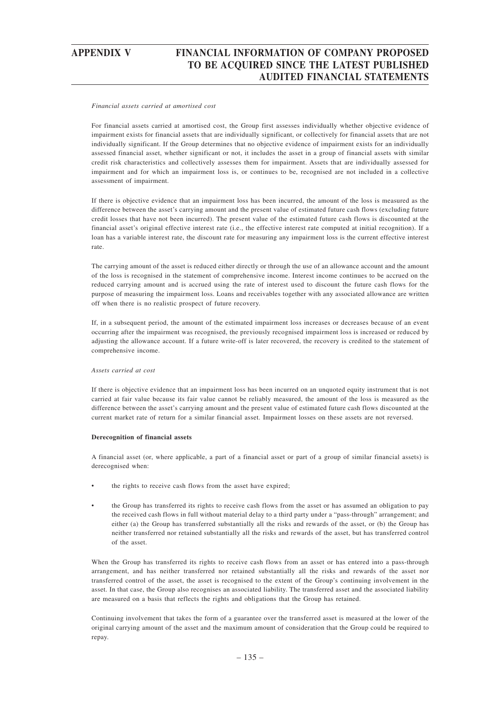#### *Financial assets carried at amortised cost*

For financial assets carried at amortised cost, the Group first assesses individually whether objective evidence of impairment exists for financial assets that are individually significant, or collectively for financial assets that are not individually significant. If the Group determines that no objective evidence of impairment exists for an individually assessed financial asset, whether significant or not, it includes the asset in a group of financial assets with similar credit risk characteristics and collectively assesses them for impairment. Assets that are individually assessed for impairment and for which an impairment loss is, or continues to be, recognised are not included in a collective assessment of impairment.

If there is objective evidence that an impairment loss has been incurred, the amount of the loss is measured as the difference between the asset's carrying amount and the present value of estimated future cash flows (excluding future credit losses that have not been incurred). The present value of the estimated future cash flows is discounted at the financial asset's original effective interest rate (i.e., the effective interest rate computed at initial recognition). If a loan has a variable interest rate, the discount rate for measuring any impairment loss is the current effective interest rate.

The carrying amount of the asset is reduced either directly or through the use of an allowance account and the amount of the loss is recognised in the statement of comprehensive income. Interest income continues to be accrued on the reduced carrying amount and is accrued using the rate of interest used to discount the future cash flows for the purpose of measuring the impairment loss. Loans and receivables together with any associated allowance are written off when there is no realistic prospect of future recovery.

If, in a subsequent period, the amount of the estimated impairment loss increases or decreases because of an event occurring after the impairment was recognised, the previously recognised impairment loss is increased or reduced by adjusting the allowance account. If a future write-off is later recovered, the recovery is credited to the statement of comprehensive income.

#### *Assets carried at cost*

If there is objective evidence that an impairment loss has been incurred on an unquoted equity instrument that is not carried at fair value because its fair value cannot be reliably measured, the amount of the loss is measured as the difference between the asset's carrying amount and the present value of estimated future cash flows discounted at the current market rate of return for a similar financial asset. Impairment losses on these assets are not reversed.

#### **Derecognition of financial assets**

A financial asset (or, where applicable, a part of a financial asset or part of a group of similar financial assets) is derecognised when:

- the rights to receive cash flows from the asset have expired;
- the Group has transferred its rights to receive cash flows from the asset or has assumed an obligation to pay the received cash flows in full without material delay to a third party under a "pass-through" arrangement; and either (a) the Group has transferred substantially all the risks and rewards of the asset, or (b) the Group has neither transferred nor retained substantially all the risks and rewards of the asset, but has transferred control of the asset.

When the Group has transferred its rights to receive cash flows from an asset or has entered into a pass-through arrangement, and has neither transferred nor retained substantially all the risks and rewards of the asset nor transferred control of the asset, the asset is recognised to the extent of the Group's continuing involvement in the asset. In that case, the Group also recognises an associated liability. The transferred asset and the associated liability are measured on a basis that reflects the rights and obligations that the Group has retained.

Continuing involvement that takes the form of a guarantee over the transferred asset is measured at the lower of the original carrying amount of the asset and the maximum amount of consideration that the Group could be required to repay.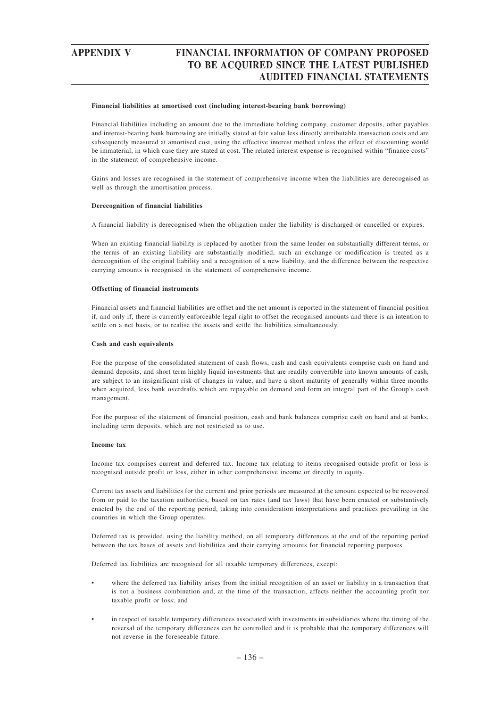#### **Financial liabilities at amortised cost (including interest-bearing bank borrowing)**

Financial liabilities including an amount due to the immediate holding company, customer deposits, other payables and interest-bearing bank borrowing are initially stated at fair value less directly attributable transaction costs and are subsequently measured at amortised cost, using the effective interest method unless the effect of discounting would be immaterial, in which case they are stated at cost. The related interest expense is recognised within "finance costs" in the statement of comprehensive income.

Gains and losses are recognised in the statement of comprehensive income when the liabilities are derecognised as well as through the amortisation process.

#### **Derecognition of financial liabilities**

A financial liability is derecognised when the obligation under the liability is discharged or cancelled or expires.

When an existing financial liability is replaced by another from the same lender on substantially different terms, or the terms of an existing liability are substantially modified, such an exchange or modification is treated as a derecognition of the original liability and a recognition of a new liability, and the difference between the respective carrying amounts is recognised in the statement of comprehensive income.

#### **Offsetting of financial instruments**

Financial assets and financial liabilities are offset and the net amount is reported in the statement of financial position if, and only if, there is currently enforceable legal right to offset the recognised amounts and there is an intention to settle on a net basis, or to realise the assets and settle the liabilities simultaneously.

#### **Cash and cash equivalents**

For the purpose of the consolidated statement of cash flows, cash and cash equivalents comprise cash on hand and demand deposits, and short term highly liquid investments that are readily convertible into known amounts of cash, are subject to an insignificant risk of changes in value, and have a short maturity of generally within three months when acquired, less bank overdrafts which are repayable on demand and form an integral part of the Group's cash management.

For the purpose of the statement of financial position, cash and bank balances comprise cash on hand and at banks, including term deposits, which are not restricted as to use.

#### **Income tax**

Income tax comprises current and deferred tax. Income tax relating to items recognised outside profit or loss is recognised outside profit or loss, either in other comprehensive income or directly in equity.

Current tax assets and liabilities for the current and prior periods are measured at the amount expected to be recovered from or paid to the taxation authorities, based on tax rates (and tax laws) that have been enacted or substantively enacted by the end of the reporting period, taking into consideration interpretations and practices prevailing in the countries in which the Group operates.

Deferred tax is provided, using the liability method, on all temporary differences at the end of the reporting period between the tax bases of assets and liabilities and their carrying amounts for financial reporting purposes.

Deferred tax liabilities are recognised for all taxable temporary differences, except:

- where the deferred tax liability arises from the initial recognition of an asset or liability in a transaction that is not a business combination and, at the time of the transaction, affects neither the accounting profit nor taxable profit or loss; and
- in respect of taxable temporary differences associated with investments in subsidiaries where the timing of the reversal of the temporary differences can be controlled and it is probable that the temporary differences will not reverse in the foreseeable future.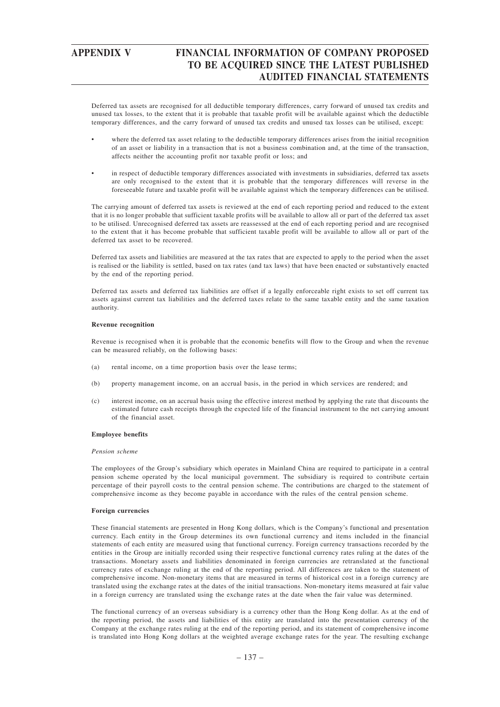Deferred tax assets are recognised for all deductible temporary differences, carry forward of unused tax credits and unused tax losses, to the extent that it is probable that taxable profit will be available against which the deductible temporary differences, and the carry forward of unused tax credits and unused tax losses can be utilised, except:

- where the deferred tax asset relating to the deductible temporary differences arises from the initial recognition of an asset or liability in a transaction that is not a business combination and, at the time of the transaction, affects neither the accounting profit nor taxable profit or loss; and
- in respect of deductible temporary differences associated with investments in subsidiaries, deferred tax assets are only recognised to the extent that it is probable that the temporary differences will reverse in the foreseeable future and taxable profit will be available against which the temporary differences can be utilised.

The carrying amount of deferred tax assets is reviewed at the end of each reporting period and reduced to the extent that it is no longer probable that sufficient taxable profits will be available to allow all or part of the deferred tax asset to be utilised. Unrecognised deferred tax assets are reassessed at the end of each reporting period and are recognised to the extent that it has become probable that sufficient taxable profit will be available to allow all or part of the deferred tax asset to be recovered.

Deferred tax assets and liabilities are measured at the tax rates that are expected to apply to the period when the asset is realised or the liability is settled, based on tax rates (and tax laws) that have been enacted or substantively enacted by the end of the reporting period.

Deferred tax assets and deferred tax liabilities are offset if a legally enforceable right exists to set off current tax assets against current tax liabilities and the deferred taxes relate to the same taxable entity and the same taxation authority.

#### **Revenue recognition**

Revenue is recognised when it is probable that the economic benefits will flow to the Group and when the revenue can be measured reliably, on the following bases:

- (a) rental income, on a time proportion basis over the lease terms;
- (b) property management income, on an accrual basis, in the period in which services are rendered; and
- (c) interest income, on an accrual basis using the effective interest method by applying the rate that discounts the estimated future cash receipts through the expected life of the financial instrument to the net carrying amount of the financial asset.

#### **Employee benefits**

#### *Pension scheme*

The employees of the Group's subsidiary which operates in Mainland China are required to participate in a central pension scheme operated by the local municipal government. The subsidiary is required to contribute certain percentage of their payroll costs to the central pension scheme. The contributions are charged to the statement of comprehensive income as they become payable in accordance with the rules of the central pension scheme.

#### **Foreign currencies**

These financial statements are presented in Hong Kong dollars, which is the Company's functional and presentation currency. Each entity in the Group determines its own functional currency and items included in the financial statements of each entity are measured using that functional currency. Foreign currency transactions recorded by the entities in the Group are initially recorded using their respective functional currency rates ruling at the dates of the transactions. Monetary assets and liabilities denominated in foreign currencies are retranslated at the functional currency rates of exchange ruling at the end of the reporting period. All differences are taken to the statement of comprehensive income. Non-monetary items that are measured in terms of historical cost in a foreign currency are translated using the exchange rates at the dates of the initial transactions. Non-monetary items measured at fair value in a foreign currency are translated using the exchange rates at the date when the fair value was determined.

The functional currency of an overseas subsidiary is a currency other than the Hong Kong dollar. As at the end of the reporting period, the assets and liabilities of this entity are translated into the presentation currency of the Company at the exchange rates ruling at the end of the reporting period, and its statement of comprehensive income is translated into Hong Kong dollars at the weighted average exchange rates for the year. The resulting exchange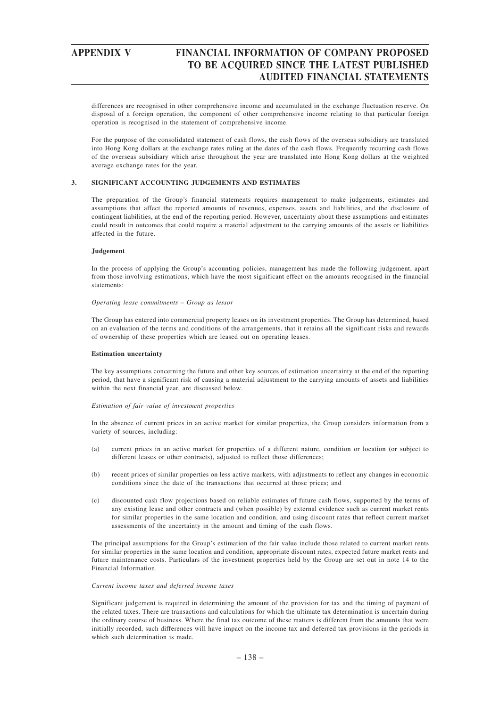differences are recognised in other comprehensive income and accumulated in the exchange fluctuation reserve. On disposal of a foreign operation, the component of other comprehensive income relating to that particular foreign operation is recognised in the statement of comprehensive income.

For the purpose of the consolidated statement of cash flows, the cash flows of the overseas subsidiary are translated into Hong Kong dollars at the exchange rates ruling at the dates of the cash flows. Frequently recurring cash flows of the overseas subsidiary which arise throughout the year are translated into Hong Kong dollars at the weighted average exchange rates for the year.

### **3. SIGNIFICANT ACCOUNTING JUDGEMENTS AND ESTIMATES**

The preparation of the Group's financial statements requires management to make judgements, estimates and assumptions that affect the reported amounts of revenues, expenses, assets and liabilities, and the disclosure of contingent liabilities, at the end of the reporting period. However, uncertainty about these assumptions and estimates could result in outcomes that could require a material adjustment to the carrying amounts of the assets or liabilities affected in the future.

#### **Judgement**

In the process of applying the Group's accounting policies, management has made the following judgement, apart from those involving estimations, which have the most significant effect on the amounts recognised in the financial statements:

#### *Operating lease commitments – Group as lessor*

The Group has entered into commercial property leases on its investment properties. The Group has determined, based on an evaluation of the terms and conditions of the arrangements, that it retains all the significant risks and rewards of ownership of these properties which are leased out on operating leases.

#### **Estimation uncertainty**

The key assumptions concerning the future and other key sources of estimation uncertainty at the end of the reporting period, that have a significant risk of causing a material adjustment to the carrying amounts of assets and liabilities within the next financial year, are discussed below.

#### *Estimation of fair value of investment properties*

In the absence of current prices in an active market for similar properties, the Group considers information from a variety of sources, including:

- (a) current prices in an active market for properties of a different nature, condition or location (or subject to different leases or other contracts), adjusted to reflect those differences;
- (b) recent prices of similar properties on less active markets, with adjustments to reflect any changes in economic conditions since the date of the transactions that occurred at those prices; and
- (c) discounted cash flow projections based on reliable estimates of future cash flows, supported by the terms of any existing lease and other contracts and (when possible) by external evidence such as current market rents for similar properties in the same location and condition, and using discount rates that reflect current market assessments of the uncertainty in the amount and timing of the cash flows.

The principal assumptions for the Group's estimation of the fair value include those related to current market rents for similar properties in the same location and condition, appropriate discount rates, expected future market rents and future maintenance costs. Particulars of the investment properties held by the Group are set out in note 14 to the Financial Information.

#### *Current income taxes and deferred income taxes*

Significant judgement is required in determining the amount of the provision for tax and the timing of payment of the related taxes. There are transactions and calculations for which the ultimate tax determination is uncertain during the ordinary course of business. Where the final tax outcome of these matters is different from the amounts that were initially recorded, such differences will have impact on the income tax and deferred tax provisions in the periods in which such determination is made.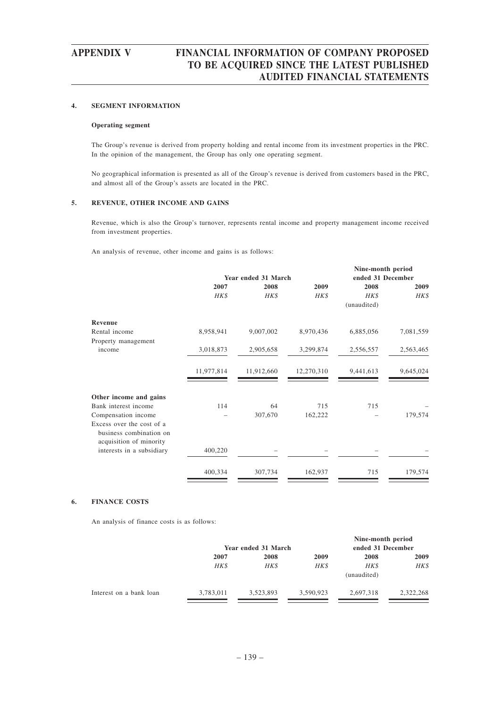## **4. SEGMENT INFORMATION**

### **Operating segment**

The Group's revenue is derived from property holding and rental income from its investment properties in the PRC. In the opinion of the management, the Group has only one operating segment.

No geographical information is presented as all of the Group's revenue is derived from customers based in the PRC, and almost all of the Group's assets are located in the PRC.

### **5. REVENUE, OTHER INCOME AND GAINS**

Revenue, which is also the Group's turnover, represents rental income and property management income received from investment properties.

An analysis of revenue, other income and gains is as follows:

|                                                                                                        | Year ended 31 March |            |            | Nine-month period<br>ended 31 December |           |
|--------------------------------------------------------------------------------------------------------|---------------------|------------|------------|----------------------------------------|-----------|
|                                                                                                        | 2007                | 2008       | 2009       | 2008                                   | 2009      |
|                                                                                                        | HK\$                | HK\$       | HK\$       | HK\$<br>(unaudited)                    | HK\$      |
| <b>Revenue</b>                                                                                         |                     |            |            |                                        |           |
| Rental income                                                                                          | 8,958,941           | 9,007,002  | 8,970,436  | 6,885,056                              | 7,081,559 |
| Property management                                                                                    |                     |            |            |                                        |           |
| income                                                                                                 | 3,018,873           | 2,905,658  | 3,299,874  | 2,556,557                              | 2,563,465 |
|                                                                                                        | 11,977,814          | 11,912,660 | 12,270,310 | 9,441,613                              | 9,645,024 |
| Other income and gains                                                                                 |                     |            |            |                                        |           |
| Bank interest income                                                                                   | 114                 | 64         | 715        | 715                                    |           |
| Compensation income<br>Excess over the cost of a<br>business combination on<br>acquisition of minority |                     | 307,670    | 162,222    |                                        | 179,574   |
| interests in a subsidiary                                                                              | 400,220             |            |            |                                        |           |
|                                                                                                        | 400,334             | 307,734    | 162,937    | 715                                    | 179,574   |

### **6. FINANCE COSTS**

An analysis of finance costs is as follows:

|                         |                     |           |           | Nine-month period   |           |
|-------------------------|---------------------|-----------|-----------|---------------------|-----------|
|                         | Year ended 31 March |           |           | ended 31 December   |           |
|                         | 2007                | 2008      | 2009      | 2008                | 2009      |
|                         | HK\$                | HK\$      | HK\$      | HK\$<br>(unaudited) | HK\$      |
| Interest on a bank loan | 3,783,011           | 3.523.893 | 3,590,923 | 2.697.318           | 2,322,268 |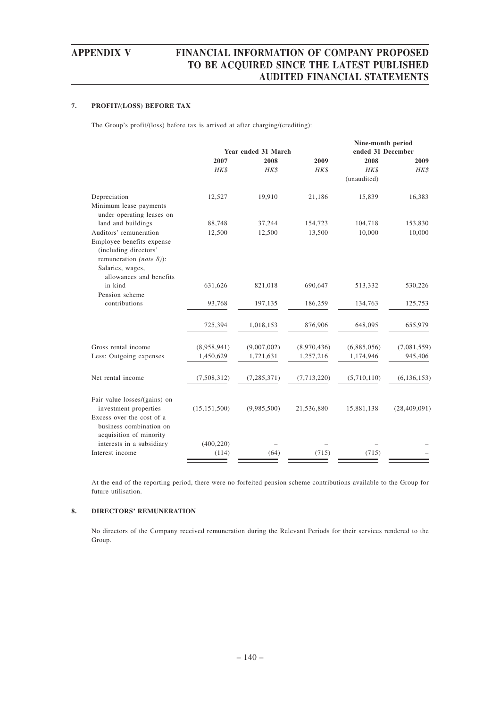## **7. PROFIT/(LOSS) BEFORE TAX**

The Group's profit/(loss) before tax is arrived at after charging/(crediting):

|                                                                                                   | Year ended 31 March |               |             | Nine-month period<br>ended 31 December |                |
|---------------------------------------------------------------------------------------------------|---------------------|---------------|-------------|----------------------------------------|----------------|
|                                                                                                   |                     |               |             |                                        |                |
|                                                                                                   | 2007                | 2008          | 2009        | 2008                                   | 2009           |
|                                                                                                   | HK\$                | HK\$          | HK\$        | HK\$                                   | HK\$           |
|                                                                                                   |                     |               |             | (unaudited)                            |                |
| Depreciation                                                                                      | 12,527              | 19,910        | 21,186      | 15,839                                 | 16,383         |
| Minimum lease payments<br>under operating leases on                                               |                     |               |             |                                        |                |
| land and buildings                                                                                | 88,748              | 37,244        | 154,723     | 104,718                                | 153,830        |
| Auditors' remuneration                                                                            | 12,500              | 12,500        | 13,500      | 10,000                                 | 10,000         |
| Employee benefits expense<br>(including directors'<br>remuneration (note 8)):<br>Salaries, wages, |                     |               |             |                                        |                |
| allowances and benefits                                                                           |                     |               |             |                                        |                |
| in kind                                                                                           | 631,626             | 821,018       | 690,647     | 513,332                                | 530,226        |
| Pension scheme                                                                                    |                     |               |             |                                        |                |
| contributions                                                                                     | 93,768              | 197,135       | 186,259     | 134,763                                | 125,753        |
|                                                                                                   | 725,394             | 1,018,153     | 876,906     | 648,095                                | 655,979        |
| Gross rental income                                                                               | (8,958,941)         | (9,007,002)   | (8,970,436) | (6,885,056)                            | (7,081,559)    |
| Less: Outgoing expenses                                                                           | 1,450,629           | 1,721,631     | 1,257,216   | 1,174,946                              | 945,406        |
|                                                                                                   |                     |               |             |                                        |                |
| Net rental income                                                                                 | (7,508,312)         | (7, 285, 371) | (7,713,220) | (5,710,110)                            | (6, 136, 153)  |
| Fair value losses/(gains) on                                                                      |                     |               |             |                                        |                |
| investment properties                                                                             | (15, 151, 500)      | (9,985,500)   | 21,536,880  | 15,881,138                             | (28, 409, 091) |
| Excess over the cost of a<br>business combination on<br>acquisition of minority                   |                     |               |             |                                        |                |
| interests in a subsidiary                                                                         | (400, 220)          |               |             |                                        |                |
| Interest income                                                                                   | (114)               | (64)          | (715)       | (715)                                  |                |
|                                                                                                   |                     |               |             |                                        |                |

At the end of the reporting period, there were no forfeited pension scheme contributions available to the Group for future utilisation.

## **8. DIRECTORS' REMUNERATION**

No directors of the Company received remuneration during the Relevant Periods for their services rendered to the Group.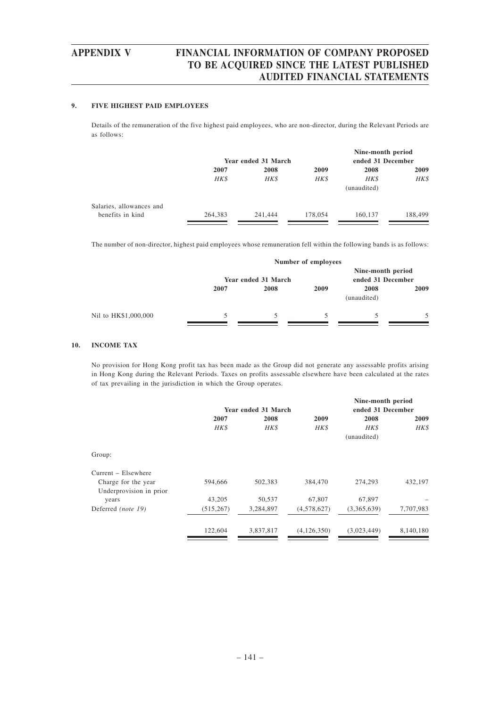## **9. FIVE HIGHEST PAID EMPLOYEES**

Details of the remuneration of the five highest paid employees, who are non-director, during the Relevant Periods are as follows:

|                          |                     |         |         | Nine-month period |         |
|--------------------------|---------------------|---------|---------|-------------------|---------|
|                          | Year ended 31 March |         |         | ended 31 December |         |
|                          | 2007                | 2008    | 2009    | 2008              | 2009    |
|                          | HK\$                | HK\$    | HK\$    | HK\$              | HK\$    |
|                          |                     |         |         | (unaudited)       |         |
| Salaries, allowances and |                     |         |         |                   |         |
| benefits in kind         | 264,383             | 241,444 | 178,054 | 160,137           | 188,499 |

The number of non-director, highest paid employees whose remuneration fell within the following bands is as follows:

|                      | Number of employees |      |      |                                        |      |
|----------------------|---------------------|------|------|----------------------------------------|------|
|                      | Year ended 31 March |      |      | Nine-month period<br>ended 31 December |      |
|                      | 2007                | 2008 | 2009 | 2008<br>(unaudited)                    | 2009 |
| Nil to HK\$1,000,000 |                     | 5.   | 5.   |                                        | 5.   |

### **10. INCOME TAX**

No provision for Hong Kong profit tax has been made as the Group did not generate any assessable profits arising in Hong Kong during the Relevant Periods. Taxes on profits assessable elsewhere have been calculated at the rates of tax prevailing in the jurisdiction in which the Group operates.

|                         |            |                     |               | Nine-month period |           |
|-------------------------|------------|---------------------|---------------|-------------------|-----------|
|                         |            | Year ended 31 March |               | ended 31 December |           |
|                         | 2007       | 2008                | 2009          | 2008              | 2009      |
|                         | HK\$       | HK\$                | HK\$          | HK\$              | HK\$      |
|                         |            |                     |               | (unaudited)       |           |
| Group:                  |            |                     |               |                   |           |
| Current – Elsewhere     |            |                     |               |                   |           |
| Charge for the year     | 594,666    | 502,383             | 384,470       | 274,293           | 432,197   |
| Underprovision in prior |            |                     |               |                   |           |
| years                   | 43,205     | 50,537              | 67,807        | 67,897            |           |
| Deferred (note 19)      | (515, 267) | 3,284,897           | (4,578,627)   | (3,365,639)       | 7,707,983 |
|                         | 122,604    | 3,837,817           | (4, 126, 350) | (3,023,449)       | 8,140,180 |
|                         |            |                     |               |                   |           |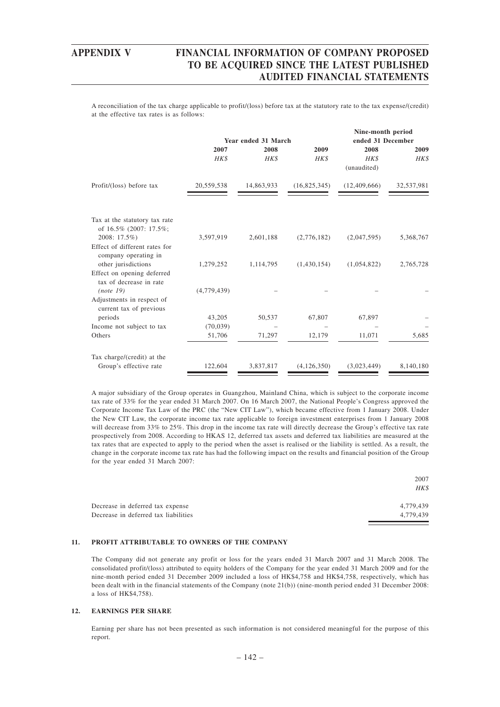A reconciliation of the tax charge applicable to profit/(loss) before tax at the statutory rate to the tax expense/(credit) at the effective tax rates is as follows:

|                                                                              |             |                     |               | Nine-month period   |            |
|------------------------------------------------------------------------------|-------------|---------------------|---------------|---------------------|------------|
|                                                                              |             | Year ended 31 March |               | ended 31 December   |            |
|                                                                              | 2007        | 2008                | 2009          | 2008                | 2009       |
|                                                                              | HK\$        | HK\$                | HK\$          | HK\$<br>(unaudited) | HK\$       |
| Profit/(loss) before tax                                                     | 20,559,538  | 14,863,933          | (16,825,345)  | (12, 409, 666)      | 32,537,981 |
| Tax at the statutory tax rate<br>of 16.5% (2007: 17.5%;                      |             |                     |               |                     |            |
| $2008: 17.5\%)$<br>Effect of different rates for<br>company operating in     | 3,597,919   | 2,601,188           | (2,776,182)   | (2,047,595)         | 5,368,767  |
| other jurisdictions<br>Effect on opening deferred<br>tax of decrease in rate | 1,279,252   | 1,114,795           | (1,430,154)   | (1,054,822)         | 2,765,728  |
| (note 19)<br>Adjustments in respect of<br>current tax of previous            | (4,779,439) |                     |               |                     |            |
| periods                                                                      | 43,205      | 50,537              | 67,807        | 67,897              |            |
| Income not subject to tax                                                    | (70,039)    |                     |               |                     |            |
| Others                                                                       | 51,706      | 71,297              | 12,179        | 11,071              | 5,685      |
| Tax charge/(credit) at the                                                   |             |                     |               |                     |            |
| Group's effective rate                                                       | 122,604     | 3,837,817           | (4, 126, 350) | (3,023,449)         | 8,140,180  |

A major subsidiary of the Group operates in Guangzhou, Mainland China, which is subject to the corporate income tax rate of 33% for the year ended 31 March 2007. On 16 March 2007, the National People's Congress approved the Corporate Income Tax Law of the PRC (the "New CIT Law"), which became effective from 1 January 2008. Under the New CIT Law, the corporate income tax rate applicable to foreign investment enterprises from 1 January 2008 will decrease from 33% to 25%. This drop in the income tax rate will directly decrease the Group's effective tax rate prospectively from 2008. According to HKAS 12, deferred tax assets and deferred tax liabilities are measured at the tax rates that are expected to apply to the period when the asset is realised or the liability is settled. As a result, the change in the corporate income tax rate has had the following impact on the results and financial position of the Group for the year ended 31 March 2007:

|                                      | 2007      |
|--------------------------------------|-----------|
|                                      | HK\$      |
| Decrease in deferred tax expense     | 4,779,439 |
| Decrease in deferred tax liabilities | 4,779,439 |
|                                      |           |

#### **11. PROFIT ATTRIBUTABLE TO OWNERS OF THE COMPANY**

The Company did not generate any profit or loss for the years ended 31 March 2007 and 31 March 2008. The consolidated profit/(loss) attributed to equity holders of the Company for the year ended 31 March 2009 and for the nine-month period ended 31 December 2009 included a loss of HK\$4,758 and HK\$4,758, respectively, which has been dealt with in the financial statements of the Company (note 21(b)) (nine-month period ended 31 December 2008: a loss of HK\$4,758).

### **12. EARNINGS PER SHARE**

Earning per share has not been presented as such information is not considered meaningful for the purpose of this report.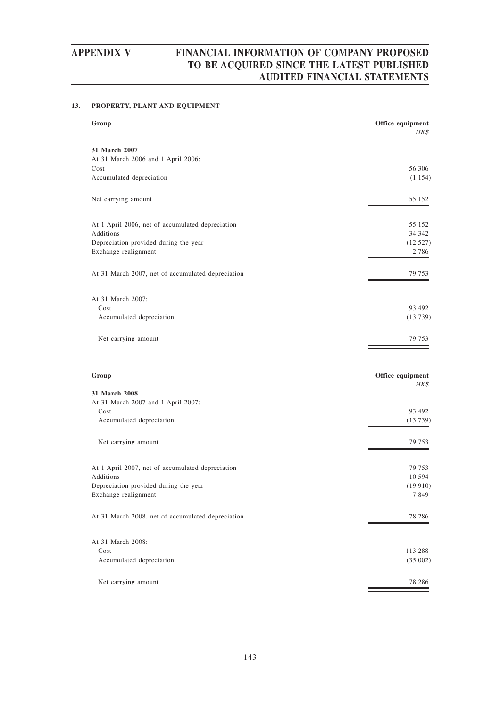## **13. PROPERTY, PLANT AND EQUIPMENT**

| Group                                             | Office equipment<br>HK\$ |
|---------------------------------------------------|--------------------------|
| 31 March 2007                                     |                          |
| At 31 March 2006 and 1 April 2006:                |                          |
| Cost                                              | 56,306                   |
| Accumulated depreciation                          | (1, 154)                 |
| Net carrying amount                               | 55,152                   |
|                                                   |                          |
| At 1 April 2006, net of accumulated depreciation  | 55,152                   |
| Additions                                         | 34,342                   |
| Depreciation provided during the year             | (12, 527)                |
| Exchange realignment                              | 2,786                    |
| At 31 March 2007, net of accumulated depreciation | 79,753                   |
|                                                   |                          |
| At 31 March 2007:<br>Cost                         | 93,492                   |
|                                                   | (13, 739)                |
| Accumulated depreciation                          |                          |
| Net carrying amount                               | 79,753                   |
| Group                                             | Office equipment         |
|                                                   | HK\$                     |
| 31 March 2008                                     |                          |
| At 31 March 2007 and 1 April 2007:                |                          |
| Cost                                              | 93,492                   |
| Accumulated depreciation                          | (13, 739)                |
| Net carrying amount                               | 79,753                   |
| At 1 April 2007, net of accumulated depreciation  | 79,753                   |
| Additions                                         | 10,594                   |
| Depreciation provided during the year             | (19, 910)                |
| Exchange realignment                              | 7,849                    |
| At 31 March 2008, net of accumulated depreciation | 78,286                   |
|                                                   |                          |
| At 31 March 2008:                                 |                          |
| Cost                                              | 113,288                  |
| Accumulated depreciation                          | (35,002)                 |
| Net carrying amount                               | 78,286                   |
|                                                   |                          |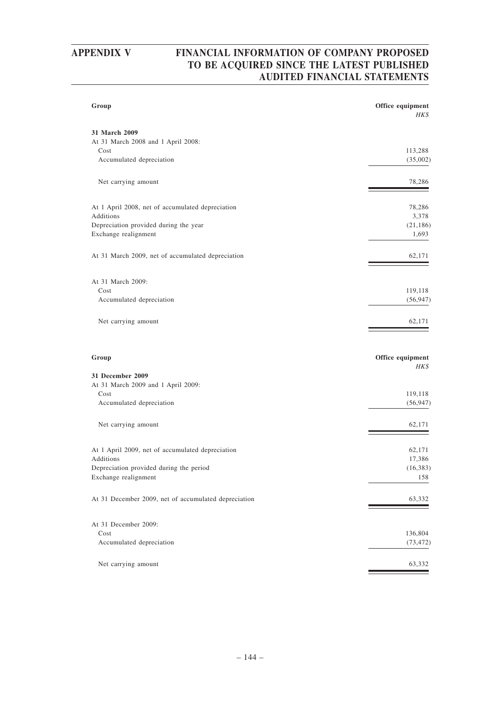| Group                                                         | Office equipment<br>HK\$ |
|---------------------------------------------------------------|--------------------------|
| 31 March 2009                                                 |                          |
| At 31 March 2008 and 1 April 2008:                            |                          |
| Cost                                                          | 113,288                  |
| Accumulated depreciation                                      | (35,002)                 |
| Net carrying amount                                           | 78,286                   |
|                                                               |                          |
| At 1 April 2008, net of accumulated depreciation              | 78,286                   |
| Additions                                                     | 3,378                    |
| Depreciation provided during the year                         | (21, 186)                |
| Exchange realignment                                          | 1,693                    |
| At 31 March 2009, net of accumulated depreciation             | 62,171                   |
|                                                               |                          |
| At 31 March 2009:                                             |                          |
| Cost                                                          | 119,118                  |
| Accumulated depreciation                                      | (56, 947)                |
| Net carrying amount                                           | 62,171                   |
| Group                                                         | Office equipment         |
|                                                               | HK\$                     |
| 31 December 2009                                              |                          |
| At 31 March 2009 and 1 April 2009:                            |                          |
| Cost                                                          | 119,118                  |
| Accumulated depreciation                                      | (56, 947)                |
| Net carrying amount                                           | 62,171                   |
|                                                               |                          |
| At 1 April 2009, net of accumulated depreciation<br>Additions | 62,171<br>17,386         |
| Depreciation provided during the period                       | (16, 383)                |
| Exchange realignment                                          | 158                      |
|                                                               |                          |
| At 31 December 2009, net of accumulated depreciation          | 63,332                   |
| At 31 December 2009:                                          |                          |
| Cost                                                          | 136,804                  |
| Accumulated depreciation                                      | (73, 472)                |
| Net carrying amount                                           | 63,332                   |
|                                                               |                          |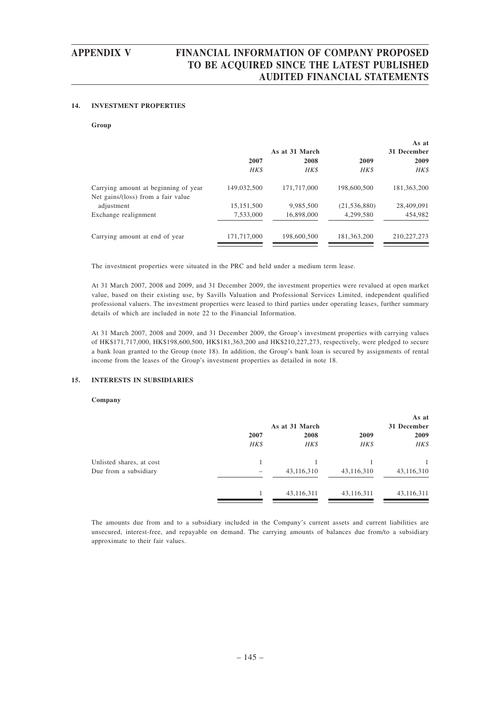### **14. INVESTMENT PROPERTIES**

### **Group**

|                                      |             |                |                | As at         |
|--------------------------------------|-------------|----------------|----------------|---------------|
|                                      |             | As at 31 March |                | 31 December   |
|                                      | 2007        | 2008           | 2009           | 2009          |
|                                      | HK\$        | HK\$           | HK\$           | HK\$          |
| Carrying amount at beginning of year | 149,032,500 | 171,717,000    | 198,600,500    | 181, 363, 200 |
| Net gains/(loss) from a fair value   |             |                |                |               |
| adjustment                           | 15,151,500  | 9,985,500      | (21, 536, 880) | 28,409,091    |
| Exchange realignment                 | 7,533,000   | 16,898,000     | 4,299,580      | 454,982       |
| Carrying amount at end of year       | 171,717,000 | 198,600,500    | 181,363,200    | 210, 227, 273 |
|                                      |             |                |                |               |

The investment properties were situated in the PRC and held under a medium term lease.

At 31 March 2007, 2008 and 2009, and 31 December 2009, the investment properties were revalued at open market value, based on their existing use, by Savills Valuation and Professional Services Limited, independent qualified professional valuers. The investment properties were leased to third parties under operating leases, further summary details of which are included in note 22 to the Financial Information.

At 31 March 2007, 2008 and 2009, and 31 December 2009, the Group's investment properties with carrying values of HK\$171,717,000, HK\$198,600,500, HK\$181,363,200 and HK\$210,227,273, respectively, were pledged to secure a bank loan granted to the Group (note 18). In addition, the Group's bank loan is secured by assignments of rental income from the leases of the Group's investment properties as detailed in note 18.

## **15. INTERESTS IN SUBSIDIARIES**

### **Company**

|                          |      |                |            | As at       |
|--------------------------|------|----------------|------------|-------------|
|                          |      | As at 31 March |            | 31 December |
|                          | 2007 | 2008           | 2009       | 2009        |
|                          | HK\$ | HK\$           | HK\$       | HK\$        |
| Unlisted shares, at cost |      |                |            |             |
| Due from a subsidiary    |      | 43,116,310     | 43,116,310 | 43,116,310  |
|                          |      | 43,116,311     | 43,116,311 | 43,116,311  |
|                          |      |                |            |             |

The amounts due from and to a subsidiary included in the Company's current assets and current liabilities are unsecured, interest-free, and repayable on demand. The carrying amounts of balances due from/to a subsidiary approximate to their fair values.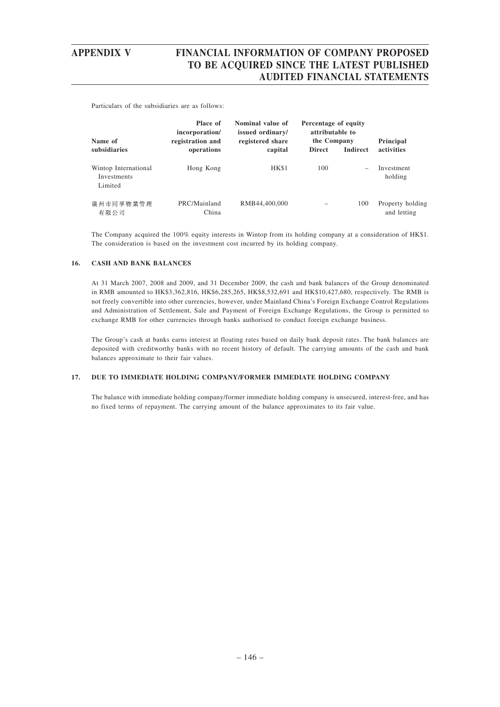Particulars of the subsidiaries are as follows:

| Name of                                        | Place of<br>incorporation/<br>registration and | Nominal value of<br>issued ordinary/<br>registered share |               | Percentage of equity<br>attributable to<br>the Company |                                 |
|------------------------------------------------|------------------------------------------------|----------------------------------------------------------|---------------|--------------------------------------------------------|---------------------------------|
| subsidiaries                                   | operations                                     | capital                                                  | <b>Direct</b> | Indirect                                               | activities                      |
| Wintop International<br>Investments<br>Limited | Hong Kong                                      | <b>HK\$1</b>                                             | 100           | $\overline{\phantom{0}}$                               | Investment<br>holding           |
| 廣州市同孚物業管理<br>有限公司                              | PRC/Mainland<br>China                          | RMB44,400,000                                            |               | 100                                                    | Property holding<br>and letting |

The Company acquired the 100% equity interests in Wintop from its holding company at a consideration of HK\$1. The consideration is based on the investment cost incurred by its holding company.

## **16. CASH AND BANK BALANCES**

At 31 March 2007, 2008 and 2009, and 31 December 2009, the cash and bank balances of the Group denominated in RMB amounted to HK\$3,362,816, HK\$6,285,265, HK\$8,532,691 and HK\$10,427,680, respectively. The RMB is not freely convertible into other currencies, however, under Mainland China's Foreign Exchange Control Regulations and Administration of Settlement, Sale and Payment of Foreign Exchange Regulations, the Group is permitted to exchange RMB for other currencies through banks authorised to conduct foreign exchange business.

The Group's cash at banks earns interest at floating rates based on daily bank deposit rates. The bank balances are deposited with creditworthy banks with no recent history of default. The carrying amounts of the cash and bank balances approximate to their fair values.

### **17. DUE TO IMMEDIATE HOLDING COMPANY/FORMER IMMEDIATE HOLDING COMPANY**

The balance with immediate holding company/former immediate holding company is unsecured, interest-free, and has no fixed terms of repayment. The carrying amount of the balance approximates to its fair value.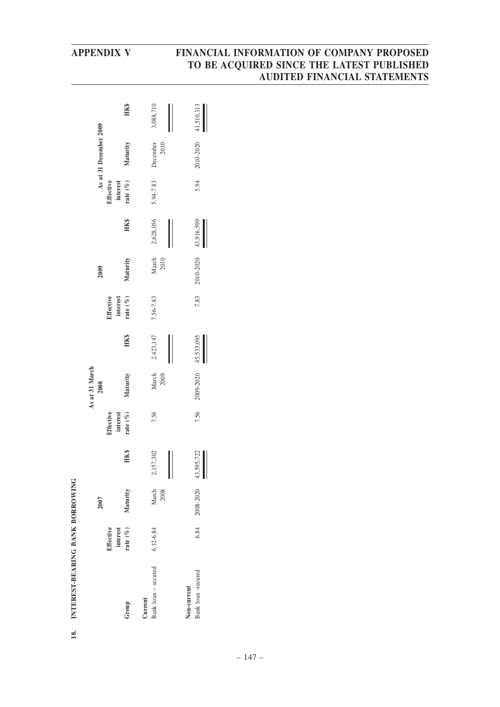| 3,088,710<br><b>HK\$</b><br>$\frac{41,510,313}{2}$<br>As at 31 December 2009<br>December<br>2010-2020<br>2010<br>Maturity<br>5.94-7.83<br>5.94<br>rate $(\% )$<br>Effective<br>interest<br>2,628,056<br>HK\$<br>43,916,599<br>March<br>2010<br>2010-2020<br>Maturity<br>2009<br>7.83<br>7.56-7.83<br>Effective<br>interest<br>rate $(\%$<br>2,423,147<br>HK\$<br>45,533,095<br>As at 31 March<br>March<br>2009 |  |
|----------------------------------------------------------------------------------------------------------------------------------------------------------------------------------------------------------------------------------------------------------------------------------------------------------------------------------------------------------------------------------------------------------------|--|
|                                                                                                                                                                                                                                                                                                                                                                                                                |  |
|                                                                                                                                                                                                                                                                                                                                                                                                                |  |
|                                                                                                                                                                                                                                                                                                                                                                                                                |  |
|                                                                                                                                                                                                                                                                                                                                                                                                                |  |

| ______ |  |  |
|--------|--|--|
|        |  |  |

# **APPENDIX V FINANCIAL INFORMATION OF COMPANY PROPOSED TO BE ACQUIRED SINCE THE LATEST PUBLISHED AUDITED FINANCIAL STATEMENTS**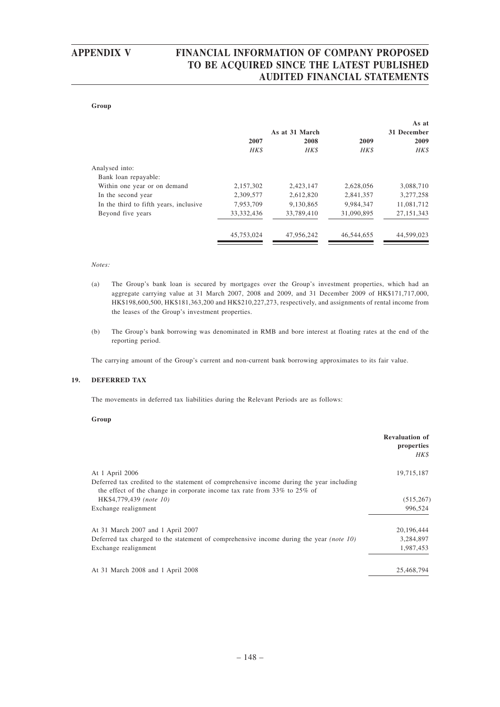### **Group**

|            |            |                | As at<br>31 December |
|------------|------------|----------------|----------------------|
| 2007       | 2008       | 2009           | 2009                 |
| HK\$       | HK\$       | HK\$           | HK\$                 |
|            |            |                |                      |
|            |            |                |                      |
| 2,157,302  | 2,423,147  | 2,628,056      | 3,088,710            |
| 2,309,577  | 2,612,820  | 2,841,357      | 3,277,258            |
| 7,953,709  | 9,130,865  | 9,984,347      | 11,081,712           |
| 33.332.436 | 33.789.410 | 31.090.895     | 27.151.343           |
| 45,753,024 | 47,956,242 | 46,544,655     | 44,599,023           |
|            |            | As at 31 March |                      |

### *Notes:*

- (a) The Group's bank loan is secured by mortgages over the Group's investment properties, which had an aggregate carrying value at 31 March 2007, 2008 and 2009, and 31 December 2009 of HK\$171,717,000, HK\$198,600,500, HK\$181,363,200 and HK\$210,227,273, respectively, and assignments of rental income from the leases of the Group's investment properties.
- (b) The Group's bank borrowing was denominated in RMB and bore interest at floating rates at the end of the reporting period.

The carrying amount of the Group's current and non-current bank borrowing approximates to its fair value.

### **19. DEFERRED TAX**

The movements in deferred tax liabilities during the Relevant Periods are as follows:

### **Group**

|                                                                                                                                                                      | <b>Revaluation of</b><br>properties<br>HK\$ |
|----------------------------------------------------------------------------------------------------------------------------------------------------------------------|---------------------------------------------|
| At 1 April 2006                                                                                                                                                      | 19,715,187                                  |
| Deferred tax credited to the statement of comprehensive income during the year including<br>the effect of the change in corporate income tax rate from 33% to 25% of |                                             |
| HK\$4,779,439 (note 10)                                                                                                                                              | (515, 267)                                  |
| Exchange realignment                                                                                                                                                 | 996,524                                     |
| At 31 March 2007 and 1 April 2007                                                                                                                                    | 20,196,444                                  |
| Deferred tax charged to the statement of comprehensive income during the year (note 10)                                                                              | 3,284,897                                   |
| Exchange realignment                                                                                                                                                 | 1,987,453                                   |
| At 31 March 2008 and 1 April 2008                                                                                                                                    | 25,468,794                                  |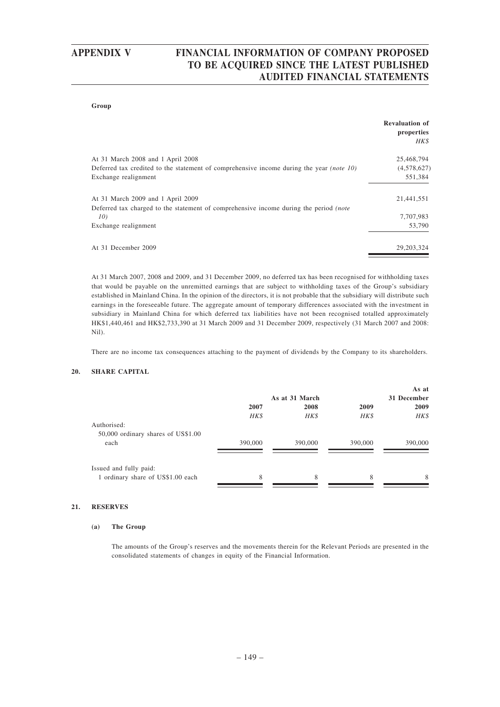### **Group**

|                                                                                                 | <b>Revaluation of</b><br>properties<br>HK\$ |
|-------------------------------------------------------------------------------------------------|---------------------------------------------|
| At 31 March 2008 and 1 April 2008                                                               | 25,468,794                                  |
| Deferred tax credited to the statement of comprehensive income during the year <i>(note 10)</i> | (4,578,627)                                 |
| Exchange realignment                                                                            | 551,384                                     |
| At 31 March 2009 and 1 April 2009                                                               | 21,441,551                                  |
| Deferred tax charged to the statement of comprehensive income during the period <i>(note</i> )  |                                             |
| 10)                                                                                             | 7,707,983                                   |
| Exchange realignment                                                                            | 53,790                                      |
| At 31 December 2009                                                                             | 29, 203, 324                                |

At 31 March 2007, 2008 and 2009, and 31 December 2009, no deferred tax has been recognised for withholding taxes that would be payable on the unremitted earnings that are subject to withholding taxes of the Group's subsidiary established in Mainland China. In the opinion of the directors, it is not probable that the subsidiary will distribute such earnings in the foreseeable future. The aggregate amount of temporary differences associated with the investment in subsidiary in Mainland China for which deferred tax liabilities have not been recognised totalled approximately HK\$1,440,461 and HK\$2,733,390 at 31 March 2009 and 31 December 2009, respectively (31 March 2007 and 2008: Nil).

There are no income tax consequences attaching to the payment of dividends by the Company to its shareholders.

## **20. SHARE CAPITAL**

|                                    |         |                |         | As at       |
|------------------------------------|---------|----------------|---------|-------------|
|                                    |         | As at 31 March |         | 31 December |
|                                    | 2007    | 2008           | 2009    | 2009        |
|                                    | HK\$    | HK\$           | HK\$    | HK\$        |
| Authorised:                        |         |                |         |             |
| 50,000 ordinary shares of US\$1.00 |         |                |         |             |
| each                               | 390,000 | 390,000        | 390,000 | 390,000     |
|                                    |         |                |         |             |
| Issued and fully paid:             |         |                |         |             |
| 1 ordinary share of US\$1.00 each  | 8       | 8              | 8       | 8           |
|                                    |         |                |         |             |

### **21. RESERVES**

### **(a) The Group**

The amounts of the Group's reserves and the movements therein for the Relevant Periods are presented in the consolidated statements of changes in equity of the Financial Information.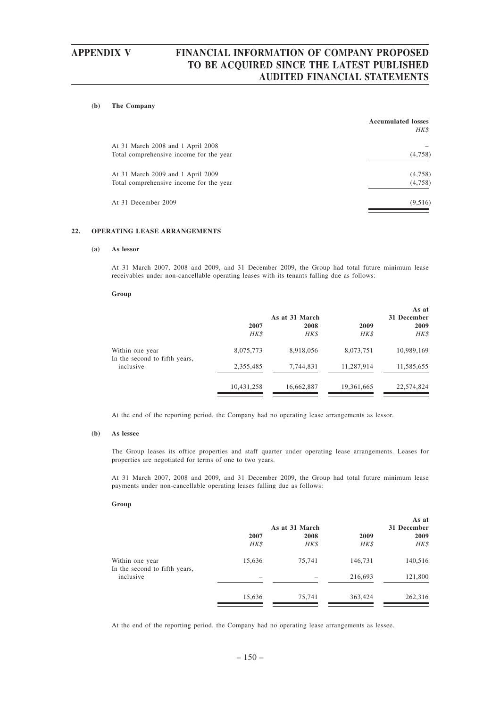## **(b) The Company**

|                                                                              | <b>Accumulated losses</b><br>HK\$ |
|------------------------------------------------------------------------------|-----------------------------------|
| At 31 March 2008 and 1 April 2008<br>Total comprehensive income for the year | (4,758)                           |
| At 31 March 2009 and 1 April 2009<br>Total comprehensive income for the year | (4,758)<br>(4,758)                |
| At 31 December 2009                                                          | (9,516)                           |

### **22. OPERATING LEASE ARRANGEMENTS**

### **(a) As lessor**

At 31 March 2007, 2008 and 2009, and 31 December 2009, the Group had total future minimum lease receivables under non-cancellable operating leases with its tenants falling due as follows:

### **Group**

|                                                  |              | As at 31 March |              | As at<br>31 December |
|--------------------------------------------------|--------------|----------------|--------------|----------------------|
|                                                  | 2007<br>HK\$ | 2008<br>HK\$   | 2009<br>HK\$ | 2009<br>HK\$         |
| Within one year<br>In the second to fifth years, | 8,075,773    | 8,918,056      | 8,073,751    | 10,989,169           |
| inclusive                                        | 2,355,485    | 7,744,831      | 11,287,914   | 11,585,655           |
|                                                  | 10,431,258   | 16,662,887     | 19,361,665   | 22,574,824           |
|                                                  |              |                |              |                      |

At the end of the reporting period, the Company had no operating lease arrangements as lessor.

### **(b) As lessee**

The Group leases its office properties and staff quarter under operating lease arrangements. Leases for properties are negotiated for terms of one to two years.

At 31 March 2007, 2008 and 2009, and 31 December 2009, the Group had total future minimum lease payments under non-cancellable operating leases falling due as follows:

### **Group**

|              | As at 31 March |              | As at<br>31 December |
|--------------|----------------|--------------|----------------------|
| 2007<br>HK\$ | 2008<br>HK\$   | 2009<br>HK\$ | 2009<br>HK\$         |
| 15,636       | 75,741         | 146,731      | 140,516              |
|              |                | 216,693      | 121,800              |
| 15,636       | 75,741         | 363,424      | 262,316              |
|              |                |              |                      |

At the end of the reporting period, the Company had no operating lease arrangements as lessee.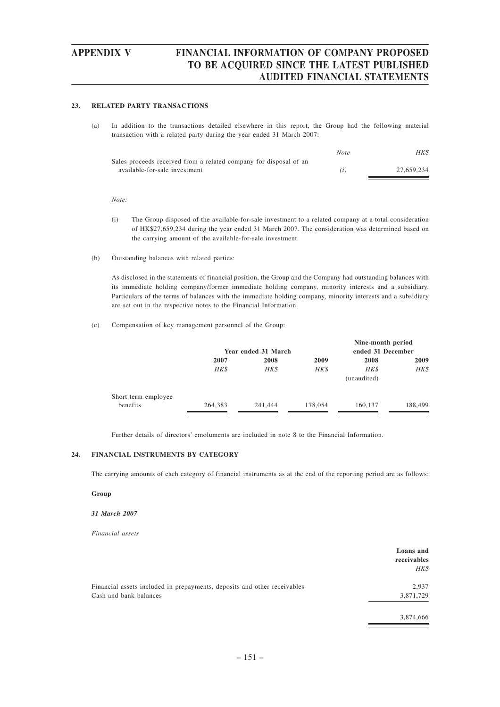## **23. RELATED PARTY TRANSACTIONS**

(a) In addition to the transactions detailed elsewhere in this report, the Group had the following material transaction with a related party during the year ended 31 March 2007:

|                                                                   | <i>Note</i> | HK\$       |
|-------------------------------------------------------------------|-------------|------------|
| Sales proceeds received from a related company for disposal of an |             |            |
| available-for-sale investment                                     |             | 27.659.234 |

### *Note:*

- (i) The Group disposed of the available-for-sale investment to a related company at a total consideration of HK\$27,659,234 during the year ended 31 March 2007. The consideration was determined based on the carrying amount of the available-for-sale investment.
- (b) Outstanding balances with related parties:

As disclosed in the statements of financial position, the Group and the Company had outstanding balances with its immediate holding company/former immediate holding company, minority interests and a subsidiary. Particulars of the terms of balances with the immediate holding company, minority interests and a subsidiary are set out in the respective notes to the Financial Information.

(c) Compensation of key management personnel of the Group:

|                     |         |                     |         | Nine-month period |         |
|---------------------|---------|---------------------|---------|-------------------|---------|
|                     |         | Year ended 31 March |         | ended 31 December |         |
|                     | 2007    | 2008                | 2009    | 2008              | 2009    |
|                     | HK\$    | HK\$                | HK\$    | HK\$              | HK\$    |
|                     |         |                     |         | (unaudited)       |         |
| Short term employee |         |                     |         |                   |         |
| benefits            | 264,383 | 241,444             | 178,054 | 160.137           | 188,499 |
|                     |         |                     |         |                   |         |

Further details of directors' emoluments are included in note 8 to the Financial Information.

## **24. FINANCIAL INSTRUMENTS BY CATEGORY**

The carrying amounts of each category of financial instruments as at the end of the reporting period are as follows:

### **Group**

### *31 March 2007*

*Financial assets*

|                                                                          | Loans and<br>receivables<br>HK\$ |
|--------------------------------------------------------------------------|----------------------------------|
| Financial assets included in prepayments, deposits and other receivables | 2,937                            |
| Cash and bank balances                                                   | 3,871,729                        |
|                                                                          | 3,874,666                        |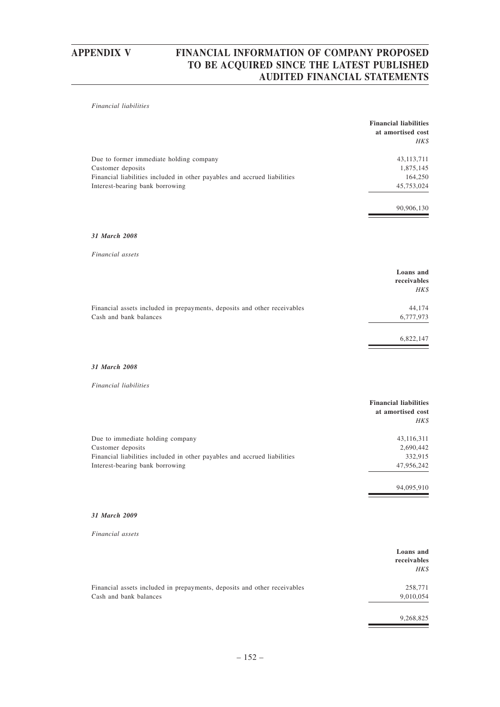## *Financial liabilities*

|                                                                          | <b>Financial liabilities</b><br>at amortised cost<br>HK\$ |
|--------------------------------------------------------------------------|-----------------------------------------------------------|
| Due to former immediate holding company                                  | 43, 113, 711                                              |
| Customer deposits                                                        | 1,875,145                                                 |
| Financial liabilities included in other payables and accrued liabilities | 164,250                                                   |
| Interest-bearing bank borrowing                                          | 45,753,024                                                |
|                                                                          | 90,906,130                                                |
| 31 March 2008                                                            |                                                           |
| Financial assets                                                         |                                                           |
|                                                                          | Loans and<br>receivables<br>HK\$                          |
| Financial assets included in prepayments, deposits and other receivables | 44,174                                                    |
| Cash and bank balances                                                   | 6,777,973                                                 |
|                                                                          | 6,822,147                                                 |
|                                                                          |                                                           |

### *31 March 2008*

*Financial liabilities*

|                                                                          | <b>Financial liabilities</b><br>at amortised cost |
|--------------------------------------------------------------------------|---------------------------------------------------|
|                                                                          | HK\$                                              |
| Due to immediate holding company                                         | 43,116,311                                        |
| Customer deposits                                                        | 2,690,442                                         |
| Financial liabilities included in other payables and accrued liabilities | 332,915                                           |
| Interest-bearing bank borrowing                                          | 47,956,242                                        |
|                                                                          | 94,095,910                                        |

### *31 March 2009*

*Financial assets*

|                                                                          | Loans and<br>receivables<br>HK\$ |
|--------------------------------------------------------------------------|----------------------------------|
| Financial assets included in prepayments, deposits and other receivables | 258,771                          |
| Cash and bank balances                                                   | 9,010,054                        |
|                                                                          | 9,268,825                        |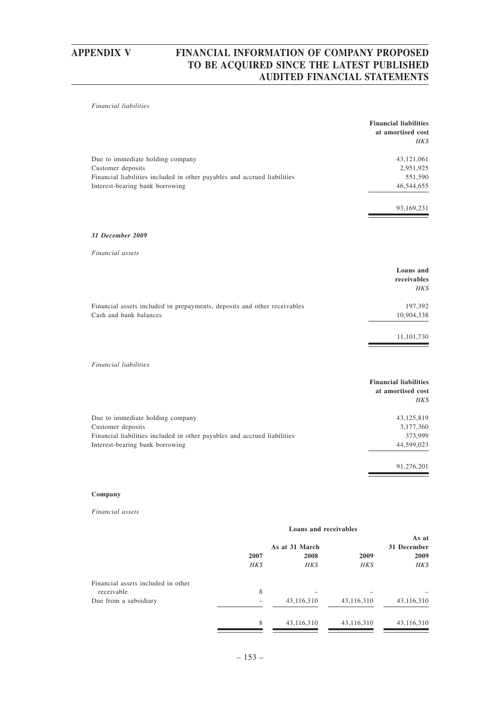*Financial liabilities*

|                                                                          | <b>Financial liabilities</b><br>at amortised cost<br>HK\$ |
|--------------------------------------------------------------------------|-----------------------------------------------------------|
| Due to immediate holding company                                         | 43,121,061                                                |
| Customer deposits                                                        | 2,951,925                                                 |
| Financial liabilities included in other payables and accrued liabilities | 551,590                                                   |
| Interest-bearing bank borrowing                                          | 46,544,655                                                |
|                                                                          | 93,169,231                                                |
| 31 December 2009                                                         |                                                           |
| Financial assets                                                         |                                                           |
|                                                                          |                                                           |
|                                                                          | Loans and                                                 |
|                                                                          | receivables                                               |
|                                                                          | HK\$                                                      |
| Financial assets included in prepayments, deposits and other receivables | 197,392                                                   |
| Cash and bank balances                                                   | 10,904,338                                                |
|                                                                          |                                                           |
|                                                                          | 11, 101, 730                                              |
| Financial liabilities                                                    |                                                           |
|                                                                          | <b>Financial liabilities</b><br>at amortised cost<br>HK\$ |
| Due to immediate holding company                                         | 43,125,819                                                |
| Customer deposits                                                        | 3,177,360                                                 |
| Financial liabilities included in other payables and accrued liabilities | 373,999                                                   |
| Interest-bearing bank borrowing                                          | 44,599,023                                                |
|                                                                          | 91,276,201                                                |
|                                                                          |                                                           |

### **Company**

## *Financial assets*

|                                    | Loans and receivables |                |            |             |
|------------------------------------|-----------------------|----------------|------------|-------------|
|                                    |                       |                |            | As at       |
|                                    |                       | As at 31 March |            | 31 December |
|                                    | 2007                  | 2008           | 2009       | 2009        |
|                                    | HK\$                  | HK\$           | HK\$       | HK\$        |
| Financial assets included in other |                       |                |            |             |
| receivable                         | 8                     |                |            |             |
| Due from a subsidiary              |                       | 43,116,310     | 43,116,310 | 43,116,310  |
|                                    | 8                     | 43,116,310     | 43,116,310 | 43,116,310  |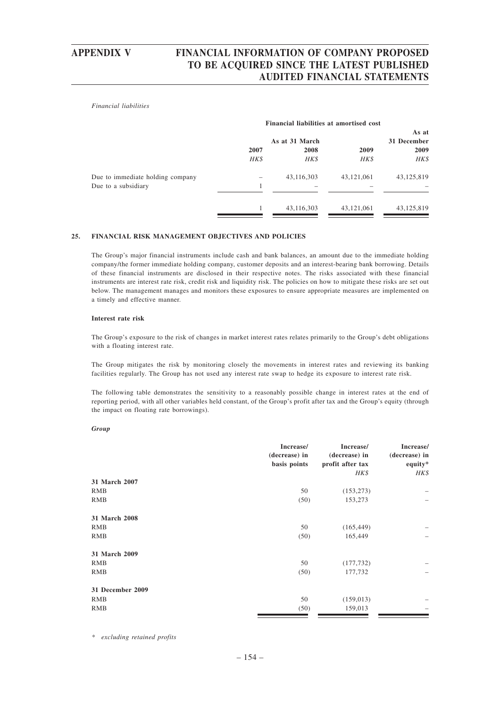### *Financial liabilities*

|                                  | Financial liabilities at amortised cost |                |            |             |
|----------------------------------|-----------------------------------------|----------------|------------|-------------|
|                                  |                                         |                |            | As at       |
|                                  |                                         | As at 31 March |            | 31 December |
|                                  | 2007                                    | 2008           | 2009       | 2009        |
|                                  | HK\$                                    | HK\$           | HK\$       | HK\$        |
| Due to immediate holding company |                                         | 43,116,303     | 43,121,061 | 43,125,819  |
| Due to a subsidiary              |                                         |                |            |             |
|                                  |                                         | 43,116,303     | 43,121,061 | 43,125,819  |
|                                  |                                         |                |            |             |

### **25. FINANCIAL RISK MANAGEMENT OBJECTIVES AND POLICIES**

The Group's major financial instruments include cash and bank balances, an amount due to the immediate holding company/the former immediate holding company, customer deposits and an interest-bearing bank borrowing. Details of these financial instruments are disclosed in their respective notes. The risks associated with these financial instruments are interest rate risk, credit risk and liquidity risk. The policies on how to mitigate these risks are set out below. The management manages and monitors these exposures to ensure appropriate measures are implemented on a timely and effective manner.

### **Interest rate risk**

The Group's exposure to the risk of changes in market interest rates relates primarily to the Group's debt obligations with a floating interest rate.

The Group mitigates the risk by monitoring closely the movements in interest rates and reviewing its banking facilities regularly. The Group has not used any interest rate swap to hedge its exposure to interest rate risk.

The following table demonstrates the sensitivity to a reasonably possible change in interest rates at the end of reporting period, with all other variables held constant, of the Group's profit after tax and the Group's equity (through the impact on floating rate borrowings).

### *Group*

|                  | Increase/<br>(decrease) in<br>basis points | Increase/<br>(decrease) in<br>profit after tax<br>HK\$ | Increase/<br>(decrease) in<br>equity $*$<br>HK\$ |
|------------------|--------------------------------------------|--------------------------------------------------------|--------------------------------------------------|
| 31 March 2007    |                                            |                                                        |                                                  |
| RMB              | 50                                         | (153, 273)                                             |                                                  |
| RMB              | (50)                                       | 153,273                                                |                                                  |
| 31 March 2008    |                                            |                                                        |                                                  |
| RMB              | 50                                         | (165, 449)                                             |                                                  |
| RMB              | (50)                                       | 165,449                                                |                                                  |
| 31 March 2009    |                                            |                                                        |                                                  |
| RMB              | 50                                         | (177, 732)                                             |                                                  |
| RMB              | (50)                                       | 177,732                                                |                                                  |
| 31 December 2009 |                                            |                                                        |                                                  |
| RMB              | 50                                         | (159, 013)                                             |                                                  |
| <b>RMB</b>       | (50)                                       | 159,013                                                |                                                  |

*\* excluding retained profits*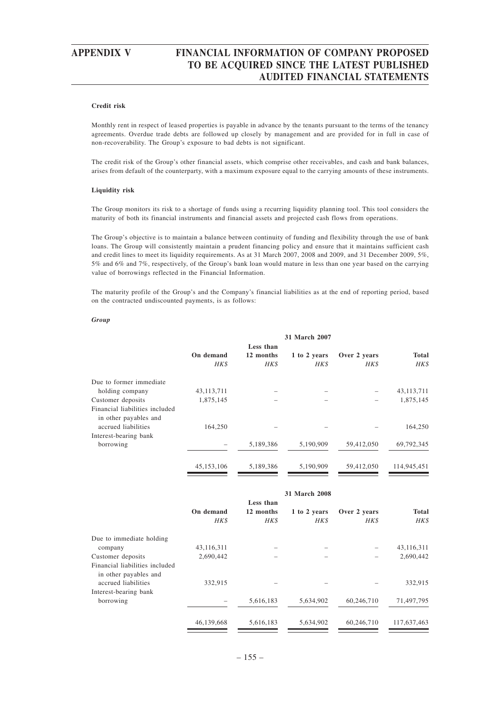## **Credit risk**

Monthly rent in respect of leased properties is payable in advance by the tenants pursuant to the terms of the tenancy agreements. Overdue trade debts are followed up closely by management and are provided for in full in case of non-recoverability. The Group's exposure to bad debts is not significant.

The credit risk of the Group's other financial assets, which comprise other receivables, and cash and bank balances, arises from default of the counterparty, with a maximum exposure equal to the carrying amounts of these instruments.

### **Liquidity risk**

The Group monitors its risk to a shortage of funds using a recurring liquidity planning tool. This tool considers the maturity of both its financial instruments and financial assets and projected cash flows from operations.

The Group's objective is to maintain a balance between continuity of funding and flexibility through the use of bank loans. The Group will consistently maintain a prudent financing policy and ensure that it maintains sufficient cash and credit lines to meet its liquidity requirements. As at 31 March 2007, 2008 and 2009, and 31 December 2009, 5%, 5% and 6% and 7%, respectively, of the Group's bank loan would mature in less than one year based on the carrying value of borrowings reflected in the Financial Information.

The maturity profile of the Group's and the Company's financial liabilities as at the end of reporting period, based on the contracted undiscounted payments, is as follows:

### *Group*

|                                                                                | 31 March 2007 |           |              |              |              |  |
|--------------------------------------------------------------------------------|---------------|-----------|--------------|--------------|--------------|--|
|                                                                                |               | Less than |              |              |              |  |
|                                                                                | On demand     | 12 months | 1 to 2 years | Over 2 years | <b>Total</b> |  |
|                                                                                | HK\$          | HK\$      | HK\$         | HK\$         | HK\$         |  |
| Due to former immediate                                                        |               |           |              |              |              |  |
| holding company                                                                | 43, 113, 711  |           |              |              | 43, 113, 711 |  |
| Customer deposits                                                              | 1,875,145     |           |              |              | 1,875,145    |  |
| Financial liabilities included<br>in other payables and<br>accrued liabilities | 164,250       |           |              |              | 164,250      |  |
|                                                                                |               |           |              |              |              |  |
| Interest-bearing bank<br>borrowing                                             |               | 5,189,386 | 5,190,909    | 59,412,050   | 69,792,345   |  |
|                                                                                | 45, 153, 106  | 5,189,386 | 5,190,909    | 59,412,050   | 114,945,451  |  |
|                                                                                |               |           |              |              |              |  |

|                                                         |            | <b>31 March 2008</b> |              |              |              |  |  |  |
|---------------------------------------------------------|------------|----------------------|--------------|--------------|--------------|--|--|--|
|                                                         |            | Less than            |              |              |              |  |  |  |
|                                                         | On demand  | 12 months            | 1 to 2 years | Over 2 years | <b>Total</b> |  |  |  |
|                                                         | HK\$       | HK\$                 | HK\$         | HK\$         | HK\$         |  |  |  |
| Due to immediate holding                                |            |                      |              |              |              |  |  |  |
| company                                                 | 43,116,311 |                      |              |              | 43,116,311   |  |  |  |
| Customer deposits                                       | 2.690.442  |                      |              |              | 2.690.442    |  |  |  |
| Financial liabilities included<br>in other payables and |            |                      |              |              |              |  |  |  |
| accrued liabilities                                     | 332,915    |                      |              |              | 332,915      |  |  |  |
| Interest-bearing bank                                   |            |                      |              |              |              |  |  |  |
| borrowing                                               |            | 5,616,183            | 5,634,902    | 60,246,710   | 71,497,795   |  |  |  |
|                                                         | 46,139,668 | 5,616,183            | 5,634,902    | 60.246.710   | 117.637.463  |  |  |  |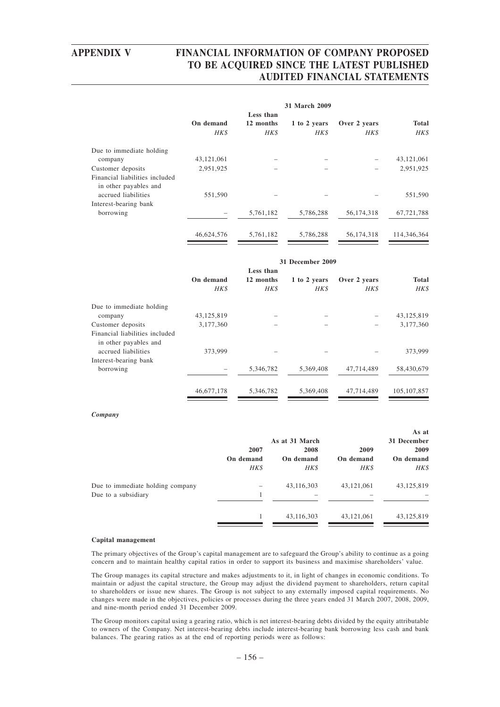|                                                         |            |           | 31 March 2009 |              |              |
|---------------------------------------------------------|------------|-----------|---------------|--------------|--------------|
|                                                         |            | Less than |               |              |              |
|                                                         | On demand  | 12 months | 1 to 2 years  | Over 2 years | <b>Total</b> |
|                                                         | HK\$       | HK\$      | HK\$          | HK\$         | HK\$         |
| Due to immediate holding                                |            |           |               |              |              |
| company                                                 | 43,121,061 |           |               |              | 43,121,061   |
| Customer deposits                                       | 2,951,925  |           |               |              | 2,951,925    |
| Financial liabilities included<br>in other payables and |            |           |               |              |              |
| accrued liabilities                                     | 551,590    |           |               |              | 551,590      |
| Interest-bearing bank                                   |            |           |               |              |              |
| borrowing                                               |            | 5,761,182 | 5,786,288     | 56,174,318   | 67,721,788   |
|                                                         | 46.624.576 | 5.761.182 | 5,786,288     | 56,174,318   | 114,346,364  |

|                                                                                | 31 December 2009 |           |              |              |               |  |  |
|--------------------------------------------------------------------------------|------------------|-----------|--------------|--------------|---------------|--|--|
|                                                                                |                  | Less than |              |              |               |  |  |
|                                                                                | On demand        | 12 months | 1 to 2 years | Over 2 years | <b>Total</b>  |  |  |
|                                                                                | HK\$             | HK\$      | HK\$         | HK\$         | HK\$          |  |  |
| Due to immediate holding                                                       |                  |           |              |              |               |  |  |
| company                                                                        | 43,125,819       |           |              |              | 43,125,819    |  |  |
| Customer deposits                                                              | 3,177,360        |           |              |              | 3,177,360     |  |  |
| Financial liabilities included<br>in other payables and<br>accrued liabilities | 373,999          |           |              |              | 373,999       |  |  |
| Interest-bearing bank                                                          |                  |           |              |              |               |  |  |
| borrowing                                                                      |                  | 5,346,782 | 5,369,408    | 47,714,489   | 58,430,679    |  |  |
|                                                                                | 46,677,178       | 5,346,782 | 5,369,408    | 47,714,489   | 105, 107, 857 |  |  |

### *Company*

|                                  |           | As at 31 March           |            | AS at<br>31 December |
|----------------------------------|-----------|--------------------------|------------|----------------------|
|                                  | 2007      | 2008                     | 2009       | 2009                 |
|                                  | On demand | On demand                | On demand  | On demand            |
|                                  | HK\$      | HK\$                     | HK\$       | HK\$                 |
| Due to immediate holding company |           | 43,116,303               | 43,121,061 | 43,125,819           |
| Due to a subsidiary              |           | $\overline{\phantom{a}}$ |            |                      |
|                                  |           | 43,116,303               | 43,121,061 | 43,125,819           |
|                                  |           |                          |            |                      |

**As at**

### **Capital management**

The primary objectives of the Group's capital management are to safeguard the Group's ability to continue as a going concern and to maintain healthy capital ratios in order to support its business and maximise shareholders' value.

The Group manages its capital structure and makes adjustments to it, in light of changes in economic conditions. To maintain or adjust the capital structure, the Group may adjust the dividend payment to shareholders, return capital to shareholders or issue new shares. The Group is not subject to any externally imposed capital requirements. No changes were made in the objectives, policies or processes during the three years ended 31 March 2007, 2008, 2009, and nine-month period ended 31 December 2009.

The Group monitors capital using a gearing ratio, which is net interest-bearing debts divided by the equity attributable to owners of the Company. Net interest-bearing debts include interest-bearing bank borrowing less cash and bank balances. The gearing ratios as at the end of reporting periods were as follows: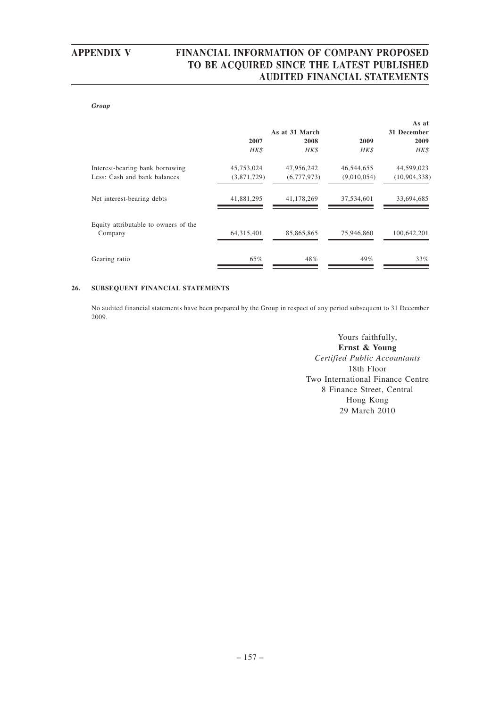## *Group*

|                                      |                |             |             | As at        |
|--------------------------------------|----------------|-------------|-------------|--------------|
|                                      | As at 31 March |             | 31 December |              |
|                                      | 2007           | 2008        | 2009        | 2009         |
|                                      | HK\$           | HK\$        | HK\$        | HK\$         |
| Interest-bearing bank borrowing      | 45,753,024     | 47,956,242  | 46,544,655  | 44,599,023   |
| Less: Cash and bank balances         | (3,871,729)    | (6,777,973) | (9,010,054) | (10,904,338) |
| Net interest-bearing debts           | 41,881,295     | 41,178,269  | 37,534,601  | 33,694,685   |
| Equity attributable to owners of the |                |             |             |              |
| Company                              | 64, 315, 401   | 85,865,865  | 75,946,860  | 100,642,201  |
|                                      | 65%            | 48%         | 49%         | 33%          |
| Gearing ratio                        |                |             |             |              |

## **26. SUBSEQUENT FINANCIAL STATEMENTS**

No audited financial statements have been prepared by the Group in respect of any period subsequent to 31 December 2009.

> Yours faithfully, **Ernst & Young** *Certified Public Accountants* 18th Floor Two International Finance Centre 8 Finance Street, Central Hong Kong 29 March 2010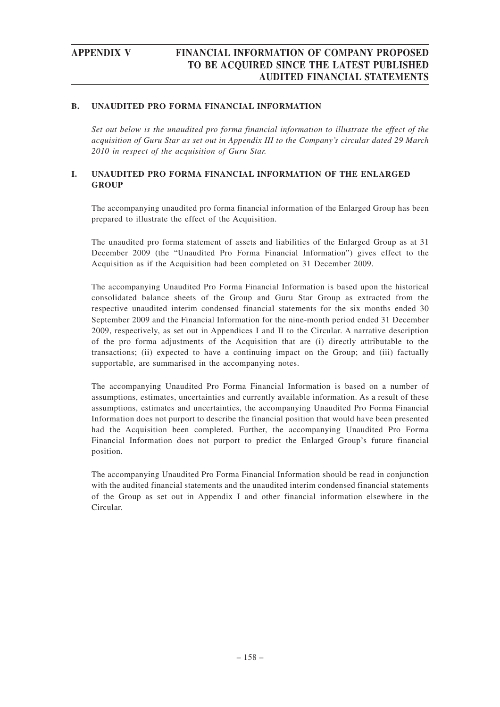## **B. UNAUDITED PRO FORMA FINANCIAL INFORMATION**

*Set out below is the unaudited pro forma financial information to illustrate the effect of the acquisition of Guru Star as set out in Appendix III to the Company's circular dated 29 March 2010 in respect of the acquisition of Guru Star.*

## **I. UNAUDITED PRO FORMA FINANCIAL INFORMATION OF THE ENLARGED GROUP**

The accompanying unaudited pro forma financial information of the Enlarged Group has been prepared to illustrate the effect of the Acquisition.

The unaudited pro forma statement of assets and liabilities of the Enlarged Group as at 31 December 2009 (the "Unaudited Pro Forma Financial Information") gives effect to the Acquisition as if the Acquisition had been completed on 31 December 2009.

The accompanying Unaudited Pro Forma Financial Information is based upon the historical consolidated balance sheets of the Group and Guru Star Group as extracted from the respective unaudited interim condensed financial statements for the six months ended 30 September 2009 and the Financial Information for the nine-month period ended 31 December 2009, respectively, as set out in Appendices I and II to the Circular. A narrative description of the pro forma adjustments of the Acquisition that are (i) directly attributable to the transactions; (ii) expected to have a continuing impact on the Group; and (iii) factually supportable, are summarised in the accompanying notes.

The accompanying Unaudited Pro Forma Financial Information is based on a number of assumptions, estimates, uncertainties and currently available information. As a result of these assumptions, estimates and uncertainties, the accompanying Unaudited Pro Forma Financial Information does not purport to describe the financial position that would have been presented had the Acquisition been completed. Further, the accompanying Unaudited Pro Forma Financial Information does not purport to predict the Enlarged Group's future financial position.

The accompanying Unaudited Pro Forma Financial Information should be read in conjunction with the audited financial statements and the unaudited interim condensed financial statements of the Group as set out in Appendix I and other financial information elsewhere in the Circular.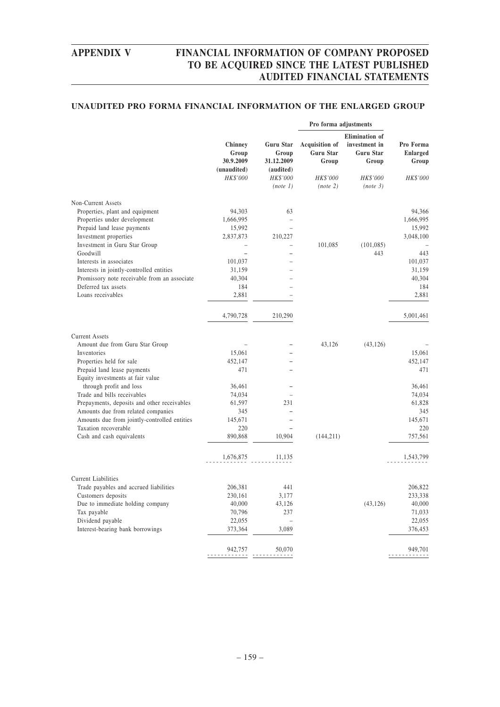# **UNAUDITED PRO FORMA FINANCIAL INFORMATION OF THE ENLARGED GROUP**

|                                              |                                              |                                               | Pro forma adjustments                       |                                                              |                                       |
|----------------------------------------------|----------------------------------------------|-----------------------------------------------|---------------------------------------------|--------------------------------------------------------------|---------------------------------------|
|                                              | Chinney<br>Group<br>30.9.2009<br>(unaudited) | Guru Star<br>Group<br>31.12.2009<br>(audited) | <b>Acquisition of</b><br>Guru Star<br>Group | <b>Elimination</b> of<br>investment in<br>Guru Star<br>Group | Pro Forma<br><b>Enlarged</b><br>Group |
|                                              | HK\$'000                                     | HK\$'000<br>(note 1)                          | HK\$'000<br>(note 2)                        | <b>HK\$'000</b><br>(note 3)                                  | HK\$'000                              |
| Non-Current Assets                           |                                              |                                               |                                             |                                                              |                                       |
| Properties, plant and equipment              | 94,303                                       | 63                                            |                                             |                                                              | 94,366                                |
| Properties under development                 | 1,666,995                                    |                                               |                                             |                                                              | 1,666,995                             |
| Prepaid land lease payments                  | 15,992                                       |                                               |                                             |                                                              | 15,992                                |
| Investment properties                        | 2,837,873                                    | 210,227                                       |                                             |                                                              | 3,048,100                             |
| Investment in Guru Star Group                |                                              |                                               | 101,085                                     | (101,085)                                                    |                                       |
| Goodwill                                     |                                              |                                               |                                             | 443                                                          | 443                                   |
| Interests in associates                      | 101,037                                      |                                               |                                             |                                                              | 101,037                               |
| Interests in jointly-controlled entities     | 31,159                                       |                                               |                                             |                                                              | 31,159                                |
| Promissory note receivable from an associate | 40,304                                       |                                               |                                             |                                                              | 40,304                                |
| Deferred tax assets                          | 184                                          |                                               |                                             |                                                              | 184                                   |
| Loans receivables                            | 2,881                                        |                                               |                                             |                                                              | 2,881                                 |
|                                              | 4,790,728                                    | 210,290                                       |                                             |                                                              | 5,001,461                             |
| <b>Current Assets</b>                        |                                              |                                               |                                             |                                                              |                                       |
| Amount due from Guru Star Group              | ÷                                            |                                               | 43,126                                      | (43, 126)                                                    |                                       |
| Inventories                                  | 15,061                                       |                                               |                                             |                                                              | 15,061                                |
| Properties held for sale                     | 452,147                                      | $=$                                           |                                             |                                                              | 452,147                               |
| Prepaid land lease payments                  | 471                                          |                                               |                                             |                                                              | 471                                   |
| Equity investments at fair value             |                                              |                                               |                                             |                                                              |                                       |
| through profit and loss                      | 36,461                                       |                                               |                                             |                                                              | 36,461                                |
| Trade and bills receivables                  | 74,034                                       |                                               |                                             |                                                              | 74,034                                |
| Prepayments, deposits and other receivables  | 61,597                                       | 231                                           |                                             |                                                              | 61,828                                |
| Amounts due from related companies           | 345                                          |                                               |                                             |                                                              | 345                                   |
| Amounts due from jointly-controlled entities | 145,671                                      |                                               |                                             |                                                              | 145,671                               |
| Taxation recoverable                         | 220                                          |                                               |                                             |                                                              | 220                                   |
| Cash and cash equivalents                    | 890,868                                      | 10,904                                        | (144, 211)                                  |                                                              | 757,561                               |
|                                              | 1,676,875                                    | 11,135                                        |                                             |                                                              | 1,543,799                             |
| Current Liabilities                          |                                              |                                               |                                             |                                                              |                                       |
| Trade payables and accrued liabilities       | 206,381                                      | 441                                           |                                             |                                                              | 206,822                               |
| Customers deposits                           | 230,161                                      | 3,177                                         |                                             |                                                              | 233,338                               |
| Due to immediate holding company             | 40,000                                       | 43,126                                        |                                             | (43, 126)                                                    | 40,000                                |
| Tax payable                                  | 70,796                                       | 237                                           |                                             |                                                              | 71,033                                |
| Dividend payable                             | 22,055                                       |                                               |                                             |                                                              | 22,055                                |
| Interest-bearing bank borrowings             | 373,364                                      | 3,089                                         |                                             |                                                              | 376,453                               |
|                                              | 942,757                                      | 50,070                                        |                                             |                                                              | 949,701                               |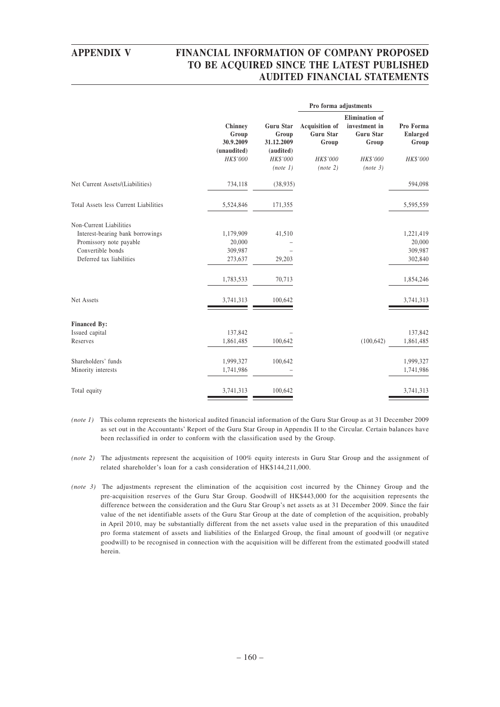|                                       |                                              |                                               | Pro forma adjustments                |                                                                     |                                       |
|---------------------------------------|----------------------------------------------|-----------------------------------------------|--------------------------------------|---------------------------------------------------------------------|---------------------------------------|
|                                       | Chinney<br>Group<br>30.9.2009<br>(unaudited) | Guru Star<br>Group<br>31.12.2009<br>(audited) | Acquisition of<br>Guru Star<br>Group | <b>Elimination</b> of<br>investment in<br><b>Guru Star</b><br>Group | Pro Forma<br><b>Enlarged</b><br>Group |
|                                       | HK\$'000                                     | HK\$'000                                      | HK\$'000                             | HK\$'000                                                            | HK\$'000                              |
|                                       |                                              | (note 1)                                      | (note 2)                             | (note 3)                                                            |                                       |
| Net Current Assets/(Liabilities)      | 734,118                                      | (38, 935)                                     |                                      |                                                                     | 594,098                               |
| Total Assets less Current Liabilities | 5,524,846                                    | 171,355                                       |                                      |                                                                     | 5,595,559                             |
| Non-Current Liabilities               |                                              |                                               |                                      |                                                                     |                                       |
| Interest-bearing bank borrowings      | 1,179,909                                    | 41,510                                        |                                      |                                                                     | 1,221,419                             |
| Promissory note payable               | 20,000                                       |                                               |                                      |                                                                     | 20,000                                |
| Convertible bonds                     | 309,987                                      |                                               |                                      |                                                                     | 309,987                               |
| Deferred tax liabilities              | 273,637                                      | 29,203                                        |                                      |                                                                     | 302,840                               |
|                                       | 1,783,533                                    | 70,713                                        |                                      |                                                                     | 1,854,246                             |
| Net Assets                            | 3,741,313                                    | 100,642                                       |                                      |                                                                     | 3,741,313                             |
| <b>Financed By:</b>                   |                                              |                                               |                                      |                                                                     |                                       |
| Issued capital                        | 137,842                                      |                                               |                                      |                                                                     | 137,842                               |
| Reserves                              | 1,861,485                                    | 100,642                                       |                                      | (100, 642)                                                          | 1,861,485                             |
| Shareholders' funds                   | 1,999,327                                    | 100,642                                       |                                      |                                                                     | 1,999,327                             |
| Minority interests                    | 1,741,986                                    |                                               |                                      |                                                                     | 1,741,986                             |
| Total equity                          | 3,741,313                                    | 100,642                                       |                                      |                                                                     | 3,741,313                             |

- *(note 1)* This column represents the historical audited financial information of the Guru Star Group as at 31 December 2009 as set out in the Accountants' Report of the Guru Star Group in Appendix II to the Circular. Certain balances have been reclassified in order to conform with the classification used by the Group.
- *(note 2)* The adjustments represent the acquisition of 100% equity interests in Guru Star Group and the assignment of related shareholder's loan for a cash consideration of HK\$144,211,000.
- *(note 3)* The adjustments represent the elimination of the acquisition cost incurred by the Chinney Group and the pre-acquisition reserves of the Guru Star Group. Goodwill of HK\$443,000 for the acquisition represents the difference between the consideration and the Guru Star Group's net assets as at 31 December 2009. Since the fair value of the net identifiable assets of the Guru Star Group at the date of completion of the acquisition, probably in April 2010, may be substantially different from the net assets value used in the preparation of this unaudited pro forma statement of assets and liabilities of the Enlarged Group, the final amount of goodwill (or negative goodwill) to be recognised in connection with the acquisition will be different from the estimated goodwill stated herein.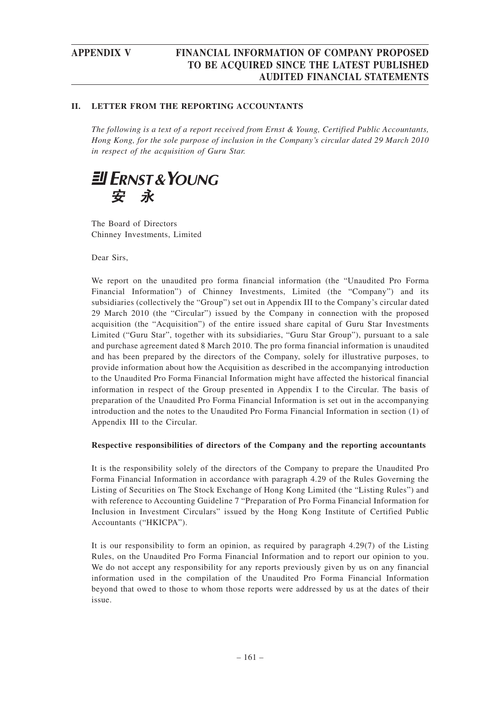## **II. LETTER FROM THE REPORTING ACCOUNTANTS**

*The following is a text of a report received from Ernst & Young, Certified Public Accountants, Hong Kong, for the sole purpose of inclusion in the Company's circular dated 29 March 2010 in respect of the acquisition of Guru Star.*



The Board of Directors Chinney Investments, Limited

Dear Sirs,

We report on the unaudited pro forma financial information (the "Unaudited Pro Forma Financial Information") of Chinney Investments, Limited (the "Company") and its subsidiaries (collectively the "Group") set out in Appendix III to the Company's circular dated 29 March 2010 (the "Circular") issued by the Company in connection with the proposed acquisition (the "Acquisition") of the entire issued share capital of Guru Star Investments Limited ("Guru Star", together with its subsidiaries, "Guru Star Group"), pursuant to a sale and purchase agreement dated 8 March 2010. The pro forma financial information is unaudited and has been prepared by the directors of the Company, solely for illustrative purposes, to provide information about how the Acquisition as described in the accompanying introduction to the Unaudited Pro Forma Financial Information might have affected the historical financial information in respect of the Group presented in Appendix I to the Circular. The basis of preparation of the Unaudited Pro Forma Financial Information is set out in the accompanying introduction and the notes to the Unaudited Pro Forma Financial Information in section (1) of Appendix III to the Circular.

## **Respective responsibilities of directors of the Company and the reporting accountants**

It is the responsibility solely of the directors of the Company to prepare the Unaudited Pro Forma Financial Information in accordance with paragraph 4.29 of the Rules Governing the Listing of Securities on The Stock Exchange of Hong Kong Limited (the "Listing Rules") and with reference to Accounting Guideline 7 "Preparation of Pro Forma Financial Information for Inclusion in Investment Circulars" issued by the Hong Kong Institute of Certified Public Accountants ("HKICPA").

It is our responsibility to form an opinion, as required by paragraph 4.29(7) of the Listing Rules, on the Unaudited Pro Forma Financial Information and to report our opinion to you. We do not accept any responsibility for any reports previously given by us on any financial information used in the compilation of the Unaudited Pro Forma Financial Information beyond that owed to those to whom those reports were addressed by us at the dates of their issue.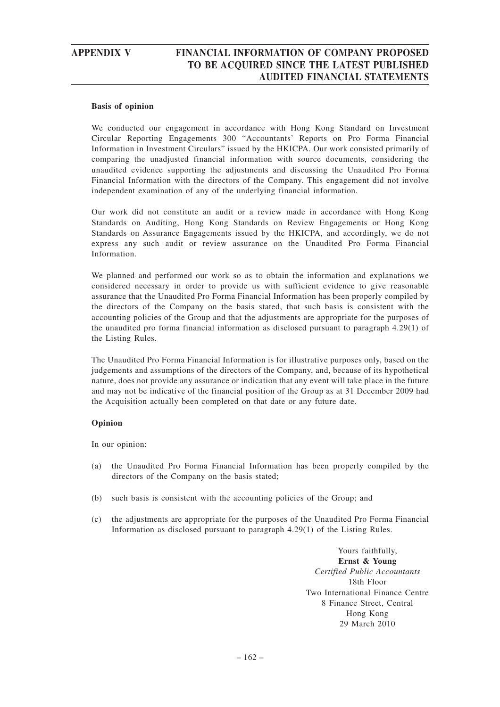## **Basis of opinion**

We conducted our engagement in accordance with Hong Kong Standard on Investment Circular Reporting Engagements 300 "Accountants' Reports on Pro Forma Financial Information in Investment Circulars" issued by the HKICPA. Our work consisted primarily of comparing the unadjusted financial information with source documents, considering the unaudited evidence supporting the adjustments and discussing the Unaudited Pro Forma Financial Information with the directors of the Company. This engagement did not involve independent examination of any of the underlying financial information.

Our work did not constitute an audit or a review made in accordance with Hong Kong Standards on Auditing, Hong Kong Standards on Review Engagements or Hong Kong Standards on Assurance Engagements issued by the HKICPA, and accordingly, we do not express any such audit or review assurance on the Unaudited Pro Forma Financial Information.

We planned and performed our work so as to obtain the information and explanations we considered necessary in order to provide us with sufficient evidence to give reasonable assurance that the Unaudited Pro Forma Financial Information has been properly compiled by the directors of the Company on the basis stated, that such basis is consistent with the accounting policies of the Group and that the adjustments are appropriate for the purposes of the unaudited pro forma financial information as disclosed pursuant to paragraph 4.29(1) of the Listing Rules.

The Unaudited Pro Forma Financial Information is for illustrative purposes only, based on the judgements and assumptions of the directors of the Company, and, because of its hypothetical nature, does not provide any assurance or indication that any event will take place in the future and may not be indicative of the financial position of the Group as at 31 December 2009 had the Acquisition actually been completed on that date or any future date.

## **Opinion**

In our opinion:

- (a) the Unaudited Pro Forma Financial Information has been properly compiled by the directors of the Company on the basis stated;
- (b) such basis is consistent with the accounting policies of the Group; and
- (c) the adjustments are appropriate for the purposes of the Unaudited Pro Forma Financial Information as disclosed pursuant to paragraph 4.29(1) of the Listing Rules.

Yours faithfully, **Ernst & Young** *Certified Public Accountants* 18th Floor Two International Finance Centre 8 Finance Street, Central Hong Kong 29 March 2010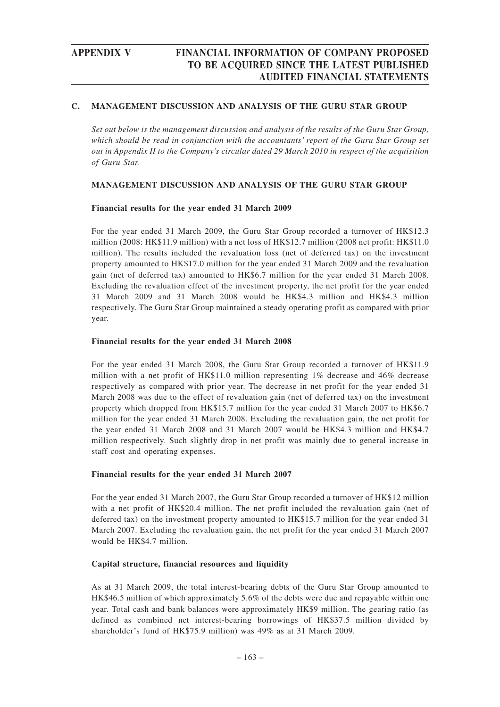## **C. MANAGEMENT DISCUSSION AND ANALYSIS OF THE GURU STAR GROUP**

*Set out below is the management discussion and analysis of the results of the Guru Star Group, which should be read in conjunction with the accountants' report of the Guru Star Group set out in Appendix II to the Company's circular dated 29 March 2010 in respect of the acquisition of Guru Star.*

## **MANAGEMENT DISCUSSION AND ANALYSIS OF THE GURU STAR GROUP**

## **Financial results for the year ended 31 March 2009**

For the year ended 31 March 2009, the Guru Star Group recorded a turnover of HK\$12.3 million (2008: HK\$11.9 million) with a net loss of HK\$12.7 million (2008 net profit: HK\$11.0 million). The results included the revaluation loss (net of deferred tax) on the investment property amounted to HK\$17.0 million for the year ended 31 March 2009 and the revaluation gain (net of deferred tax) amounted to HK\$6.7 million for the year ended 31 March 2008. Excluding the revaluation effect of the investment property, the net profit for the year ended 31 March 2009 and 31 March 2008 would be HK\$4.3 million and HK\$4.3 million respectively. The Guru Star Group maintained a steady operating profit as compared with prior year.

## **Financial results for the year ended 31 March 2008**

For the year ended 31 March 2008, the Guru Star Group recorded a turnover of HK\$11.9 million with a net profit of HK\$11.0 million representing 1% decrease and 46% decrease respectively as compared with prior year. The decrease in net profit for the year ended 31 March 2008 was due to the effect of revaluation gain (net of deferred tax) on the investment property which dropped from HK\$15.7 million for the year ended 31 March 2007 to HK\$6.7 million for the year ended 31 March 2008. Excluding the revaluation gain, the net profit for the year ended 31 March 2008 and 31 March 2007 would be HK\$4.3 million and HK\$4.7 million respectively. Such slightly drop in net profit was mainly due to general increase in staff cost and operating expenses.

## **Financial results for the year ended 31 March 2007**

For the year ended 31 March 2007, the Guru Star Group recorded a turnover of HK\$12 million with a net profit of HK\$20.4 million. The net profit included the revaluation gain (net of deferred tax) on the investment property amounted to HK\$15.7 million for the year ended 31 March 2007. Excluding the revaluation gain, the net profit for the year ended 31 March 2007 would be HK\$4.7 million.

## **Capital structure, financial resources and liquidity**

As at 31 March 2009, the total interest-bearing debts of the Guru Star Group amounted to HK\$46.5 million of which approximately 5.6% of the debts were due and repayable within one year. Total cash and bank balances were approximately HK\$9 million. The gearing ratio (as defined as combined net interest-bearing borrowings of HK\$37.5 million divided by shareholder's fund of HK\$75.9 million) was 49% as at 31 March 2009.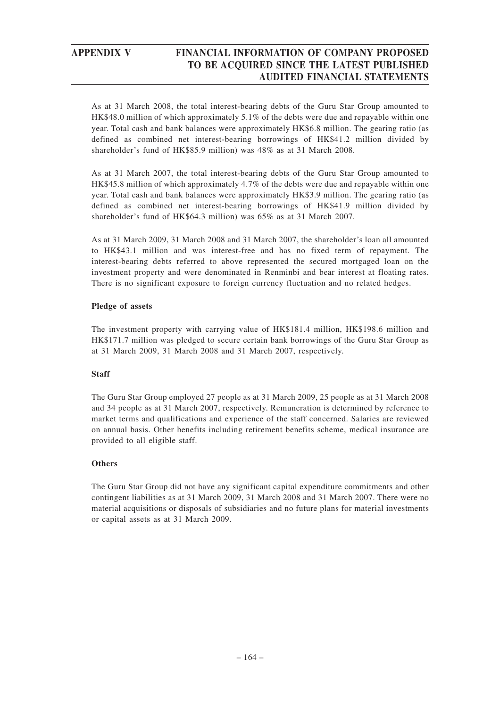As at 31 March 2008, the total interest-bearing debts of the Guru Star Group amounted to HK\$48.0 million of which approximately 5.1% of the debts were due and repayable within one year. Total cash and bank balances were approximately HK\$6.8 million. The gearing ratio (as defined as combined net interest-bearing borrowings of HK\$41.2 million divided by shareholder's fund of HK\$85.9 million) was 48% as at 31 March 2008.

As at 31 March 2007, the total interest-bearing debts of the Guru Star Group amounted to HK\$45.8 million of which approximately 4.7% of the debts were due and repayable within one year. Total cash and bank balances were approximately HK\$3.9 million. The gearing ratio (as defined as combined net interest-bearing borrowings of HK\$41.9 million divided by shareholder's fund of HK\$64.3 million) was 65% as at 31 March 2007.

As at 31 March 2009, 31 March 2008 and 31 March 2007, the shareholder's loan all amounted to HK\$43.1 million and was interest-free and has no fixed term of repayment. The interest-bearing debts referred to above represented the secured mortgaged loan on the investment property and were denominated in Renminbi and bear interest at floating rates. There is no significant exposure to foreign currency fluctuation and no related hedges.

## **Pledge of assets**

The investment property with carrying value of HK\$181.4 million, HK\$198.6 million and HK\$171.7 million was pledged to secure certain bank borrowings of the Guru Star Group as at 31 March 2009, 31 March 2008 and 31 March 2007, respectively.

## **Staff**

The Guru Star Group employed 27 people as at 31 March 2009, 25 people as at 31 March 2008 and 34 people as at 31 March 2007, respectively. Remuneration is determined by reference to market terms and qualifications and experience of the staff concerned. Salaries are reviewed on annual basis. Other benefits including retirement benefits scheme, medical insurance are provided to all eligible staff.

## **Others**

The Guru Star Group did not have any significant capital expenditure commitments and other contingent liabilities as at 31 March 2009, 31 March 2008 and 31 March 2007. There were no material acquisitions or disposals of subsidiaries and no future plans for material investments or capital assets as at 31 March 2009.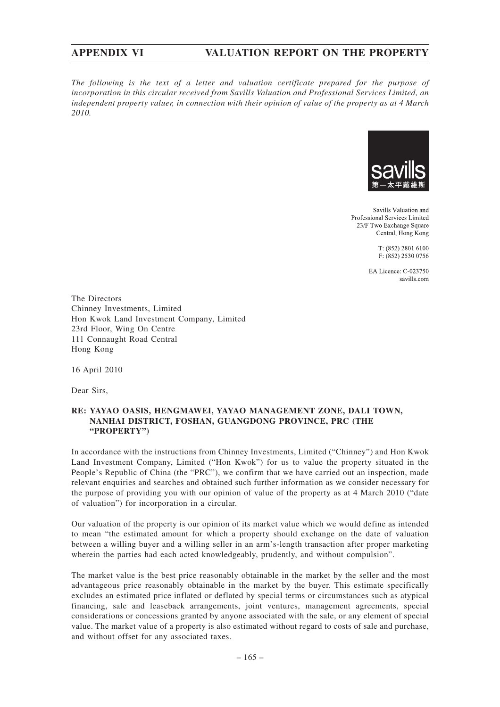# **APPENDIX VI VALUATION REPORT ON THE PROPERTY**

*The following is the text of a letter and valuation certificate prepared for the purpose of incorporation in this circular received from Savills Valuation and Professional Services Limited, an independent property valuer, in connection with their opinion of value of the property as at 4 March 2010.*



Savills Valuation and Professional Services Limited 23/F Two Exchange Square Central, Hong Kong

> T: (852) 2801 6100 F: (852) 2530 0756

EA Licence: C-023750 savills com

The Directors Chinney Investments, Limited Hon Kwok Land Investment Company, Limited 23rd Floor, Wing On Centre 111 Connaught Road Central Hong Kong

16 April 2010

Dear Sirs,

## **RE: YAYAO OASIS, HENGMAWEI, YAYAO MANAGEMENT ZONE, DALI TOWN, NANHAI DISTRICT, FOSHAN, GUANGDONG PROVINCE, PRC (THE "PROPERTY")**

In accordance with the instructions from Chinney Investments, Limited ("Chinney") and Hon Kwok Land Investment Company, Limited ("Hon Kwok") for us to value the property situated in the People's Republic of China (the "PRC"), we confirm that we have carried out an inspection, made relevant enquiries and searches and obtained such further information as we consider necessary for the purpose of providing you with our opinion of value of the property as at 4 March 2010 ("date of valuation") for incorporation in a circular.

Our valuation of the property is our opinion of its market value which we would define as intended to mean "the estimated amount for which a property should exchange on the date of valuation between a willing buyer and a willing seller in an arm's-length transaction after proper marketing wherein the parties had each acted knowledgeably, prudently, and without compulsion".

The market value is the best price reasonably obtainable in the market by the seller and the most advantageous price reasonably obtainable in the market by the buyer. This estimate specifically excludes an estimated price inflated or deflated by special terms or circumstances such as atypical financing, sale and leaseback arrangements, joint ventures, management agreements, special considerations or concessions granted by anyone associated with the sale, or any element of special value. The market value of a property is also estimated without regard to costs of sale and purchase, and without offset for any associated taxes.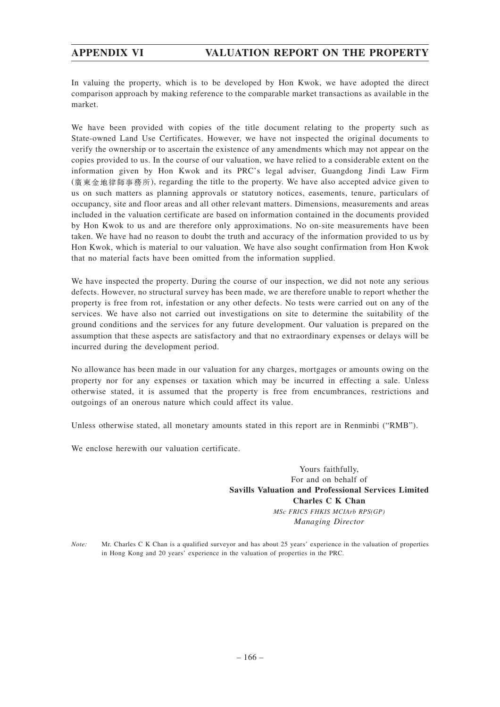In valuing the property, which is to be developed by Hon Kwok, we have adopted the direct comparison approach by making reference to the comparable market transactions as available in the market.

We have been provided with copies of the title document relating to the property such as State-owned Land Use Certificates. However, we have not inspected the original documents to verify the ownership or to ascertain the existence of any amendments which may not appear on the copies provided to us. In the course of our valuation, we have relied to a considerable extent on the information given by Hon Kwok and its PRC's legal adviser, Guangdong Jindi Law Firm (廣東金地律師事務所), regarding the title to the property. We have also accepted advice given to us on such matters as planning approvals or statutory notices, easements, tenure, particulars of occupancy, site and floor areas and all other relevant matters. Dimensions, measurements and areas included in the valuation certificate are based on information contained in the documents provided by Hon Kwok to us and are therefore only approximations. No on-site measurements have been taken. We have had no reason to doubt the truth and accuracy of the information provided to us by Hon Kwok, which is material to our valuation. We have also sought confirmation from Hon Kwok that no material facts have been omitted from the information supplied.

We have inspected the property. During the course of our inspection, we did not note any serious defects. However, no structural survey has been made, we are therefore unable to report whether the property is free from rot, infestation or any other defects. No tests were carried out on any of the services. We have also not carried out investigations on site to determine the suitability of the ground conditions and the services for any future development. Our valuation is prepared on the assumption that these aspects are satisfactory and that no extraordinary expenses or delays will be incurred during the development period.

No allowance has been made in our valuation for any charges, mortgages or amounts owing on the property nor for any expenses or taxation which may be incurred in effecting a sale. Unless otherwise stated, it is assumed that the property is free from encumbrances, restrictions and outgoings of an onerous nature which could affect its value.

Unless otherwise stated, all monetary amounts stated in this report are in Renminbi ("RMB").

We enclose herewith our valuation certificate.

Yours faithfully, For and on behalf of **Savills Valuation and Professional Services Limited Charles C K Chan** *MSc FRICS FHKIS MCIArb RPS(GP) Managing Director*

*Note:* Mr. Charles C K Chan is a qualified surveyor and has about 25 years' experience in the valuation of properties in Hong Kong and 20 years' experience in the valuation of properties in the PRC.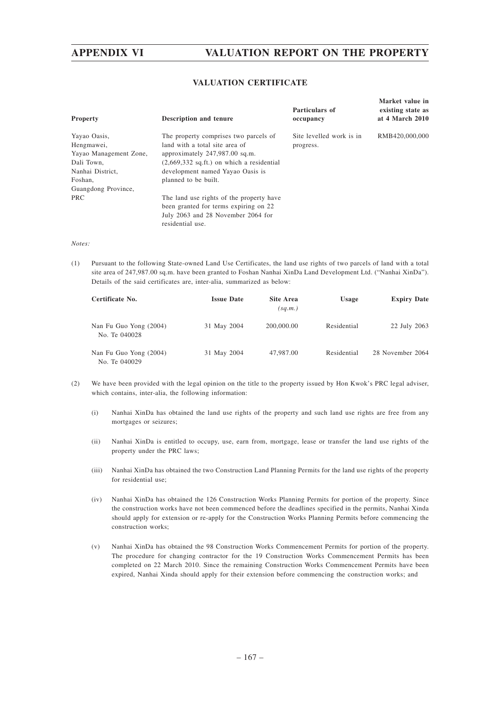# **APPENDIX VI VALUATION REPORT ON THE PROPERTY**

**Market value in**

## **VALUATION CERTIFICATE**

| Description and tenure                               | <b>Particulars of</b><br>occupancy | <b>MAINEL VAIUE III</b><br>existing state as<br>at 4 March 2010 |
|------------------------------------------------------|------------------------------------|-----------------------------------------------------------------|
| The property comprises two parcels of                | Site levelled work is in           | RMB420,000,000                                                  |
| land with a total site area of                       | progress.                          |                                                                 |
| approximately 247,987.00 sq.m.                       |                                    |                                                                 |
| $(2,669,332 \text{ sq.fit.})$ on which a residential |                                    |                                                                 |
| development named Yayao Oasis is                     |                                    |                                                                 |
| planned to be built.                                 |                                    |                                                                 |
|                                                      |                                    |                                                                 |
| The land use rights of the property have             |                                    |                                                                 |
| been granted for terms expiring on 22                |                                    |                                                                 |
| July 2063 and 28 November 2064 for                   |                                    |                                                                 |
| residential use.                                     |                                    |                                                                 |
|                                                      |                                    |                                                                 |

### *Notes:*

(1) Pursuant to the following State-owned Land Use Certificates, the land use rights of two parcels of land with a total site area of 247,987.00 sq.m. have been granted to Foshan Nanhai XinDa Land Development Ltd. ("Nanhai XinDa"). Details of the said certificates are, inter-alia, summarized as below:

| Certificate No.                         | <b>Issue Date</b> | <b>Site Area</b><br>(sq.m.) | <b>Usage</b> | <b>Expiry Date</b> |
|-----------------------------------------|-------------------|-----------------------------|--------------|--------------------|
| Nan Fu Guo Yong (2004)<br>No. Te 040028 | 31 May 2004       | 200,000.00                  | Residential  | 22 July 2063       |
| Nan Fu Guo Yong (2004)<br>No. Te 040029 | 31 May 2004       | 47,987.00                   | Residential  | 28 November 2064   |

- (2) We have been provided with the legal opinion on the title to the property issued by Hon Kwok's PRC legal adviser, which contains, inter-alia, the following information:
	- (i) Nanhai XinDa has obtained the land use rights of the property and such land use rights are free from any mortgages or seizures;
	- (ii) Nanhai XinDa is entitled to occupy, use, earn from, mortgage, lease or transfer the land use rights of the property under the PRC laws;
	- (iii) Nanhai XinDa has obtained the two Construction Land Planning Permits for the land use rights of the property for residential use;
	- (iv) Nanhai XinDa has obtained the 126 Construction Works Planning Permits for portion of the property. Since the construction works have not been commenced before the deadlines specified in the permits, Nanhai Xinda should apply for extension or re-apply for the Construction Works Planning Permits before commencing the construction works;
	- (v) Nanhai XinDa has obtained the 98 Construction Works Commencement Permits for portion of the property. The procedure for changing contractor for the 19 Construction Works Commencement Permits has been completed on 22 March 2010. Since the remaining Construction Works Commencement Permits have been expired, Nanhai Xinda should apply for their extension before commencing the construction works; and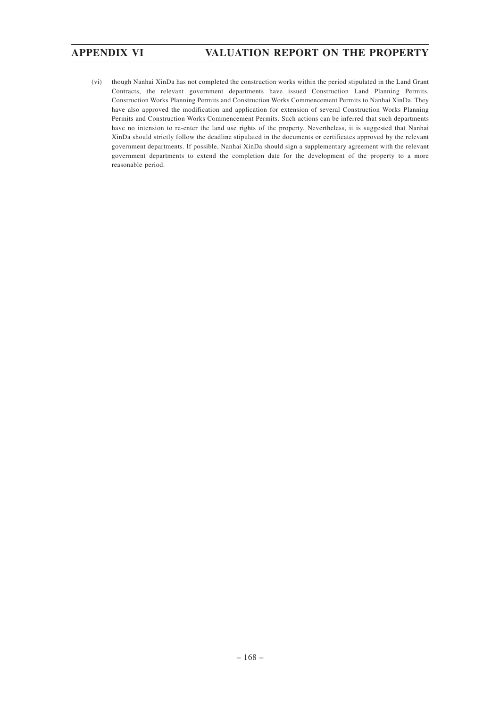(vi) though Nanhai XinDa has not completed the construction works within the period stipulated in the Land Grant Contracts, the relevant government departments have issued Construction Land Planning Permits, Construction Works Planning Permits and Construction Works Commencement Permits to Nanhai XinDa. They have also approved the modification and application for extension of several Construction Works Planning Permits and Construction Works Commencement Permits. Such actions can be inferred that such departments have no intension to re-enter the land use rights of the property. Nevertheless, it is suggested that Nanhai XinDa should strictly follow the deadline stipulated in the documents or certificates approved by the relevant government departments. If possible, Nanhai XinDa should sign a supplementary agreement with the relevant government departments to extend the completion date for the development of the property to a more reasonable period.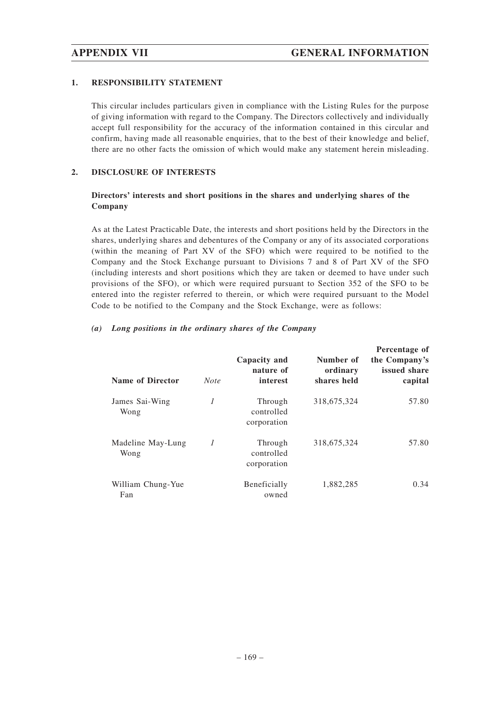## **1. RESPONSIBILITY STATEMENT**

This circular includes particulars given in compliance with the Listing Rules for the purpose of giving information with regard to the Company. The Directors collectively and individually accept full responsibility for the accuracy of the information contained in this circular and confirm, having made all reasonable enquiries, that to the best of their knowledge and belief, there are no other facts the omission of which would make any statement herein misleading.

## **2. DISCLOSURE OF INTERESTS**

## **Directors' interests and short positions in the shares and underlying shares of the Company**

As at the Latest Practicable Date, the interests and short positions held by the Directors in the shares, underlying shares and debentures of the Company or any of its associated corporations (within the meaning of Part XV of the SFO) which were required to be notified to the Company and the Stock Exchange pursuant to Divisions 7 and 8 of Part XV of the SFO (including interests and short positions which they are taken or deemed to have under such provisions of the SFO), or which were required pursuant to Section 352 of the SFO to be entered into the register referred to therein, or which were required pursuant to the Model Code to be notified to the Company and the Stock Exchange, were as follows:

|  |  |  |  |  |  |  |  |  | (a) Long positions in the ordinary shares of the Company |
|--|--|--|--|--|--|--|--|--|----------------------------------------------------------|
|--|--|--|--|--|--|--|--|--|----------------------------------------------------------|

| <b>Name of Director</b>   | <b>Note</b> | Capacity and<br>nature of<br>interest | Number of<br>ordinary<br>shares held | Percentage of<br>the Company's<br>issued share<br>capital |
|---------------------------|-------------|---------------------------------------|--------------------------------------|-----------------------------------------------------------|
| James Sai-Wing<br>Wong    | 1           | Through<br>controlled<br>corporation  | 318,675,324                          | 57.80                                                     |
| Madeline May-Lung<br>Wong | 1           | Through<br>controlled<br>corporation  | 318,675,324                          | 57.80                                                     |
| William Chung-Yue<br>Fan  |             | Beneficially<br>owned                 | 1,882,285                            | 0.34                                                      |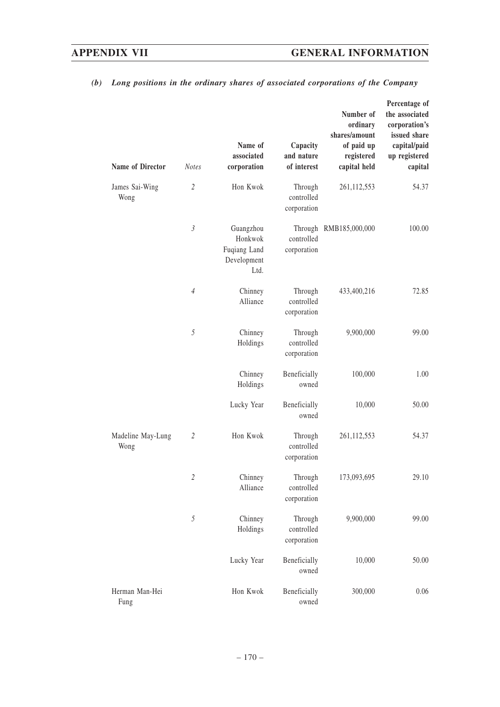# **APPENDIX VII GENERAL INFORMATION**

| Name of Director          | <b>Notes</b>   | Name of<br>associated<br>corporation                        | Capacity<br>and nature<br>of interest | Number of<br>ordinary<br>shares/amount<br>of paid up<br>registered<br>capital held | Percentage of<br>the associated<br>corporation's<br>issued share<br>capital/paid<br>up registered<br>capital |
|---------------------------|----------------|-------------------------------------------------------------|---------------------------------------|------------------------------------------------------------------------------------|--------------------------------------------------------------------------------------------------------------|
| James Sai-Wing<br>Wong    | $\overline{2}$ | Hon Kwok                                                    | Through<br>controlled<br>corporation  | 261,112,553                                                                        | 54.37                                                                                                        |
|                           | $\mathfrak{Z}$ | Guangzhou<br>Honkwok<br>Fuqiang Land<br>Development<br>Ltd. | controlled<br>corporation             | Through RMB185,000,000                                                             | 100.00                                                                                                       |
|                           | $\overline{4}$ | Chinney<br>Alliance                                         | Through<br>controlled<br>corporation  | 433,400,216                                                                        | 72.85                                                                                                        |
|                           | 5              | Chinney<br>Holdings                                         | Through<br>controlled<br>corporation  | 9,900,000                                                                          | 99.00                                                                                                        |
|                           |                | Chinney<br>Holdings                                         | Beneficially<br>owned                 | 100,000                                                                            | 1.00                                                                                                         |
|                           |                | Lucky Year                                                  | Beneficially<br>owned                 | 10,000                                                                             | 50.00                                                                                                        |
| Madeline May-Lung<br>Wong | $\overline{2}$ | Hon Kwok                                                    | Through<br>controlled<br>corporation  | 261,112,553                                                                        | 54.37                                                                                                        |
|                           | $\overline{2}$ | Chinney<br>Alliance                                         | Through<br>controlled<br>corporation  | 173,093,695                                                                        | 29.10                                                                                                        |
|                           | $\sqrt{5}$     | Chinney<br>Holdings                                         | Through<br>controlled<br>corporation  | 9,900,000                                                                          | 99.00                                                                                                        |
|                           |                | Lucky Year                                                  | Beneficially<br>owned                 | 10,000                                                                             | 50.00                                                                                                        |
| Herman Man-Hei<br>Fung    |                | Hon Kwok                                                    | Beneficially<br>owned                 | 300,000                                                                            | 0.06                                                                                                         |

# *(b) Long positions in the ordinary shares of associated corporations of the Company*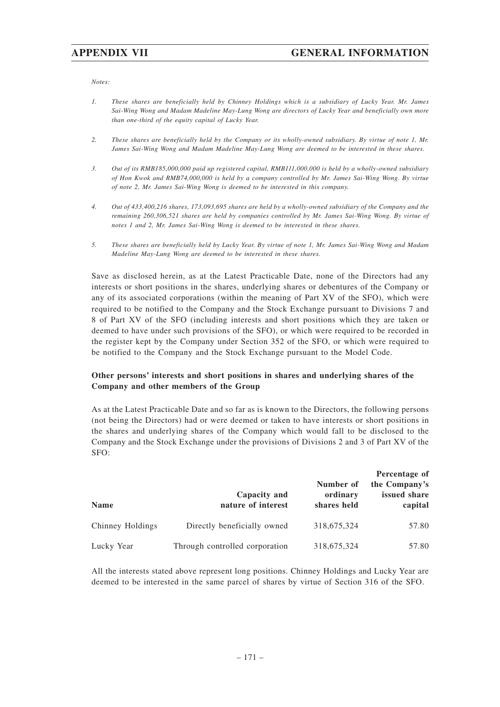*Notes:*

- *1. These shares are beneficially held by Chinney Holdings which is a subsidiary of Lucky Year. Mr. James Sai-Wing Wong and Madam Madeline May-Lung Wong are directors of Lucky Year and beneficially own more than one-third of the equity capital of Lucky Year.*
- *2. These shares are beneficially held by the Company or its wholly-owned subsidiary. By virtue of note 1, Mr. James Sai-Wing Wong and Madam Madeline May-Lung Wong are deemed to be interested in these shares.*
- *3. Out of its RMB185,000,000 paid up registered capital, RMB111,000,000 is held by a wholly-owned subsidiary of Hon Kwok and RMB74,000,000 is held by a company controlled by Mr. James Sai-Wing Wong. By virtue of note 2, Mr. James Sai-Wing Wong is deemed to be interested in this company.*
- *4. Out of 433,400,216 shares, 173,093,695 shares are held by a wholly-owned subsidiary of the Company and the remaining 260,306,521 shares are held by companies controlled by Mr. James Sai-Wing Wong. By virtue of notes 1 and 2, Mr. James Sai-Wing Wong is deemed to be interested in these shares.*
- *5. These shares are beneficially held by Lucky Year. By virtue of note 1, Mr. James Sai-Wing Wong and Madam Madeline May-Lung Wong are deemed to be interested in these shares.*

Save as disclosed herein, as at the Latest Practicable Date, none of the Directors had any interests or short positions in the shares, underlying shares or debentures of the Company or any of its associated corporations (within the meaning of Part XV of the SFO), which were required to be notified to the Company and the Stock Exchange pursuant to Divisions 7 and 8 of Part XV of the SFO (including interests and short positions which they are taken or deemed to have under such provisions of the SFO), or which were required to be recorded in the register kept by the Company under Section 352 of the SFO, or which were required to be notified to the Company and the Stock Exchange pursuant to the Model Code.

## **Other persons' interests and short positions in shares and underlying shares of the Company and other members of the Group**

As at the Latest Practicable Date and so far as is known to the Directors, the following persons (not being the Directors) had or were deemed or taken to have interests or short positions in the shares and underlying shares of the Company which would fall to be disclosed to the Company and the Stock Exchange under the provisions of Divisions 2 and 3 of Part XV of the SFO:

| <b>Name</b>      | Capacity and<br>nature of interest | Number of<br>ordinary<br>shares held | Percentage of<br>the Company's<br>issued share<br>capital |
|------------------|------------------------------------|--------------------------------------|-----------------------------------------------------------|
| Chinney Holdings | Directly beneficially owned        | 318,675,324                          | 57.80                                                     |
| Lucky Year       | Through controlled corporation     | 318,675,324                          | 57.80                                                     |

All the interests stated above represent long positions. Chinney Holdings and Lucky Year are deemed to be interested in the same parcel of shares by virtue of Section 316 of the SFO.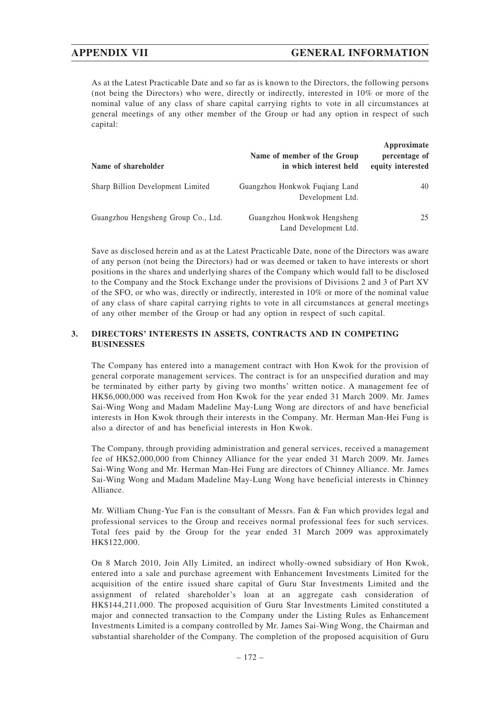As at the Latest Practicable Date and so far as is known to the Directors, the following persons (not being the Directors) who were, directly or indirectly, interested in 10% or more of the nominal value of any class of share capital carrying rights to vote in all circumstances at general meetings of any other member of the Group or had any option in respect of such capital:

| Name of shareholder                 | Name of member of the Group<br>in which interest held | Approximate<br>percentage of<br>equity interested |
|-------------------------------------|-------------------------------------------------------|---------------------------------------------------|
| Sharp Billion Development Limited   | Guangzhou Honkwok Fugiang Land<br>Development Ltd.    | 40                                                |
| Guangzhou Hengsheng Group Co., Ltd. | Guangzhou Honkwok Hengsheng<br>Land Development Ltd.  | 25                                                |

Save as disclosed herein and as at the Latest Practicable Date, none of the Directors was aware of any person (not being the Directors) had or was deemed or taken to have interests or short positions in the shares and underlying shares of the Company which would fall to be disclosed to the Company and the Stock Exchange under the provisions of Divisions 2 and 3 of Part XV of the SFO, or who was, directly or indirectly, interested in 10% or more of the nominal value of any class of share capital carrying rights to vote in all circumstances at general meetings of any other member of the Group or had any option in respect of such capital.

## **3. DIRECTORS' INTERESTS IN ASSETS, CONTRACTS AND IN COMPETING BUSINESSES**

The Company has entered into a management contract with Hon Kwok for the provision of general corporate management services. The contract is for an unspecified duration and may be terminated by either party by giving two months' written notice. A management fee of HK\$6,000,000 was received from Hon Kwok for the year ended 31 March 2009. Mr. James Sai-Wing Wong and Madam Madeline May-Lung Wong are directors of and have beneficial interests in Hon Kwok through their interests in the Company. Mr. Herman Man-Hei Fung is also a director of and has beneficial interests in Hon Kwok.

The Company, through providing administration and general services, received a management fee of HK\$2,000,000 from Chinney Alliance for the year ended 31 March 2009. Mr. James Sai-Wing Wong and Mr. Herman Man-Hei Fung are directors of Chinney Alliance. Mr. James Sai-Wing Wong and Madam Madeline May-Lung Wong have beneficial interests in Chinney Alliance.

Mr. William Chung-Yue Fan is the consultant of Messrs. Fan & Fan which provides legal and professional services to the Group and receives normal professional fees for such services. Total fees paid by the Group for the year ended 31 March 2009 was approximately HK\$122,000.

On 8 March 2010, Join Ally Limited, an indirect wholly-owned subsidiary of Hon Kwok, entered into a sale and purchase agreement with Enhancement Investments Limited for the acquisition of the entire issued share capital of Guru Star Investments Limited and the assignment of related shareholder's loan at an aggregate cash consideration of HK\$144,211,000. The proposed acquisition of Guru Star Investments Limited constituted a major and connected transaction to the Company under the Listing Rules as Enhancement Investments Limited is a company controlled by Mr. James Sai-Wing Wong, the Chairman and substantial shareholder of the Company. The completion of the proposed acquisition of Guru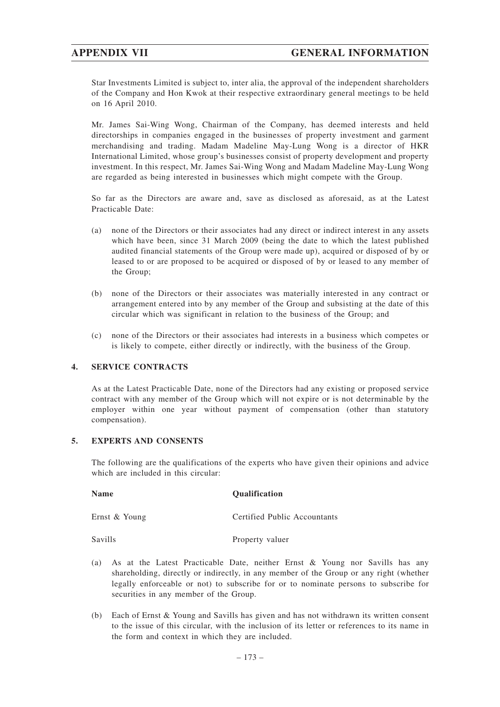Star Investments Limited is subject to, inter alia, the approval of the independent shareholders of the Company and Hon Kwok at their respective extraordinary general meetings to be held on 16 April 2010.

Mr. James Sai-Wing Wong, Chairman of the Company, has deemed interests and held directorships in companies engaged in the businesses of property investment and garment merchandising and trading. Madam Madeline May-Lung Wong is a director of HKR International Limited, whose group's businesses consist of property development and property investment. In this respect, Mr. James Sai-Wing Wong and Madam Madeline May-Lung Wong are regarded as being interested in businesses which might compete with the Group.

So far as the Directors are aware and, save as disclosed as aforesaid, as at the Latest Practicable Date:

- (a) none of the Directors or their associates had any direct or indirect interest in any assets which have been, since 31 March 2009 (being the date to which the latest published audited financial statements of the Group were made up), acquired or disposed of by or leased to or are proposed to be acquired or disposed of by or leased to any member of the Group;
- (b) none of the Directors or their associates was materially interested in any contract or arrangement entered into by any member of the Group and subsisting at the date of this circular which was significant in relation to the business of the Group; and
- (c) none of the Directors or their associates had interests in a business which competes or is likely to compete, either directly or indirectly, with the business of the Group.

## **4. SERVICE CONTRACTS**

As at the Latest Practicable Date, none of the Directors had any existing or proposed service contract with any member of the Group which will not expire or is not determinable by the employer within one year without payment of compensation (other than statutory compensation).

## **5. EXPERTS AND CONSENTS**

The following are the qualifications of the experts who have given their opinions and advice which are included in this circular:

| <b>Name</b>   | <b>Oualification</b>         |
|---------------|------------------------------|
| Ernst & Young | Certified Public Accountants |
| Savills       | Property valuer              |

- (a) As at the Latest Practicable Date, neither Ernst & Young nor Savills has any shareholding, directly or indirectly, in any member of the Group or any right (whether legally enforceable or not) to subscribe for or to nominate persons to subscribe for securities in any member of the Group.
- (b) Each of Ernst & Young and Savills has given and has not withdrawn its written consent to the issue of this circular, with the inclusion of its letter or references to its name in the form and context in which they are included.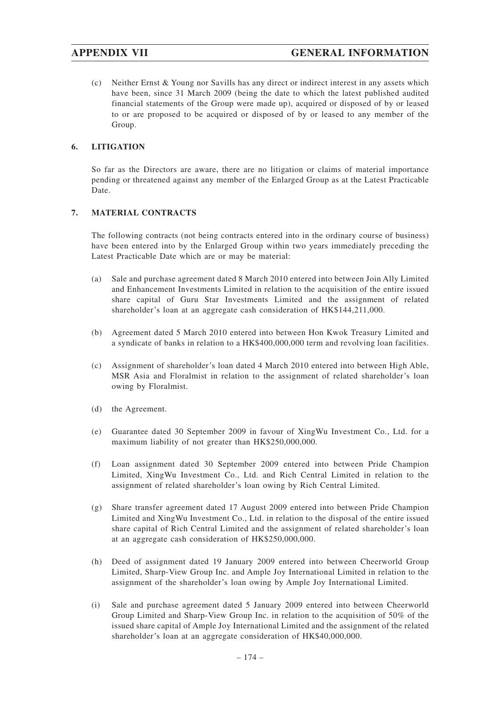(c) Neither Ernst & Young nor Savills has any direct or indirect interest in any assets which have been, since 31 March 2009 (being the date to which the latest published audited financial statements of the Group were made up), acquired or disposed of by or leased to or are proposed to be acquired or disposed of by or leased to any member of the Group.

## **6. LITIGATION**

So far as the Directors are aware, there are no litigation or claims of material importance pending or threatened against any member of the Enlarged Group as at the Latest Practicable Date.

## **7. MATERIAL CONTRACTS**

The following contracts (not being contracts entered into in the ordinary course of business) have been entered into by the Enlarged Group within two years immediately preceding the Latest Practicable Date which are or may be material:

- (a) Sale and purchase agreement dated 8 March 2010 entered into between Join Ally Limited and Enhancement Investments Limited in relation to the acquisition of the entire issued share capital of Guru Star Investments Limited and the assignment of related shareholder's loan at an aggregate cash consideration of HK\$144,211,000.
- (b) Agreement dated 5 March 2010 entered into between Hon Kwok Treasury Limited and a syndicate of banks in relation to a HK\$400,000,000 term and revolving loan facilities.
- (c) Assignment of shareholder's loan dated 4 March 2010 entered into between High Able, MSR Asia and Floralmist in relation to the assignment of related shareholder's loan owing by Floralmist.
- (d) the Agreement.
- (e) Guarantee dated 30 September 2009 in favour of XingWu Investment Co., Ltd. for a maximum liability of not greater than HK\$250,000,000.
- (f) Loan assignment dated 30 September 2009 entered into between Pride Champion Limited, XingWu Investment Co., Ltd. and Rich Central Limited in relation to the assignment of related shareholder's loan owing by Rich Central Limited.
- (g) Share transfer agreement dated 17 August 2009 entered into between Pride Champion Limited and XingWu Investment Co., Ltd. in relation to the disposal of the entire issued share capital of Rich Central Limited and the assignment of related shareholder's loan at an aggregate cash consideration of HK\$250,000,000.
- (h) Deed of assignment dated 19 January 2009 entered into between Cheerworld Group Limited, Sharp-View Group Inc. and Ample Joy International Limited in relation to the assignment of the shareholder's loan owing by Ample Joy International Limited.
- (i) Sale and purchase agreement dated 5 January 2009 entered into between Cheerworld Group Limited and Sharp-View Group Inc. in relation to the acquisition of 50% of the issued share capital of Ample Joy International Limited and the assignment of the related shareholder's loan at an aggregate consideration of HK\$40,000,000.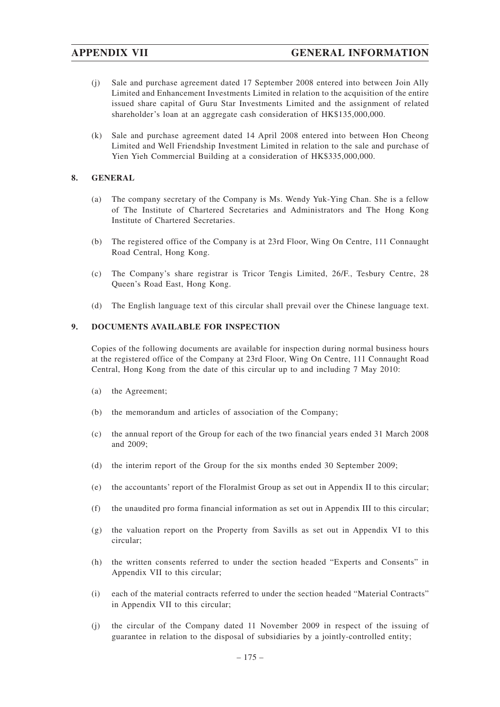- (j) Sale and purchase agreement dated 17 September 2008 entered into between Join Ally Limited and Enhancement Investments Limited in relation to the acquisition of the entire issued share capital of Guru Star Investments Limited and the assignment of related shareholder's loan at an aggregate cash consideration of HK\$135,000,000.
- (k) Sale and purchase agreement dated 14 April 2008 entered into between Hon Cheong Limited and Well Friendship Investment Limited in relation to the sale and purchase of Yien Yieh Commercial Building at a consideration of HK\$335,000,000.

## **8. GENERAL**

- (a) The company secretary of the Company is Ms. Wendy Yuk-Ying Chan. She is a fellow of The Institute of Chartered Secretaries and Administrators and The Hong Kong Institute of Chartered Secretaries.
- (b) The registered office of the Company is at 23rd Floor, Wing On Centre, 111 Connaught Road Central, Hong Kong.
- (c) The Company's share registrar is Tricor Tengis Limited, 26/F., Tesbury Centre, 28 Queen's Road East, Hong Kong.
- (d) The English language text of this circular shall prevail over the Chinese language text.

## **9. DOCUMENTS AVAILABLE FOR INSPECTION**

Copies of the following documents are available for inspection during normal business hours at the registered office of the Company at 23rd Floor, Wing On Centre, 111 Connaught Road Central, Hong Kong from the date of this circular up to and including 7 May 2010:

- (a) the Agreement;
- (b) the memorandum and articles of association of the Company;
- (c) the annual report of the Group for each of the two financial years ended 31 March 2008 and 2009;
- (d) the interim report of the Group for the six months ended 30 September 2009;
- (e) the accountants' report of the Floralmist Group as set out in Appendix II to this circular;
- (f) the unaudited pro forma financial information as set out in Appendix III to this circular;
- (g) the valuation report on the Property from Savills as set out in Appendix VI to this circular;
- (h) the written consents referred to under the section headed "Experts and Consents" in Appendix VII to this circular;
- (i) each of the material contracts referred to under the section headed "Material Contracts" in Appendix VII to this circular;
- (j) the circular of the Company dated 11 November 2009 in respect of the issuing of guarantee in relation to the disposal of subsidiaries by a jointly-controlled entity;